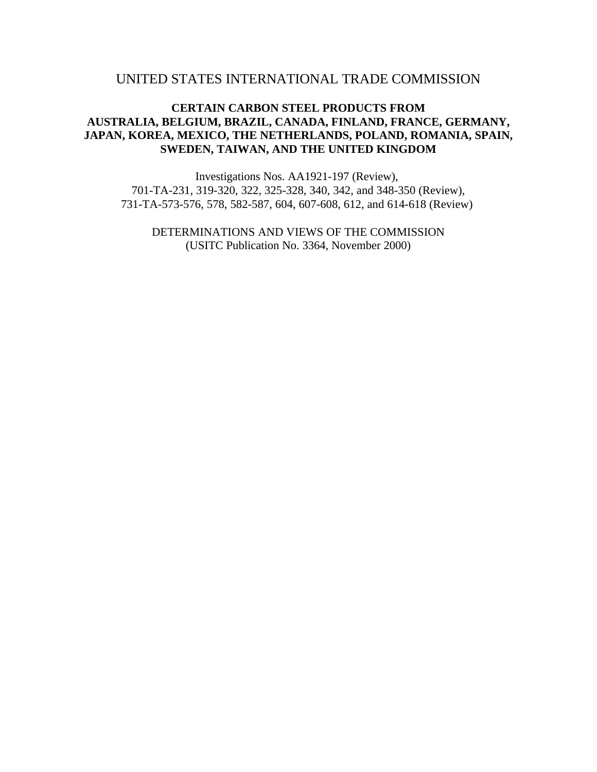# UNITED STATES INTERNATIONAL TRADE COMMISSION

# **CERTAIN CARBON STEEL PRODUCTS FROM AUSTRALIA, BELGIUM, BRAZIL, CANADA, FINLAND, FRANCE, GERMANY, JAPAN, KOREA, MEXICO, THE NETHERLANDS, POLAND, ROMANIA, SPAIN, SWEDEN, TAIWAN, AND THE UNITED KINGDOM**

Investigations Nos. AA1921-197 (Review), 701-TA-231, 319-320, 322, 325-328, 340, 342, and 348-350 (Review), 731-TA-573-576, 578, 582-587, 604, 607-608, 612, and 614-618 (Review)

DETERMINATIONS AND VIEWS OF THE COMMISSION (USITC Publication No. 3364, November 2000)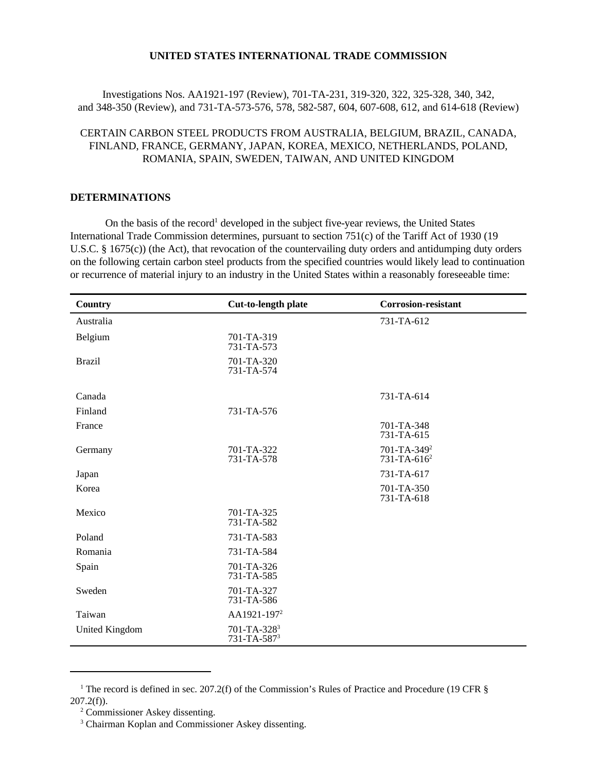## **UNITED STATES INTERNATIONAL TRADE COMMISSION**

Investigations Nos. AA1921-197 (Review), 701-TA-231, 319-320, 322, 325-328, 340, 342, and 348-350 (Review), and 731-TA-573-576, 578, 582-587, 604, 607-608, 612, and 614-618 (Review)

# CERTAIN CARBON STEEL PRODUCTS FROM AUSTRALIA, BELGIUM, BRAZIL, CANADA, FINLAND, FRANCE, GERMANY, JAPAN, KOREA, MEXICO, NETHERLANDS, POLAND, ROMANIA, SPAIN, SWEDEN, TAIWAN, AND UNITED KINGDOM

#### **DETERMINATIONS**

On the basis of the record<sup>1</sup> developed in the subject five-year reviews, the United States International Trade Commission determines, pursuant to section 751(c) of the Tariff Act of 1930 (19 U.S.C. § 1675(c)) (the Act), that revocation of the countervailing duty orders and antidumping duty orders on the following certain carbon steel products from the specified countries would likely lead to continuation or recurrence of material injury to an industry in the United States within a reasonably foreseeable time:

| Country        | Cut-to-length plate                          | <b>Corrosion-resistant</b>                    |
|----------------|----------------------------------------------|-----------------------------------------------|
| Australia      |                                              | 731-TA-612                                    |
| Belgium        | 701-TA-319<br>731-TA-573                     |                                               |
| <b>Brazil</b>  | 701-TA-320<br>731-TA-574                     |                                               |
| Canada         |                                              | 731-TA-614                                    |
| Finland        | 731-TA-576                                   |                                               |
| France         |                                              | 701-TA-348<br>731-TA-615                      |
| Germany        | 701-TA-322<br>731-TA-578                     | 701-TA-349 <sup>2</sup><br>$731 - TA - 616^2$ |
| Japan          |                                              | 731-TA-617                                    |
| Korea          |                                              | 701-TA-350<br>731-TA-618                      |
| Mexico         | 701-TA-325<br>731-TA-582                     |                                               |
| Poland         | 731-TA-583                                   |                                               |
| Romania        | 731-TA-584                                   |                                               |
| Spain          | 701-TA-326<br>731-TA-585                     |                                               |
| Sweden         | 701-TA-327<br>731-TA-586                     |                                               |
| Taiwan         | AA1921-197 <sup>2</sup>                      |                                               |
| United Kingdom | 701-TA-328 <sup>3</sup><br>$731 - TA - 5873$ |                                               |

<sup>&</sup>lt;sup>1</sup> The record is defined in sec. 207.2(f) of the Commission's Rules of Practice and Procedure (19 CFR  $\S$  $207.2(f)$ ).

<sup>2</sup> Commissioner Askey dissenting.

<sup>3</sup> Chairman Koplan and Commissioner Askey dissenting.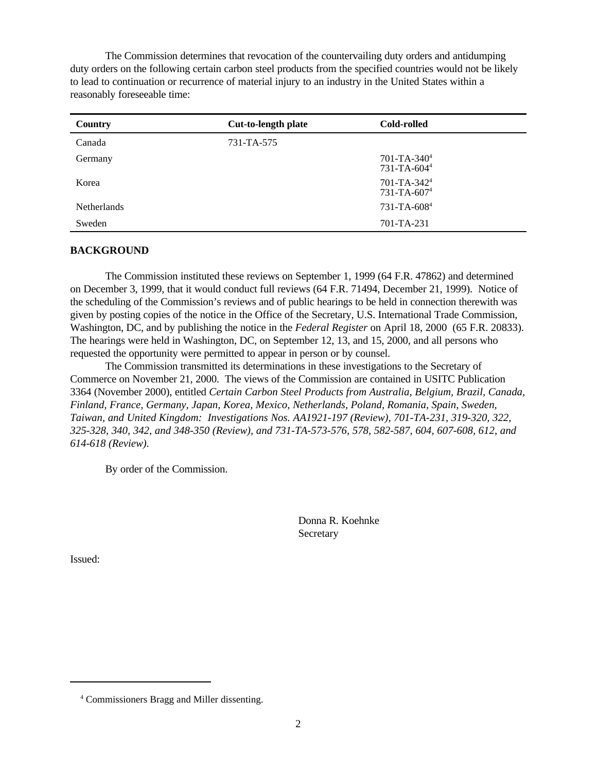The Commission determines that revocation of the countervailing duty orders and antidumping duty orders on the following certain carbon steel products from the specified countries would not be likely to lead to continuation or recurrence of material injury to an industry in the United States within a reasonably foreseeable time:

| Country            | <b>Cut-to-length plate</b> | Cold-rolled                                        |
|--------------------|----------------------------|----------------------------------------------------|
| Canada             | 731-TA-575                 |                                                    |
| Germany            |                            | $701-TA-340^4$<br>731-TA-604 <sup>4</sup>          |
| Korea              |                            | 701-TA-342 <sup>4</sup><br>731-TA-607 <sup>4</sup> |
| <b>Netherlands</b> |                            | 731-TA-608 <sup>4</sup>                            |
| Sweden             |                            | $701 - TA - 231$                                   |

#### **BACKGROUND**

The Commission instituted these reviews on September 1, 1999 (64 F.R. 47862) and determined on December 3, 1999, that it would conduct full reviews (64 F.R. 71494, December 21, 1999). Notice of the scheduling of the Commission's reviews and of public hearings to be held in connection therewith was given by posting copies of the notice in the Office of the Secretary, U.S. International Trade Commission, Washington, DC, and by publishing the notice in the *Federal Register* on April 18, 2000 (65 F.R. 20833). The hearings were held in Washington, DC, on September 12, 13, and 15, 2000, and all persons who requested the opportunity were permitted to appear in person or by counsel.

The Commission transmitted its determinations in these investigations to the Secretary of Commerce on November 21, 2000. The views of the Commission are contained in USITC Publication 3364 (November 2000), entitled *Certain Carbon Steel Products from Australia, Belgium, Brazil, Canada, Finland, France, Germany, Japan, Korea, Mexico, Netherlands, Poland, Romania, Spain, Sweden, Taiwan, and United Kingdom: Investigations Nos. AA1921-197 (Review), 701-TA-231, 319-320, 322, 325-328, 340, 342, and 348-350 (Review), and 731-TA-573-576, 578, 582-587, 604, 607-608, 612, and 614-618 (Review).*

By order of the Commission.

Donna R. Koehnke **Secretary** 

Issued:

<sup>4</sup> Commissioners Bragg and Miller dissenting.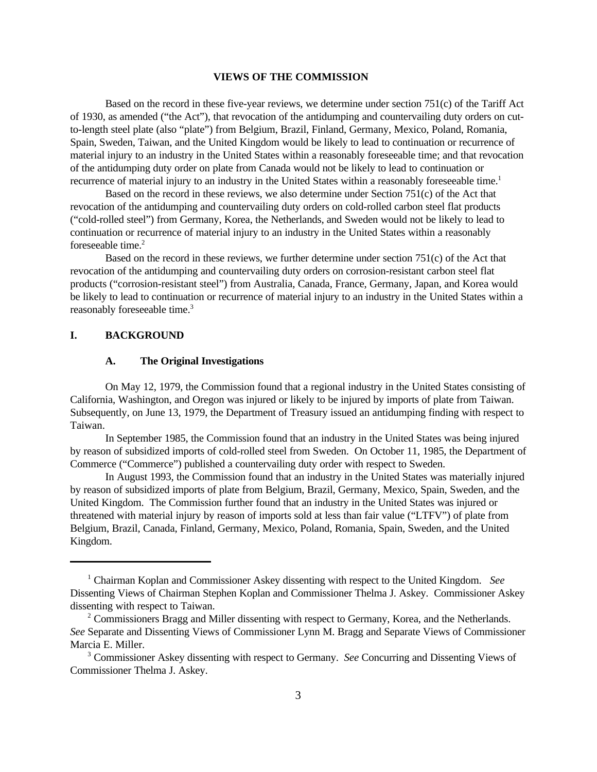#### **VIEWS OF THE COMMISSION**

Based on the record in these five-year reviews, we determine under section 751(c) of the Tariff Act of 1930, as amended ("the Act"), that revocation of the antidumping and countervailing duty orders on cutto-length steel plate (also "plate") from Belgium, Brazil, Finland, Germany, Mexico, Poland, Romania, Spain, Sweden, Taiwan, and the United Kingdom would be likely to lead to continuation or recurrence of material injury to an industry in the United States within a reasonably foreseeable time; and that revocation of the antidumping duty order on plate from Canada would not be likely to lead to continuation or recurrence of material injury to an industry in the United States within a reasonably foreseeable time.<sup>1</sup>

Based on the record in these reviews, we also determine under Section 751(c) of the Act that revocation of the antidumping and countervailing duty orders on cold-rolled carbon steel flat products ("cold-rolled steel") from Germany, Korea, the Netherlands, and Sweden would not be likely to lead to continuation or recurrence of material injury to an industry in the United States within a reasonably foreseeable time.<sup>2</sup>

Based on the record in these reviews, we further determine under section 751(c) of the Act that revocation of the antidumping and countervailing duty orders on corrosion-resistant carbon steel flat products ("corrosion-resistant steel") from Australia, Canada, France, Germany, Japan, and Korea would be likely to lead to continuation or recurrence of material injury to an industry in the United States within a reasonably foreseeable time.<sup>3</sup>

# **I. BACKGROUND**

## **A. The Original Investigations**

On May 12, 1979, the Commission found that a regional industry in the United States consisting of California, Washington, and Oregon was injured or likely to be injured by imports of plate from Taiwan. Subsequently, on June 13, 1979, the Department of Treasury issued an antidumping finding with respect to Taiwan.

In September 1985, the Commission found that an industry in the United States was being injured by reason of subsidized imports of cold-rolled steel from Sweden. On October 11, 1985, the Department of Commerce ("Commerce") published a countervailing duty order with respect to Sweden.

In August 1993, the Commission found that an industry in the United States was materially injured by reason of subsidized imports of plate from Belgium, Brazil, Germany, Mexico, Spain, Sweden, and the United Kingdom. The Commission further found that an industry in the United States was injured or threatened with material injury by reason of imports sold at less than fair value ("LTFV") of plate from Belgium, Brazil, Canada, Finland, Germany, Mexico, Poland, Romania, Spain, Sweden, and the United Kingdom.

<sup>&</sup>lt;sup>1</sup> Chairman Koplan and Commissioner Askey dissenting with respect to the United Kingdom. See Dissenting Views of Chairman Stephen Koplan and Commissioner Thelma J. Askey. Commissioner Askey dissenting with respect to Taiwan.

<sup>&</sup>lt;sup>2</sup> Commissioners Bragg and Miller dissenting with respect to Germany, Korea, and the Netherlands. *See* Separate and Dissenting Views of Commissioner Lynn M. Bragg and Separate Views of Commissioner Marcia E. Miller.

<sup>3</sup> Commissioner Askey dissenting with respect to Germany. *See* Concurring and Dissenting Views of Commissioner Thelma J. Askey.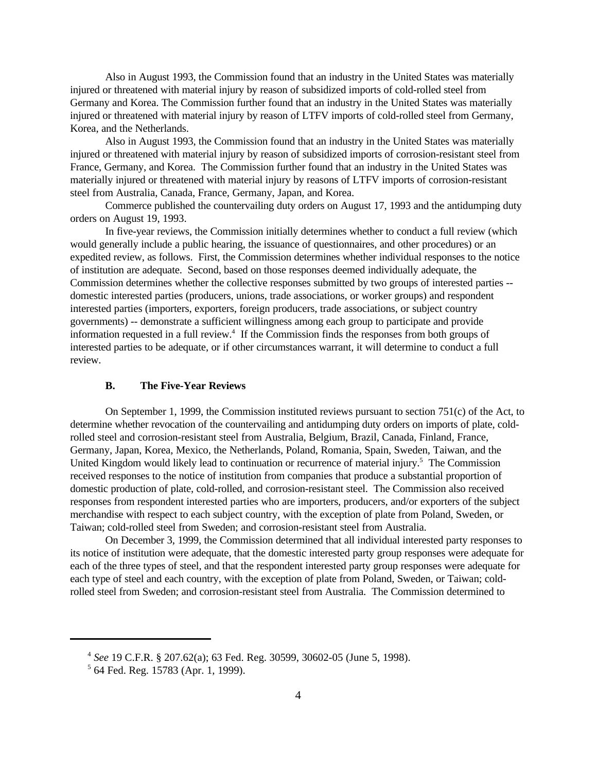Also in August 1993, the Commission found that an industry in the United States was materially injured or threatened with material injury by reason of subsidized imports of cold-rolled steel from Germany and Korea. The Commission further found that an industry in the United States was materially injured or threatened with material injury by reason of LTFV imports of cold-rolled steel from Germany, Korea, and the Netherlands.

Also in August 1993, the Commission found that an industry in the United States was materially injured or threatened with material injury by reason of subsidized imports of corrosion-resistant steel from France, Germany, and Korea. The Commission further found that an industry in the United States was materially injured or threatened with material injury by reasons of LTFV imports of corrosion-resistant steel from Australia, Canada, France, Germany, Japan, and Korea.

Commerce published the countervailing duty orders on August 17, 1993 and the antidumping duty orders on August 19, 1993.

In five-year reviews, the Commission initially determines whether to conduct a full review (which would generally include a public hearing, the issuance of questionnaires, and other procedures) or an expedited review, as follows. First, the Commission determines whether individual responses to the notice of institution are adequate. Second, based on those responses deemed individually adequate, the Commission determines whether the collective responses submitted by two groups of interested parties - domestic interested parties (producers, unions, trade associations, or worker groups) and respondent interested parties (importers, exporters, foreign producers, trade associations, or subject country governments) -- demonstrate a sufficient willingness among each group to participate and provide information requested in a full review.<sup>4</sup> If the Commission finds the responses from both groups of interested parties to be adequate, or if other circumstances warrant, it will determine to conduct a full review.

### **B. The Five-Year Reviews**

On September 1, 1999, the Commission instituted reviews pursuant to section 751(c) of the Act, to determine whether revocation of the countervailing and antidumping duty orders on imports of plate, coldrolled steel and corrosion-resistant steel from Australia, Belgium, Brazil, Canada, Finland, France, Germany, Japan, Korea, Mexico, the Netherlands, Poland, Romania, Spain, Sweden, Taiwan, and the United Kingdom would likely lead to continuation or recurrence of material injury.<sup>5</sup> The Commission received responses to the notice of institution from companies that produce a substantial proportion of domestic production of plate, cold-rolled, and corrosion-resistant steel. The Commission also received responses from respondent interested parties who are importers, producers, and/or exporters of the subject merchandise with respect to each subject country, with the exception of plate from Poland, Sweden, or Taiwan; cold-rolled steel from Sweden; and corrosion-resistant steel from Australia.

On December 3, 1999, the Commission determined that all individual interested party responses to its notice of institution were adequate, that the domestic interested party group responses were adequate for each of the three types of steel, and that the respondent interested party group responses were adequate for each type of steel and each country, with the exception of plate from Poland, Sweden, or Taiwan; coldrolled steel from Sweden; and corrosion-resistant steel from Australia. The Commission determined to

<sup>4</sup> *See* 19 C.F.R. § 207.62(a); 63 Fed. Reg. 30599, 30602-05 (June 5, 1998).

<sup>5</sup> 64 Fed. Reg. 15783 (Apr. 1, 1999).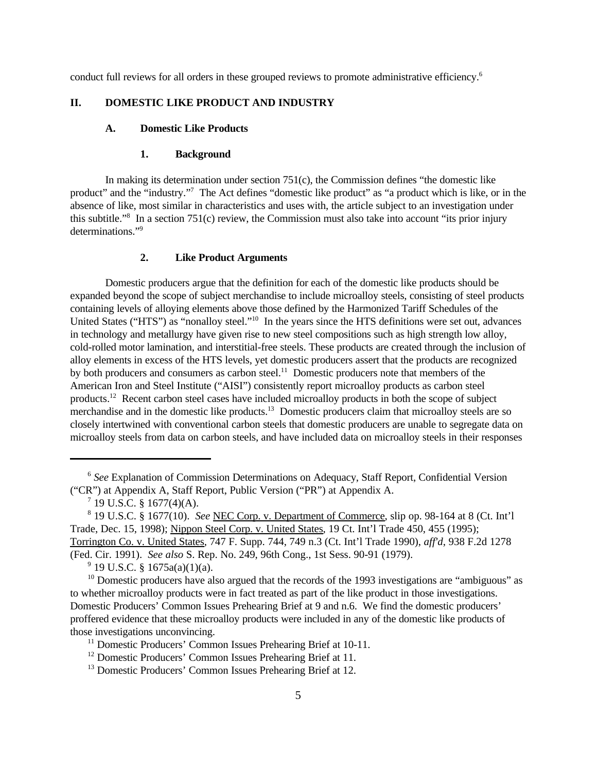conduct full reviews for all orders in these grouped reviews to promote administrative efficiency.<sup>6</sup>

## **II. DOMESTIC LIKE PRODUCT AND INDUSTRY**

## **A. Domestic Like Products**

#### **1. Background**

In making its determination under section 751(c), the Commission defines "the domestic like product" and the "industry."<sup>7</sup> The Act defines "domestic like product" as "a product which is like, or in the absence of like, most similar in characteristics and uses with, the article subject to an investigation under this subtitle."<sup>8</sup> In a section 751(c) review, the Commission must also take into account "its prior injury determinations."<sup>9</sup> 

## **2. Like Product Arguments**

Domestic producers argue that the definition for each of the domestic like products should be expanded beyond the scope of subject merchandise to include microalloy steels, consisting of steel products containing levels of alloying elements above those defined by the Harmonized Tariff Schedules of the United States ("HTS") as "nonalloy steel."<sup>10</sup> In the years since the HTS definitions were set out, advances in technology and metallurgy have given rise to new steel compositions such as high strength low alloy, cold-rolled motor lamination, and interstitial-free steels. These products are created through the inclusion of alloy elements in excess of the HTS levels, yet domestic producers assert that the products are recognized by both producers and consumers as carbon steel.<sup>11</sup> Domestic producers note that members of the American Iron and Steel Institute ("AISI") consistently report microalloy products as carbon steel products.<sup>12</sup> Recent carbon steel cases have included microalloy products in both the scope of subject merchandise and in the domestic like products.<sup>13</sup> Domestic producers claim that microalloy steels are so closely intertwined with conventional carbon steels that domestic producers are unable to segregate data on microalloy steels from data on carbon steels, and have included data on microalloy steels in their responses

<sup>&</sup>lt;sup>6</sup> See Explanation of Commission Determinations on Adequacy, Staff Report, Confidential Version ("CR") at Appendix A, Staff Report, Public Version ("PR") at Appendix A.

 $^7$  19 U.S.C. § 1677(4)(A).

<sup>8</sup> 19 U.S.C. § 1677(10). *See* NEC Corp. v. Department of Commerce, slip op. 98-164 at 8 (Ct. Int'l Trade, Dec. 15, 1998); Nippon Steel Corp. v. United States, 19 Ct. Int'l Trade 450, 455 (1995); Torrington Co. v. United States, 747 F. Supp. 744, 749 n.3 (Ct. Int'l Trade 1990), *aff'd*, 938 F.2d 1278 (Fed. Cir. 1991). *See also* S. Rep. No. 249, 96th Cong., 1st Sess. 90-91 (1979).

<sup>&</sup>lt;sup>9</sup> 19 U.S.C. § 1675a(a)(1)(a).

 $10$  Domestic producers have also argued that the records of the 1993 investigations are "ambiguous" as to whether microalloy products were in fact treated as part of the like product in those investigations. Domestic Producers' Common Issues Prehearing Brief at 9 and n.6. We find the domestic producers' proffered evidence that these microalloy products were included in any of the domestic like products of those investigations unconvincing.

<sup>&</sup>lt;sup>11</sup> Domestic Producers' Common Issues Prehearing Brief at 10-11.

<sup>&</sup>lt;sup>12</sup> Domestic Producers' Common Issues Prehearing Brief at 11.

<sup>&</sup>lt;sup>13</sup> Domestic Producers' Common Issues Prehearing Brief at 12.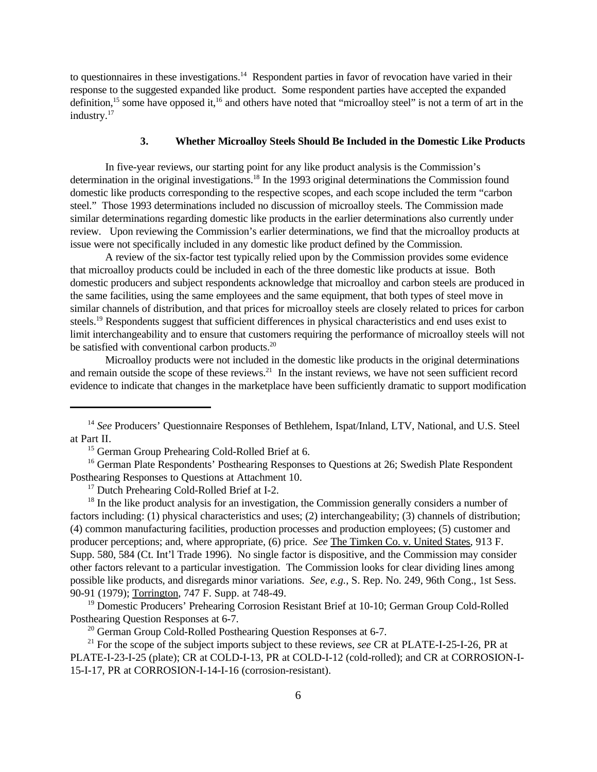to questionnaires in these investigations.<sup>14</sup> Respondent parties in favor of revocation have varied in their response to the suggested expanded like product. Some respondent parties have accepted the expanded definition,<sup>15</sup> some have opposed it,<sup>16</sup> and others have noted that "microalloy steel" is not a term of art in the industry.<sup>17</sup>

#### **3. Whether Microalloy Steels Should Be Included in the Domestic Like Products**

In five-year reviews, our starting point for any like product analysis is the Commission's determination in the original investigations.<sup>18</sup> In the 1993 original determinations the Commission found domestic like products corresponding to the respective scopes, and each scope included the term "carbon steel." Those 1993 determinations included no discussion of microalloy steels. The Commission made similar determinations regarding domestic like products in the earlier determinations also currently under review. Upon reviewing the Commission's earlier determinations, we find that the microalloy products at issue were not specifically included in any domestic like product defined by the Commission.

A review of the six-factor test typically relied upon by the Commission provides some evidence that microalloy products could be included in each of the three domestic like products at issue. Both domestic producers and subject respondents acknowledge that microalloy and carbon steels are produced in the same facilities, using the same employees and the same equipment, that both types of steel move in similar channels of distribution, and that prices for microalloy steels are closely related to prices for carbon steels.<sup>19</sup> Respondents suggest that sufficient differences in physical characteristics and end uses exist to limit interchangeability and to ensure that customers requiring the performance of microalloy steels will not be satisfied with conventional carbon products.<sup>20</sup>

Microalloy products were not included in the domestic like products in the original determinations and remain outside the scope of these reviews.<sup>21</sup> In the instant reviews, we have not seen sufficient record evidence to indicate that changes in the marketplace have been sufficiently dramatic to support modification

<sup>15</sup> German Group Prehearing Cold-Rolled Brief at 6.

<sup>17</sup> Dutch Prehearing Cold-Rolled Brief at I-2.

 $18$  In the like product analysis for an investigation, the Commission generally considers a number of factors including: (1) physical characteristics and uses; (2) interchangeability; (3) channels of distribution; (4) common manufacturing facilities, production processes and production employees; (5) customer and producer perceptions; and, where appropriate, (6) price. *See* The Timken Co. v. United States, 913 F. Supp. 580, 584 (Ct. Int'l Trade 1996). No single factor is dispositive, and the Commission may consider other factors relevant to a particular investigation. The Commission looks for clear dividing lines among possible like products, and disregards minor variations. *See, e.g.*, S. Rep. No. 249, 96th Cong., 1st Sess. 90-91 (1979); Torrington, 747 F. Supp. at 748-49.

<sup>19</sup> Domestic Producers' Prehearing Corrosion Resistant Brief at 10-10; German Group Cold-Rolled Posthearing Question Responses at 6-7.

 $20$  German Group Cold-Rolled Posthearing Question Responses at 6-7.

<sup>21</sup> For the scope of the subject imports subject to these reviews, *see* CR at PLATE-I-25-I-26, PR at PLATE-I-23-I-25 (plate); CR at COLD-I-13, PR at COLD-I-12 (cold-rolled); and CR at CORROSION-I-15-I-17, PR at CORROSION-I-14-I-16 (corrosion-resistant).

<sup>&</sup>lt;sup>14</sup> See Producers' Questionnaire Responses of Bethlehem, Ispat/Inland, LTV, National, and U.S. Steel at Part II.

<sup>&</sup>lt;sup>16</sup> German Plate Respondents' Posthearing Responses to Questions at 26; Swedish Plate Respondent Posthearing Responses to Questions at Attachment 10.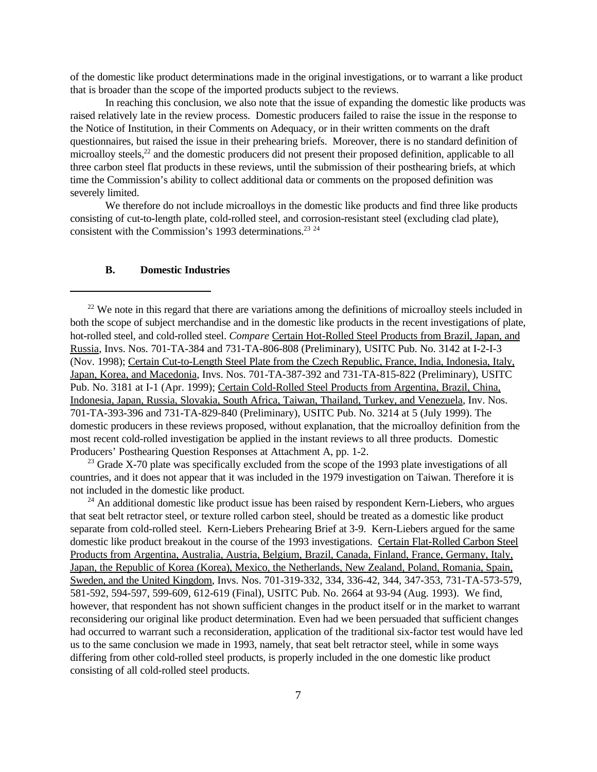of the domestic like product determinations made in the original investigations, or to warrant a like product that is broader than the scope of the imported products subject to the reviews.

In reaching this conclusion, we also note that the issue of expanding the domestic like products was raised relatively late in the review process. Domestic producers failed to raise the issue in the response to the Notice of Institution, in their Comments on Adequacy, or in their written comments on the draft questionnaires, but raised the issue in their prehearing briefs. Moreover, there is no standard definition of microalloy steels,<sup>22</sup> and the domestic producers did not present their proposed definition, applicable to all three carbon steel flat products in these reviews, until the submission of their posthearing briefs, at which time the Commission's ability to collect additional data or comments on the proposed definition was severely limited.

We therefore do not include microalloys in the domestic like products and find three like products consisting of cut-to-length plate, cold-rolled steel, and corrosion-resistant steel (excluding clad plate), consistent with the Commission's 1993 determinations.<sup>23</sup>  $24$ 

#### **B. Domestic Industries**

<sup>23</sup> Grade X-70 plate was specifically excluded from the scope of the 1993 plate investigations of all countries, and it does not appear that it was included in the 1979 investigation on Taiwan. Therefore it is not included in the domestic like product.

 $^{24}$  An additional domestic like product issue has been raised by respondent Kern-Liebers, who argues that seat belt retractor steel, or texture rolled carbon steel, should be treated as a domestic like product separate from cold-rolled steel. Kern-Liebers Prehearing Brief at 3-9. Kern-Liebers argued for the same domestic like product breakout in the course of the 1993 investigations. Certain Flat-Rolled Carbon Steel Products from Argentina, Australia, Austria, Belgium, Brazil, Canada, Finland, France, Germany, Italy, Japan, the Republic of Korea (Korea), Mexico, the Netherlands, New Zealand, Poland, Romania, Spain, Sweden, and the United Kingdom, Invs. Nos. 701-319-332, 334, 336-42, 344, 347-353, 731-TA-573-579, 581-592, 594-597, 599-609, 612-619 (Final), USITC Pub. No. 2664 at 93-94 (Aug. 1993). We find, however, that respondent has not shown sufficient changes in the product itself or in the market to warrant reconsidering our original like product determination. Even had we been persuaded that sufficient changes had occurred to warrant such a reconsideration, application of the traditional six-factor test would have led us to the same conclusion we made in 1993, namely, that seat belt retractor steel, while in some ways differing from other cold-rolled steel products, is properly included in the one domestic like product consisting of all cold-rolled steel products.

 $22$  We note in this regard that there are variations among the definitions of microalloy steels included in both the scope of subject merchandise and in the domestic like products in the recent investigations of plate, hot-rolled steel, and cold-rolled steel. *Compare* Certain Hot-Rolled Steel Products from Brazil, Japan, and Russia, Invs. Nos. 701-TA-384 and 731-TA-806-808 (Preliminary), USITC Pub. No. 3142 at I-2-I-3 (Nov. 1998); Certain Cut-to-Length Steel Plate from the Czech Republic, France, India, Indonesia, Italy, Japan, Korea, and Macedonia, Invs. Nos. 701-TA-387-392 and 731-TA-815-822 (Preliminary), USITC Pub. No. 3181 at I-1 (Apr. 1999); Certain Cold-Rolled Steel Products from Argentina, Brazil, China, Indonesia, Japan, Russia, Slovakia, South Africa, Taiwan, Thailand, Turkey, and Venezuela, Inv. Nos. 701-TA-393-396 and 731-TA-829-840 (Preliminary), USITC Pub. No. 3214 at 5 (July 1999). The domestic producers in these reviews proposed, without explanation, that the microalloy definition from the most recent cold-rolled investigation be applied in the instant reviews to all three products. Domestic Producers' Posthearing Question Responses at Attachment A, pp. 1-2.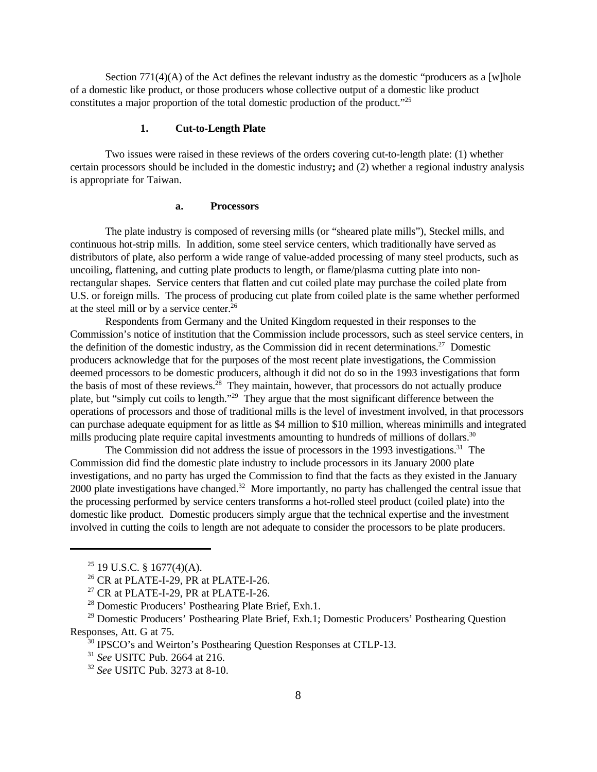Section  $771(4)(A)$  of the Act defines the relevant industry as the domestic "producers as a [w]hole of a domestic like product, or those producers whose collective output of a domestic like product constitutes a major proportion of the total domestic production of the product."<sup>25</sup>

## **1. Cut-to-Length Plate**

Two issues were raised in these reviews of the orders covering cut-to-length plate: (1) whether certain processors should be included in the domestic industry**;** and (2) whether a regional industry analysis is appropriate for Taiwan.

#### **a. Processors**

The plate industry is composed of reversing mills (or "sheared plate mills"), Steckel mills, and continuous hot-strip mills. In addition, some steel service centers, which traditionally have served as distributors of plate, also perform a wide range of value-added processing of many steel products, such as uncoiling, flattening, and cutting plate products to length, or flame/plasma cutting plate into nonrectangular shapes. Service centers that flatten and cut coiled plate may purchase the coiled plate from U.S. or foreign mills. The process of producing cut plate from coiled plate is the same whether performed at the steel mill or by a service center.<sup>26</sup>

Respondents from Germany and the United Kingdom requested in their responses to the Commission's notice of institution that the Commission include processors, such as steel service centers, in the definition of the domestic industry, as the Commission did in recent determinations.<sup>27</sup> Domestic producers acknowledge that for the purposes of the most recent plate investigations, the Commission deemed processors to be domestic producers, although it did not do so in the 1993 investigations that form the basis of most of these reviews. $^{28}$  They maintain, however, that processors do not actually produce plate, but "simply cut coils to length."<sup>29</sup> They argue that the most significant difference between the operations of processors and those of traditional mills is the level of investment involved, in that processors can purchase adequate equipment for as little as \$4 million to \$10 million, whereas minimills and integrated mills producing plate require capital investments amounting to hundreds of millions of dollars.<sup>30</sup>

The Commission did not address the issue of processors in the 1993 investigations.<sup>31</sup> The Commission did find the domestic plate industry to include processors in its January 2000 plate investigations, and no party has urged the Commission to find that the facts as they existed in the January 2000 plate investigations have changed.<sup>32</sup> More importantly, no party has challenged the central issue that the processing performed by service centers transforms a hot-rolled steel product (coiled plate) into the domestic like product. Domestic producers simply argue that the technical expertise and the investment involved in cutting the coils to length are not adequate to consider the processors to be plate producers.

 $25$  19 U.S.C. § 1677(4)(A).

 $26$  CR at PLATE-I-29, PR at PLATE-I-26.

 $27$  CR at PLATE-I-29, PR at PLATE-I-26.

<sup>28</sup> Domestic Producers' Posthearing Plate Brief, Exh.1.

<sup>&</sup>lt;sup>29</sup> Domestic Producers' Posthearing Plate Brief, Exh.1; Domestic Producers' Posthearing Question Responses, Att. G at 75.

 $30$  IPSCO's and Weirton's Posthearing Question Responses at CTLP-13.

<sup>31</sup> *See* USITC Pub. 2664 at 216.

<sup>32</sup> *See* USITC Pub. 3273 at 8-10.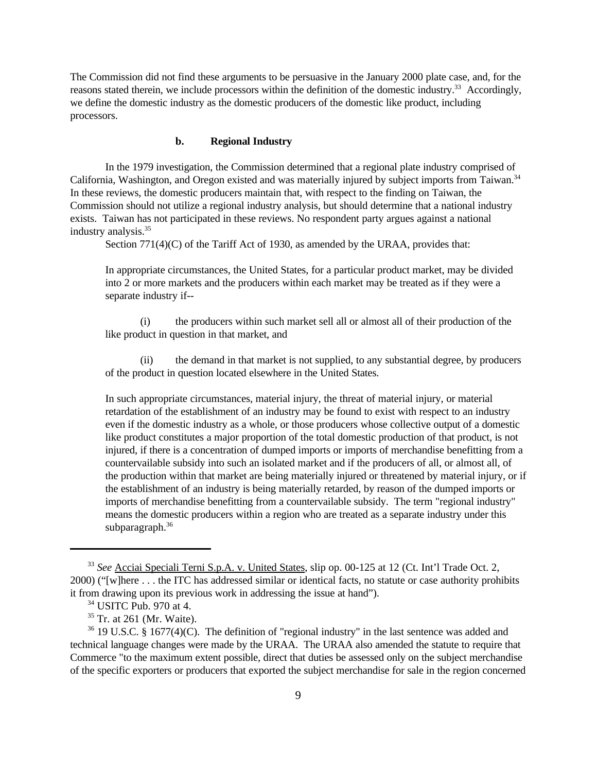The Commission did not find these arguments to be persuasive in the January 2000 plate case, and, for the reasons stated therein, we include processors within the definition of the domestic industry.<sup>33</sup> Accordingly, we define the domestic industry as the domestic producers of the domestic like product, including processors.

#### **b. Regional Industry**

In the 1979 investigation, the Commission determined that a regional plate industry comprised of California, Washington, and Oregon existed and was materially injured by subject imports from Taiwan.<sup>34</sup> In these reviews, the domestic producers maintain that, with respect to the finding on Taiwan, the Commission should not utilize a regional industry analysis, but should determine that a national industry exists. Taiwan has not participated in these reviews. No respondent party argues against a national industry analysis.<sup>35</sup>

Section 771(4)(C) of the Tariff Act of 1930, as amended by the URAA, provides that:

In appropriate circumstances, the United States, for a particular product market, may be divided into 2 or more markets and the producers within each market may be treated as if they were a separate industry if--

(i) the producers within such market sell all or almost all of their production of the like product in question in that market, and

(ii) the demand in that market is not supplied, to any substantial degree, by producers of the product in question located elsewhere in the United States.

In such appropriate circumstances, material injury, the threat of material injury, or material retardation of the establishment of an industry may be found to exist with respect to an industry even if the domestic industry as a whole, or those producers whose collective output of a domestic like product constitutes a major proportion of the total domestic production of that product, is not injured, if there is a concentration of dumped imports or imports of merchandise benefitting from a countervailable subsidy into such an isolated market and if the producers of all, or almost all, of the production within that market are being materially injured or threatened by material injury, or if the establishment of an industry is being materially retarded, by reason of the dumped imports or imports of merchandise benefitting from a countervailable subsidy. The term "regional industry" means the domestic producers within a region who are treated as a separate industry under this subparagraph.<sup>36</sup>

<sup>33</sup> *See* Acciai Speciali Terni S.p.A. v. United States, slip op. 00-125 at 12 (Ct. Int'l Trade Oct. 2, 2000) ("[w]here . . . the ITC has addressed similar or identical facts, no statute or case authority prohibits it from drawing upon its previous work in addressing the issue at hand").

<sup>34</sup> USITC Pub. 970 at 4.

<sup>35</sup> Tr. at 261 (Mr. Waite).

 $36$  19 U.S.C. § 1677(4)(C). The definition of "regional industry" in the last sentence was added and technical language changes were made by the URAA. The URAA also amended the statute to require that Commerce "to the maximum extent possible, direct that duties be assessed only on the subject merchandise of the specific exporters or producers that exported the subject merchandise for sale in the region concerned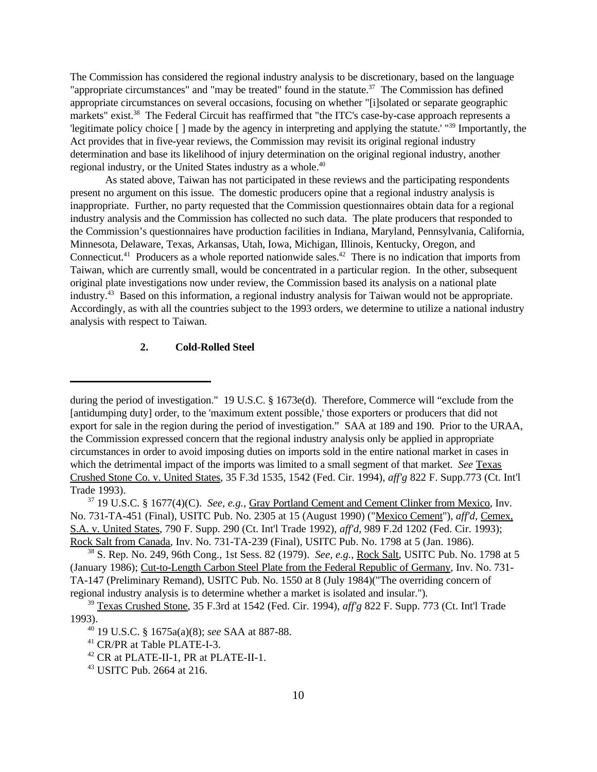The Commission has considered the regional industry analysis to be discretionary, based on the language "appropriate circumstances" and "may be treated" found in the statute.<sup>37</sup> The Commission has defined appropriate circumstances on several occasions, focusing on whether "[i]solated or separate geographic markets" exist.<sup>38</sup> The Federal Circuit has reaffirmed that "the ITC's case-by-case approach represents a 'legitimate policy choice [ ] made by the agency in interpreting and applying the statute.' "<sup>39</sup> Importantly, the Act provides that in five-year reviews, the Commission may revisit its original regional industry determination and base its likelihood of injury determination on the original regional industry, another regional industry, or the United States industry as a whole.<sup>40</sup>

As stated above, Taiwan has not participated in these reviews and the participating respondents present no argument on this issue. The domestic producers opine that a regional industry analysis is inappropriate. Further, no party requested that the Commission questionnaires obtain data for a regional industry analysis and the Commission has collected no such data. The plate producers that responded to the Commission's questionnaires have production facilities in Indiana, Maryland, Pennsylvania, California, Minnesota, Delaware, Texas, Arkansas, Utah, Iowa, Michigan, Illinois, Kentucky, Oregon, and Connecticut.<sup>41</sup> Producers as a whole reported nationwide sales.<sup>42</sup> There is no indication that imports from Taiwan, which are currently small, would be concentrated in a particular region. In the other, subsequent original plate investigations now under review, the Commission based its analysis on a national plate industry.<sup>43</sup> Based on this information, a regional industry analysis for Taiwan would not be appropriate. Accordingly, as with all the countries subject to the 1993 orders, we determine to utilize a national industry analysis with respect to Taiwan.

#### **2. Cold-Rolled Steel**

during the period of investigation." 19 U.S.C. § 1673e(d). Therefore, Commerce will "exclude from the [antidumping duty] order, to the 'maximum extent possible,' those exporters or producers that did not export for sale in the region during the period of investigation." SAA at 189 and 190. Prior to the URAA, the Commission expressed concern that the regional industry analysis only be applied in appropriate circumstances in order to avoid imposing duties on imports sold in the entire national market in cases in which the detrimental impact of the imports was limited to a small segment of that market. *See* Texas Crushed Stone Co. v. United States, 35 F.3d 1535, 1542 (Fed. Cir. 1994), *aff'g* 822 F. Supp.773 (Ct. Int'l Trade 1993).

<sup>37</sup> 19 U.S.C. § 1677(4)(C). *See, e.g.*, Gray Portland Cement and Cement Clinker from Mexico, Inv. No. 731-TA-451 (Final), USITC Pub. No. 2305 at 15 (August 1990) ("Mexico Cement"), *aff'd*, Cemex, S.A. v. United States, 790 F. Supp. 290 (Ct. Int'l Trade 1992), *aff'd*, 989 F.2d 1202 (Fed. Cir. 1993); Rock Salt from Canada, Inv. No. 731-TA-239 (Final), USITC Pub. No. 1798 at 5 (Jan. 1986).

<sup>38</sup> S. Rep. No. 249, 96th Cong., 1st Sess. 82 (1979). *See, e.g.*, Rock Salt, USITC Pub. No. 1798 at 5 (January 1986); Cut-to-Length Carbon Steel Plate from the Federal Republic of Germany, Inv. No. 731- TA-147 (Preliminary Remand), USITC Pub. No. 1550 at 8 (July 1984)("The overriding concern of regional industry analysis is to determine whether a market is isolated and insular.").

<sup>39</sup> Texas Crushed Stone, 35 F.3rd at 1542 (Fed. Cir. 1994), *aff'g* 822 F. Supp. 773 (Ct. Int'l Trade 1993).

<sup>40</sup> 19 U.S.C. § 1675a(a)(8); *see* SAA at 887-88.

<sup>&</sup>lt;sup>41</sup> CR/PR at Table PLATE-I-3.

<sup>42</sup> CR at PLATE-II-1, PR at PLATE-II-1.

<sup>43</sup> USITC Pub. 2664 at 216.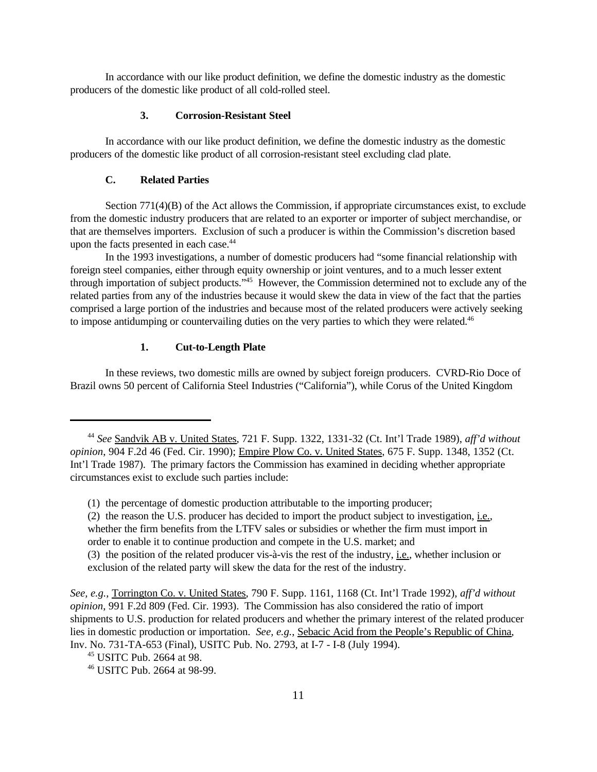In accordance with our like product definition, we define the domestic industry as the domestic producers of the domestic like product of all cold-rolled steel.

#### **3. Corrosion-Resistant Steel**

In accordance with our like product definition, we define the domestic industry as the domestic producers of the domestic like product of all corrosion-resistant steel excluding clad plate.

## **C. Related Parties**

Section 771(4)(B) of the Act allows the Commission, if appropriate circumstances exist, to exclude from the domestic industry producers that are related to an exporter or importer of subject merchandise, or that are themselves importers. Exclusion of such a producer is within the Commission's discretion based upon the facts presented in each case.<sup>44</sup>

In the 1993 investigations, a number of domestic producers had "some financial relationship with foreign steel companies, either through equity ownership or joint ventures, and to a much lesser extent through importation of subject products."<sup>45</sup> However, the Commission determined not to exclude any of the related parties from any of the industries because it would skew the data in view of the fact that the parties comprised a large portion of the industries and because most of the related producers were actively seeking to impose antidumping or countervailing duties on the very parties to which they were related.<sup>46</sup>

#### **1. Cut-to-Length Plate**

In these reviews, two domestic mills are owned by subject foreign producers. CVRD-Rio Doce of Brazil owns 50 percent of California Steel Industries ("California"), while Corus of the United Kingdom

order to enable it to continue production and compete in the U.S. market; and

<sup>44</sup> *See* Sandvik AB v. United States, 721 F. Supp. 1322, 1331-32 (Ct. Int'l Trade 1989), *aff'd without opinion*, 904 F.2d 46 (Fed. Cir. 1990); Empire Plow Co. v. United States, 675 F. Supp. 1348, 1352 (Ct. Int'l Trade 1987). The primary factors the Commission has examined in deciding whether appropriate circumstances exist to exclude such parties include:

<sup>(1)</sup> the percentage of domestic production attributable to the importing producer;

<sup>(2)</sup> the reason the U.S. producer has decided to import the product subject to investigation, i.e., whether the firm benefits from the LTFV sales or subsidies or whether the firm must import in

<sup>(3)</sup> the position of the related producer vis-à-vis the rest of the industry, i.e., whether inclusion or exclusion of the related party will skew the data for the rest of the industry.

*See, e.g.*, Torrington Co. v. United States, 790 F. Supp. 1161, 1168 (Ct. Int'l Trade 1992), *aff'd without opinion*, 991 F.2d 809 (Fed. Cir. 1993). The Commission has also considered the ratio of import shipments to U.S. production for related producers and whether the primary interest of the related producer lies in domestic production or importation. *See, e.g.*, Sebacic Acid from the People's Republic of China, Inv. No. 731-TA-653 (Final), USITC Pub. No. 2793, at I-7 - I-8 (July 1994).

<sup>45</sup> USITC Pub. 2664 at 98.

<sup>46</sup> USITC Pub. 2664 at 98-99.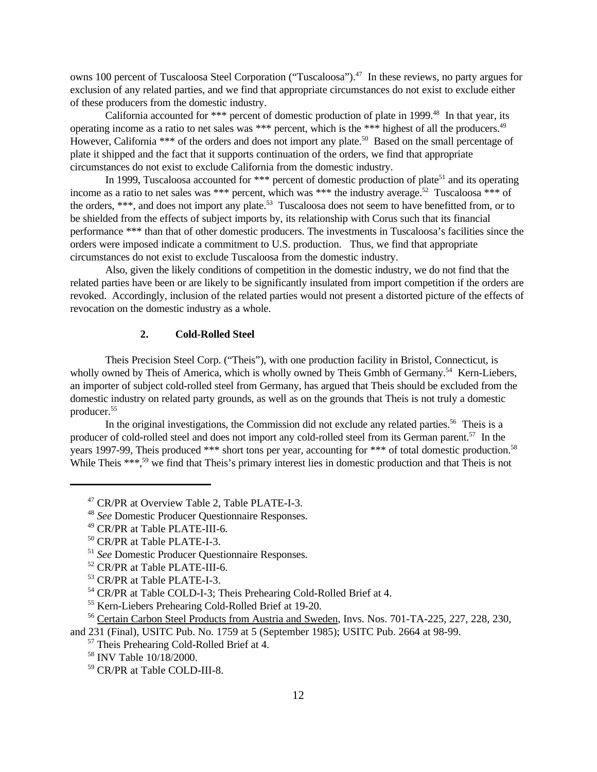owns 100 percent of Tuscaloosa Steel Corporation ("Tuscaloosa").<sup>47</sup> In these reviews, no party argues for exclusion of any related parties, and we find that appropriate circumstances do not exist to exclude either of these producers from the domestic industry.

California accounted for \*\*\* percent of domestic production of plate in 1999.<sup>48</sup> In that year, its operating income as a ratio to net sales was \*\*\* percent, which is the \*\*\* highest of all the producers.<sup>49</sup> However, California \*\*\* of the orders and does not import any plate.<sup>50</sup> Based on the small percentage of plate it shipped and the fact that it supports continuation of the orders, we find that appropriate circumstances do not exist to exclude California from the domestic industry.

In 1999, Tuscaloosa accounted for \*\*\* percent of domestic production of plate<sup>51</sup> and its operating income as a ratio to net sales was \*\*\* percent, which was \*\*\* the industry average.<sup>52</sup> Tuscaloosa \*\*\* of the orders, \*\*\*, and does not import any plate.<sup>53</sup> Tuscaloosa does not seem to have benefitted from, or to be shielded from the effects of subject imports by, its relationship with Corus such that its financial performance \*\*\* than that of other domestic producers. The investments in Tuscaloosa's facilities since the orders were imposed indicate a commitment to U.S. production. Thus, we find that appropriate circumstances do not exist to exclude Tuscaloosa from the domestic industry.

Also, given the likely conditions of competition in the domestic industry, we do not find that the related parties have been or are likely to be significantly insulated from import competition if the orders are revoked. Accordingly, inclusion of the related parties would not present a distorted picture of the effects of revocation on the domestic industry as a whole.

## **2. Cold-Rolled Steel**

Theis Precision Steel Corp. ("Theis"), with one production facility in Bristol, Connecticut, is wholly owned by Theis of America, which is wholly owned by Theis Gmbh of Germany.<sup>54</sup> Kern-Liebers, an importer of subject cold-rolled steel from Germany, has argued that Theis should be excluded from the domestic industry on related party grounds, as well as on the grounds that Theis is not truly a domestic producer.<sup>55</sup>

In the original investigations, the Commission did not exclude any related parties.<sup>56</sup> Theis is a producer of cold-rolled steel and does not import any cold-rolled steel from its German parent.<sup>57</sup> In the years 1997-99, Theis produced \*\*\* short tons per year, accounting for \*\*\* of total domestic production.<sup>58</sup> While Theis \*\*\*,<sup>59</sup> we find that Theis's primary interest lies in domestic production and that Theis is not

<sup>47</sup> CR/PR at Overview Table 2, Table PLATE-I-3.

<sup>48</sup> *See* Domestic Producer Questionnaire Responses.

<sup>49</sup> CR/PR at Table PLATE-III-6.

<sup>50</sup> CR/PR at Table PLATE-I-3.

<sup>51</sup> *See* Domestic Producer Questionnaire Responses.

<sup>52</sup> CR/PR at Table PLATE-III-6.

<sup>53</sup> CR/PR at Table PLATE-I-3.

<sup>&</sup>lt;sup>54</sup> CR/PR at Table COLD-I-3; Theis Prehearing Cold-Rolled Brief at 4.

<sup>55</sup> Kern-Liebers Prehearing Cold-Rolled Brief at 19-20.

<sup>56</sup> Certain Carbon Steel Products from Austria and Sweden, Invs. Nos. 701-TA-225, 227, 228, 230, and 231 (Final), USITC Pub. No. 1759 at 5 (September 1985); USITC Pub. 2664 at 98-99.

<sup>57</sup> Theis Prehearing Cold-Rolled Brief at 4.

<sup>58</sup> INV Table 10/18/2000.

<sup>59</sup> CR/PR at Table COLD-III-8.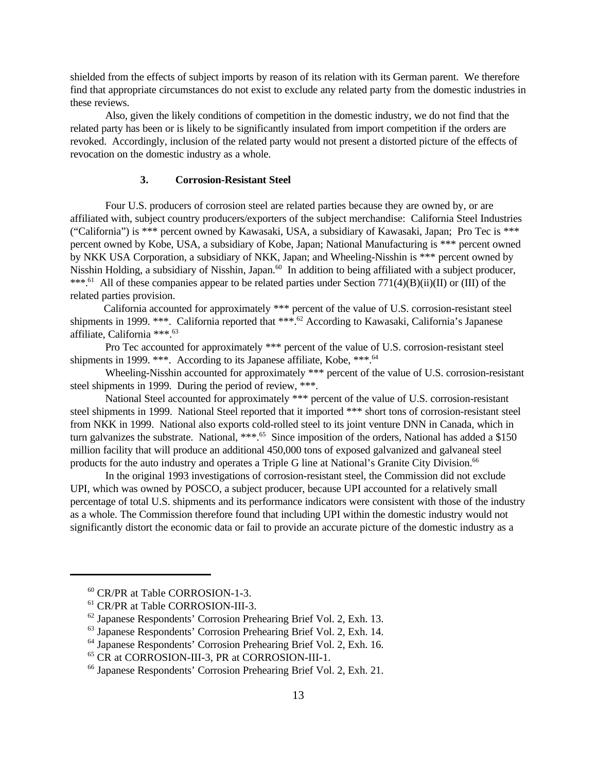shielded from the effects of subject imports by reason of its relation with its German parent. We therefore find that appropriate circumstances do not exist to exclude any related party from the domestic industries in these reviews.

Also, given the likely conditions of competition in the domestic industry, we do not find that the related party has been or is likely to be significantly insulated from import competition if the orders are revoked. Accordingly, inclusion of the related party would not present a distorted picture of the effects of revocation on the domestic industry as a whole.

#### **3. Corrosion-Resistant Steel**

Four U.S. producers of corrosion steel are related parties because they are owned by, or are affiliated with, subject country producers/exporters of the subject merchandise: California Steel Industries ("California") is \*\*\* percent owned by Kawasaki, USA, a subsidiary of Kawasaki, Japan; Pro Tec is \*\*\* percent owned by Kobe, USA, a subsidiary of Kobe, Japan; National Manufacturing is \*\*\* percent owned by NKK USA Corporation, a subsidiary of NKK, Japan; and Wheeling-Nisshin is \*\*\* percent owned by Nisshin Holding, a subsidiary of Nisshin, Japan.<sup>60</sup> In addition to being affiliated with a subject producer, \*\*\*.<sup>61</sup> All of these companies appear to be related parties under Section 771(4)(B)(ii)(II) or (III) of the related parties provision.

 California accounted for approximately \*\*\* percent of the value of U.S. corrosion-resistant steel shipments in 1999. \*\*\*. California reported that \*\*\*.<sup>62</sup> According to Kawasaki, California's Japanese affiliate, California \*\*\*.<sup>63</sup>

Pro Tec accounted for approximately \*\*\* percent of the value of U.S. corrosion-resistant steel shipments in 1999. \*\*\*. According to its Japanese affiliate, Kobe, \*\*\*.<sup>64</sup>

Wheeling-Nisshin accounted for approximately \*\*\* percent of the value of U.S. corrosion-resistant steel shipments in 1999. During the period of review, \*\*\*.

National Steel accounted for approximately \*\*\* percent of the value of U.S. corrosion-resistant steel shipments in 1999. National Steel reported that it imported \*\*\* short tons of corrosion-resistant steel from NKK in 1999. National also exports cold-rolled steel to its joint venture DNN in Canada, which in turn galvanizes the substrate. National, \*\*\*.<sup>65</sup> Since imposition of the orders, National has added a \$150 million facility that will produce an additional 450,000 tons of exposed galvanized and galvaneal steel products for the auto industry and operates a Triple G line at National's Granite City Division.<sup>66</sup>

In the original 1993 investigations of corrosion-resistant steel, the Commission did not exclude UPI, which was owned by POSCO, a subject producer, because UPI accounted for a relatively small percentage of total U.S. shipments and its performance indicators were consistent with those of the industry as a whole. The Commission therefore found that including UPI within the domestic industry would not significantly distort the economic data or fail to provide an accurate picture of the domestic industry as a

<sup>60</sup> CR/PR at Table CORROSION-1-3.

<sup>61</sup> CR/PR at Table CORROSION-III-3.

 $62$  Japanese Respondents' Corrosion Prehearing Brief Vol. 2, Exh. 13.

<sup>63</sup> Japanese Respondents' Corrosion Prehearing Brief Vol. 2, Exh. 14.

<sup>64</sup> Japanese Respondents' Corrosion Prehearing Brief Vol. 2, Exh. 16.

<sup>65</sup> CR at CORROSION-III-3, PR at CORROSION-III-1.

<sup>66</sup> Japanese Respondents' Corrosion Prehearing Brief Vol. 2, Exh. 21.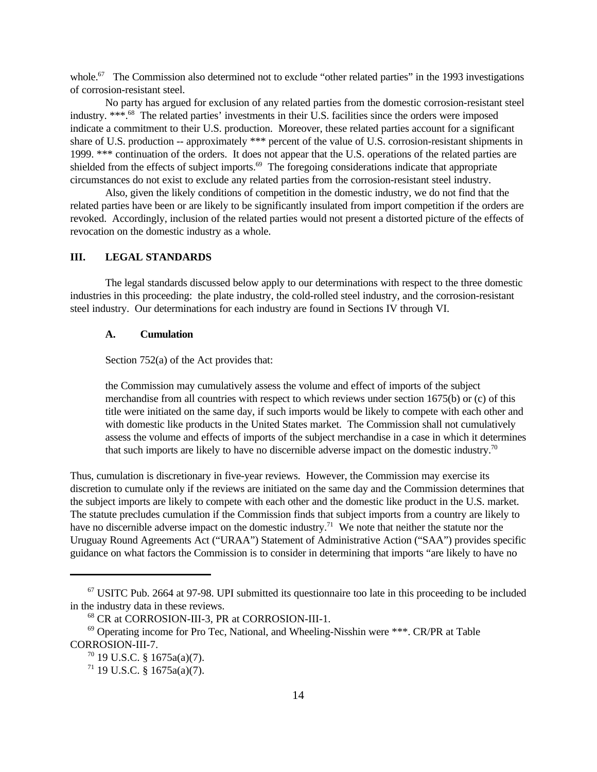whole.<sup>67</sup> The Commission also determined not to exclude "other related parties" in the 1993 investigations of corrosion-resistant steel.

No party has argued for exclusion of any related parties from the domestic corrosion-resistant steel industry. \*\*\*.<sup>68</sup> The related parties' investments in their U.S. facilities since the orders were imposed indicate a commitment to their U.S. production. Moreover, these related parties account for a significant share of U.S. production -- approximately \*\*\* percent of the value of U.S. corrosion-resistant shipments in 1999. \*\*\* continuation of the orders. It does not appear that the U.S. operations of the related parties are shielded from the effects of subject imports.<sup>69</sup> The foregoing considerations indicate that appropriate circumstances do not exist to exclude any related parties from the corrosion-resistant steel industry.

Also, given the likely conditions of competition in the domestic industry, we do not find that the related parties have been or are likely to be significantly insulated from import competition if the orders are revoked. Accordingly, inclusion of the related parties would not present a distorted picture of the effects of revocation on the domestic industry as a whole.

## **III. LEGAL STANDARDS**

The legal standards discussed below apply to our determinations with respect to the three domestic industries in this proceeding: the plate industry, the cold-rolled steel industry, and the corrosion-resistant steel industry. Our determinations for each industry are found in Sections IV through VI.

#### **A. Cumulation**

Section 752(a) of the Act provides that:

the Commission may cumulatively assess the volume and effect of imports of the subject merchandise from all countries with respect to which reviews under section 1675(b) or (c) of this title were initiated on the same day, if such imports would be likely to compete with each other and with domestic like products in the United States market. The Commission shall not cumulatively assess the volume and effects of imports of the subject merchandise in a case in which it determines that such imports are likely to have no discernible adverse impact on the domestic industry.<sup>70</sup>

Thus, cumulation is discretionary in five-year reviews. However, the Commission may exercise its discretion to cumulate only if the reviews are initiated on the same day and the Commission determines that the subject imports are likely to compete with each other and the domestic like product in the U.S. market. The statute precludes cumulation if the Commission finds that subject imports from a country are likely to have no discernible adverse impact on the domestic industry.<sup>71</sup> We note that neither the statute nor the Uruguay Round Agreements Act ("URAA") Statement of Administrative Action ("SAA") provides specific guidance on what factors the Commission is to consider in determining that imports "are likely to have no

 $67$  USITC Pub. 2664 at 97-98. UPI submitted its questionnaire too late in this proceeding to be included in the industry data in these reviews.

<sup>68</sup> CR at CORROSION-III-3, PR at CORROSION-III-1.

 $69$  Operating income for Pro Tec, National, and Wheeling-Nisshin were  $***$ . CR/PR at Table CORROSION-III-7.

 $70$  19 U.S.C. § 1675a(a)(7).

 $71$  19 U.S.C. § 1675a(a)(7).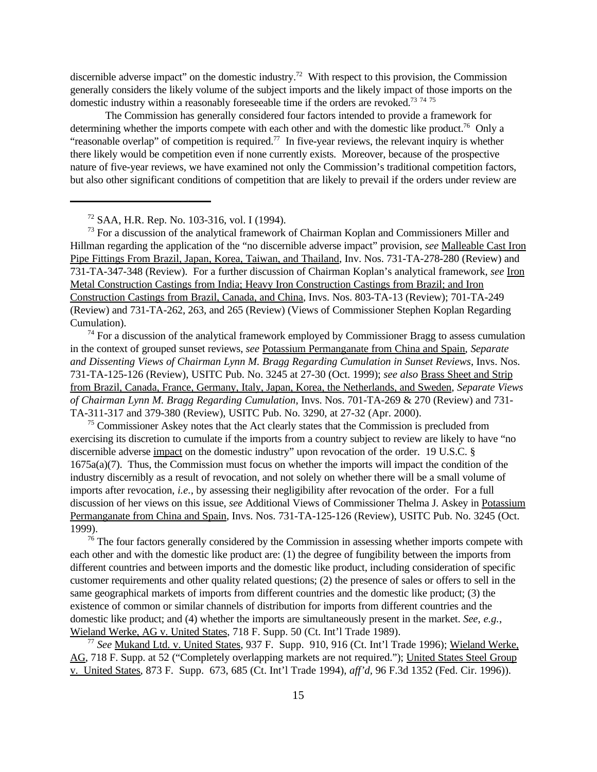discernible adverse impact" on the domestic industry.<sup>72</sup> With respect to this provision, the Commission generally considers the likely volume of the subject imports and the likely impact of those imports on the domestic industry within a reasonably foreseeable time if the orders are revoked.<sup>73 74 75</sup>

The Commission has generally considered four factors intended to provide a framework for determining whether the imports compete with each other and with the domestic like product.<sup>76</sup> Only a "reasonable overlap" of competition is required.<sup>77</sup> In five-year reviews, the relevant inquiry is whether there likely would be competition even if none currently exists. Moreover, because of the prospective nature of five-year reviews, we have examined not only the Commission's traditional competition factors, but also other significant conditions of competition that are likely to prevail if the orders under review are

<sup>72</sup> SAA, H.R. Rep. No. 103-316, vol. I (1994).

 $73$  For a discussion of the analytical framework of Chairman Koplan and Commissioners Miller and Hillman regarding the application of the "no discernible adverse impact" provision, *see* Malleable Cast Iron Pipe Fittings From Brazil, Japan, Korea, Taiwan, and Thailand, Inv. Nos. 731-TA-278-280 (Review) and 731-TA-347-348 (Review). For a further discussion of Chairman Koplan's analytical framework, *see* Iron Metal Construction Castings from India; Heavy Iron Construction Castings from Brazil; and Iron Construction Castings from Brazil, Canada, and China, Invs. Nos. 803-TA-13 (Review); 701-TA-249 (Review) and 731-TA-262, 263, and 265 (Review) (Views of Commissioner Stephen Koplan Regarding Cumulation).

 $74$  For a discussion of the analytical framework employed by Commissioner Bragg to assess cumulation in the context of grouped sunset reviews, *see* Potassium Permanganate from China and Spain, *Separate and Dissenting Views of Chairman Lynn M. Bragg Regarding Cumulation in Sunset Reviews*, Invs. Nos. 731-TA-125-126 (Review), USITC Pub. No. 3245 at 27-30 (Oct. 1999); *see also* Brass Sheet and Strip from Brazil, Canada, France, Germany, Italy, Japan, Korea, the Netherlands, and Sweden, *Separate Views of Chairman Lynn M. Bragg Regarding Cumulation*, Invs. Nos. 701-TA-269 & 270 (Review) and 731- TA-311-317 and 379-380 (Review), USITC Pub. No. 3290, at 27-32 (Apr. 2000).

 $75$  Commissioner Askey notes that the Act clearly states that the Commission is precluded from exercising its discretion to cumulate if the imports from a country subject to review are likely to have "no discernible adverse impact on the domestic industry" upon revocation of the order. 19 U.S.C. § 1675a(a)(7). Thus, the Commission must focus on whether the imports will impact the condition of the industry discernibly as a result of revocation, and not solely on whether there will be a small volume of imports after revocation, *i.e.*, by assessing their negligibility after revocation of the order. For a full discussion of her views on this issue, *see* Additional Views of Commissioner Thelma J. Askey in Potassium Permanganate from China and Spain, Invs. Nos. 731-TA-125-126 (Review), USITC Pub. No. 3245 (Oct. 1999).

<sup>76</sup> The four factors generally considered by the Commission in assessing whether imports compete with each other and with the domestic like product are: (1) the degree of fungibility between the imports from different countries and between imports and the domestic like product, including consideration of specific customer requirements and other quality related questions; (2) the presence of sales or offers to sell in the same geographical markets of imports from different countries and the domestic like product; (3) the existence of common or similar channels of distribution for imports from different countries and the domestic like product; and (4) whether the imports are simultaneously present in the market. *See*, *e.g.*, Wieland Werke, AG v. United States, 718 F. Supp. 50 (Ct. Int'l Trade 1989).

<sup>77</sup> *See* Mukand Ltd. v. United States, 937 F. Supp. 910, 916 (Ct. Int'l Trade 1996); Wieland Werke, AG, 718 F. Supp. at 52 ("Completely overlapping markets are not required."); United States Steel Group v. United States, 873 F. Supp. 673, 685 (Ct. Int'l Trade 1994), *aff'd,* 96 F.3d 1352 (Fed. Cir. 1996)).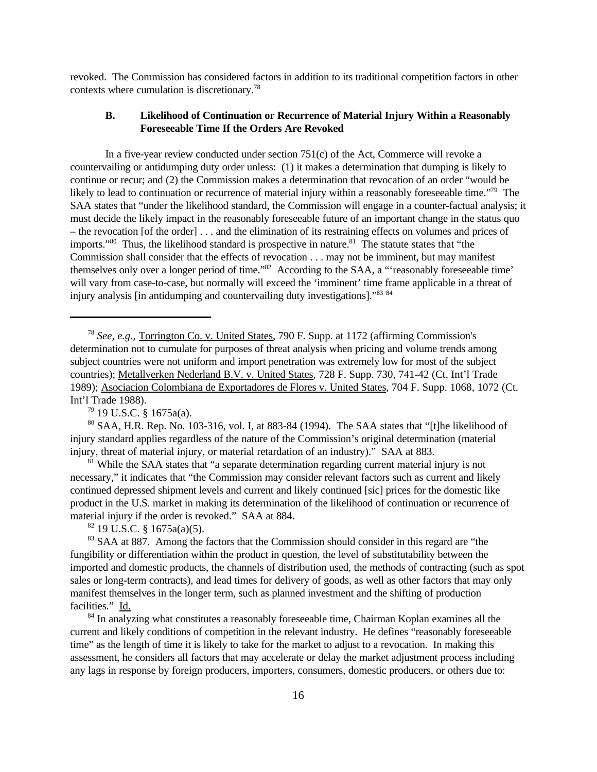revoked. The Commission has considered factors in addition to its traditional competition factors in other contexts where cumulation is discretionary.<sup>78</sup>

## **B. Likelihood of Continuation or Recurrence of Material Injury Within a Reasonably Foreseeable Time If the Orders Are Revoked**

In a five-year review conducted under section  $751(c)$  of the Act, Commerce will revoke a countervailing or antidumping duty order unless: (1) it makes a determination that dumping is likely to continue or recur; and (2) the Commission makes a determination that revocation of an order "would be likely to lead to continuation or recurrence of material injury within a reasonably foreseeable time."<sup>79</sup> The SAA states that "under the likelihood standard, the Commission will engage in a counter-factual analysis; it must decide the likely impact in the reasonably foreseeable future of an important change in the status quo – the revocation [of the order] . . . and the elimination of its restraining effects on volumes and prices of imports."<sup>80</sup> Thus, the likelihood standard is prospective in nature.<sup>81</sup> The statute states that "the Commission shall consider that the effects of revocation . . . may not be imminent, but may manifest themselves only over a longer period of time."<sup>82</sup> According to the SAA, a "'reasonably foreseeable time' will vary from case-to-case, but normally will exceed the 'imminent' time frame applicable in a threat of injury analysis [in antidumping and countervailing duty investigations]."<sup>83</sup> <sup>84</sup>

 $79$  19 U.S.C. § 1675a(a).

<sup>80</sup> SAA, H.R. Rep. No. 103-316, vol. I, at 883-84 (1994). The SAA states that "[t]he likelihood of injury standard applies regardless of the nature of the Commission's original determination (material injury, threat of material injury, or material retardation of an industry)." SAA at 883.

 $81$  While the SAA states that "a separate determination regarding current material injury is not necessary," it indicates that "the Commission may consider relevant factors such as current and likely continued depressed shipment levels and current and likely continued [sic] prices for the domestic like product in the U.S. market in making its determination of the likelihood of continuation or recurrence of material injury if the order is revoked." SAA at 884.

 $82$  19 U.S.C. § 1675a(a)(5).

<sup>83</sup> SAA at 887. Among the factors that the Commission should consider in this regard are "the fungibility or differentiation within the product in question, the level of substitutability between the imported and domestic products, the channels of distribution used, the methods of contracting (such as spot sales or long-term contracts), and lead times for delivery of goods, as well as other factors that may only manifest themselves in the longer term, such as planned investment and the shifting of production facilities." Id.

<sup>84</sup> In analyzing what constitutes a reasonably foreseeable time, Chairman Koplan examines all the current and likely conditions of competition in the relevant industry. He defines "reasonably foreseeable time" as the length of time it is likely to take for the market to adjust to a revocation. In making this assessment, he considers all factors that may accelerate or delay the market adjustment process including any lags in response by foreign producers, importers, consumers, domestic producers, or others due to:

<sup>78</sup> *See, e.g.*, Torrington Co. v. United States, 790 F. Supp. at 1172 (affirming Commission's determination not to cumulate for purposes of threat analysis when pricing and volume trends among subject countries were not uniform and import penetration was extremely low for most of the subject countries); Metallverken Nederland B.V. v. United States, 728 F. Supp. 730, 741-42 (Ct. Int'l Trade 1989); Asociacion Colombiana de Exportadores de Flores v. United States, 704 F. Supp. 1068, 1072 (Ct. Int'l Trade 1988).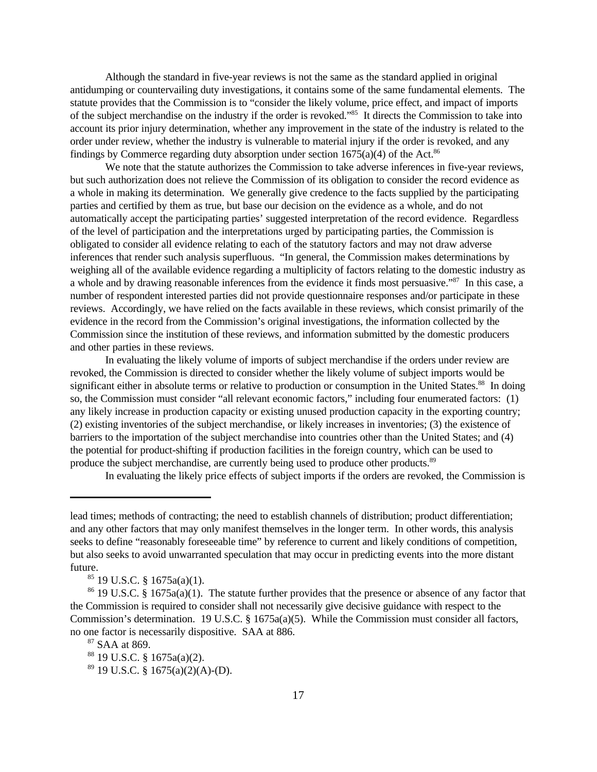Although the standard in five-year reviews is not the same as the standard applied in original antidumping or countervailing duty investigations, it contains some of the same fundamental elements. The statute provides that the Commission is to "consider the likely volume, price effect, and impact of imports of the subject merchandise on the industry if the order is revoked."<sup>85</sup> It directs the Commission to take into account its prior injury determination, whether any improvement in the state of the industry is related to the order under review, whether the industry is vulnerable to material injury if the order is revoked, and any findings by Commerce regarding duty absorption under section  $1675(a)(4)$  of the Act.<sup>86</sup>

We note that the statute authorizes the Commission to take adverse inferences in five-year reviews, but such authorization does not relieve the Commission of its obligation to consider the record evidence as a whole in making its determination. We generally give credence to the facts supplied by the participating parties and certified by them as true, but base our decision on the evidence as a whole, and do not automatically accept the participating parties' suggested interpretation of the record evidence. Regardless of the level of participation and the interpretations urged by participating parties, the Commission is obligated to consider all evidence relating to each of the statutory factors and may not draw adverse inferences that render such analysis superfluous. "In general, the Commission makes determinations by weighing all of the available evidence regarding a multiplicity of factors relating to the domestic industry as a whole and by drawing reasonable inferences from the evidence it finds most persuasive."<sup>87</sup> In this case, a number of respondent interested parties did not provide questionnaire responses and/or participate in these reviews. Accordingly, we have relied on the facts available in these reviews, which consist primarily of the evidence in the record from the Commission's original investigations, the information collected by the Commission since the institution of these reviews, and information submitted by the domestic producers and other parties in these reviews.

In evaluating the likely volume of imports of subject merchandise if the orders under review are revoked, the Commission is directed to consider whether the likely volume of subject imports would be significant either in absolute terms or relative to production or consumption in the United States.<sup>88</sup> In doing so, the Commission must consider "all relevant economic factors," including four enumerated factors: (1) any likely increase in production capacity or existing unused production capacity in the exporting country; (2) existing inventories of the subject merchandise, or likely increases in inventories; (3) the existence of barriers to the importation of the subject merchandise into countries other than the United States; and (4) the potential for product-shifting if production facilities in the foreign country, which can be used to produce the subject merchandise, are currently being used to produce other products.<sup>89</sup>

In evaluating the likely price effects of subject imports if the orders are revoked, the Commission is

lead times; methods of contracting; the need to establish channels of distribution; product differentiation; and any other factors that may only manifest themselves in the longer term. In other words, this analysis seeks to define "reasonably foreseeable time" by reference to current and likely conditions of competition, but also seeks to avoid unwarranted speculation that may occur in predicting events into the more distant future.

 $85$  19 U.S.C. § 1675a(a)(1).

<sup>86</sup> 19 U.S.C. § 1675a(a)(1). The statute further provides that the presence or absence of any factor that the Commission is required to consider shall not necessarily give decisive guidance with respect to the Commission's determination. 19 U.S.C. § 1675a(a)(5). While the Commission must consider all factors, no one factor is necessarily dispositive. SAA at 886.

<sup>87</sup> SAA at 869.

<sup>88</sup> 19 U.S.C. § 1675a(a)(2).

 $89$  19 U.S.C. § 1675(a)(2)(A)-(D).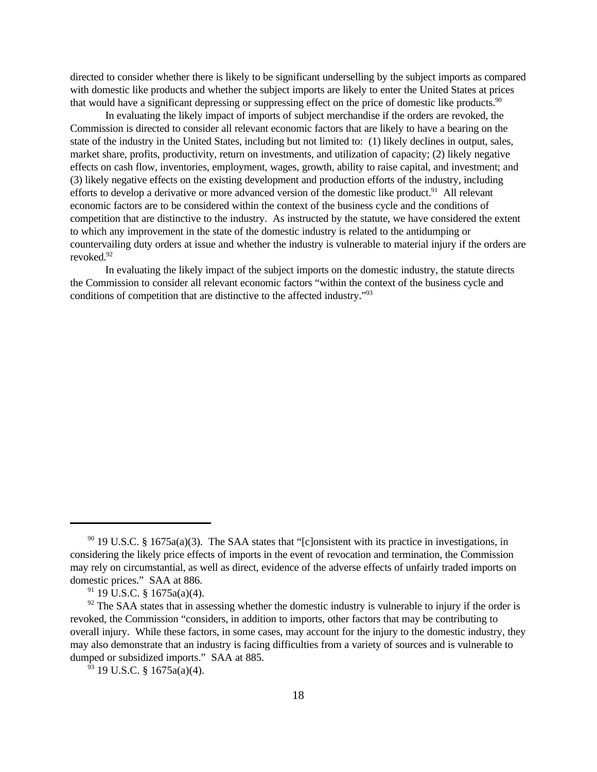directed to consider whether there is likely to be significant underselling by the subject imports as compared with domestic like products and whether the subject imports are likely to enter the United States at prices that would have a significant depressing or suppressing effect on the price of domestic like products.<sup>90</sup>

In evaluating the likely impact of imports of subject merchandise if the orders are revoked, the Commission is directed to consider all relevant economic factors that are likely to have a bearing on the state of the industry in the United States, including but not limited to: (1) likely declines in output, sales, market share, profits, productivity, return on investments, and utilization of capacity; (2) likely negative effects on cash flow, inventories, employment, wages, growth, ability to raise capital, and investment; and (3) likely negative effects on the existing development and production efforts of the industry, including efforts to develop a derivative or more advanced version of the domestic like product.<sup>91</sup> All relevant economic factors are to be considered within the context of the business cycle and the conditions of competition that are distinctive to the industry. As instructed by the statute, we have considered the extent to which any improvement in the state of the domestic industry is related to the antidumping or countervailing duty orders at issue and whether the industry is vulnerable to material injury if the orders are revoked.<sup>92</sup>

In evaluating the likely impact of the subject imports on the domestic industry, the statute directs the Commission to consider all relevant economic factors "within the context of the business cycle and conditions of competition that are distinctive to the affected industry."93

<sup>90</sup> 19 U.S.C. § 1675a(a)(3). The SAA states that "[c]onsistent with its practice in investigations, in considering the likely price effects of imports in the event of revocation and termination, the Commission may rely on circumstantial, as well as direct, evidence of the adverse effects of unfairly traded imports on domestic prices." SAA at 886.

 $91$  19 U.S.C. § 1675a(a)(4).

 $92$  The SAA states that in assessing whether the domestic industry is vulnerable to injury if the order is revoked, the Commission "considers, in addition to imports, other factors that may be contributing to overall injury. While these factors, in some cases, may account for the injury to the domestic industry, they may also demonstrate that an industry is facing difficulties from a variety of sources and is vulnerable to dumped or subsidized imports." SAA at 885.

 $93$  19 U.S.C. § 1675a(a)(4).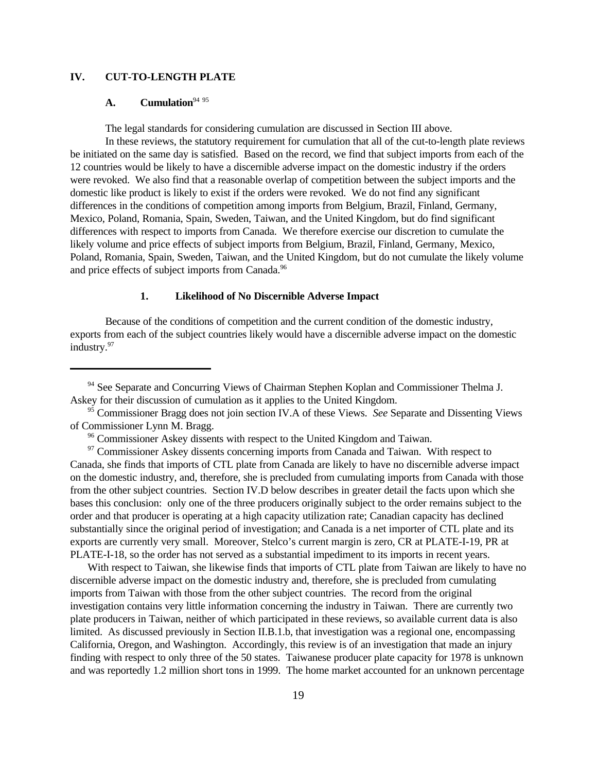## **IV. CUT-TO-LENGTH PLATE**

# A. **Cumulation**<sup>94 95</sup>

The legal standards for considering cumulation are discussed in Section III above.

In these reviews, the statutory requirement for cumulation that all of the cut-to-length plate reviews be initiated on the same day is satisfied. Based on the record, we find that subject imports from each of the 12 countries would be likely to have a discernible adverse impact on the domestic industry if the orders were revoked. We also find that a reasonable overlap of competition between the subject imports and the domestic like product is likely to exist if the orders were revoked. We do not find any significant differences in the conditions of competition among imports from Belgium, Brazil, Finland, Germany, Mexico, Poland, Romania, Spain, Sweden, Taiwan, and the United Kingdom, but do find significant differences with respect to imports from Canada. We therefore exercise our discretion to cumulate the likely volume and price effects of subject imports from Belgium, Brazil, Finland, Germany, Mexico, Poland, Romania, Spain, Sweden, Taiwan, and the United Kingdom, but do not cumulate the likely volume and price effects of subject imports from Canada.<sup>96</sup>

## **1. Likelihood of No Discernible Adverse Impact**

Because of the conditions of competition and the current condition of the domestic industry, exports from each of the subject countries likely would have a discernible adverse impact on the domestic industry.<sup>97</sup>

With respect to Taiwan, she likewise finds that imports of CTL plate from Taiwan are likely to have no discernible adverse impact on the domestic industry and, therefore, she is precluded from cumulating imports from Taiwan with those from the other subject countries. The record from the original investigation contains very little information concerning the industry in Taiwan. There are currently two plate producers in Taiwan, neither of which participated in these reviews, so available current data is also limited. As discussed previously in Section II.B.1.b, that investigation was a regional one, encompassing California, Oregon, and Washington. Accordingly, this review is of an investigation that made an injury finding with respect to only three of the 50 states. Taiwanese producer plate capacity for 1978 is unknown and was reportedly 1.2 million short tons in 1999. The home market accounted for an unknown percentage

<sup>&</sup>lt;sup>94</sup> See Separate and Concurring Views of Chairman Stephen Koplan and Commissioner Thelma J. Askey for their discussion of cumulation as it applies to the United Kingdom.

<sup>95</sup> Commissioner Bragg does not join section IV.A of these Views. *See* Separate and Dissenting Views of Commissioner Lynn M. Bragg.

<sup>&</sup>lt;sup>96</sup> Commissioner Askey dissents with respect to the United Kingdom and Taiwan.

 $97$  Commissioner Askey dissents concerning imports from Canada and Taiwan. With respect to Canada, she finds that imports of CTL plate from Canada are likely to have no discernible adverse impact on the domestic industry, and, therefore, she is precluded from cumulating imports from Canada with those from the other subject countries. Section IV.D below describes in greater detail the facts upon which she bases this conclusion: only one of the three producers originally subject to the order remains subject to the order and that producer is operating at a high capacity utilization rate; Canadian capacity has declined substantially since the original period of investigation; and Canada is a net importer of CTL plate and its exports are currently very small. Moreover, Stelco's current margin is zero, CR at PLATE-I-19, PR at PLATE-I-18, so the order has not served as a substantial impediment to its imports in recent years.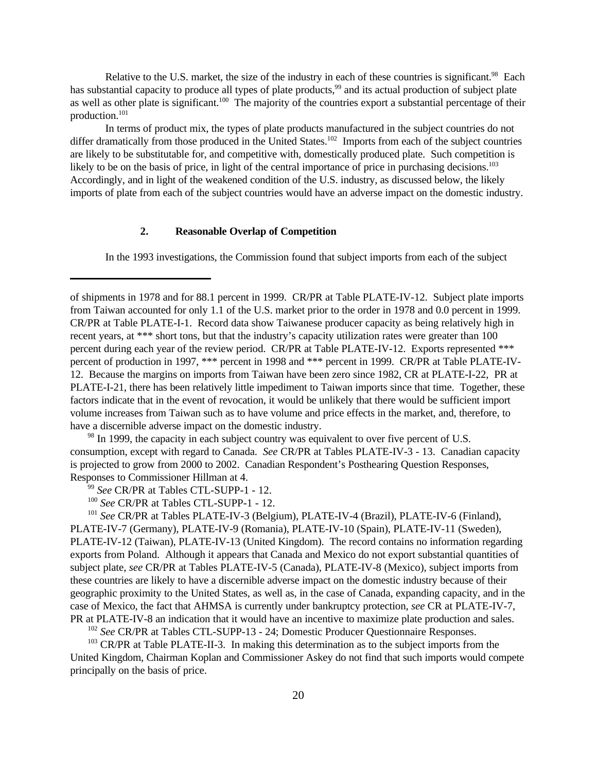Relative to the U.S. market, the size of the industry in each of these countries is significant.<sup>98</sup> Each has substantial capacity to produce all types of plate products,<sup>99</sup> and its actual production of subject plate as well as other plate is significant.<sup>100</sup> The majority of the countries export a substantial percentage of their production.<sup>101</sup>

In terms of product mix, the types of plate products manufactured in the subject countries do not differ dramatically from those produced in the United States.<sup>102</sup> Imports from each of the subject countries are likely to be substitutable for, and competitive with, domestically produced plate. Such competition is likely to be on the basis of price, in light of the central importance of price in purchasing decisions.<sup>103</sup> Accordingly, and in light of the weakened condition of the U.S. industry, as discussed below, the likely imports of plate from each of the subject countries would have an adverse impact on the domestic industry.

## **2. Reasonable Overlap of Competition**

In the 1993 investigations, the Commission found that subject imports from each of the subject

 $98$  In 1999, the capacity in each subject country was equivalent to over five percent of U.S. consumption, except with regard to Canada. *See* CR/PR at Tables PLATE-IV-3 - 13. Canadian capacity is projected to grow from 2000 to 2002. Canadian Respondent's Posthearing Question Responses, Responses to Commissioner Hillman at 4.

<sup>99</sup> *See* CR/PR at Tables CTL-SUPP-1 - 12.

<sup>100</sup> *See* CR/PR at Tables CTL-SUPP-1 - 12.

<sup>101</sup> *See* CR/PR at Tables PLATE-IV-3 (Belgium), PLATE-IV-4 (Brazil), PLATE-IV-6 (Finland), PLATE-IV-7 (Germany), PLATE-IV-9 (Romania), PLATE-IV-10 (Spain), PLATE-IV-11 (Sweden), PLATE-IV-12 (Taiwan), PLATE-IV-13 (United Kingdom). The record contains no information regarding exports from Poland. Although it appears that Canada and Mexico do not export substantial quantities of subject plate, *see* CR/PR at Tables PLATE-IV-5 (Canada), PLATE-IV-8 (Mexico), subject imports from these countries are likely to have a discernible adverse impact on the domestic industry because of their geographic proximity to the United States, as well as, in the case of Canada, expanding capacity, and in the case of Mexico, the fact that AHMSA is currently under bankruptcy protection, *see* CR at PLATE-IV-7, PR at PLATE-IV-8 an indication that it would have an incentive to maximize plate production and sales.

<sup>102</sup> *See* CR/PR at Tables CTL-SUPP-13 - 24; Domestic Producer Questionnaire Responses.

<sup>103</sup> CR/PR at Table PLATE-II-3. In making this determination as to the subject imports from the United Kingdom, Chairman Koplan and Commissioner Askey do not find that such imports would compete principally on the basis of price.

of shipments in 1978 and for 88.1 percent in 1999. CR/PR at Table PLATE-IV-12. Subject plate imports from Taiwan accounted for only 1.1 of the U.S. market prior to the order in 1978 and 0.0 percent in 1999. CR/PR at Table PLATE-I-1. Record data show Taiwanese producer capacity as being relatively high in recent years, at \*\*\* short tons, but that the industry's capacity utilization rates were greater than 100 percent during each year of the review period. CR/PR at Table PLATE-IV-12. Exports represented \*\*\* percent of production in 1997, \*\*\* percent in 1998 and \*\*\* percent in 1999. CR/PR at Table PLATE-IV-12. Because the margins on imports from Taiwan have been zero since 1982, CR at PLATE-I-22, PR at PLATE-I-21, there has been relatively little impediment to Taiwan imports since that time. Together, these factors indicate that in the event of revocation, it would be unlikely that there would be sufficient import volume increases from Taiwan such as to have volume and price effects in the market, and, therefore, to have a discernible adverse impact on the domestic industry.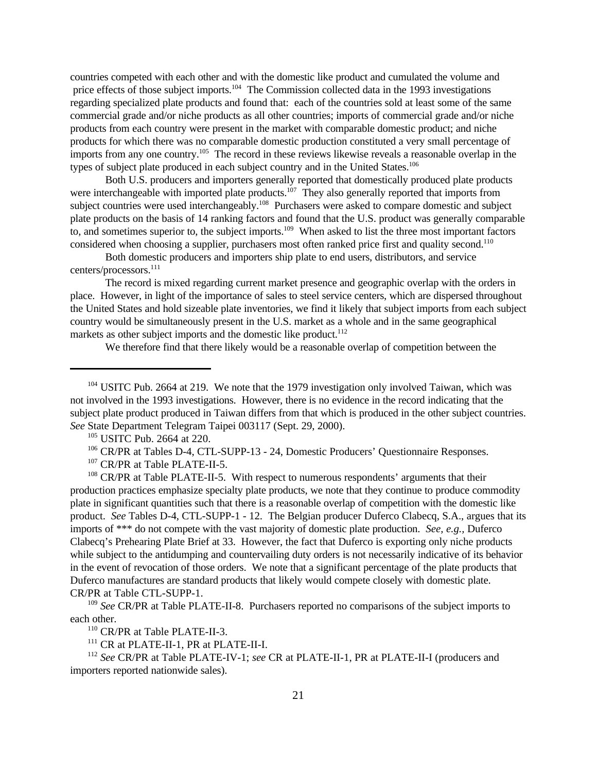countries competed with each other and with the domestic like product and cumulated the volume and price effects of those subject imports.<sup>104</sup> The Commission collected data in the 1993 investigations regarding specialized plate products and found that: each of the countries sold at least some of the same commercial grade and/or niche products as all other countries; imports of commercial grade and/or niche products from each country were present in the market with comparable domestic product; and niche products for which there was no comparable domestic production constituted a very small percentage of imports from any one country.<sup>105</sup> The record in these reviews likewise reveals a reasonable overlap in the types of subject plate produced in each subject country and in the United States.<sup>106</sup>

Both U.S. producers and importers generally reported that domestically produced plate products were interchangeable with imported plate products.<sup>107</sup> They also generally reported that imports from subject countries were used interchangeably.<sup>108</sup> Purchasers were asked to compare domestic and subject plate products on the basis of 14 ranking factors and found that the U.S. product was generally comparable to, and sometimes superior to, the subject imports.<sup>109</sup> When asked to list the three most important factors considered when choosing a supplier, purchasers most often ranked price first and quality second.<sup>110</sup>

Both domestic producers and importers ship plate to end users, distributors, and service centers/processors.<sup>111</sup>

The record is mixed regarding current market presence and geographic overlap with the orders in place. However, in light of the importance of sales to steel service centers, which are dispersed throughout the United States and hold sizeable plate inventories, we find it likely that subject imports from each subject country would be simultaneously present in the U.S. market as a whole and in the same geographical markets as other subject imports and the domestic like product.<sup>112</sup>

We therefore find that there likely would be a reasonable overlap of competition between the

<sup>106</sup> CR/PR at Tables D-4, CTL-SUPP-13 - 24, Domestic Producers' Questionnaire Responses.

<sup>107</sup> CR/PR at Table PLATE-II-5.

<sup>108</sup> CR/PR at Table PLATE-II-5. With respect to numerous respondents' arguments that their production practices emphasize specialty plate products, we note that they continue to produce commodity plate in significant quantities such that there is a reasonable overlap of competition with the domestic like product. *See* Tables D-4, CTL-SUPP-1 - 12. The Belgian producer Duferco Clabecq, S.A., argues that its imports of \*\*\* do not compete with the vast majority of domestic plate production. *See, e.g.,* Duferco Clabecq's Prehearing Plate Brief at 33. However, the fact that Duferco is exporting only niche products while subject to the antidumping and countervailing duty orders is not necessarily indicative of its behavior in the event of revocation of those orders. We note that a significant percentage of the plate products that Duferco manufactures are standard products that likely would compete closely with domestic plate. CR/PR at Table CTL-SUPP-1.

<sup>109</sup> *See* CR/PR at Table PLATE-II-8. Purchasers reported no comparisons of the subject imports to each other.

<sup>110</sup> CR/PR at Table PLATE-II-3.

<sup>111</sup> CR at PLATE-II-1, PR at PLATE-II-I.

<sup>112</sup> *See* CR/PR at Table PLATE-IV-1; *see* CR at PLATE-II-1, PR at PLATE-II-I (producers and importers reported nationwide sales).

<sup>&</sup>lt;sup>104</sup> USITC Pub. 2664 at 219. We note that the 1979 investigation only involved Taiwan, which was not involved in the 1993 investigations. However, there is no evidence in the record indicating that the subject plate product produced in Taiwan differs from that which is produced in the other subject countries. *See* State Department Telegram Taipei 003117 (Sept. 29, 2000).

<sup>105</sup> USITC Pub. 2664 at 220.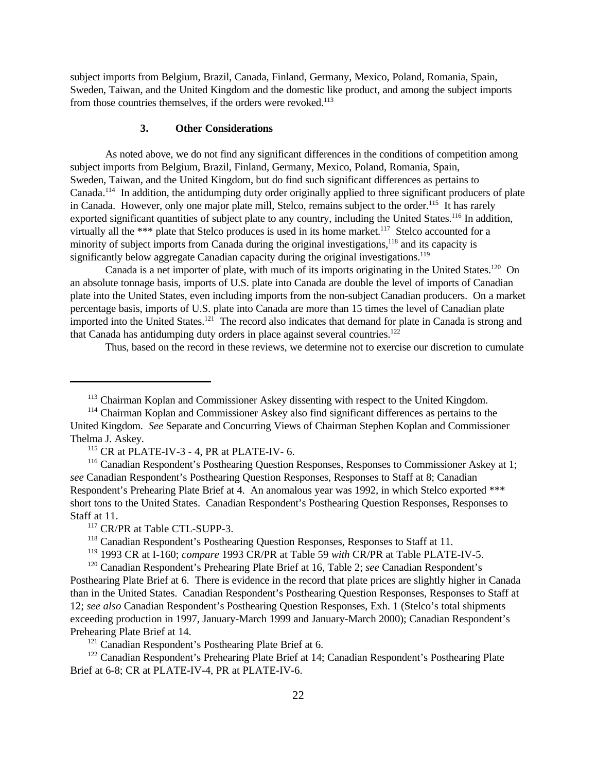subject imports from Belgium, Brazil, Canada, Finland, Germany, Mexico, Poland, Romania, Spain, Sweden, Taiwan, and the United Kingdom and the domestic like product, and among the subject imports from those countries themselves, if the orders were revoked.<sup>113</sup>

## **3. Other Considerations**

As noted above, we do not find any significant differences in the conditions of competition among subject imports from Belgium, Brazil, Finland, Germany, Mexico, Poland, Romania, Spain, Sweden, Taiwan, and the United Kingdom, but do find such significant differences as pertains to Canada.<sup>114</sup> In addition, the antidumping duty order originally applied to three significant producers of plate in Canada. However, only one major plate mill, Stelco, remains subject to the order.<sup>115</sup> It has rarely exported significant quantities of subject plate to any country, including the United States.<sup>116</sup> In addition, virtually all the \*\*\* plate that Stelco produces is used in its home market.<sup>117</sup> Stelco accounted for a minority of subject imports from Canada during the original investigations,<sup>118</sup> and its capacity is significantly below aggregate Canadian capacity during the original investigations.<sup>119</sup>

Canada is a net importer of plate, with much of its imports originating in the United States.<sup>120</sup> On an absolute tonnage basis, imports of U.S. plate into Canada are double the level of imports of Canadian plate into the United States, even including imports from the non-subject Canadian producers. On a market percentage basis, imports of U.S. plate into Canada are more than 15 times the level of Canadian plate imported into the United States.<sup>121</sup> The record also indicates that demand for plate in Canada is strong and that Canada has antidumping duty orders in place against several countries.<sup>122</sup>

Thus, based on the record in these reviews, we determine not to exercise our discretion to cumulate

 $115$  CR at PLATE-IV-3 - 4, PR at PLATE-IV-6.

<sup>116</sup> Canadian Respondent's Posthearing Question Responses, Responses to Commissioner Askey at 1; *see* Canadian Respondent's Posthearing Question Responses, Responses to Staff at 8; Canadian Respondent's Prehearing Plate Brief at 4. An anomalous year was 1992, in which Stelco exported \*\*\* short tons to the United States. Canadian Respondent's Posthearing Question Responses, Responses to Staff at 11.

<sup>117</sup> CR/PR at Table CTL-SUPP-3.

<sup>118</sup> Canadian Respondent's Posthearing Question Responses, Responses to Staff at 11.

<sup>119</sup> 1993 CR at I-160; *compare* 1993 CR/PR at Table 59 *with* CR/PR at Table PLATE-IV-5.

<sup>120</sup> Canadian Respondent's Prehearing Plate Brief at 16, Table 2; *see* Canadian Respondent's Posthearing Plate Brief at 6. There is evidence in the record that plate prices are slightly higher in Canada than in the United States. Canadian Respondent's Posthearing Question Responses, Responses to Staff at 12; *see also* Canadian Respondent's Posthearing Question Responses, Exh. 1 (Stelco's total shipments exceeding production in 1997, January-March 1999 and January-March 2000); Canadian Respondent's Prehearing Plate Brief at 14.

<sup>121</sup> Canadian Respondent's Posthearing Plate Brief at 6.

<sup>122</sup> Canadian Respondent's Prehearing Plate Brief at 14; Canadian Respondent's Posthearing Plate Brief at 6-8; CR at PLATE-IV-4, PR at PLATE-IV-6.

<sup>113</sup> Chairman Koplan and Commissioner Askey dissenting with respect to the United Kingdom.

<sup>114</sup> Chairman Koplan and Commissioner Askey also find significant differences as pertains to the United Kingdom. *See* Separate and Concurring Views of Chairman Stephen Koplan and Commissioner Thelma J. Askey.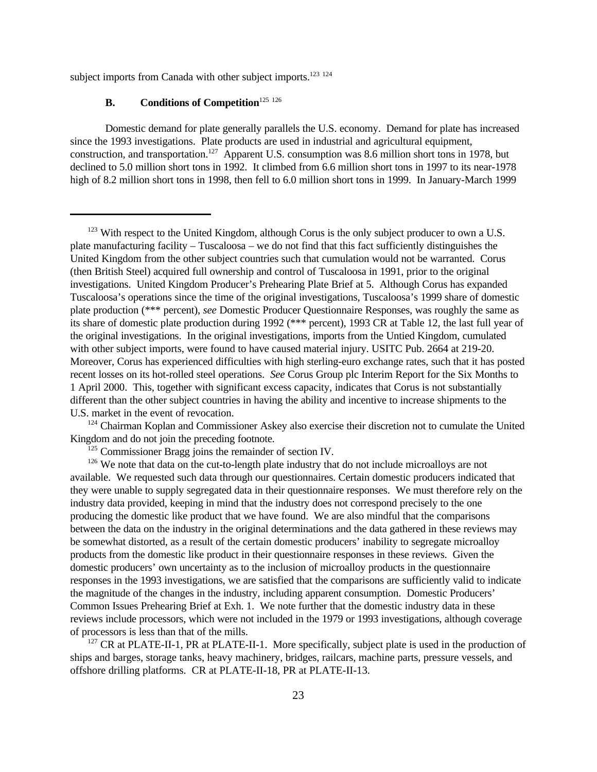subject imports from Canada with other subject imports.<sup>123 124</sup>

# **B. Conditions of Competition**<sup>125</sup> <sup>126</sup>

Domestic demand for plate generally parallels the U.S. economy. Demand for plate has increased since the 1993 investigations. Plate products are used in industrial and agricultural equipment, construction, and transportation.<sup>127</sup> Apparent U.S. consumption was 8.6 million short tons in 1978, but declined to 5.0 million short tons in 1992. It climbed from 6.6 million short tons in 1997 to its near-1978 high of 8.2 million short tons in 1998, then fell to 6.0 million short tons in 1999. In January-March 1999

 $127$  CR at PLATE-II-1, PR at PLATE-II-1. More specifically, subject plate is used in the production of ships and barges, storage tanks, heavy machinery, bridges, railcars, machine parts, pressure vessels, and offshore drilling platforms. CR at PLATE-II-18, PR at PLATE-II-13.

<sup>&</sup>lt;sup>123</sup> With respect to the United Kingdom, although Corus is the only subject producer to own a U.S. plate manufacturing facility – Tuscaloosa – we do not find that this fact sufficiently distinguishes the United Kingdom from the other subject countries such that cumulation would not be warranted. Corus (then British Steel) acquired full ownership and control of Tuscaloosa in 1991, prior to the original investigations. United Kingdom Producer's Prehearing Plate Brief at 5. Although Corus has expanded Tuscaloosa's operations since the time of the original investigations, Tuscaloosa's 1999 share of domestic plate production (\*\*\* percent), *see* Domestic Producer Questionnaire Responses, was roughly the same as its share of domestic plate production during 1992 (\*\*\* percent), 1993 CR at Table 12, the last full year of the original investigations. In the original investigations, imports from the Untied Kingdom, cumulated with other subject imports, were found to have caused material injury. USITC Pub. 2664 at 219-20. Moreover, Corus has experienced difficulties with high sterling-euro exchange rates, such that it has posted recent losses on its hot-rolled steel operations. *See* Corus Group plc Interim Report for the Six Months to 1 April 2000. This, together with significant excess capacity, indicates that Corus is not substantially different than the other subject countries in having the ability and incentive to increase shipments to the U.S. market in the event of revocation.

<sup>&</sup>lt;sup>124</sup> Chairman Koplan and Commissioner Askey also exercise their discretion not to cumulate the United Kingdom and do not join the preceding footnote.

<sup>&</sup>lt;sup>125</sup> Commissioner Bragg joins the remainder of section IV.

<sup>&</sup>lt;sup>126</sup> We note that data on the cut-to-length plate industry that do not include microalloys are not available. We requested such data through our questionnaires. Certain domestic producers indicated that they were unable to supply segregated data in their questionnaire responses. We must therefore rely on the industry data provided, keeping in mind that the industry does not correspond precisely to the one producing the domestic like product that we have found. We are also mindful that the comparisons between the data on the industry in the original determinations and the data gathered in these reviews may be somewhat distorted, as a result of the certain domestic producers' inability to segregate microalloy products from the domestic like product in their questionnaire responses in these reviews. Given the domestic producers' own uncertainty as to the inclusion of microalloy products in the questionnaire responses in the 1993 investigations, we are satisfied that the comparisons are sufficiently valid to indicate the magnitude of the changes in the industry, including apparent consumption. Domestic Producers' Common Issues Prehearing Brief at Exh. 1. We note further that the domestic industry data in these reviews include processors, which were not included in the 1979 or 1993 investigations, although coverage of processors is less than that of the mills.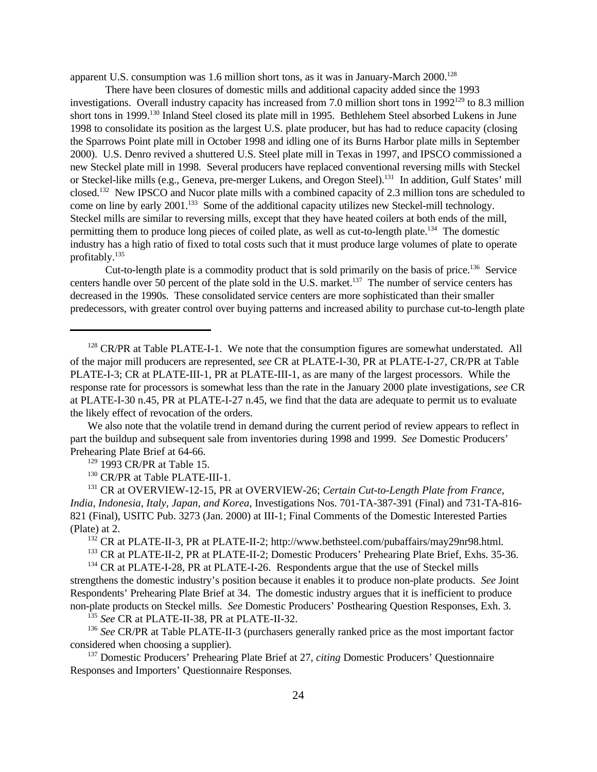apparent U.S. consumption was 1.6 million short tons, as it was in January-March 2000.<sup>128</sup>

There have been closures of domestic mills and additional capacity added since the 1993 investigations. Overall industry capacity has increased from 7.0 million short tons in  $1992^{129}$  to 8.3 million short tons in 1999.<sup>130</sup> Inland Steel closed its plate mill in 1995. Bethlehem Steel absorbed Lukens in June 1998 to consolidate its position as the largest U.S. plate producer, but has had to reduce capacity (closing the Sparrows Point plate mill in October 1998 and idling one of its Burns Harbor plate mills in September 2000). U.S. Denro revived a shuttered U.S. Steel plate mill in Texas in 1997, and IPSCO commissioned a new Steckel plate mill in 1998. Several producers have replaced conventional reversing mills with Steckel or Steckel-like mills (e.g., Geneva, pre-merger Lukens, and Oregon Steel).<sup>131</sup> In addition, Gulf States' mill closed.<sup>132</sup> New IPSCO and Nucor plate mills with a combined capacity of 2.3 million tons are scheduled to come on line by early 2001.<sup>133</sup> Some of the additional capacity utilizes new Steckel-mill technology. Steckel mills are similar to reversing mills, except that they have heated coilers at both ends of the mill, permitting them to produce long pieces of coiled plate, as well as cut-to-length plate.<sup>134</sup> The domestic industry has a high ratio of fixed to total costs such that it must produce large volumes of plate to operate profitably.<sup>135</sup>

Cut-to-length plate is a commodity product that is sold primarily on the basis of price.<sup>136</sup> Service centers handle over 50 percent of the plate sold in the U.S. market.<sup>137</sup> The number of service centers has decreased in the 1990s. These consolidated service centers are more sophisticated than their smaller predecessors, with greater control over buying patterns and increased ability to purchase cut-to-length plate

We also note that the volatile trend in demand during the current period of review appears to reflect in part the buildup and subsequent sale from inventories during 1998 and 1999. *See* Domestic Producers' Prehearing Plate Brief at 64-66.

<sup>129</sup> 1993 CR/PR at Table 15.

<sup>130</sup> CR/PR at Table PLATE-III-1.

<sup>131</sup> CR at OVERVIEW-12-15, PR at OVERVIEW-26; *Certain Cut-to-Length Plate from France, India, Indonesia, Italy, Japan, and Korea*, Investigations Nos. 701-TA-387-391 (Final) and 731-TA-816- 821 (Final), USITC Pub. 3273 (Jan. 2000) at III-1; Final Comments of the Domestic Interested Parties (Plate) at 2.

<sup>132</sup> CR at PLATE-II-3, PR at PLATE-II-2; http://www.bethsteel.com/pubaffairs/may29nr98.html.

<sup>133</sup> CR at PLATE-II-2, PR at PLATE-II-2; Domestic Producers' Prehearing Plate Brief, Exhs. 35-36.

 $134$  CR at PLATE-I-28, PR at PLATE-I-26. Respondents argue that the use of Steckel mills strengthens the domestic industry's position because it enables it to produce non-plate products. *See* Joint Respondents' Prehearing Plate Brief at 34. The domestic industry argues that it is inefficient to produce non-plate products on Steckel mills. *See* Domestic Producers' Posthearing Question Responses, Exh. 3.

<sup>135</sup> *See* CR at PLATE-II-38, PR at PLATE-II-32.

<sup>136</sup> *See* CR/PR at Table PLATE-II-3 (purchasers generally ranked price as the most important factor considered when choosing a supplier).

<sup>137</sup> Domestic Producers' Prehearing Plate Brief at 27, *citing* Domestic Producers' Questionnaire Responses and Importers' Questionnaire Responses.

<sup>&</sup>lt;sup>128</sup> CR/PR at Table PLATE-I-1. We note that the consumption figures are somewhat understated. All of the major mill producers are represented, *see* CR at PLATE-I-30, PR at PLATE-I-27, CR/PR at Table PLATE-I-3; CR at PLATE-III-1, PR at PLATE-III-1, as are many of the largest processors. While the response rate for processors is somewhat less than the rate in the January 2000 plate investigations, *see* CR at PLATE-I-30 n.45, PR at PLATE-I-27 n.45, we find that the data are adequate to permit us to evaluate the likely effect of revocation of the orders.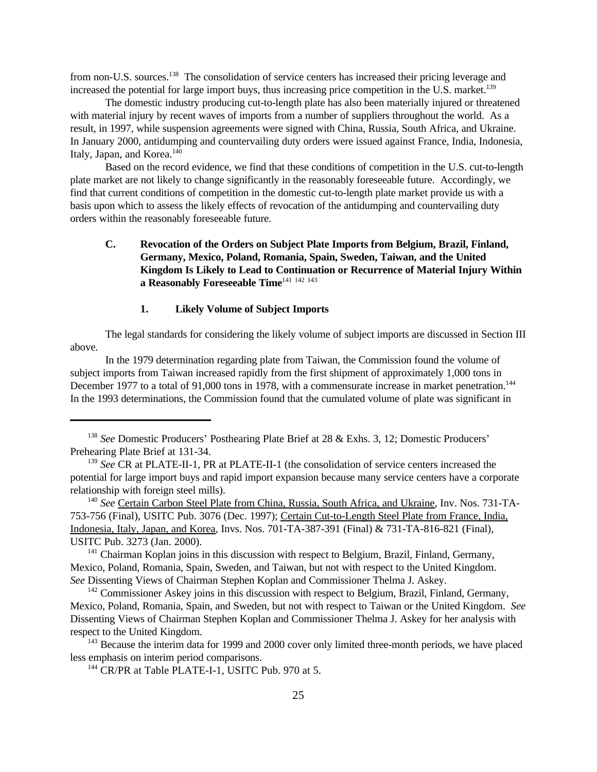from non-U.S. sources.<sup>138</sup> The consolidation of service centers has increased their pricing leverage and increased the potential for large import buys, thus increasing price competition in the U.S. market.<sup>139</sup>

The domestic industry producing cut-to-length plate has also been materially injured or threatened with material injury by recent waves of imports from a number of suppliers throughout the world. As a result, in 1997, while suspension agreements were signed with China, Russia, South Africa, and Ukraine. In January 2000, antidumping and countervailing duty orders were issued against France, India, Indonesia, Italy, Japan, and Korea.<sup>140</sup>

Based on the record evidence, we find that these conditions of competition in the U.S. cut-to-length plate market are not likely to change significantly in the reasonably foreseeable future. Accordingly, we find that current conditions of competition in the domestic cut-to-length plate market provide us with a basis upon which to assess the likely effects of revocation of the antidumping and countervailing duty orders within the reasonably foreseeable future.

# **C. Revocation of the Orders on Subject Plate Imports from Belgium, Brazil, Finland, Germany, Mexico, Poland, Romania, Spain, Sweden, Taiwan, and the United Kingdom Is Likely to Lead to Continuation or Recurrence of Material Injury Within a Reasonably Foreseeable Time**<sup>141 142 143</sup>

## **1. Likely Volume of Subject Imports**

The legal standards for considering the likely volume of subject imports are discussed in Section III above.

In the 1979 determination regarding plate from Taiwan, the Commission found the volume of subject imports from Taiwan increased rapidly from the first shipment of approximately 1,000 tons in December 1977 to a total of 91,000 tons in 1978, with a commensurate increase in market penetration.<sup>144</sup> In the 1993 determinations, the Commission found that the cumulated volume of plate was significant in

<sup>141</sup> Chairman Koplan joins in this discussion with respect to Belgium, Brazil, Finland, Germany, Mexico, Poland, Romania, Spain, Sweden, and Taiwan, but not with respect to the United Kingdom. *See* Dissenting Views of Chairman Stephen Koplan and Commissioner Thelma J. Askey.

 $143$  Because the interim data for 1999 and 2000 cover only limited three-month periods, we have placed less emphasis on interim period comparisons.

<sup>144</sup> CR/PR at Table PLATE-I-1, USITC Pub. 970 at 5.

<sup>138</sup> *See* Domestic Producers' Posthearing Plate Brief at 28 & Exhs. 3, 12; Domestic Producers' Prehearing Plate Brief at 131-34.

<sup>139</sup> *See* CR at PLATE-II-1, PR at PLATE-II-1 (the consolidation of service centers increased the potential for large import buys and rapid import expansion because many service centers have a corporate relationship with foreign steel mills).

<sup>140</sup> *See* Certain Carbon Steel Plate from China, Russia, South Africa, and Ukraine, Inv. Nos. 731-TA-753-756 (Final), USITC Pub. 3076 (Dec. 1997); Certain Cut-to-Length Steel Plate from France, India, Indonesia, Italy, Japan, and Korea, Invs. Nos. 701-TA-387-391 (Final) & 731-TA-816-821 (Final), USITC Pub. 3273 (Jan. 2000).

<sup>&</sup>lt;sup>142</sup> Commissioner Askey joins in this discussion with respect to Belgium, Brazil, Finland, Germany, Mexico, Poland, Romania, Spain, and Sweden, but not with respect to Taiwan or the United Kingdom. *See* Dissenting Views of Chairman Stephen Koplan and Commissioner Thelma J. Askey for her analysis with respect to the United Kingdom.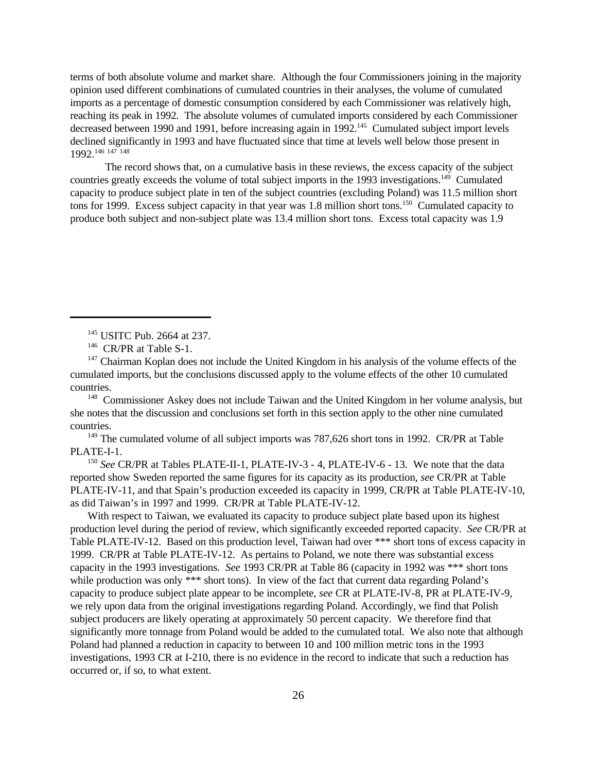terms of both absolute volume and market share. Although the four Commissioners joining in the majority opinion used different combinations of cumulated countries in their analyses, the volume of cumulated imports as a percentage of domestic consumption considered by each Commissioner was relatively high, reaching its peak in 1992. The absolute volumes of cumulated imports considered by each Commissioner decreased between 1990 and 1991, before increasing again in 1992.<sup>145</sup> Cumulated subject import levels declined significantly in 1993 and have fluctuated since that time at levels well below those present in 1992.<sup>146</sup> <sup>147</sup> <sup>148</sup>

The record shows that, on a cumulative basis in these reviews, the excess capacity of the subject countries greatly exceeds the volume of total subject imports in the 1993 investigations.<sup>149</sup> Cumulated capacity to produce subject plate in ten of the subject countries (excluding Poland) was 11.5 million short tons for 1999. Excess subject capacity in that year was 1.8 million short tons.<sup>150</sup> Cumulated capacity to produce both subject and non-subject plate was 13.4 million short tons. Excess total capacity was 1.9

<sup>145</sup> USITC Pub. 2664 at 237.

<sup>147</sup> Chairman Koplan does not include the United Kingdom in his analysis of the volume effects of the cumulated imports, but the conclusions discussed apply to the volume effects of the other 10 cumulated countries.

<sup>148</sup> Commissioner Askey does not include Taiwan and the United Kingdom in her volume analysis, but she notes that the discussion and conclusions set forth in this section apply to the other nine cumulated countries.

<sup>149</sup> The cumulated volume of all subject imports was 787,626 short tons in 1992. CR/PR at Table PLATE-I-1.

<sup>150</sup> See CR/PR at Tables PLATE-II-1, PLATE-IV-3 - 4, PLATE-IV-6 - 13. We note that the data reported show Sweden reported the same figures for its capacity as its production, *see* CR/PR at Table PLATE-IV-11, and that Spain's production exceeded its capacity in 1999, CR/PR at Table PLATE-IV-10, as did Taiwan's in 1997 and 1999. CR/PR at Table PLATE-IV-12.

With respect to Taiwan, we evaluated its capacity to produce subject plate based upon its highest production level during the period of review, which significantly exceeded reported capacity. *See* CR/PR at Table PLATE-IV-12. Based on this production level, Taiwan had over \*\*\* short tons of excess capacity in 1999. CR/PR at Table PLATE-IV-12. As pertains to Poland, we note there was substantial excess capacity in the 1993 investigations. *See* 1993 CR/PR at Table 86 (capacity in 1992 was \*\*\* short tons while production was only \*\*\* short tons). In view of the fact that current data regarding Poland's capacity to produce subject plate appear to be incomplete, *see* CR at PLATE-IV-8, PR at PLATE-IV-9, we rely upon data from the original investigations regarding Poland. Accordingly, we find that Polish subject producers are likely operating at approximately 50 percent capacity. We therefore find that significantly more tonnage from Poland would be added to the cumulated total. We also note that although Poland had planned a reduction in capacity to between 10 and 100 million metric tons in the 1993 investigations, 1993 CR at I-210, there is no evidence in the record to indicate that such a reduction has occurred or, if so, to what extent.

<sup>&</sup>lt;sup>146</sup> CR/PR at Table S-1.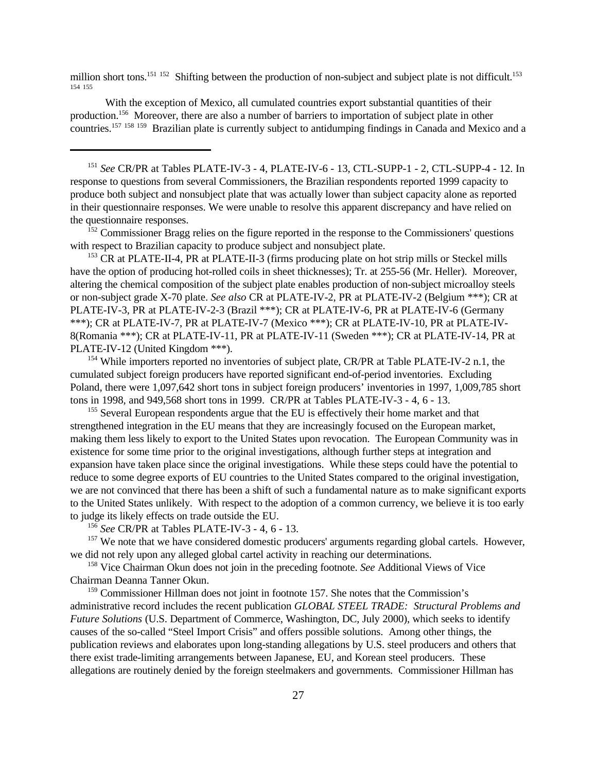million short tons.<sup>151 152</sup> Shifting between the production of non-subject and subject plate is not difficult.<sup>153</sup> 154 155

With the exception of Mexico, all cumulated countries export substantial quantities of their production.<sup>156</sup> Moreover, there are also a number of barriers to importation of subject plate in other countries.<sup>157</sup> <sup>158</sup> <sup>159</sup> Brazilian plate is currently subject to antidumping findings in Canada and Mexico and a

<sup>151</sup> *See* CR/PR at Tables PLATE-IV-3 - 4, PLATE-IV-6 - 13, CTL-SUPP-1 - 2, CTL-SUPP-4 - 12. In response to questions from several Commissioners, the Brazilian respondents reported 1999 capacity to produce both subject and nonsubject plate that was actually lower than subject capacity alone as reported in their questionnaire responses. We were unable to resolve this apparent discrepancy and have relied on the questionnaire responses.

<sup>152</sup> Commissioner Bragg relies on the figure reported in the response to the Commissioners' questions with respect to Brazilian capacity to produce subject and nonsubject plate.

<sup>153</sup> CR at PLATE-II-4, PR at PLATE-II-3 (firms producing plate on hot strip mills or Steckel mills have the option of producing hot-rolled coils in sheet thicknesses); Tr. at 255-56 (Mr. Heller). Moreover, altering the chemical composition of the subject plate enables production of non-subject microalloy steels or non-subject grade X-70 plate. *See also* CR at PLATE-IV-2, PR at PLATE-IV-2 (Belgium \*\*\*); CR at PLATE-IV-3, PR at PLATE-IV-2-3 (Brazil \*\*\*); CR at PLATE-IV-6, PR at PLATE-IV-6 (Germany \*\*\*); CR at PLATE-IV-7, PR at PLATE-IV-7 (Mexico \*\*\*); CR at PLATE-IV-10, PR at PLATE-IV-8(Romania \*\*\*); CR at PLATE-IV-11, PR at PLATE-IV-11 (Sweden \*\*\*); CR at PLATE-IV-14, PR at PLATE-IV-12 (United Kingdom \*\*\*).

<sup>154</sup> While importers reported no inventories of subject plate, CR/PR at Table PLATE-IV-2 n.1, the cumulated subject foreign producers have reported significant end-of-period inventories. Excluding Poland, there were 1,097,642 short tons in subject foreign producers' inventories in 1997, 1,009,785 short tons in 1998, and 949,568 short tons in 1999. CR/PR at Tables PLATE-IV-3 - 4, 6 - 13.

<sup>155</sup> Several European respondents argue that the EU is effectively their home market and that strengthened integration in the EU means that they are increasingly focused on the European market, making them less likely to export to the United States upon revocation. The European Community was in existence for some time prior to the original investigations, although further steps at integration and expansion have taken place since the original investigations. While these steps could have the potential to reduce to some degree exports of EU countries to the United States compared to the original investigation, we are not convinced that there has been a shift of such a fundamental nature as to make significant exports to the United States unlikely. With respect to the adoption of a common currency, we believe it is too early to judge its likely effects on trade outside the EU.

<sup>156</sup> *See* CR/PR at Tables PLATE-IV-3 - 4, 6 - 13.

<sup>157</sup> We note that we have considered domestic producers' arguments regarding global cartels. However, we did not rely upon any alleged global cartel activity in reaching our determinations.

<sup>158</sup> Vice Chairman Okun does not join in the preceding footnote. *See* Additional Views of Vice Chairman Deanna Tanner Okun.

<sup>159</sup> Commissioner Hillman does not joint in footnote 157. She notes that the Commission's administrative record includes the recent publication *GLOBAL STEEL TRADE: Structural Problems and Future Solutions* (U.S. Department of Commerce, Washington, DC, July 2000), which seeks to identify causes of the so-called "Steel Import Crisis" and offers possible solutions. Among other things, the publication reviews and elaborates upon long-standing allegations by U.S. steel producers and others that there exist trade-limiting arrangements between Japanese, EU, and Korean steel producers. These allegations are routinely denied by the foreign steelmakers and governments. Commissioner Hillman has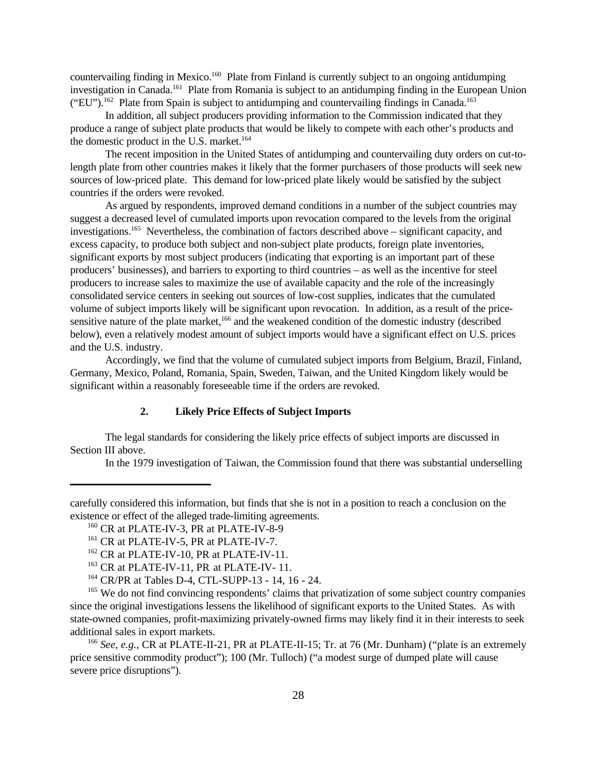countervailing finding in Mexico.<sup>160</sup> Plate from Finland is currently subject to an ongoing antidumping investigation in Canada.<sup>161</sup> Plate from Romania is subject to an antidumping finding in the European Union  $("EU")$ .<sup>162</sup> Plate from Spain is subject to antidumping and countervailing findings in Canada.<sup>163</sup>

In addition, all subject producers providing information to the Commission indicated that they produce a range of subject plate products that would be likely to compete with each other's products and the domestic product in the U.S. market. $164$ 

The recent imposition in the United States of antidumping and countervailing duty orders on cut-tolength plate from other countries makes it likely that the former purchasers of those products will seek new sources of low-priced plate. This demand for low-priced plate likely would be satisfied by the subject countries if the orders were revoked.

As argued by respondents, improved demand conditions in a number of the subject countries may suggest a decreased level of cumulated imports upon revocation compared to the levels from the original investigations.<sup>165</sup> Nevertheless, the combination of factors described above – significant capacity, and excess capacity, to produce both subject and non-subject plate products, foreign plate inventories, significant exports by most subject producers (indicating that exporting is an important part of these producers' businesses), and barriers to exporting to third countries – as well as the incentive for steel producers to increase sales to maximize the use of available capacity and the role of the increasingly consolidated service centers in seeking out sources of low-cost supplies, indicates that the cumulated volume of subject imports likely will be significant upon revocation. In addition, as a result of the pricesensitive nature of the plate market,<sup>166</sup> and the weakened condition of the domestic industry (described below), even a relatively modest amount of subject imports would have a significant effect on U.S. prices and the U.S. industry.

Accordingly, we find that the volume of cumulated subject imports from Belgium, Brazil, Finland, Germany, Mexico, Poland, Romania, Spain, Sweden, Taiwan, and the United Kingdom likely would be significant within a reasonably foreseeable time if the orders are revoked.

#### **2. Likely Price Effects of Subject Imports**

The legal standards for considering the likely price effects of subject imports are discussed in Section III above.

In the 1979 investigation of Taiwan, the Commission found that there was substantial underselling

carefully considered this information, but finds that she is not in a position to reach a conclusion on the existence or effect of the alleged trade-limiting agreements.

<sup>&</sup>lt;sup>160</sup> CR at PLATE-IV-3, PR at PLATE-IV-8-9

<sup>&</sup>lt;sup>161</sup> CR at PLATE-IV-5, PR at PLATE-IV-7.

<sup>&</sup>lt;sup>162</sup> CR at PLATE-IV-10, PR at PLATE-IV-11.

<sup>&</sup>lt;sup>163</sup> CR at PLATE-IV-11, PR at PLATE-IV-11.

<sup>164</sup> CR/PR at Tables D-4, CTL-SUPP-13 - 14, 16 - 24.

<sup>&</sup>lt;sup>165</sup> We do not find convincing respondents' claims that privatization of some subject country companies since the original investigations lessens the likelihood of significant exports to the United States. As with state-owned companies, profit-maximizing privately-owned firms may likely find it in their interests to seek additional sales in export markets.

<sup>166</sup> *See, e.g.,* CR at PLATE-II-21, PR at PLATE-II-15; Tr. at 76 (Mr. Dunham) ("plate is an extremely price sensitive commodity product"); 100 (Mr. Tulloch) ("a modest surge of dumped plate will cause severe price disruptions").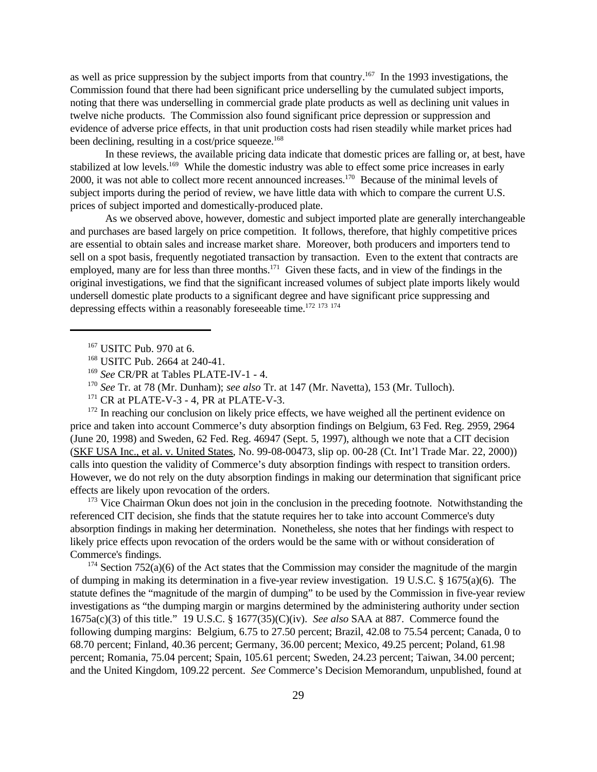as well as price suppression by the subject imports from that country.<sup>167</sup> In the 1993 investigations, the Commission found that there had been significant price underselling by the cumulated subject imports, noting that there was underselling in commercial grade plate products as well as declining unit values in twelve niche products. The Commission also found significant price depression or suppression and evidence of adverse price effects, in that unit production costs had risen steadily while market prices had been declining, resulting in a cost/price squeeze.<sup>168</sup>

In these reviews, the available pricing data indicate that domestic prices are falling or, at best, have stabilized at low levels.<sup>169</sup> While the domestic industry was able to effect some price increases in early 2000, it was not able to collect more recent announced increases.<sup>170</sup> Because of the minimal levels of subject imports during the period of review, we have little data with which to compare the current U.S. prices of subject imported and domestically-produced plate.

As we observed above, however, domestic and subject imported plate are generally interchangeable and purchases are based largely on price competition. It follows, therefore, that highly competitive prices are essential to obtain sales and increase market share. Moreover, both producers and importers tend to sell on a spot basis, frequently negotiated transaction by transaction. Even to the extent that contracts are employed, many are for less than three months.<sup>171</sup> Given these facts, and in view of the findings in the original investigations, we find that the significant increased volumes of subject plate imports likely would undersell domestic plate products to a significant degree and have significant price suppressing and depressing effects within a reasonably foreseeable time.<sup>172 173</sup> <sup>174</sup>

<sup>172</sup> In reaching our conclusion on likely price effects, we have weighed all the pertinent evidence on price and taken into account Commerce's duty absorption findings on Belgium, 63 Fed. Reg. 2959, 2964 (June 20, 1998) and Sweden, 62 Fed. Reg. 46947 (Sept. 5, 1997), although we note that a CIT decision (SKF USA Inc., et al. v. United States, No. 99-08-00473, slip op. 00-28 (Ct. Int'l Trade Mar. 22, 2000)) calls into question the validity of Commerce's duty absorption findings with respect to transition orders. However, we do not rely on the duty absorption findings in making our determination that significant price effects are likely upon revocation of the orders.

<sup>173</sup> Vice Chairman Okun does not join in the conclusion in the preceding footnote. Notwithstanding the referenced CIT decision, she finds that the statute requires her to take into account Commerce's duty absorption findings in making her determination. Nonetheless, she notes that her findings with respect to likely price effects upon revocation of the orders would be the same with or without consideration of Commerce's findings.

<sup>174</sup> Section 752(a)(6) of the Act states that the Commission may consider the magnitude of the margin of dumping in making its determination in a five-year review investigation. 19 U.S.C. § 1675(a)(6). The statute defines the "magnitude of the margin of dumping" to be used by the Commission in five-year review investigations as "the dumping margin or margins determined by the administering authority under section 1675a(c)(3) of this title." 19 U.S.C. § 1677(35)(C)(iv). *See also* SAA at 887. Commerce found the following dumping margins: Belgium, 6.75 to 27.50 percent; Brazil, 42.08 to 75.54 percent; Canada, 0 to 68.70 percent; Finland, 40.36 percent; Germany, 36.00 percent; Mexico, 49.25 percent; Poland, 61.98 percent; Romania, 75.04 percent; Spain, 105.61 percent; Sweden, 24.23 percent; Taiwan, 34.00 percent; and the United Kingdom, 109.22 percent. *See* Commerce's Decision Memorandum, unpublished, found at

<sup>167</sup> USITC Pub. 970 at 6.

<sup>168</sup> USITC Pub. 2664 at 240-41.

<sup>169</sup> *See* CR/PR at Tables PLATE-IV-1 - 4.

<sup>170</sup> *See* Tr. at 78 (Mr. Dunham); *see also* Tr. at 147 (Mr. Navetta), 153 (Mr. Tulloch).

 $171$  CR at PLATE-V-3 - 4, PR at PLATE-V-3.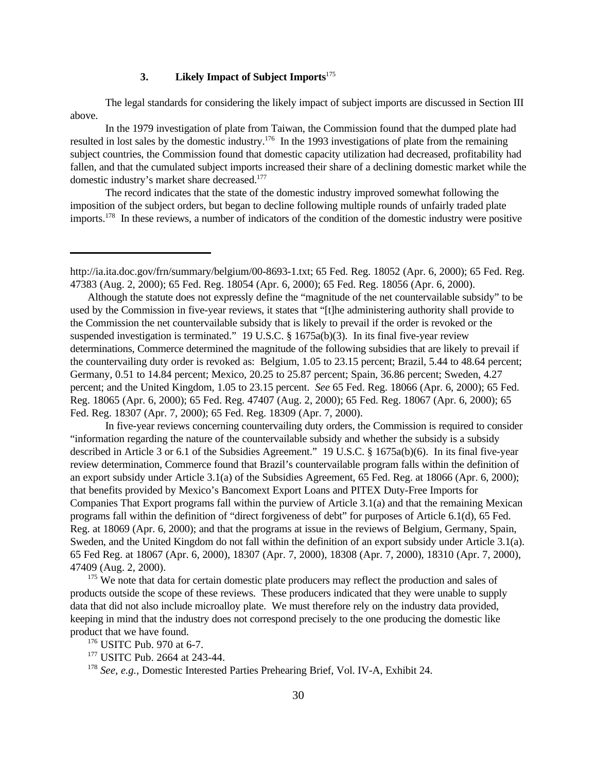## **3. Likely Impact of Subject Imports**<sup>175</sup>

The legal standards for considering the likely impact of subject imports are discussed in Section III above.

In the 1979 investigation of plate from Taiwan, the Commission found that the dumped plate had resulted in lost sales by the domestic industry.<sup>176</sup> In the 1993 investigations of plate from the remaining subject countries, the Commission found that domestic capacity utilization had decreased, profitability had fallen, and that the cumulated subject imports increased their share of a declining domestic market while the domestic industry's market share decreased.<sup>177</sup>

The record indicates that the state of the domestic industry improved somewhat following the imposition of the subject orders, but began to decline following multiple rounds of unfairly traded plate imports.178 In these reviews, a number of indicators of the condition of the domestic industry were positive

Although the statute does not expressly define the "magnitude of the net countervailable subsidy" to be used by the Commission in five-year reviews, it states that "[t]he administering authority shall provide to the Commission the net countervailable subsidy that is likely to prevail if the order is revoked or the suspended investigation is terminated." 19 U.S.C. § 1675a(b)(3). In its final five-year review determinations, Commerce determined the magnitude of the following subsidies that are likely to prevail if the countervailing duty order is revoked as: Belgium, 1.05 to 23.15 percent; Brazil, 5.44 to 48.64 percent; Germany, 0.51 to 14.84 percent; Mexico, 20.25 to 25.87 percent; Spain, 36.86 percent; Sweden, 4.27 percent; and the United Kingdom, 1.05 to 23.15 percent. *See* 65 Fed. Reg. 18066 (Apr. 6, 2000); 65 Fed. Reg. 18065 (Apr. 6, 2000); 65 Fed. Reg. 47407 (Aug. 2, 2000); 65 Fed. Reg. 18067 (Apr. 6, 2000); 65 Fed. Reg. 18307 (Apr. 7, 2000); 65 Fed. Reg. 18309 (Apr. 7, 2000).

In five-year reviews concerning countervailing duty orders, the Commission is required to consider "information regarding the nature of the countervailable subsidy and whether the subsidy is a subsidy described in Article 3 or 6.1 of the Subsidies Agreement." 19 U.S.C. § 1675a(b)(6). In its final five-year review determination, Commerce found that Brazil's countervailable program falls within the definition of an export subsidy under Article 3.1(a) of the Subsidies Agreement, 65 Fed. Reg. at 18066 (Apr. 6, 2000); that benefits provided by Mexico's Bancomext Export Loans and PITEX Duty-Free Imports for Companies That Export programs fall within the purview of Article 3.1(a) and that the remaining Mexican programs fall within the definition of "direct forgiveness of debt" for purposes of Article 6.1(d), 65 Fed. Reg. at 18069 (Apr. 6, 2000); and that the programs at issue in the reviews of Belgium, Germany, Spain, Sweden, and the United Kingdom do not fall within the definition of an export subsidy under Article 3.1(a). 65 Fed Reg. at 18067 (Apr. 6, 2000), 18307 (Apr. 7, 2000), 18308 (Apr. 7, 2000), 18310 (Apr. 7, 2000), 47409 (Aug. 2, 2000).

<sup>175</sup> We note that data for certain domestic plate producers may reflect the production and sales of products outside the scope of these reviews. These producers indicated that they were unable to supply data that did not also include microalloy plate. We must therefore rely on the industry data provided, keeping in mind that the industry does not correspond precisely to the one producing the domestic like product that we have found.

<sup>176</sup> USITC Pub. 970 at 6-7.

<sup>178</sup> *See, e.g.,* Domestic Interested Parties Prehearing Brief, Vol. IV-A, Exhibit 24.

http://ia.ita.doc.gov/frn/summary/belgium/00-8693-1.txt; 65 Fed. Reg. 18052 (Apr. 6, 2000); 65 Fed. Reg. 47383 (Aug. 2, 2000); 65 Fed. Reg. 18054 (Apr. 6, 2000); 65 Fed. Reg. 18056 (Apr. 6, 2000).

<sup>177</sup> USITC Pub. 2664 at 243-44.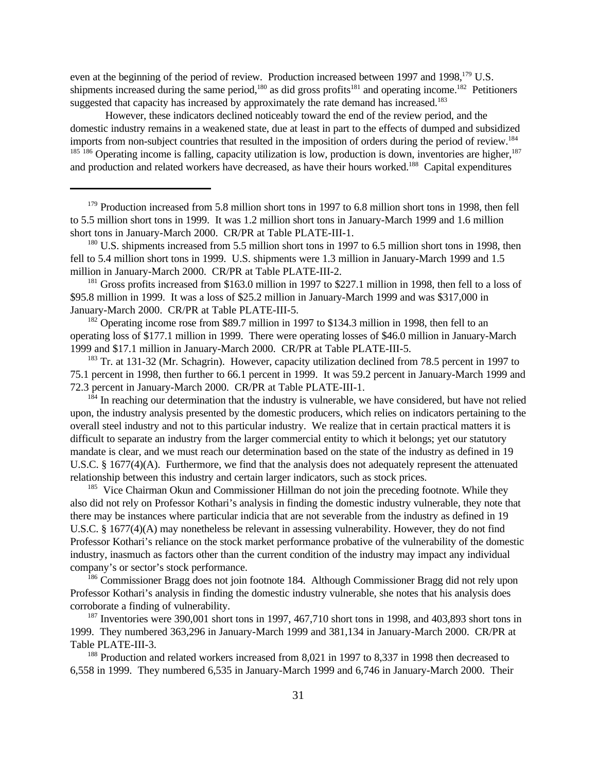even at the beginning of the period of review. Production increased between 1997 and 1998,<sup>179</sup> U.S. shipments increased during the same period,<sup>180</sup> as did gross profits<sup>181</sup> and operating income.<sup>182</sup> Petitioners suggested that capacity has increased by approximately the rate demand has increased.<sup>183</sup>

However, these indicators declined noticeably toward the end of the review period, and the domestic industry remains in a weakened state, due at least in part to the effects of dumped and subsidized imports from non-subject countries that resulted in the imposition of orders during the period of review.<sup>184</sup>  $185\,186$  Operating income is falling, capacity utilization is low, production is down, inventories are higher,  $187$ and production and related workers have decreased, as have their hours worked.<sup>188</sup> Capital expenditures

<sup>179</sup> Production increased from 5.8 million short tons in 1997 to 6.8 million short tons in 1998, then fell to 5.5 million short tons in 1999. It was 1.2 million short tons in January-March 1999 and 1.6 million short tons in January-March 2000. CR/PR at Table PLATE-III-1.

<sup>180</sup> U.S. shipments increased from 5.5 million short tons in 1997 to 6.5 million short tons in 1998, then fell to 5.4 million short tons in 1999. U.S. shipments were 1.3 million in January-March 1999 and 1.5 million in January-March 2000. CR/PR at Table PLATE-III-2.

<sup>181</sup> Gross profits increased from \$163.0 million in 1997 to \$227.1 million in 1998, then fell to a loss of \$95.8 million in 1999. It was a loss of \$25.2 million in January-March 1999 and was \$317,000 in January-March 2000. CR/PR at Table PLATE-III-5.

<sup>182</sup> Operating income rose from \$89.7 million in 1997 to \$134.3 million in 1998, then fell to an operating loss of \$177.1 million in 1999. There were operating losses of \$46.0 million in January-March 1999 and \$17.1 million in January-March 2000. CR/PR at Table PLATE-III-5.

<sup>183</sup> Tr. at 131-32 (Mr. Schagrin). However, capacity utilization declined from 78.5 percent in 1997 to 75.1 percent in 1998, then further to 66.1 percent in 1999. It was 59.2 percent in January-March 1999 and 72.3 percent in January-March 2000. CR/PR at Table PLATE-III-1.

<sup>184</sup> In reaching our determination that the industry is vulnerable, we have considered, but have not relied upon, the industry analysis presented by the domestic producers, which relies on indicators pertaining to the overall steel industry and not to this particular industry. We realize that in certain practical matters it is difficult to separate an industry from the larger commercial entity to which it belongs; yet our statutory mandate is clear, and we must reach our determination based on the state of the industry as defined in 19 U.S.C. § 1677(4)(A). Furthermore, we find that the analysis does not adequately represent the attenuated relationship between this industry and certain larger indicators, such as stock prices.

<sup>185</sup> Vice Chairman Okun and Commissioner Hillman do not join the preceding footnote. While they also did not rely on Professor Kothari's analysis in finding the domestic industry vulnerable, they note that there may be instances where particular indicia that are not severable from the industry as defined in 19 U.S.C. § 1677(4)(A) may nonetheless be relevant in assessing vulnerability. However, they do not find Professor Kothari's reliance on the stock market performance probative of the vulnerability of the domestic industry, inasmuch as factors other than the current condition of the industry may impact any individual company's or sector's stock performance.

<sup>186</sup> Commissioner Bragg does not join footnote 184. Although Commissioner Bragg did not rely upon Professor Kothari's analysis in finding the domestic industry vulnerable, she notes that his analysis does corroborate a finding of vulnerability.

 $187$  Inventories were 390,001 short tons in 1997, 467,710 short tons in 1998, and 403,893 short tons in 1999. They numbered 363,296 in January-March 1999 and 381,134 in January-March 2000. CR/PR at Table PLATE-III-3.

<sup>188</sup> Production and related workers increased from 8,021 in 1997 to 8,337 in 1998 then decreased to 6,558 in 1999. They numbered 6,535 in January-March 1999 and 6,746 in January-March 2000. Their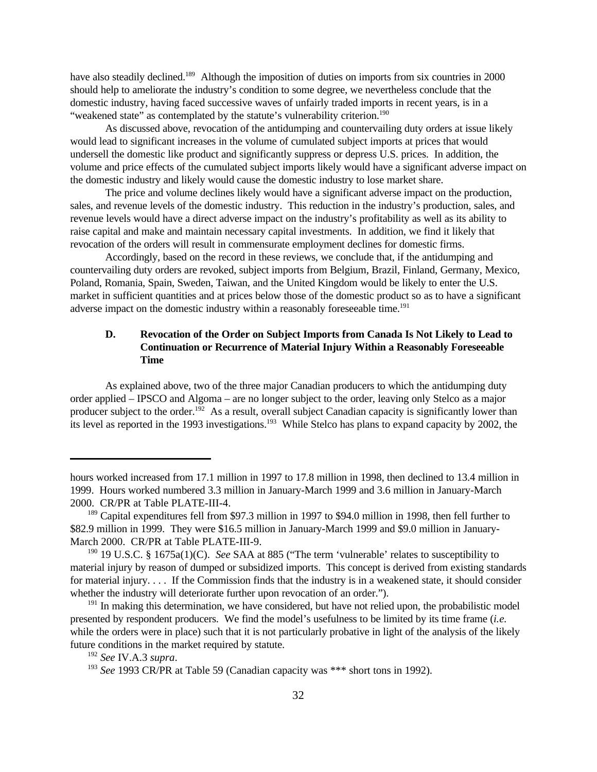have also steadily declined.<sup>189</sup> Although the imposition of duties on imports from six countries in 2000 should help to ameliorate the industry's condition to some degree, we nevertheless conclude that the domestic industry, having faced successive waves of unfairly traded imports in recent years, is in a "weakened state" as contemplated by the statute's vulnerability criterion.<sup>190</sup>

As discussed above, revocation of the antidumping and countervailing duty orders at issue likely would lead to significant increases in the volume of cumulated subject imports at prices that would undersell the domestic like product and significantly suppress or depress U.S. prices. In addition, the volume and price effects of the cumulated subject imports likely would have a significant adverse impact on the domestic industry and likely would cause the domestic industry to lose market share.

The price and volume declines likely would have a significant adverse impact on the production, sales, and revenue levels of the domestic industry. This reduction in the industry's production, sales, and revenue levels would have a direct adverse impact on the industry's profitability as well as its ability to raise capital and make and maintain necessary capital investments. In addition, we find it likely that revocation of the orders will result in commensurate employment declines for domestic firms.

Accordingly, based on the record in these reviews, we conclude that, if the antidumping and countervailing duty orders are revoked, subject imports from Belgium, Brazil, Finland, Germany, Mexico, Poland, Romania, Spain, Sweden, Taiwan, and the United Kingdom would be likely to enter the U.S. market in sufficient quantities and at prices below those of the domestic product so as to have a significant adverse impact on the domestic industry within a reasonably foreseeable time.<sup>191</sup>

# **D. Revocation of the Order on Subject Imports from Canada Is Not Likely to Lead to Continuation or Recurrence of Material Injury Within a Reasonably Foreseeable Time**

As explained above, two of the three major Canadian producers to which the antidumping duty order applied – IPSCO and Algoma – are no longer subject to the order, leaving only Stelco as a major producer subject to the order.<sup>192</sup> As a result, overall subject Canadian capacity is significantly lower than its level as reported in the 1993 investigations.<sup>193</sup> While Stelco has plans to expand capacity by 2002, the

hours worked increased from 17.1 million in 1997 to 17.8 million in 1998, then declined to 13.4 million in 1999. Hours worked numbered 3.3 million in January-March 1999 and 3.6 million in January-March 2000. CR/PR at Table PLATE-III-4.

<sup>&</sup>lt;sup>189</sup> Capital expenditures fell from \$97.3 million in 1997 to \$94.0 million in 1998, then fell further to \$82.9 million in 1999. They were \$16.5 million in January-March 1999 and \$9.0 million in January-March 2000. CR/PR at Table PLATE-III-9.

<sup>190</sup> 19 U.S.C. § 1675a(1)(C). *See* SAA at 885 ("The term 'vulnerable' relates to susceptibility to material injury by reason of dumped or subsidized imports. This concept is derived from existing standards for material injury. . . . If the Commission finds that the industry is in a weakened state, it should consider whether the industry will deteriorate further upon revocation of an order.").

<sup>&</sup>lt;sup>191</sup> In making this determination, we have considered, but have not relied upon, the probabilistic model presented by respondent producers. We find the model's usefulness to be limited by its time frame (*i.e.* while the orders were in place) such that it is not particularly probative in light of the analysis of the likely future conditions in the market required by statute.

<sup>192</sup> *See* IV.A.3 *supra*.

<sup>&</sup>lt;sup>193</sup> *See* 1993 CR/PR at Table 59 (Canadian capacity was \*\*\* short tons in 1992).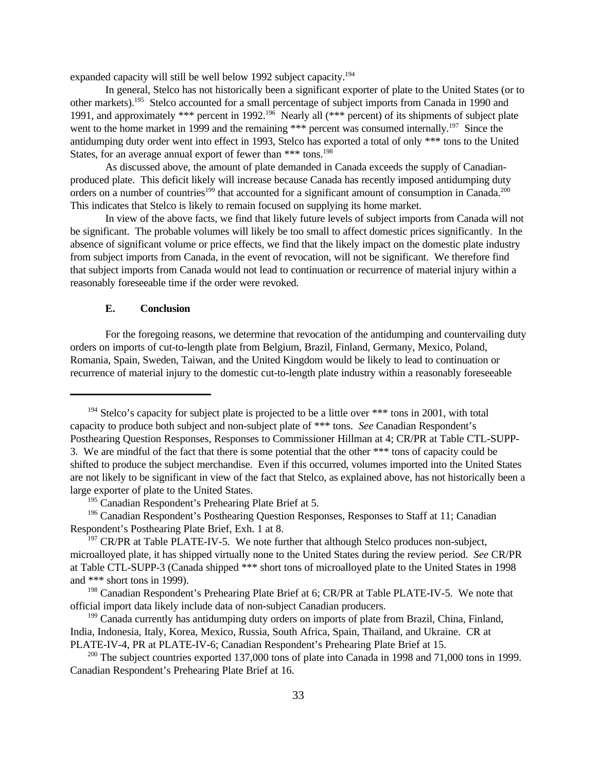expanded capacity will still be well below 1992 subject capacity.<sup>194</sup>

In general, Stelco has not historically been a significant exporter of plate to the United States (or to other markets).<sup>195</sup> Stelco accounted for a small percentage of subject imports from Canada in 1990 and 1991, and approximately \*\*\* percent in 1992.<sup>196</sup> Nearly all (\*\*\* percent) of its shipments of subject plate went to the home market in 1999 and the remaining \*\*\* percent was consumed internally.<sup>197</sup> Since the antidumping duty order went into effect in 1993, Stelco has exported a total of only \*\*\* tons to the United States, for an average annual export of fewer than \*\*\* tons.<sup>198</sup>

As discussed above, the amount of plate demanded in Canada exceeds the supply of Canadianproduced plate. This deficit likely will increase because Canada has recently imposed antidumping duty orders on a number of countries<sup>199</sup> that accounted for a significant amount of consumption in Canada.<sup>200</sup> This indicates that Stelco is likely to remain focused on supplying its home market.

In view of the above facts, we find that likely future levels of subject imports from Canada will not be significant. The probable volumes will likely be too small to affect domestic prices significantly. In the absence of significant volume or price effects, we find that the likely impact on the domestic plate industry from subject imports from Canada, in the event of revocation, will not be significant. We therefore find that subject imports from Canada would not lead to continuation or recurrence of material injury within a reasonably foreseeable time if the order were revoked.

#### **E. Conclusion**

For the foregoing reasons, we determine that revocation of the antidumping and countervailing duty orders on imports of cut-to-length plate from Belgium, Brazil, Finland, Germany, Mexico, Poland, Romania, Spain, Sweden, Taiwan, and the United Kingdom would be likely to lead to continuation or recurrence of material injury to the domestic cut-to-length plate industry within a reasonably foreseeable

 $194$  Stelco's capacity for subject plate is projected to be a little over \*\*\* tons in 2001, with total capacity to produce both subject and non-subject plate of \*\*\* tons. *See* Canadian Respondent's Posthearing Question Responses, Responses to Commissioner Hillman at 4; CR/PR at Table CTL-SUPP-3. We are mindful of the fact that there is some potential that the other \*\*\* tons of capacity could be shifted to produce the subject merchandise. Even if this occurred, volumes imported into the United States are not likely to be significant in view of the fact that Stelco, as explained above, has not historically been a large exporter of plate to the United States.

<sup>&</sup>lt;sup>195</sup> Canadian Respondent's Prehearing Plate Brief at 5.

<sup>&</sup>lt;sup>196</sup> Canadian Respondent's Posthearing Question Responses, Responses to Staff at 11; Canadian Respondent's Posthearing Plate Brief, Exh. 1 at 8.

 $197$  CR/PR at Table PLATE-IV-5. We note further that although Stelco produces non-subject, microalloyed plate, it has shipped virtually none to the United States during the review period. *See* CR/PR at Table CTL-SUPP-3 (Canada shipped \*\*\* short tons of microalloyed plate to the United States in 1998 and \*\*\* short tons in 1999).

<sup>&</sup>lt;sup>198</sup> Canadian Respondent's Prehearing Plate Brief at 6; CR/PR at Table PLATE-IV-5. We note that official import data likely include data of non-subject Canadian producers.

<sup>&</sup>lt;sup>199</sup> Canada currently has antidumping duty orders on imports of plate from Brazil, China, Finland, India, Indonesia, Italy, Korea, Mexico, Russia, South Africa, Spain, Thailand, and Ukraine. CR at PLATE-IV-4, PR at PLATE-IV-6; Canadian Respondent's Prehearing Plate Brief at 15.

<sup>&</sup>lt;sup>200</sup> The subject countries exported 137,000 tons of plate into Canada in 1998 and 71,000 tons in 1999. Canadian Respondent's Prehearing Plate Brief at 16.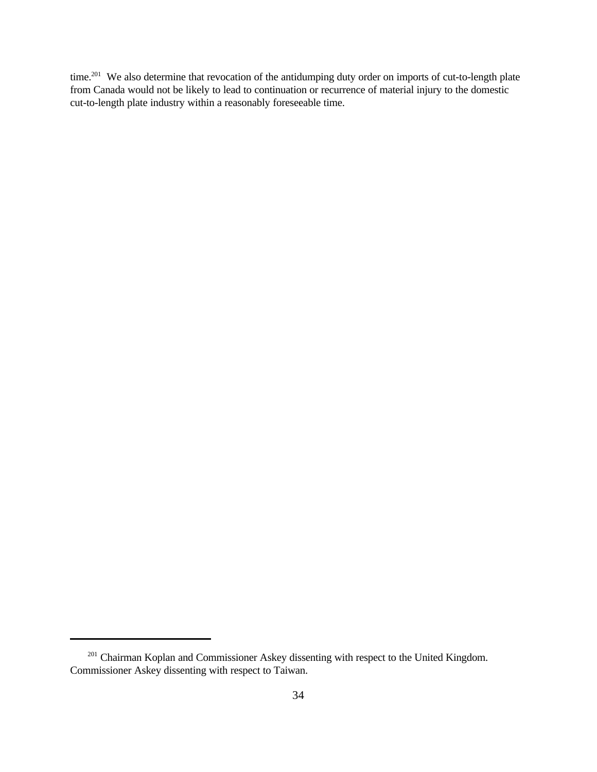time.<sup>201</sup> We also determine that revocation of the antidumping duty order on imports of cut-to-length plate from Canada would not be likely to lead to continuation or recurrence of material injury to the domestic cut-to-length plate industry within a reasonably foreseeable time.

<sup>&</sup>lt;sup>201</sup> Chairman Koplan and Commissioner Askey dissenting with respect to the United Kingdom. Commissioner Askey dissenting with respect to Taiwan.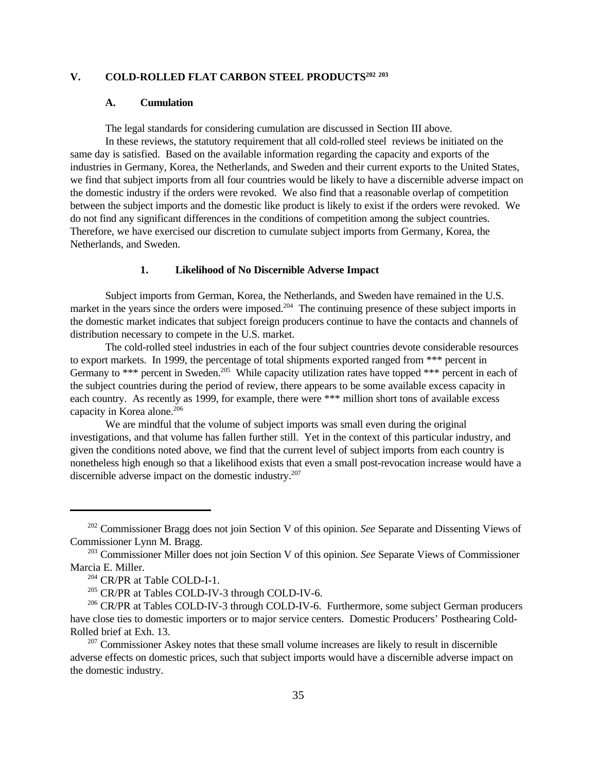## **V. COLD-ROLLED FLAT CARBON STEEL PRODUCTS<sup>202</sup> <sup>203</sup>**

#### **A. Cumulation**

The legal standards for considering cumulation are discussed in Section III above.

In these reviews, the statutory requirement that all cold-rolled steel reviews be initiated on the same day is satisfied. Based on the available information regarding the capacity and exports of the industries in Germany, Korea, the Netherlands, and Sweden and their current exports to the United States, we find that subject imports from all four countries would be likely to have a discernible adverse impact on the domestic industry if the orders were revoked. We also find that a reasonable overlap of competition between the subject imports and the domestic like product is likely to exist if the orders were revoked. We do not find any significant differences in the conditions of competition among the subject countries. Therefore, we have exercised our discretion to cumulate subject imports from Germany, Korea, the Netherlands, and Sweden.

#### **1. Likelihood of No Discernible Adverse Impact**

Subject imports from German, Korea, the Netherlands, and Sweden have remained in the U.S. market in the years since the orders were imposed.<sup>204</sup> The continuing presence of these subject imports in the domestic market indicates that subject foreign producers continue to have the contacts and channels of distribution necessary to compete in the U.S. market.

The cold-rolled steel industries in each of the four subject countries devote considerable resources to export markets. In 1999, the percentage of total shipments exported ranged from \*\*\* percent in Germany to \*\*\* percent in Sweden.<sup>205</sup> While capacity utilization rates have topped \*\*\* percent in each of the subject countries during the period of review, there appears to be some available excess capacity in each country. As recently as 1999, for example, there were \*\*\* million short tons of available excess capacity in Korea alone.<sup>206</sup>

We are mindful that the volume of subject imports was small even during the original investigations, and that volume has fallen further still. Yet in the context of this particular industry, and given the conditions noted above, we find that the current level of subject imports from each country is nonetheless high enough so that a likelihood exists that even a small post-revocation increase would have a discernible adverse impact on the domestic industry.<sup>207</sup>

<sup>202</sup> Commissioner Bragg does not join Section V of this opinion. *See* Separate and Dissenting Views of Commissioner Lynn M. Bragg.

<sup>203</sup> Commissioner Miller does not join Section V of this opinion. *See* Separate Views of Commissioner Marcia E. Miller.

<sup>204</sup> CR/PR at Table COLD-I-1.

<sup>&</sup>lt;sup>205</sup> CR/PR at Tables COLD-IV-3 through COLD-IV-6.

<sup>&</sup>lt;sup>206</sup> CR/PR at Tables COLD-IV-3 through COLD-IV-6. Furthermore, some subject German producers have close ties to domestic importers or to major service centers. Domestic Producers' Posthearing Cold-Rolled brief at Exh. 13.

 $207$  Commissioner Askey notes that these small volume increases are likely to result in discernible adverse effects on domestic prices, such that subject imports would have a discernible adverse impact on the domestic industry.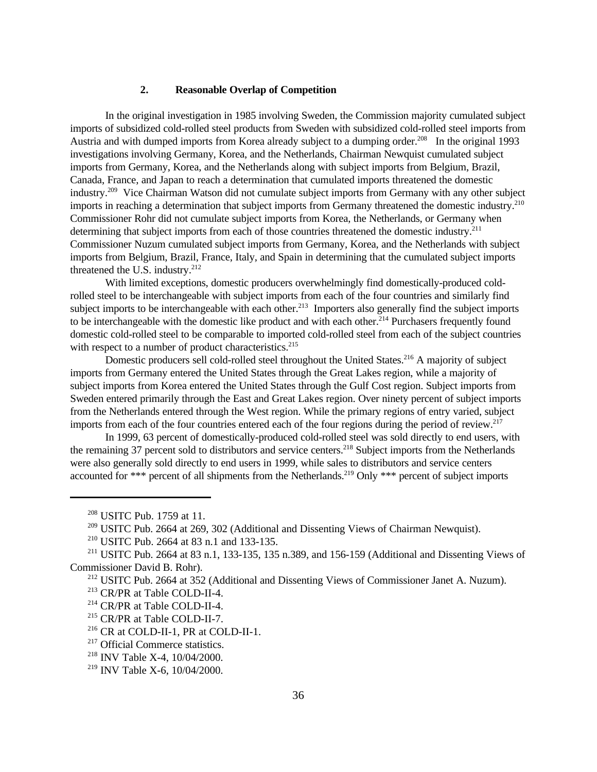#### **2. Reasonable Overlap of Competition**

In the original investigation in 1985 involving Sweden, the Commission majority cumulated subject imports of subsidized cold-rolled steel products from Sweden with subsidized cold-rolled steel imports from Austria and with dumped imports from Korea already subject to a dumping order.<sup>208</sup> In the original 1993 investigations involving Germany, Korea, and the Netherlands, Chairman Newquist cumulated subject imports from Germany, Korea, and the Netherlands along with subject imports from Belgium, Brazil, Canada, France, and Japan to reach a determination that cumulated imports threatened the domestic industry.<sup>209</sup> Vice Chairman Watson did not cumulate subject imports from Germany with any other subject imports in reaching a determination that subject imports from Germany threatened the domestic industry.<sup>210</sup> Commissioner Rohr did not cumulate subject imports from Korea, the Netherlands, or Germany when determining that subject imports from each of those countries threatened the domestic industry.<sup>211</sup> Commissioner Nuzum cumulated subject imports from Germany, Korea, and the Netherlands with subject imports from Belgium, Brazil, France, Italy, and Spain in determining that the cumulated subject imports threatened the U.S. industry. $212$ 

With limited exceptions, domestic producers overwhelmingly find domestically-produced coldrolled steel to be interchangeable with subject imports from each of the four countries and similarly find subject imports to be interchangeable with each other.<sup>213</sup> Importers also generally find the subject imports to be interchangeable with the domestic like product and with each other.<sup>214</sup> Purchasers frequently found domestic cold-rolled steel to be comparable to imported cold-rolled steel from each of the subject countries with respect to a number of product characteristics.<sup>215</sup>

Domestic producers sell cold-rolled steel throughout the United States.<sup>216</sup> A majority of subject imports from Germany entered the United States through the Great Lakes region, while a majority of subject imports from Korea entered the United States through the Gulf Cost region. Subject imports from Sweden entered primarily through the East and Great Lakes region. Over ninety percent of subject imports from the Netherlands entered through the West region. While the primary regions of entry varied, subject imports from each of the four countries entered each of the four regions during the period of review.<sup>217</sup>

In 1999, 63 percent of domestically-produced cold-rolled steel was sold directly to end users, with the remaining 37 percent sold to distributors and service centers.<sup>218</sup> Subject imports from the Netherlands were also generally sold directly to end users in 1999, while sales to distributors and service centers accounted for \*\*\* percent of all shipments from the Netherlands.<sup>219</sup> Only \*\*\* percent of subject imports

<sup>&</sup>lt;sup>208</sup> USITC Pub. 1759 at 11.

<sup>&</sup>lt;sup>209</sup> USITC Pub. 2664 at 269, 302 (Additional and Dissenting Views of Chairman Newquist).

<sup>210</sup> USITC Pub. 2664 at 83 n.1 and 133-135.

<sup>211</sup> USITC Pub. 2664 at 83 n.1, 133-135, 135 n.389, and 156-159 (Additional and Dissenting Views of Commissioner David B. Rohr).

 $212$  USITC Pub. 2664 at 352 (Additional and Dissenting Views of Commissioner Janet A. Nuzum).

<sup>213</sup> CR/PR at Table COLD-II-4.

<sup>214</sup> CR/PR at Table COLD-II-4.

<sup>215</sup> CR/PR at Table COLD-II-7.

<sup>216</sup> CR at COLD-II-1, PR at COLD-II-1.

<sup>&</sup>lt;sup>217</sup> Official Commerce statistics.

<sup>218</sup> INV Table X-4, 10/04/2000.

<sup>219</sup> INV Table X-6, 10/04/2000.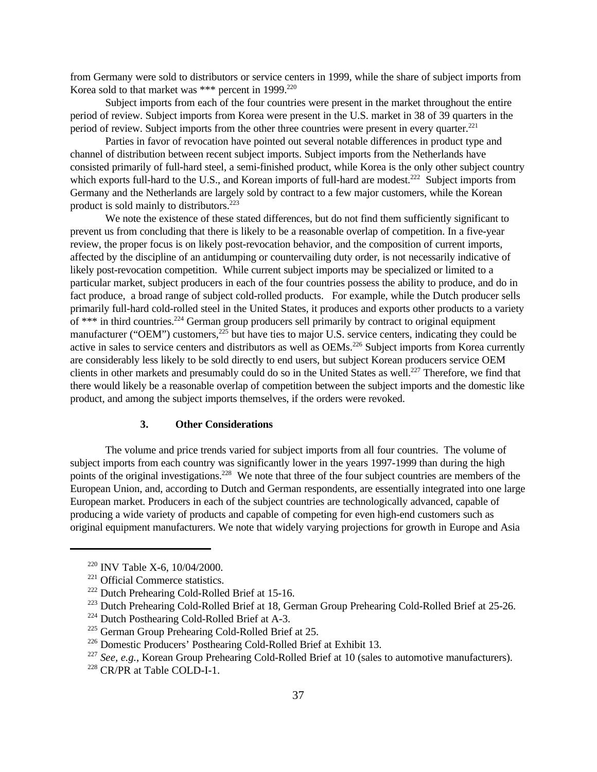from Germany were sold to distributors or service centers in 1999, while the share of subject imports from Korea sold to that market was \*\*\* percent in 1999.<sup>220</sup>

Subject imports from each of the four countries were present in the market throughout the entire period of review. Subject imports from Korea were present in the U.S. market in 38 of 39 quarters in the period of review. Subject imports from the other three countries were present in every quarter.<sup>221</sup>

Parties in favor of revocation have pointed out several notable differences in product type and channel of distribution between recent subject imports. Subject imports from the Netherlands have consisted primarily of full-hard steel, a semi-finished product, while Korea is the only other subject country which exports full-hard to the U.S., and Korean imports of full-hard are modest.<sup>222</sup> Subject imports from Germany and the Netherlands are largely sold by contract to a few major customers, while the Korean product is sold mainly to distributors.<sup>223</sup>

We note the existence of these stated differences, but do not find them sufficiently significant to prevent us from concluding that there is likely to be a reasonable overlap of competition. In a five-year review, the proper focus is on likely post-revocation behavior, and the composition of current imports, affected by the discipline of an antidumping or countervailing duty order, is not necessarily indicative of likely post-revocation competition. While current subject imports may be specialized or limited to a particular market, subject producers in each of the four countries possess the ability to produce, and do in fact produce, a broad range of subject cold-rolled products. For example, while the Dutch producer sells primarily full-hard cold-rolled steel in the United States, it produces and exports other products to a variety of \*\*\* in third countries.<sup>224</sup> German group producers sell primarily by contract to original equipment manufacturer ("OEM") customers,<sup>225</sup> but have ties to major U.S. service centers, indicating they could be active in sales to service centers and distributors as well as OEMs.<sup>226</sup> Subject imports from Korea currently are considerably less likely to be sold directly to end users, but subject Korean producers service OEM clients in other markets and presumably could do so in the United States as well.<sup>227</sup> Therefore, we find that there would likely be a reasonable overlap of competition between the subject imports and the domestic like product, and among the subject imports themselves, if the orders were revoked.

# **3. Other Considerations**

The volume and price trends varied for subject imports from all four countries. The volume of subject imports from each country was significantly lower in the years 1997-1999 than during the high points of the original investigations.<sup>228</sup> We note that three of the four subject countries are members of the European Union, and, according to Dutch and German respondents, are essentially integrated into one large European market. Producers in each of the subject countries are technologically advanced, capable of producing a wide variety of products and capable of competing for even high-end customers such as original equipment manufacturers. We note that widely varying projections for growth in Europe and Asia

<sup>220</sup> INV Table X-6, 10/04/2000.

<sup>221</sup> Official Commerce statistics.

<sup>222</sup> Dutch Prehearing Cold-Rolled Brief at 15-16.

<sup>&</sup>lt;sup>223</sup> Dutch Prehearing Cold-Rolled Brief at 18, German Group Prehearing Cold-Rolled Brief at 25-26.

<sup>224</sup> Dutch Posthearing Cold-Rolled Brief at A-3.

<sup>225</sup> German Group Prehearing Cold-Rolled Brief at 25.

<sup>226</sup> Domestic Producers' Posthearing Cold-Rolled Brief at Exhibit 13.

<sup>227</sup> *See, e.g.*, Korean Group Prehearing Cold-Rolled Brief at 10 (sales to automotive manufacturers).

<sup>228</sup> CR/PR at Table COLD-I-1.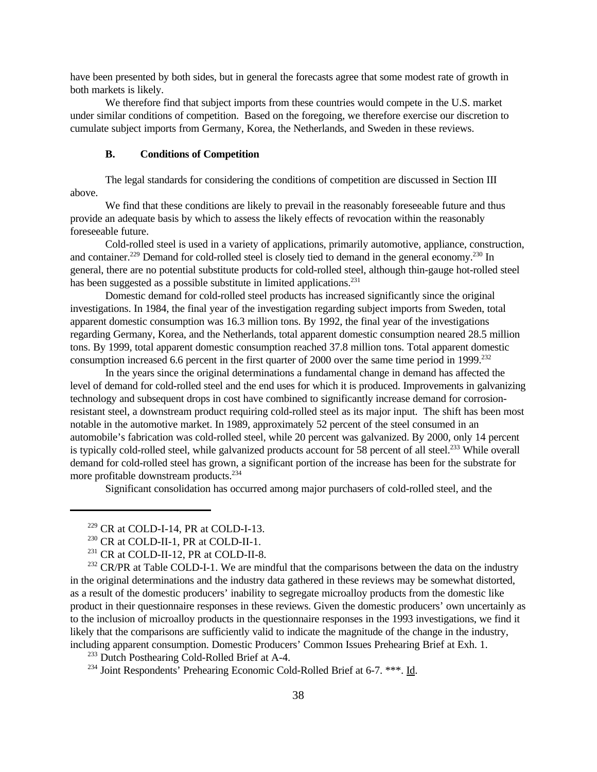have been presented by both sides, but in general the forecasts agree that some modest rate of growth in both markets is likely.

We therefore find that subject imports from these countries would compete in the U.S. market under similar conditions of competition. Based on the foregoing, we therefore exercise our discretion to cumulate subject imports from Germany, Korea, the Netherlands, and Sweden in these reviews.

#### **B. Conditions of Competition**

The legal standards for considering the conditions of competition are discussed in Section III above.

We find that these conditions are likely to prevail in the reasonably fore seeable future and thus provide an adequate basis by which to assess the likely effects of revocation within the reasonably foreseeable future.

Cold-rolled steel is used in a variety of applications, primarily automotive, appliance, construction, and container.<sup>229</sup> Demand for cold-rolled steel is closely tied to demand in the general economy.<sup>230</sup> In general, there are no potential substitute products for cold-rolled steel, although thin-gauge hot-rolled steel has been suggested as a possible substitute in limited applications.<sup>231</sup>

Domestic demand for cold-rolled steel products has increased significantly since the original investigations. In 1984, the final year of the investigation regarding subject imports from Sweden, total apparent domestic consumption was 16.3 million tons. By 1992, the final year of the investigations regarding Germany, Korea, and the Netherlands, total apparent domestic consumption neared 28.5 million tons. By 1999, total apparent domestic consumption reached 37.8 million tons. Total apparent domestic consumption increased 6.6 percent in the first quarter of 2000 over the same time period in  $1999$ <sup>232</sup>

In the years since the original determinations a fundamental change in demand has affected the level of demand for cold-rolled steel and the end uses for which it is produced. Improvements in galvanizing technology and subsequent drops in cost have combined to significantly increase demand for corrosionresistant steel, a downstream product requiring cold-rolled steel as its major input. The shift has been most notable in the automotive market. In 1989, approximately 52 percent of the steel consumed in an automobile's fabrication was cold-rolled steel, while 20 percent was galvanized. By 2000, only 14 percent is typically cold-rolled steel, while galvanized products account for 58 percent of all steel.<sup>233</sup> While overall demand for cold-rolled steel has grown, a significant portion of the increase has been for the substrate for more profitable downstream products.<sup>234</sup>

Significant consolidation has occurred among major purchasers of cold-rolled steel, and the

 $232$  CR/PR at Table COLD-I-1. We are mindful that the comparisons between the data on the industry in the original determinations and the industry data gathered in these reviews may be somewhat distorted, as a result of the domestic producers' inability to segregate microalloy products from the domestic like product in their questionnaire responses in these reviews. Given the domestic producers' own uncertainly as to the inclusion of microalloy products in the questionnaire responses in the 1993 investigations, we find it likely that the comparisons are sufficiently valid to indicate the magnitude of the change in the industry, including apparent consumption. Domestic Producers' Common Issues Prehearing Brief at Exh. 1.

<sup>233</sup> Dutch Posthearing Cold-Rolled Brief at A-4.

<sup>234</sup> Joint Respondents' Prehearing Economic Cold-Rolled Brief at 6-7. \*\*\*. Id.

 $229$  CR at COLD-I-14, PR at COLD-I-13.

<sup>230</sup> CR at COLD-II-1, PR at COLD-II-1.

<sup>231</sup> CR at COLD-II-12, PR at COLD-II-8.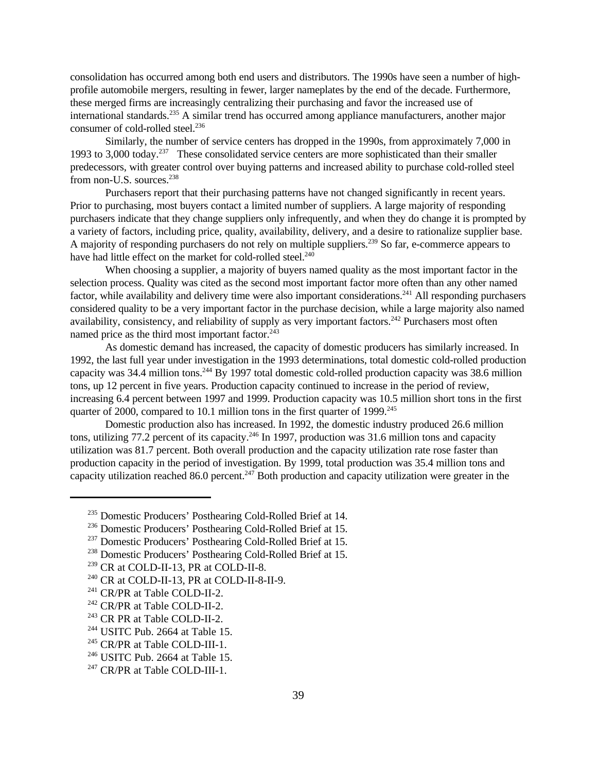consolidation has occurred among both end users and distributors. The 1990s have seen a number of highprofile automobile mergers, resulting in fewer, larger nameplates by the end of the decade. Furthermore, these merged firms are increasingly centralizing their purchasing and favor the increased use of international standards.<sup>235</sup> A similar trend has occurred among appliance manufacturers, another major consumer of cold-rolled steel.<sup>236</sup>

Similarly, the number of service centers has dropped in the 1990s, from approximately 7,000 in 1993 to 3,000 today.<sup>237</sup> These consolidated service centers are more sophisticated than their smaller predecessors, with greater control over buying patterns and increased ability to purchase cold-rolled steel from non-U.S. sources. $238$ 

Purchasers report that their purchasing patterns have not changed significantly in recent years. Prior to purchasing, most buyers contact a limited number of suppliers. A large majority of responding purchasers indicate that they change suppliers only infrequently, and when they do change it is prompted by a variety of factors, including price, quality, availability, delivery, and a desire to rationalize supplier base. A majority of responding purchasers do not rely on multiple suppliers.<sup>239</sup> So far, e-commerce appears to have had little effect on the market for cold-rolled steel.<sup>240</sup>

When choosing a supplier, a majority of buyers named quality as the most important factor in the selection process. Quality was cited as the second most important factor more often than any other named factor, while availability and delivery time were also important considerations.<sup>241</sup> All responding purchasers considered quality to be a very important factor in the purchase decision, while a large majority also named availability, consistency, and reliability of supply as very important factors.<sup>242</sup> Purchasers most often named price as the third most important factor.<sup>243</sup>

As domestic demand has increased, the capacity of domestic producers has similarly increased. In 1992, the last full year under investigation in the 1993 determinations, total domestic cold-rolled production capacity was 34.4 million tons.<sup>244</sup> By 1997 total domestic cold-rolled production capacity was 38.6 million tons, up 12 percent in five years. Production capacity continued to increase in the period of review, increasing 6.4 percent between 1997 and 1999. Production capacity was 10.5 million short tons in the first quarter of 2000, compared to 10.1 million tons in the first quarter of 1999.<sup>245</sup>

Domestic production also has increased. In 1992, the domestic industry produced 26.6 million tons, utilizing  $77.2$  percent of its capacity.<sup>246</sup> In 1997, production was 31.6 million tons and capacity utilization was 81.7 percent. Both overall production and the capacity utilization rate rose faster than production capacity in the period of investigation. By 1999, total production was 35.4 million tons and capacity utilization reached 86.0 percent.<sup>247</sup> Both production and capacity utilization were greater in the

<sup>&</sup>lt;sup>235</sup> Domestic Producers' Posthearing Cold-Rolled Brief at 14.

<sup>&</sup>lt;sup>236</sup> Domestic Producers' Posthearing Cold-Rolled Brief at 15.

<sup>&</sup>lt;sup>237</sup> Domestic Producers' Posthearing Cold-Rolled Brief at 15.

<sup>238</sup> Domestic Producers' Posthearing Cold-Rolled Brief at 15.

<sup>239</sup> CR at COLD-II-13, PR at COLD-II-8.

<sup>240</sup> CR at COLD-II-13, PR at COLD-II-8-II-9.

<sup>&</sup>lt;sup>241</sup> CR/PR at Table COLD-II-2.

<sup>242</sup> CR/PR at Table COLD-II-2.

<sup>243</sup> CR PR at Table COLD-II-2.

 $244$  USITC Pub. 2664 at Table 15.

<sup>&</sup>lt;sup>245</sup> CR/PR at Table COLD-III-1.

 $246$  USITC Pub. 2664 at Table 15.

<sup>&</sup>lt;sup>247</sup> CR/PR at Table COLD-III-1.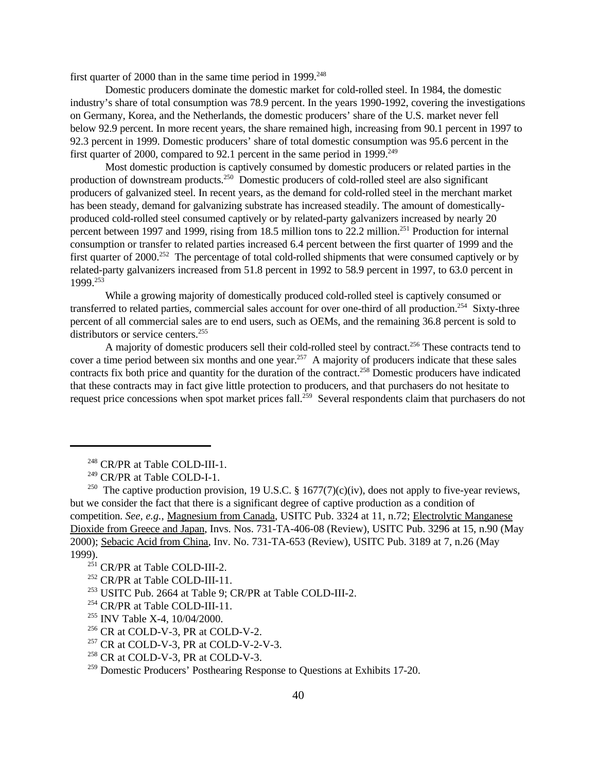first quarter of 2000 than in the same time period in  $1999^{248}$ 

Domestic producers dominate the domestic market for cold-rolled steel. In 1984, the domestic industry's share of total consumption was 78.9 percent. In the years 1990-1992, covering the investigations on Germany, Korea, and the Netherlands, the domestic producers' share of the U.S. market never fell below 92.9 percent. In more recent years, the share remained high, increasing from 90.1 percent in 1997 to 92.3 percent in 1999. Domestic producers' share of total domestic consumption was 95.6 percent in the first quarter of 2000, compared to 92.1 percent in the same period in 1999.<sup>249</sup>

Most domestic production is captively consumed by domestic producers or related parties in the production of downstream products.<sup>250</sup> Domestic producers of cold-rolled steel are also significant producers of galvanized steel. In recent years, as the demand for cold-rolled steel in the merchant market has been steady, demand for galvanizing substrate has increased steadily. The amount of domesticallyproduced cold-rolled steel consumed captively or by related-party galvanizers increased by nearly 20 percent between 1997 and 1999, rising from 18.5 million tons to 22.2 million.<sup>251</sup> Production for internal consumption or transfer to related parties increased 6.4 percent between the first quarter of 1999 and the first quarter of 2000.<sup>252</sup> The percentage of total cold-rolled shipments that were consumed captively or by related-party galvanizers increased from 51.8 percent in 1992 to 58.9 percent in 1997, to 63.0 percent in 1999.<sup>253</sup>

While a growing majority of domestically produced cold-rolled steel is captively consumed or transferred to related parties, commercial sales account for over one-third of all production.<sup>254</sup> Sixty-three percent of all commercial sales are to end users, such as OEMs, and the remaining 36.8 percent is sold to distributors or service centers.<sup>255</sup>

A majority of domestic producers sell their cold-rolled steel by contract.<sup>256</sup> These contracts tend to cover a time period between six months and one year.<sup>257</sup> A majority of producers indicate that these sales contracts fix both price and quantity for the duration of the contract.<sup>258</sup> Domestic producers have indicated that these contracts may in fact give little protection to producers, and that purchasers do not hesitate to request price concessions when spot market prices fall.<sup>259</sup> Several respondents claim that purchasers do not

<sup>252</sup> CR/PR at Table COLD-III-11.

<sup>248</sup> CR/PR at Table COLD-III-1.

<sup>249</sup> CR/PR at Table COLD-I-1.

<sup>&</sup>lt;sup>250</sup> The captive production provision, 19 U.S.C. § 1677(7)(c)(iv), does not apply to five-year reviews, but we consider the fact that there is a significant degree of captive production as a condition of competition. *See, e.g.*, Magnesium from Canada, USITC Pub. 3324 at 11, n.72; Electrolytic Manganese Dioxide from Greece and Japan, Invs. Nos. 731-TA-406-08 (Review), USITC Pub. 3296 at 15, n.90 (May 2000); Sebacic Acid from China, Inv. No. 731-TA-653 (Review), USITC Pub. 3189 at 7, n.26 (May 1999).

<sup>251</sup> CR/PR at Table COLD-III-2.

<sup>253</sup> USITC Pub. 2664 at Table 9; CR/PR at Table COLD-III-2.

<sup>254</sup> CR/PR at Table COLD-III-11.

<sup>255</sup> INV Table X-4, 10/04/2000.

 $256$  CR at COLD-V-3, PR at COLD-V-2.

 $^{257}$  CR at COLD-V-3, PR at COLD-V-2-V-3.

<sup>258</sup> CR at COLD-V-3, PR at COLD-V-3.

<sup>&</sup>lt;sup>259</sup> Domestic Producers' Posthearing Response to Questions at Exhibits 17-20.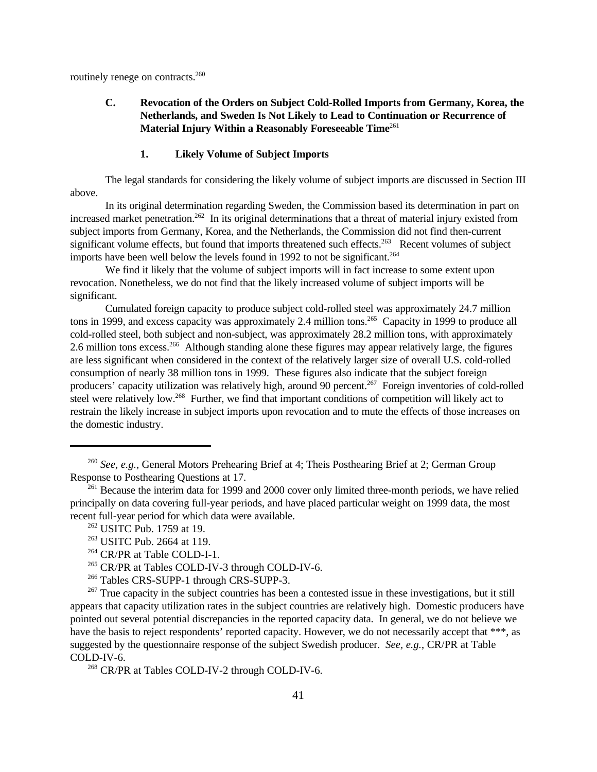routinely renege on contracts.<sup>260</sup>

# **C. Revocation of the Orders on Subject Cold-Rolled Imports from Germany, Korea, the Netherlands, and Sweden Is Not Likely to Lead to Continuation or Recurrence of Material Injury Within a Reasonably Foreseeable Time**<sup>261</sup>

#### **1. Likely Volume of Subject Imports**

The legal standards for considering the likely volume of subject imports are discussed in Section III above.

In its original determination regarding Sweden, the Commission based its determination in part on increased market penetration.<sup>262</sup> In its original determinations that a threat of material injury existed from subject imports from Germany, Korea, and the Netherlands, the Commission did not find then-current significant volume effects, but found that imports threatened such effects.<sup>263</sup> Recent volumes of subject imports have been well below the levels found in 1992 to not be significant.<sup>264</sup>

We find it likely that the volume of subject imports will in fact increase to some extent upon revocation. Nonetheless, we do not find that the likely increased volume of subject imports will be significant.

Cumulated foreign capacity to produce subject cold-rolled steel was approximately 24.7 million tons in 1999, and excess capacity was approximately 2.4 million tons.<sup>265</sup> Capacity in 1999 to produce all cold-rolled steel, both subject and non-subject, was approximately 28.2 million tons, with approximately 2.6 million tons excess.<sup>266</sup> Although standing alone these figures may appear relatively large, the figures are less significant when considered in the context of the relatively larger size of overall U.S. cold-rolled consumption of nearly 38 million tons in 1999. These figures also indicate that the subject foreign producers' capacity utilization was relatively high, around 90 percent.<sup>267</sup> Foreign inventories of cold-rolled steel were relatively low.<sup>268</sup> Further, we find that important conditions of competition will likely act to restrain the likely increase in subject imports upon revocation and to mute the effects of those increases on the domestic industry.

<sup>260</sup> *See, e.g.*, General Motors Prehearing Brief at 4; Theis Posthearing Brief at 2; German Group Response to Posthearing Questions at 17.

<sup>&</sup>lt;sup>261</sup> Because the interim data for 1999 and 2000 cover only limited three-month periods, we have relied principally on data covering full-year periods, and have placed particular weight on 1999 data, the most recent full-year period for which data were available.

<sup>&</sup>lt;sup>262</sup> USITC Pub. 1759 at 19.

<sup>263</sup> USITC Pub. 2664 at 119.

<sup>264</sup> CR/PR at Table COLD-I-1.

<sup>&</sup>lt;sup>265</sup> CR/PR at Tables COLD-IV-3 through COLD-IV-6.

<sup>266</sup> Tables CRS-SUPP-1 through CRS-SUPP-3.

 $267$  True capacity in the subject countries has been a contested issue in these investigations, but it still appears that capacity utilization rates in the subject countries are relatively high. Domestic producers have pointed out several potential discrepancies in the reported capacity data. In general, we do not believe we have the basis to reject respondents' reported capacity. However, we do not necessarily accept that \*\*\*, as suggested by the questionnaire response of the subject Swedish producer. *See, e.g.*, CR/PR at Table COLD-IV-6.

<sup>268</sup> CR/PR at Tables COLD-IV-2 through COLD-IV-6.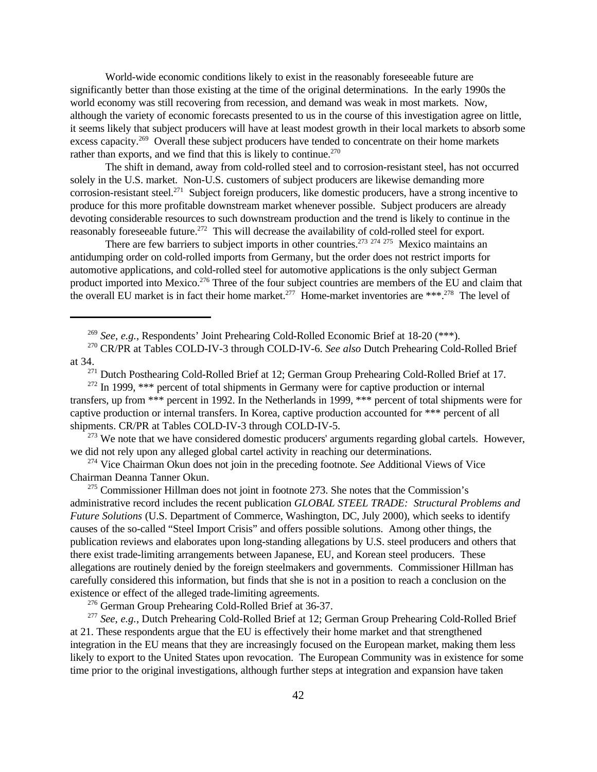World-wide economic conditions likely to exist in the reasonably foreseeable future are significantly better than those existing at the time of the original determinations. In the early 1990s the world economy was still recovering from recession, and demand was weak in most markets. Now, although the variety of economic forecasts presented to us in the course of this investigation agree on little, it seems likely that subject producers will have at least modest growth in their local markets to absorb some excess capacity.<sup>269</sup> Overall these subject producers have tended to concentrate on their home markets rather than exports, and we find that this is likely to continue.<sup>270</sup>

The shift in demand, away from cold-rolled steel and to corrosion-resistant steel, has not occurred solely in the U.S. market. Non-U.S. customers of subject producers are likewise demanding more corrosion-resistant steel.<sup>271</sup> Subject foreign producers, like domestic producers, have a strong incentive to produce for this more profitable downstream market whenever possible. Subject producers are already devoting considerable resources to such downstream production and the trend is likely to continue in the reasonably foreseeable future.<sup>272</sup> This will decrease the availability of cold-rolled steel for export.

There are few barriers to subject imports in other countries.<sup>273 274 275</sup> Mexico maintains an antidumping order on cold-rolled imports from Germany, but the order does not restrict imports for automotive applications, and cold-rolled steel for automotive applications is the only subject German product imported into Mexico.<sup>276</sup> Three of the four subject countries are members of the EU and claim that the overall EU market is in fact their home market.<sup>277</sup> Home-market inventories are \*\*\*.<sup>278</sup> The level of

<sup>269</sup> *See, e.g.*, Respondents' Joint Prehearing Cold-Rolled Economic Brief at 18-20 (\*\*\*).

<sup>273</sup> We note that we have considered domestic producers' arguments regarding global cartels. However, we did not rely upon any alleged global cartel activity in reaching our determinations.

<sup>274</sup> Vice Chairman Okun does not join in the preceding footnote. *See* Additional Views of Vice Chairman Deanna Tanner Okun.

<sup>275</sup> Commissioner Hillman does not joint in footnote 273. She notes that the Commission's administrative record includes the recent publication *GLOBAL STEEL TRADE: Structural Problems and Future Solutions* (U.S. Department of Commerce, Washington, DC, July 2000), which seeks to identify causes of the so-called "Steel Import Crisis" and offers possible solutions. Among other things, the publication reviews and elaborates upon long-standing allegations by U.S. steel producers and others that there exist trade-limiting arrangements between Japanese, EU, and Korean steel producers. These allegations are routinely denied by the foreign steelmakers and governments. Commissioner Hillman has carefully considered this information, but finds that she is not in a position to reach a conclusion on the existence or effect of the alleged trade-limiting agreements.

<sup>276</sup> German Group Prehearing Cold-Rolled Brief at 36-37.

<sup>277</sup> *See*, *e.g.*, Dutch Prehearing Cold-Rolled Brief at 12; German Group Prehearing Cold-Rolled Brief at 21. These respondents argue that the EU is effectively their home market and that strengthened integration in the EU means that they are increasingly focused on the European market, making them less likely to export to the United States upon revocation. The European Community was in existence for some time prior to the original investigations, although further steps at integration and expansion have taken

<sup>270</sup> CR/PR at Tables COLD-IV-3 through COLD-IV-6. *See also* Dutch Prehearing Cold-Rolled Brief at 34.

<sup>&</sup>lt;sup>271</sup> Dutch Posthearing Cold-Rolled Brief at 12; German Group Prehearing Cold-Rolled Brief at 17.

<sup>&</sup>lt;sup>272</sup> In 1999, \*\*\* percent of total shipments in Germany were for captive production or internal transfers, up from \*\*\* percent in 1992. In the Netherlands in 1999, \*\*\* percent of total shipments were for captive production or internal transfers. In Korea, captive production accounted for \*\*\* percent of all shipments. CR/PR at Tables COLD-IV-3 through COLD-IV-5.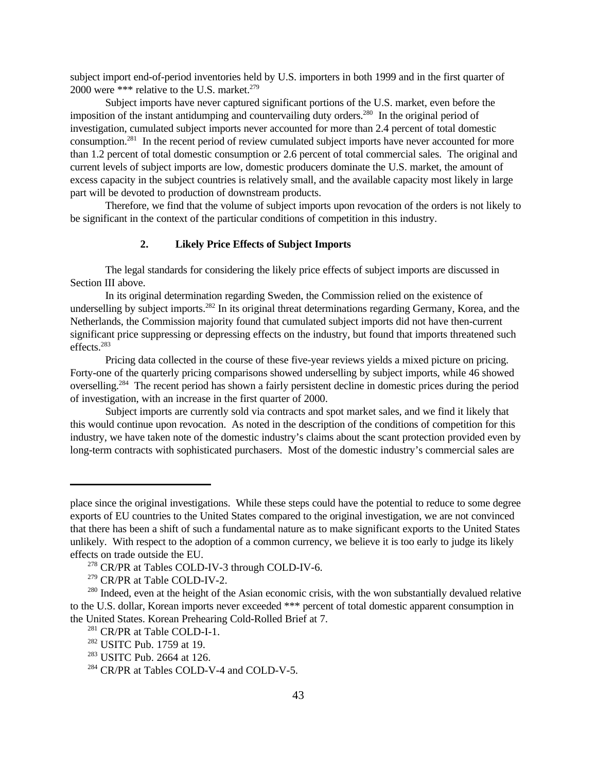subject import end-of-period inventories held by U.S. importers in both 1999 and in the first quarter of 2000 were \*\*\* relative to the U.S. market.<sup>279</sup>

Subject imports have never captured significant portions of the U.S. market, even before the imposition of the instant antidumping and countervailing duty orders.<sup>280</sup> In the original period of investigation, cumulated subject imports never accounted for more than 2.4 percent of total domestic consumption.<sup>281</sup> In the recent period of review cumulated subject imports have never accounted for more than 1.2 percent of total domestic consumption or 2.6 percent of total commercial sales. The original and current levels of subject imports are low, domestic producers dominate the U.S. market, the amount of excess capacity in the subject countries is relatively small, and the available capacity most likely in large part will be devoted to production of downstream products.

Therefore, we find that the volume of subject imports upon revocation of the orders is not likely to be significant in the context of the particular conditions of competition in this industry.

# **2. Likely Price Effects of Subject Imports**

The legal standards for considering the likely price effects of subject imports are discussed in Section III above.

In its original determination regarding Sweden, the Commission relied on the existence of underselling by subject imports.<sup>282</sup> In its original threat determinations regarding Germany, Korea, and the Netherlands, the Commission majority found that cumulated subject imports did not have then-current significant price suppressing or depressing effects on the industry, but found that imports threatened such effects.<sup>283</sup>

Pricing data collected in the course of these five-year reviews yields a mixed picture on pricing. Forty-one of the quarterly pricing comparisons showed underselling by subject imports, while 46 showed overselling.<sup>284</sup> The recent period has shown a fairly persistent decline in domestic prices during the period of investigation, with an increase in the first quarter of 2000.

Subject imports are currently sold via contracts and spot market sales, and we find it likely that this would continue upon revocation. As noted in the description of the conditions of competition for this industry, we have taken note of the domestic industry's claims about the scant protection provided even by long-term contracts with sophisticated purchasers. Most of the domestic industry's commercial sales are

place since the original investigations. While these steps could have the potential to reduce to some degree exports of EU countries to the United States compared to the original investigation, we are not convinced that there has been a shift of such a fundamental nature as to make significant exports to the United States unlikely. With respect to the adoption of a common currency, we believe it is too early to judge its likely effects on trade outside the EU.

<sup>278</sup> CR/PR at Tables COLD-IV-3 through COLD-IV-6.

<sup>279</sup> CR/PR at Table COLD-IV-2.

<sup>&</sup>lt;sup>280</sup> Indeed, even at the height of the Asian economic crisis, with the won substantially devalued relative to the U.S. dollar, Korean imports never exceeded \*\*\* percent of total domestic apparent consumption in the United States. Korean Prehearing Cold-Rolled Brief at 7.

<sup>&</sup>lt;sup>281</sup> CR/PR at Table COLD-I-1.

<sup>&</sup>lt;sup>282</sup> USITC Pub. 1759 at 19.

<sup>&</sup>lt;sup>283</sup> USITC Pub. 2664 at 126.

<sup>284</sup> CR/PR at Tables COLD-V-4 and COLD-V-5.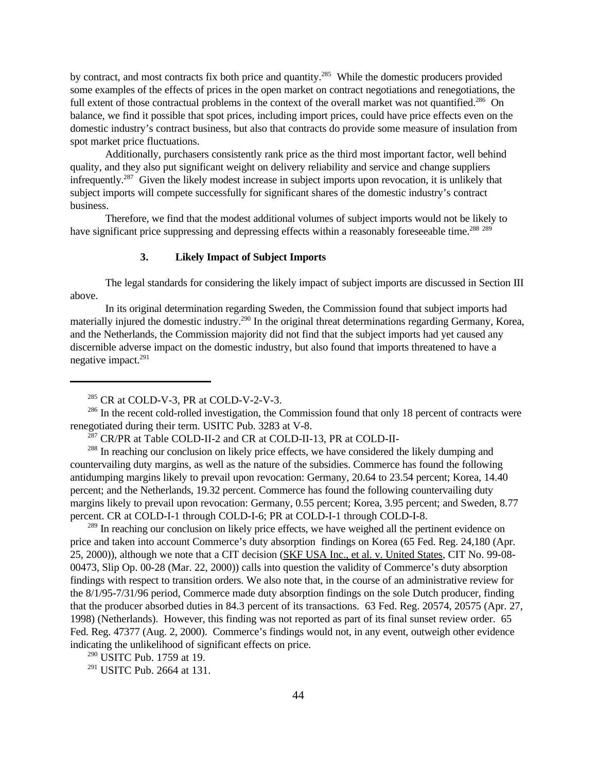by contract, and most contracts fix both price and quantity.<sup>285</sup> While the domestic producers provided some examples of the effects of prices in the open market on contract negotiations and renegotiations, the full extent of those contractual problems in the context of the overall market was not quantified.<sup>286</sup> On balance, we find it possible that spot prices, including import prices, could have price effects even on the domestic industry's contract business, but also that contracts do provide some measure of insulation from spot market price fluctuations.

Additionally, purchasers consistently rank price as the third most important factor, well behind quality, and they also put significant weight on delivery reliability and service and change suppliers infrequently.<sup>287</sup> Given the likely modest increase in subject imports upon revocation, it is unlikely that subject imports will compete successfully for significant shares of the domestic industry's contract business.

Therefore, we find that the modest additional volumes of subject imports would not be likely to have significant price suppressing and depressing effects within a reasonably foreseeable time.<sup>288 289</sup>

# **3. Likely Impact of Subject Imports**

The legal standards for considering the likely impact of subject imports are discussed in Section III above.

In its original determination regarding Sweden, the Commission found that subject imports had materially injured the domestic industry.<sup>290</sup> In the original threat determinations regarding Germany, Korea, and the Netherlands, the Commission majority did not find that the subject imports had yet caused any discernible adverse impact on the domestic industry, but also found that imports threatened to have a negative impact.<sup>291</sup>

<sup>289</sup> In reaching our conclusion on likely price effects, we have weighed all the pertinent evidence on price and taken into account Commerce's duty absorption findings on Korea (65 Fed. Reg. 24,180 (Apr. 25, 2000)), although we note that a CIT decision (SKF USA Inc., et al. v. United States, CIT No. 99-08- 00473, Slip Op. 00-28 (Mar. 22, 2000)) calls into question the validity of Commerce's duty absorption findings with respect to transition orders. We also note that, in the course of an administrative review for the 8/1/95-7/31/96 period, Commerce made duty absorption findings on the sole Dutch producer, finding that the producer absorbed duties in 84.3 percent of its transactions. 63 Fed. Reg. 20574, 20575 (Apr. 27, 1998) (Netherlands). However, this finding was not reported as part of its final sunset review order. 65 Fed. Reg. 47377 (Aug. 2, 2000). Commerce's findings would not, in any event, outweigh other evidence indicating the unlikelihood of significant effects on price.

<sup>290</sup> USITC Pub. 1759 at 19.

<sup>291</sup> USITC Pub. 2664 at 131.

<sup>285</sup> CR at COLD-V-3, PR at COLD-V-2-V-3.

<sup>&</sup>lt;sup>286</sup> In the recent cold-rolled investigation, the Commission found that only 18 percent of contracts were renegotiated during their term. USITC Pub. 3283 at V-8.

<sup>287</sup> CR/PR at Table COLD-II-2 and CR at COLD-II-13, PR at COLD-II-

<sup>&</sup>lt;sup>288</sup> In reaching our conclusion on likely price effects, we have considered the likely dumping and countervailing duty margins, as well as the nature of the subsidies. Commerce has found the following antidumping margins likely to prevail upon revocation: Germany, 20.64 to 23.54 percent; Korea, 14.40 percent; and the Netherlands, 19.32 percent. Commerce has found the following countervailing duty margins likely to prevail upon revocation: Germany, 0.55 percent; Korea, 3.95 percent; and Sweden, 8.77 percent. CR at COLD-I-1 through COLD-I-6; PR at COLD-I-1 through COLD-I-8.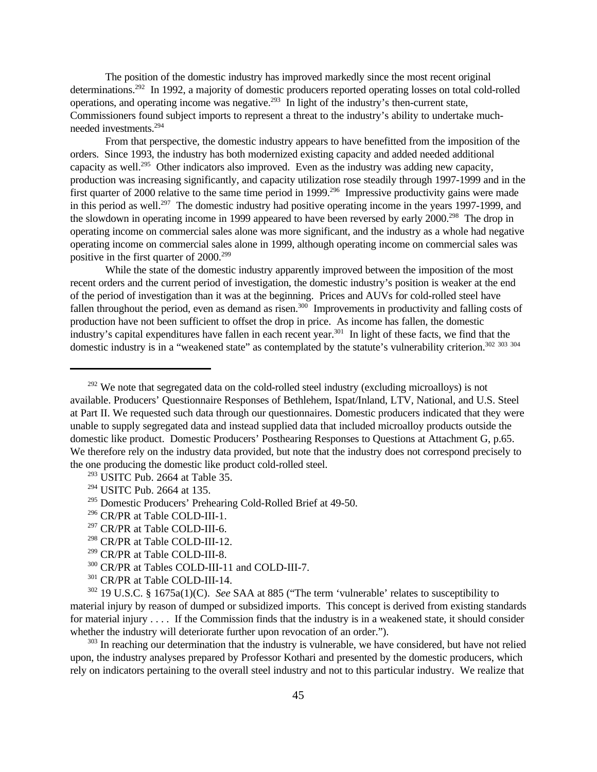The position of the domestic industry has improved markedly since the most recent original determinations.<sup>292</sup> In 1992, a majority of domestic producers reported operating losses on total cold-rolled operations, and operating income was negative.<sup>293</sup> In light of the industry's then-current state, Commissioners found subject imports to represent a threat to the industry's ability to undertake muchneeded investments.<sup>294</sup>

From that perspective, the domestic industry appears to have benefitted from the imposition of the orders. Since 1993, the industry has both modernized existing capacity and added needed additional capacity as well.<sup>295</sup> Other indicators also improved. Even as the industry was adding new capacity, production was increasing significantly, and capacity utilization rose steadily through 1997-1999 and in the first quarter of 2000 relative to the same time period in 1999.<sup>296</sup> Impressive productivity gains were made in this period as well.<sup>297</sup> The domestic industry had positive operating income in the years 1997-1999, and the slowdown in operating income in 1999 appeared to have been reversed by early 2000.<sup>298</sup> The drop in operating income on commercial sales alone was more significant, and the industry as a whole had negative operating income on commercial sales alone in 1999, although operating income on commercial sales was positive in the first quarter of 2000.<sup>299</sup>

While the state of the domestic industry apparently improved between the imposition of the most recent orders and the current period of investigation, the domestic industry's position is weaker at the end of the period of investigation than it was at the beginning. Prices and AUVs for cold-rolled steel have fallen throughout the period, even as demand as risen.<sup>300</sup> Improvements in productivity and falling costs of production have not been sufficient to offset the drop in price. As income has fallen, the domestic industry's capital expenditures have fallen in each recent year.<sup>301</sup> In light of these facts, we find that the domestic industry is in a "weakened state" as contemplated by the statute's vulnerability criterion.<sup>302</sup> <sup>303</sup> <sup>304</sup>

- <sup>296</sup> CR/PR at Table COLD-III-1.
- <sup>297</sup> CR/PR at Table COLD-III-6.
- <sup>298</sup> CR/PR at Table COLD-III-12.
- <sup>299</sup> CR/PR at Table COLD-III-8.
- <sup>300</sup> CR/PR at Tables COLD-III-11 and COLD-III-7.
- <sup>301</sup> CR/PR at Table COLD-III-14.

<sup>302</sup> 19 U.S.C. § 1675a(1)(C). *See* SAA at 885 ("The term 'vulnerable' relates to susceptibility to material injury by reason of dumped or subsidized imports. This concept is derived from existing standards for material injury . . . . If the Commission finds that the industry is in a weakened state, it should consider whether the industry will deteriorate further upon revocation of an order.").

<sup>303</sup> In reaching our determination that the industry is vulnerable, we have considered, but have not relied upon, the industry analyses prepared by Professor Kothari and presented by the domestic producers, which rely on indicators pertaining to the overall steel industry and not to this particular industry. We realize that

 $292$  We note that segregated data on the cold-rolled steel industry (excluding microalloys) is not available. Producers' Questionnaire Responses of Bethlehem, Ispat/Inland, LTV, National, and U.S. Steel at Part II. We requested such data through our questionnaires. Domestic producers indicated that they were unable to supply segregated data and instead supplied data that included microalloy products outside the domestic like product. Domestic Producers' Posthearing Responses to Questions at Attachment G, p.65. We therefore rely on the industry data provided, but note that the industry does not correspond precisely to the one producing the domestic like product cold-rolled steel.

<sup>293</sup> USITC Pub. 2664 at Table 35.

<sup>294</sup> USITC Pub. 2664 at 135.

<sup>&</sup>lt;sup>295</sup> Domestic Producers' Prehearing Cold-Rolled Brief at 49-50.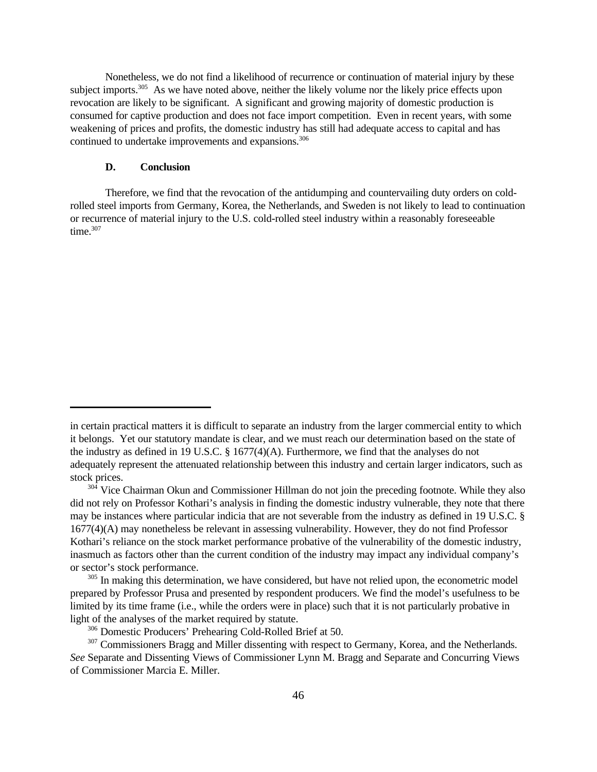Nonetheless, we do not find a likelihood of recurrence or continuation of material injury by these subject imports.<sup>305</sup> As we have noted above, neither the likely volume nor the likely price effects upon revocation are likely to be significant. A significant and growing majority of domestic production is consumed for captive production and does not face import competition. Even in recent years, with some weakening of prices and profits, the domestic industry has still had adequate access to capital and has continued to undertake improvements and expansions.<sup>306</sup>

### **D. Conclusion**

Therefore, we find that the revocation of the antidumping and countervailing duty orders on coldrolled steel imports from Germany, Korea, the Netherlands, and Sweden is not likely to lead to continuation or recurrence of material injury to the U.S. cold-rolled steel industry within a reasonably foreseeable time. $307$ 

in certain practical matters it is difficult to separate an industry from the larger commercial entity to which it belongs. Yet our statutory mandate is clear, and we must reach our determination based on the state of the industry as defined in 19 U.S.C. § 1677(4)(A). Furthermore, we find that the analyses do not adequately represent the attenuated relationship between this industry and certain larger indicators, such as stock prices.

<sup>&</sup>lt;sup>304</sup> Vice Chairman Okun and Commissioner Hillman do not join the preceding footnote. While they also did not rely on Professor Kothari's analysis in finding the domestic industry vulnerable, they note that there may be instances where particular indicia that are not severable from the industry as defined in 19 U.S.C. § 1677(4)(A) may nonetheless be relevant in assessing vulnerability. However, they do not find Professor Kothari's reliance on the stock market performance probative of the vulnerability of the domestic industry, inasmuch as factors other than the current condition of the industry may impact any individual company's or sector's stock performance.

<sup>&</sup>lt;sup>305</sup> In making this determination, we have considered, but have not relied upon, the econometric model prepared by Professor Prusa and presented by respondent producers. We find the model's usefulness to be limited by its time frame (i.e., while the orders were in place) such that it is not particularly probative in light of the analyses of the market required by statute.

<sup>306</sup> Domestic Producers' Prehearing Cold-Rolled Brief at 50.

 $307$  Commissioners Bragg and Miller dissenting with respect to Germany, Korea, and the Netherlands. *See* Separate and Dissenting Views of Commissioner Lynn M. Bragg and Separate and Concurring Views of Commissioner Marcia E. Miller.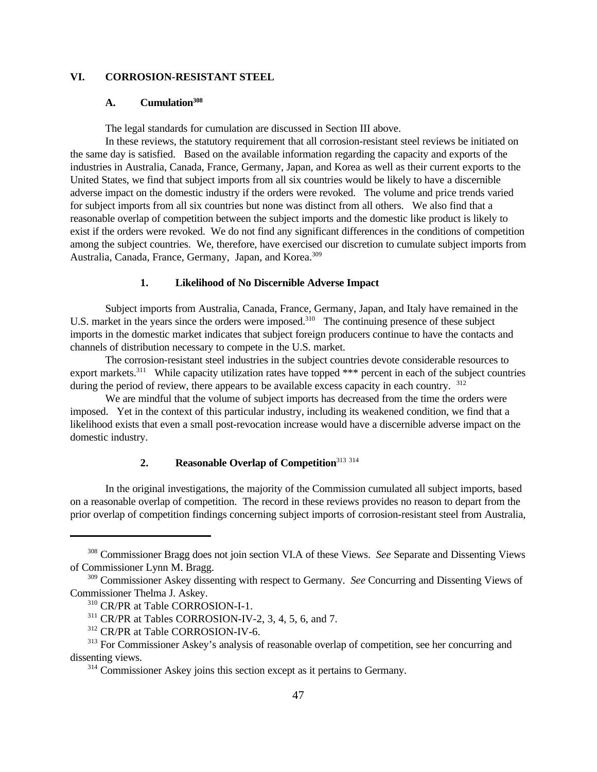# **VI. CORROSION-RESISTANT STEEL**

### **A. Cumulation<sup>308</sup>**

The legal standards for cumulation are discussed in Section III above.

In these reviews, the statutory requirement that all corrosion-resistant steel reviews be initiated on the same day is satisfied. Based on the available information regarding the capacity and exports of the industries in Australia, Canada, France, Germany, Japan, and Korea as well as their current exports to the United States, we find that subject imports from all six countries would be likely to have a discernible adverse impact on the domestic industry if the orders were revoked. The volume and price trends varied for subject imports from all six countries but none was distinct from all others. We also find that a reasonable overlap of competition between the subject imports and the domestic like product is likely to exist if the orders were revoked. We do not find any significant differences in the conditions of competition among the subject countries. We, therefore, have exercised our discretion to cumulate subject imports from Australia, Canada, France, Germany, Japan, and Korea.<sup>309</sup>

#### **1. Likelihood of No Discernible Adverse Impact**

Subject imports from Australia, Canada, France, Germany, Japan, and Italy have remained in the U.S. market in the years since the orders were imposed.<sup>310</sup> The continuing presence of these subject imports in the domestic market indicates that subject foreign producers continue to have the contacts and channels of distribution necessary to compete in the U.S. market.

The corrosion-resistant steel industries in the subject countries devote considerable resources to export markets.<sup>311</sup> While capacity utilization rates have topped \*\*\* percent in each of the subject countries during the period of review, there appears to be available excess capacity in each country. <sup>312</sup>

We are mindful that the volume of subject imports has decreased from the time the orders were imposed. Yet in the context of this particular industry, including its weakened condition, we find that a likelihood exists that even a small post-revocation increase would have a discernible adverse impact on the domestic industry.

# **2. Reasonable Overlap of Competition**<sup>313</sup> <sup>314</sup>

In the original investigations, the majority of the Commission cumulated all subject imports, based on a reasonable overlap of competition. The record in these reviews provides no reason to depart from the prior overlap of competition findings concerning subject imports of corrosion-resistant steel from Australia,

<sup>308</sup> Commissioner Bragg does not join section VI.A of these Views. *See* Separate and Dissenting Views of Commissioner Lynn M. Bragg.

<sup>309</sup> Commissioner Askey dissenting with respect to Germany. *See* Concurring and Dissenting Views of Commissioner Thelma J. Askey.

<sup>310</sup> CR/PR at Table CORROSION-I-1.

<sup>311</sup> CR/PR at Tables CORROSION-IV-2, 3, 4, 5, 6, and 7.

<sup>312</sup> CR/PR at Table CORROSION-IV-6.

<sup>&</sup>lt;sup>313</sup> For Commissioner Askey's analysis of reasonable overlap of competition, see her concurring and dissenting views.

<sup>&</sup>lt;sup>314</sup> Commissioner Askey joins this section except as it pertains to Germany.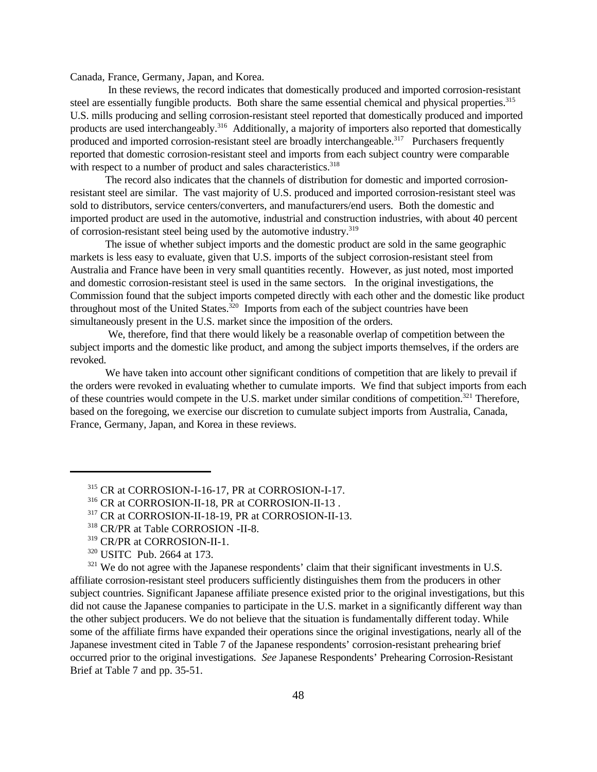Canada, France, Germany, Japan, and Korea.

 In these reviews, the record indicates that domestically produced and imported corrosion-resistant steel are essentially fungible products. Both share the same essential chemical and physical properties.<sup>315</sup> U.S. mills producing and selling corrosion-resistant steel reported that domestically produced and imported products are used interchangeably.<sup>316</sup> Additionally, a majority of importers also reported that domestically produced and imported corrosion-resistant steel are broadly interchangeable.<sup>317</sup> Purchasers frequently reported that domestic corrosion-resistant steel and imports from each subject country were comparable with respect to a number of product and sales characteristics.<sup>318</sup>

The record also indicates that the channels of distribution for domestic and imported corrosionresistant steel are similar. The vast majority of U.S. produced and imported corrosion-resistant steel was sold to distributors, service centers/converters, and manufacturers/end users. Both the domestic and imported product are used in the automotive, industrial and construction industries, with about 40 percent of corrosion-resistant steel being used by the automotive industry.<sup>319</sup>

The issue of whether subject imports and the domestic product are sold in the same geographic markets is less easy to evaluate, given that U.S. imports of the subject corrosion-resistant steel from Australia and France have been in very small quantities recently. However, as just noted, most imported and domestic corrosion-resistant steel is used in the same sectors. In the original investigations, the Commission found that the subject imports competed directly with each other and the domestic like product throughout most of the United States. $320$  Imports from each of the subject countries have been simultaneously present in the U.S. market since the imposition of the orders.

 We, therefore, find that there would likely be a reasonable overlap of competition between the subject imports and the domestic like product, and among the subject imports themselves, if the orders are revoked.

We have taken into account other significant conditions of competition that are likely to prevail if the orders were revoked in evaluating whether to cumulate imports. We find that subject imports from each of these countries would compete in the U.S. market under similar conditions of competition.<sup>321</sup> Therefore, based on the foregoing, we exercise our discretion to cumulate subject imports from Australia, Canada, France, Germany, Japan, and Korea in these reviews.

 $321$  We do not agree with the Japanese respondents' claim that their significant investments in U.S. affiliate corrosion-resistant steel producers sufficiently distinguishes them from the producers in other subject countries. Significant Japanese affiliate presence existed prior to the original investigations, but this did not cause the Japanese companies to participate in the U.S. market in a significantly different way than the other subject producers. We do not believe that the situation is fundamentally different today. While some of the affiliate firms have expanded their operations since the original investigations, nearly all of the Japanese investment cited in Table 7 of the Japanese respondents' corrosion-resistant prehearing brief occurred prior to the original investigations. *See* Japanese Respondents' Prehearing Corrosion-Resistant Brief at Table 7 and pp. 35-51.

<sup>315</sup> CR at CORROSION-I-16-17, PR at CORROSION-I-17.

<sup>316</sup> CR at CORROSION-II-18, PR at CORROSION-II-13 .

<sup>317</sup> CR at CORROSION-II-18-19, PR at CORROSION-II-13.

<sup>318</sup> CR/PR at Table CORROSION -II-8.

<sup>319</sup> CR/PR at CORROSION-II-1.

<sup>320</sup> USITC Pub. 2664 at 173.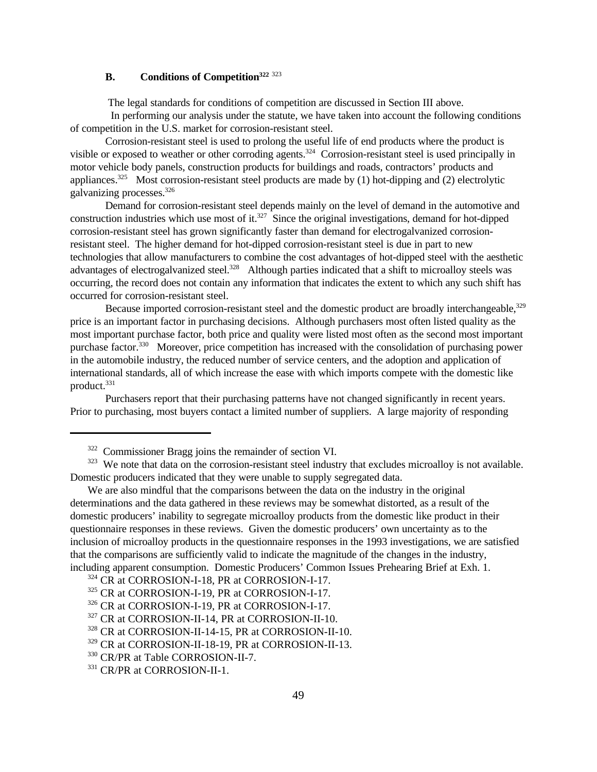# **B. Conditions of Competition<sup>322</sup>** <sup>323</sup>

The legal standards for conditions of competition are discussed in Section III above.

 In performing our analysis under the statute, we have taken into account the following conditions of competition in the U.S. market for corrosion-resistant steel.

Corrosion-resistant steel is used to prolong the useful life of end products where the product is visible or exposed to weather or other corroding agents.<sup>324</sup> Corrosion-resistant steel is used principally in motor vehicle body panels, construction products for buildings and roads, contractors' products and appliances.<sup>325</sup> Most corrosion-resistant steel products are made by (1) hot-dipping and (2) electrolytic galvanizing processes.<sup>326</sup>

Demand for corrosion-resistant steel depends mainly on the level of demand in the automotive and construction industries which use most of it.<sup>327</sup> Since the original investigations, demand for hot-dipped corrosion-resistant steel has grown significantly faster than demand for electrogalvanized corrosionresistant steel. The higher demand for hot-dipped corrosion-resistant steel is due in part to new technologies that allow manufacturers to combine the cost advantages of hot-dipped steel with the aesthetic advantages of electrogalvanized steel.<sup>328</sup> Although parties indicated that a shift to microalloy steels was occurring, the record does not contain any information that indicates the extent to which any such shift has occurred for corrosion-resistant steel.

Because imported corrosion-resistant steel and the domestic product are broadly interchangeable,<sup>329</sup> price is an important factor in purchasing decisions. Although purchasers most often listed quality as the most important purchase factor, both price and quality were listed most often as the second most important purchase factor.<sup>330</sup> Moreover, price competition has increased with the consolidation of purchasing power in the automobile industry, the reduced number of service centers, and the adoption and application of international standards, all of which increase the ease with which imports compete with the domestic like product.<sup>331</sup>

Purchasers report that their purchasing patterns have not changed significantly in recent years. Prior to purchasing, most buyers contact a limited number of suppliers. A large majority of responding

<sup>322</sup> Commissioner Bragg joins the remainder of section VI.

<sup>&</sup>lt;sup>323</sup> We note that data on the corrosion-resistant steel industry that excludes microalloy is not available. Domestic producers indicated that they were unable to supply segregated data.

We are also mindful that the comparisons between the data on the industry in the original determinations and the data gathered in these reviews may be somewhat distorted, as a result of the domestic producers' inability to segregate microalloy products from the domestic like product in their questionnaire responses in these reviews. Given the domestic producers' own uncertainty as to the inclusion of microalloy products in the questionnaire responses in the 1993 investigations, we are satisfied that the comparisons are sufficiently valid to indicate the magnitude of the changes in the industry, including apparent consumption. Domestic Producers' Common Issues Prehearing Brief at Exh. 1.

<sup>324</sup> CR at CORROSION-I-18, PR at CORROSION-I-17.

<sup>325</sup> CR at CORROSION-I-19, PR at CORROSION-I-17.

<sup>326</sup> CR at CORROSION-I-19, PR at CORROSION-I-17.

<sup>327</sup> CR at CORROSION-II-14, PR at CORROSION-II-10.

<sup>328</sup> CR at CORROSION-II-14-15, PR at CORROSION-II-10.

<sup>329</sup> CR at CORROSION-II-18-19, PR at CORROSION-II-13.

<sup>330</sup> CR/PR at Table CORROSION-II-7.

<sup>331</sup> CR/PR at CORROSION-II-1.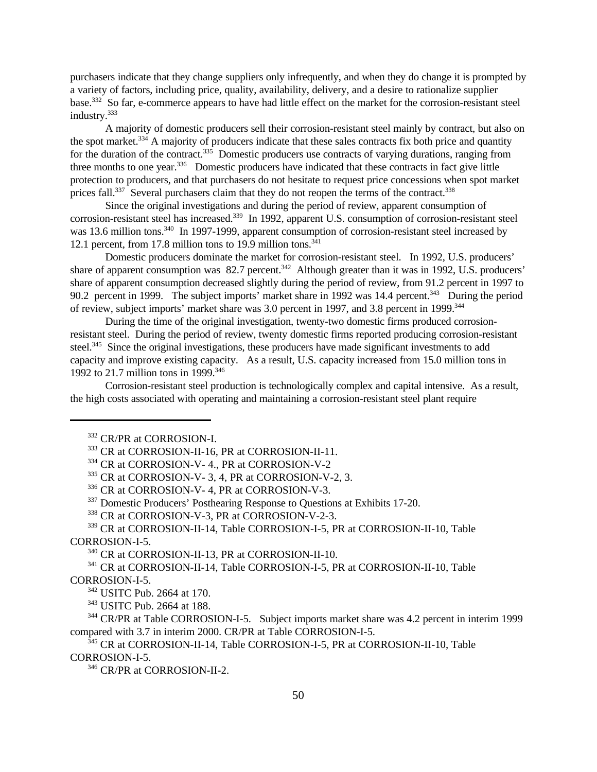purchasers indicate that they change suppliers only infrequently, and when they do change it is prompted by a variety of factors, including price, quality, availability, delivery, and a desire to rationalize supplier base.<sup>332</sup> So far, e-commerce appears to have had little effect on the market for the corrosion-resistant steel industry.<sup>333</sup>

A majority of domestic producers sell their corrosion-resistant steel mainly by contract, but also on the spot market.<sup>334</sup> A majority of producers indicate that these sales contracts fix both price and quantity for the duration of the contract.<sup>335</sup> Domestic producers use contracts of varying durations, ranging from three months to one year.<sup>336</sup> Domestic producers have indicated that these contracts in fact give little protection to producers, and that purchasers do not hesitate to request price concessions when spot market prices fall.<sup>337</sup> Several purchasers claim that they do not reopen the terms of the contract.<sup>338</sup>

Since the original investigations and during the period of review, apparent consumption of corrosion-resistant steel has increased.<sup>339</sup> In 1992, apparent U.S. consumption of corrosion-resistant steel was 13.6 million tons.<sup>340</sup> In 1997-1999, apparent consumption of corrosion-resistant steel increased by 12.1 percent, from 17.8 million tons to 19.9 million tons. $341$ 

Domestic producers dominate the market for corrosion-resistant steel. In 1992, U.S. producers' share of apparent consumption was  $82.7$  percent.<sup>342</sup> Although greater than it was in 1992, U.S. producers' share of apparent consumption decreased slightly during the period of review, from 91.2 percent in 1997 to 90.2 percent in 1999. The subject imports' market share in 1992 was 14.4 percent.<sup>343</sup> During the period of review, subject imports' market share was 3.0 percent in 1997, and 3.8 percent in 1999.<sup>344</sup>

During the time of the original investigation, twenty-two domestic firms produced corrosionresistant steel. During the period of review, twenty domestic firms reported producing corrosion-resistant steel.<sup>345</sup> Since the original investigations, these producers have made significant investments to add capacity and improve existing capacity. As a result, U.S. capacity increased from 15.0 million tons in 1992 to 21.7 million tons in 1999.<sup>346</sup>

Corrosion-resistant steel production is technologically complex and capital intensive. As a result, the high costs associated with operating and maintaining a corrosion-resistant steel plant require

<sup>337</sup> Domestic Producers' Posthearing Response to Questions at Exhibits 17-20.

<sup>338</sup> CR at CORROSION-V-3, PR at CORROSION-V-2-3.

<sup>339</sup> CR at CORROSION-II-14, Table CORROSION-I-5, PR at CORROSION-II-10, Table CORROSION-I-5.

<sup>340</sup> CR at CORROSION-II-13, PR at CORROSION-II-10.

<sup>341</sup> CR at CORROSION-II-14, Table CORROSION-I-5, PR at CORROSION-II-10, Table CORROSION-I-5.

<sup>343</sup> USITC Pub. 2664 at 188.

<sup>344</sup> CR/PR at Table CORROSION-I-5. Subject imports market share was 4.2 percent in interim 1999 compared with 3.7 in interim 2000. CR/PR at Table CORROSION-I-5.

<sup>345</sup> CR at CORROSION-II-14, Table CORROSION-I-5, PR at CORROSION-II-10, Table CORROSION-I-5.

<sup>346</sup> CR/PR at CORROSION-II-2.

<sup>332</sup> CR/PR at CORROSION-I.

<sup>333</sup> CR at CORROSION-II-16, PR at CORROSION-II-11.

<sup>334</sup> CR at CORROSION-V- 4., PR at CORROSION-V-2

<sup>335</sup> CR at CORROSION-V- 3, 4, PR at CORROSION-V-2, 3.

<sup>336</sup> CR at CORROSION-V- 4, PR at CORROSION-V-3.

<sup>342</sup> USITC Pub. 2664 at 170.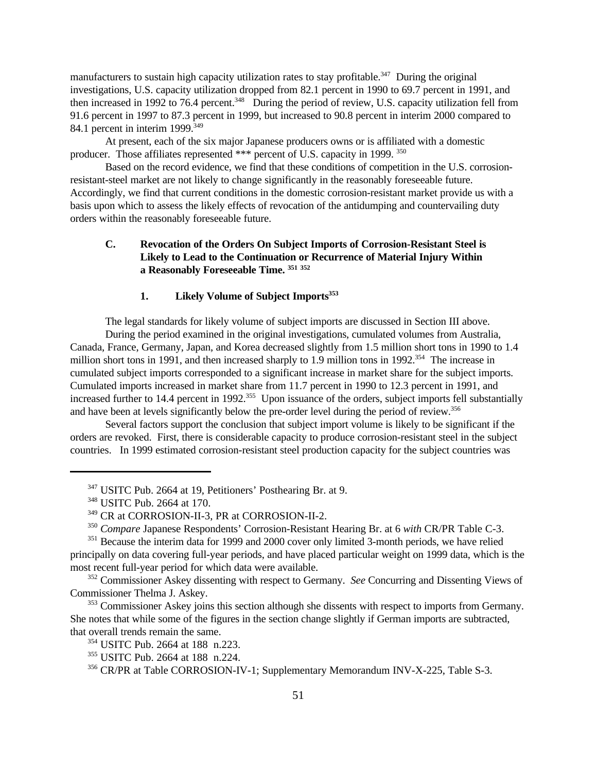manufacturers to sustain high capacity utilization rates to stay profitable.<sup>347</sup> During the original investigations, U.S. capacity utilization dropped from 82.1 percent in 1990 to 69.7 percent in 1991, and then increased in 1992 to 76.4 percent.<sup>348</sup> During the period of review, U.S. capacity utilization fell from 91.6 percent in 1997 to 87.3 percent in 1999, but increased to 90.8 percent in interim 2000 compared to 84.1 percent in interim 1999.<sup>349</sup>

At present, each of the six major Japanese producers owns or is affiliated with a domestic producer. Those affiliates represented \*\*\* percent of U.S. capacity in 1999.<sup>350</sup>

Based on the record evidence, we find that these conditions of competition in the U.S. corrosionresistant-steel market are not likely to change significantly in the reasonably foreseeable future. Accordingly, we find that current conditions in the domestic corrosion-resistant market provide us with a basis upon which to assess the likely effects of revocation of the antidumping and countervailing duty orders within the reasonably foreseeable future.

# **C. Revocation of the Orders On Subject Imports of Corrosion-Resistant Steel is Likely to Lead to the Continuation or Recurrence of Material Injury Within a Reasonably Foreseeable Time. <sup>351</sup> <sup>352</sup>**

# **1. Likely Volume of Subject Imports<sup>353</sup>**

The legal standards for likely volume of subject imports are discussed in Section III above.

During the period examined in the original investigations, cumulated volumes from Australia, Canada, France, Germany, Japan, and Korea decreased slightly from 1.5 million short tons in 1990 to 1.4 million short tons in 1991, and then increased sharply to 1.9 million tons in 1992.<sup>354</sup> The increase in cumulated subject imports corresponded to a significant increase in market share for the subject imports. Cumulated imports increased in market share from 11.7 percent in 1990 to 12.3 percent in 1991, and increased further to 14.4 percent in 1992.<sup>355</sup> Upon issuance of the orders, subject imports fell substantially and have been at levels significantly below the pre-order level during the period of review.<sup>356</sup>

Several factors support the conclusion that subject import volume is likely to be significant if the orders are revoked. First, there is considerable capacity to produce corrosion-resistant steel in the subject countries. In 1999 estimated corrosion-resistant steel production capacity for the subject countries was

<sup>347</sup> USITC Pub. 2664 at 19, Petitioners' Posthearing Br. at 9.

<sup>348</sup> USITC Pub. 2664 at 170.

<sup>349</sup> CR at CORROSION-II-3, PR at CORROSION-II-2.

<sup>350</sup> *Compare* Japanese Respondents' Corrosion-Resistant Hearing Br. at 6 *with* CR/PR Table C-3.

<sup>&</sup>lt;sup>351</sup> Because the interim data for 1999 and 2000 cover only limited 3-month periods, we have relied principally on data covering full-year periods, and have placed particular weight on 1999 data, which is the most recent full-year period for which data were available.

<sup>352</sup> Commissioner Askey dissenting with respect to Germany. *See* Concurring and Dissenting Views of Commissioner Thelma J. Askey.

<sup>&</sup>lt;sup>353</sup> Commissioner Askey joins this section although she dissents with respect to imports from Germany. She notes that while some of the figures in the section change slightly if German imports are subtracted, that overall trends remain the same.

<sup>354</sup> USITC Pub. 2664 at 188 n.223.

<sup>355</sup> USITC Pub. 2664 at 188 n.224.

<sup>356</sup> CR/PR at Table CORROSION-IV-1; Supplementary Memorandum INV-X-225, Table S-3.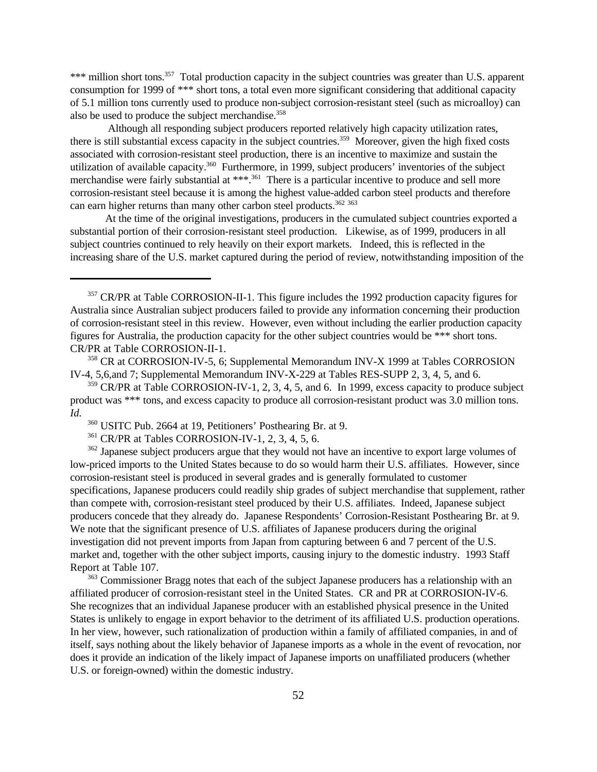\*\*\* million short tons.<sup>357</sup> Total production capacity in the subject countries was greater than U.S. apparent consumption for 1999 of \*\*\* short tons, a total even more significant considering that additional capacity of 5.1 million tons currently used to produce non-subject corrosion-resistant steel (such as microalloy) can also be used to produce the subject merchandise.<sup>358</sup>

 Although all responding subject producers reported relatively high capacity utilization rates, there is still substantial excess capacity in the subject countries.<sup>359</sup> Moreover, given the high fixed costs associated with corrosion-resistant steel production, there is an incentive to maximize and sustain the utilization of available capacity.<sup>360</sup> Furthermore, in 1999, subject producers' inventories of the subject merchandise were fairly substantial at \*\*\*.<sup>361</sup> There is a particular incentive to produce and sell more corrosion-resistant steel because it is among the highest value-added carbon steel products and therefore can earn higher returns than many other carbon steel products.<sup>362</sup> 363

At the time of the original investigations, producers in the cumulated subject countries exported a substantial portion of their corrosion-resistant steel production. Likewise, as of 1999, producers in all subject countries continued to rely heavily on their export markets. Indeed, this is reflected in the increasing share of the U.S. market captured during the period of review, notwithstanding imposition of the

<sup>362</sup> Japanese subject producers argue that they would not have an incentive to export large volumes of low-priced imports to the United States because to do so would harm their U.S. affiliates. However, since corrosion-resistant steel is produced in several grades and is generally formulated to customer specifications, Japanese producers could readily ship grades of subject merchandise that supplement, rather than compete with, corrosion-resistant steel produced by their U.S. affiliates. Indeed, Japanese subject producers concede that they already do. Japanese Respondents' Corrosion-Resistant Posthearing Br. at 9. We note that the significant presence of U.S. affiliates of Japanese producers during the original investigation did not prevent imports from Japan from capturing between 6 and 7 percent of the U.S. market and, together with the other subject imports, causing injury to the domestic industry. 1993 Staff Report at Table 107.

<sup>363</sup> Commissioner Bragg notes that each of the subject Japanese producers has a relationship with an affiliated producer of corrosion-resistant steel in the United States. CR and PR at CORROSION-IV-6. She recognizes that an individual Japanese producer with an established physical presence in the United States is unlikely to engage in export behavior to the detriment of its affiliated U.S. production operations. In her view, however, such rationalization of production within a family of affiliated companies, in and of itself, says nothing about the likely behavior of Japanese imports as a whole in the event of revocation, nor does it provide an indication of the likely impact of Japanese imports on unaffiliated producers (whether U.S. or foreign-owned) within the domestic industry.

<sup>&</sup>lt;sup>357</sup> CR/PR at Table CORROSION-II-1. This figure includes the 1992 production capacity figures for Australia since Australian subject producers failed to provide any information concerning their production of corrosion-resistant steel in this review. However, even without including the earlier production capacity figures for Australia, the production capacity for the other subject countries would be \*\*\* short tons. CR/PR at Table CORROSION-II-1.

<sup>358</sup> CR at CORROSION-IV-5, 6; Supplemental Memorandum INV-X 1999 at Tables CORROSION IV-4, 5,6,and 7; Supplemental Memorandum INV-X-229 at Tables RES-SUPP 2, 3, 4, 5, and 6.

 $359$  CR/PR at Table CORROSION-IV-1, 2, 3, 4, 5, and 6. In 1999, excess capacity to produce subject product was \*\*\* tons, and excess capacity to produce all corrosion-resistant product was 3.0 million tons. *Id.*

<sup>360</sup> USITC Pub. 2664 at 19, Petitioners' Posthearing Br. at 9.

<sup>361</sup> CR/PR at Tables CORROSION-IV-1, 2, 3, 4, 5, 6.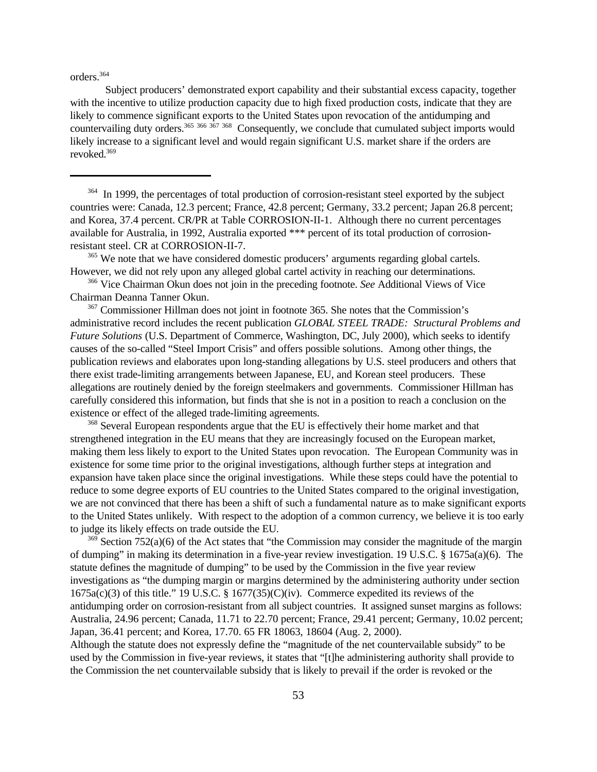orders.<sup>364</sup>

Subject producers' demonstrated export capability and their substantial excess capacity, together with the incentive to utilize production capacity due to high fixed production costs, indicate that they are likely to commence significant exports to the United States upon revocation of the antidumping and countervailing duty orders.<sup>365 366 367</sup> 368 Consequently, we conclude that cumulated subject imports would likely increase to a significant level and would regain significant U.S. market share if the orders are revoked.369

<sup>364</sup> In 1999, the percentages of total production of corrosion-resistant steel exported by the subject countries were: Canada, 12.3 percent; France, 42.8 percent; Germany, 33.2 percent; Japan 26.8 percent; and Korea, 37.4 percent. CR/PR at Table CORROSION-II-1. Although there no current percentages available for Australia, in 1992, Australia exported \*\*\* percent of its total production of corrosionresistant steel. CR at CORROSION-II-7.

<sup>365</sup> We note that we have considered domestic producers' arguments regarding global cartels. However, we did not rely upon any alleged global cartel activity in reaching our determinations.

<sup>366</sup> Vice Chairman Okun does not join in the preceding footnote. *See* Additional Views of Vice Chairman Deanna Tanner Okun.

<sup>367</sup> Commissioner Hillman does not joint in footnote 365. She notes that the Commission's administrative record includes the recent publication *GLOBAL STEEL TRADE: Structural Problems and Future Solutions* (U.S. Department of Commerce, Washington, DC, July 2000), which seeks to identify causes of the so-called "Steel Import Crisis" and offers possible solutions. Among other things, the publication reviews and elaborates upon long-standing allegations by U.S. steel producers and others that there exist trade-limiting arrangements between Japanese, EU, and Korean steel producers. These allegations are routinely denied by the foreign steelmakers and governments. Commissioner Hillman has carefully considered this information, but finds that she is not in a position to reach a conclusion on the existence or effect of the alleged trade-limiting agreements.

<sup>368</sup> Several European respondents argue that the EU is effectively their home market and that strengthened integration in the EU means that they are increasingly focused on the European market, making them less likely to export to the United States upon revocation. The European Community was in existence for some time prior to the original investigations, although further steps at integration and expansion have taken place since the original investigations. While these steps could have the potential to reduce to some degree exports of EU countries to the United States compared to the original investigation, we are not convinced that there has been a shift of such a fundamental nature as to make significant exports to the United States unlikely. With respect to the adoption of a common currency, we believe it is too early to judge its likely effects on trade outside the EU.

 $369$  Section 752(a)(6) of the Act states that "the Commission may consider the magnitude of the margin of dumping" in making its determination in a five-year review investigation. 19 U.S.C. § 1675a(a)(6). The statute defines the magnitude of dumping" to be used by the Commission in the five year review investigations as "the dumping margin or margins determined by the administering authority under section  $1675a(c)(3)$  of this title." 19 U.S.C. §  $1677(35)(C)(iv)$ . Commerce expedited its reviews of the antidumping order on corrosion-resistant from all subject countries. It assigned sunset margins as follows: Australia, 24.96 percent; Canada, 11.71 to 22.70 percent; France, 29.41 percent; Germany, 10.02 percent; Japan, 36.41 percent; and Korea, 17.70. 65 FR 18063, 18604 (Aug. 2, 2000).

Although the statute does not expressly define the "magnitude of the net countervailable subsidy" to be used by the Commission in five-year reviews, it states that "[t]he administering authority shall provide to the Commission the net countervailable subsidy that is likely to prevail if the order is revoked or the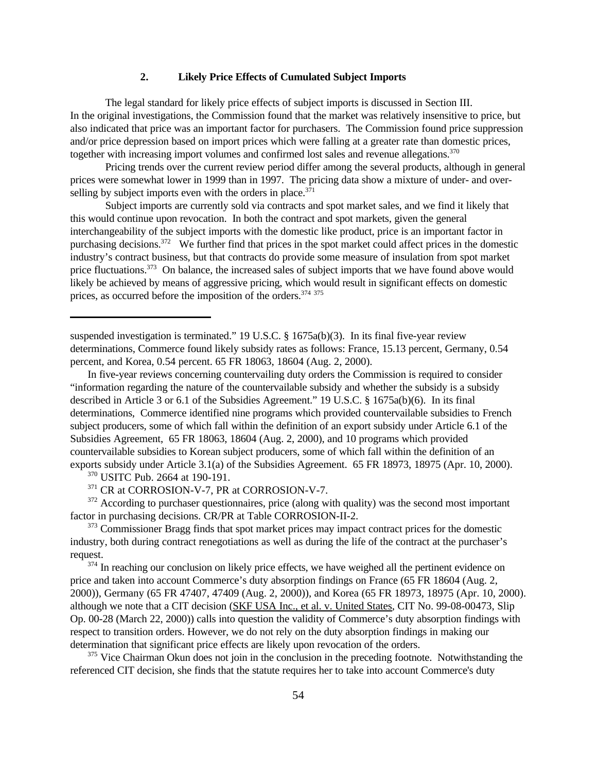### **2. Likely Price Effects of Cumulated Subject Imports**

The legal standard for likely price effects of subject imports is discussed in Section III. In the original investigations, the Commission found that the market was relatively insensitive to price, but also indicated that price was an important factor for purchasers. The Commission found price suppression and/or price depression based on import prices which were falling at a greater rate than domestic prices, together with increasing import volumes and confirmed lost sales and revenue allegations.<sup>370</sup>

Pricing trends over the current review period differ among the several products, although in general prices were somewhat lower in 1999 than in 1997. The pricing data show a mixture of under- and overselling by subject imports even with the orders in place. $371$ 

Subject imports are currently sold via contracts and spot market sales, and we find it likely that this would continue upon revocation. In both the contract and spot markets, given the general interchangeability of the subject imports with the domestic like product, price is an important factor in purchasing decisions.<sup>372</sup> We further find that prices in the spot market could affect prices in the domestic industry's contract business, but that contracts do provide some measure of insulation from spot market price fluctuations.<sup>373</sup> On balance, the increased sales of subject imports that we have found above would likely be achieved by means of aggressive pricing, which would result in significant effects on domestic prices, as occurred before the imposition of the orders.<sup>374 375</sup>

suspended investigation is terminated." 19 U.S.C. § 1675a(b)(3). In its final five-year review determinations, Commerce found likely subsidy rates as follows: France, 15.13 percent, Germany, 0.54 percent, and Korea, 0.54 percent. 65 FR 18063, 18604 (Aug. 2, 2000).

In five-year reviews concerning countervailing duty orders the Commission is required to consider "information regarding the nature of the countervailable subsidy and whether the subsidy is a subsidy described in Article 3 or 6.1 of the Subsidies Agreement." 19 U.S.C. § 1675a(b)(6). In its final determinations, Commerce identified nine programs which provided countervailable subsidies to French subject producers, some of which fall within the definition of an export subsidy under Article 6.1 of the Subsidies Agreement, 65 FR 18063, 18604 (Aug. 2, 2000), and 10 programs which provided countervailable subsidies to Korean subject producers, some of which fall within the definition of an exports subsidy under Article 3.1(a) of the Subsidies Agreement. 65 FR 18973, 18975 (Apr. 10, 2000).

<sup>370</sup> USITC Pub. 2664 at 190-191.

<sup>371</sup> CR at CORROSION-V-7, PR at CORROSION-V-7.

 $372$  According to purchaser questionnaires, price (along with quality) was the second most important factor in purchasing decisions. CR/PR at Table CORROSION-II-2.

<sup>373</sup> Commissioner Bragg finds that spot market prices may impact contract prices for the domestic industry, both during contract renegotiations as well as during the life of the contract at the purchaser's request.

<sup>374</sup> In reaching our conclusion on likely price effects, we have weighed all the pertinent evidence on price and taken into account Commerce's duty absorption findings on France (65 FR 18604 (Aug. 2, 2000)), Germany (65 FR 47407, 47409 (Aug. 2, 2000)), and Korea (65 FR 18973, 18975 (Apr. 10, 2000). although we note that a CIT decision (SKF USA Inc., et al. v. United States, CIT No. 99-08-00473, Slip Op. 00-28 (March 22, 2000)) calls into question the validity of Commerce's duty absorption findings with respect to transition orders. However, we do not rely on the duty absorption findings in making our determination that significant price effects are likely upon revocation of the orders.

<sup>375</sup> Vice Chairman Okun does not join in the conclusion in the preceding footnote. Notwithstanding the referenced CIT decision, she finds that the statute requires her to take into account Commerce's duty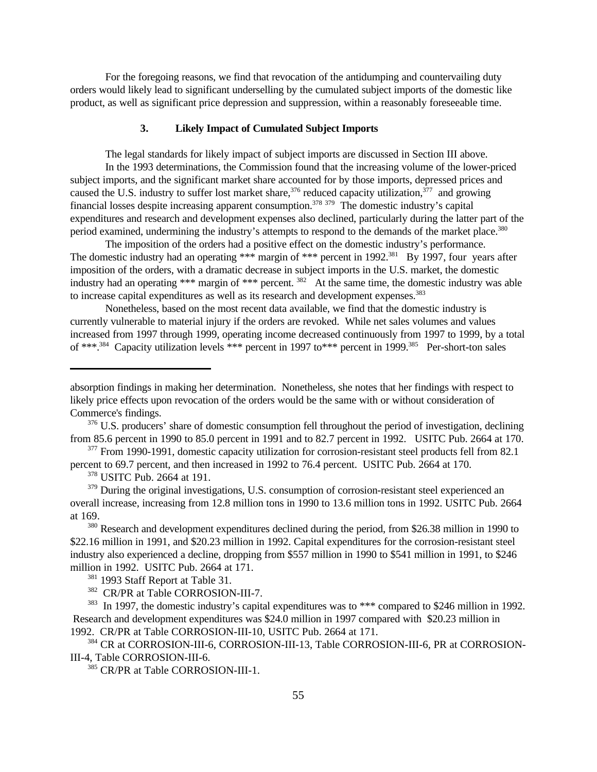For the foregoing reasons, we find that revocation of the antidumping and countervailing duty orders would likely lead to significant underselling by the cumulated subject imports of the domestic like product, as well as significant price depression and suppression, within a reasonably foreseeable time.

# **3. Likely Impact of Cumulated Subject Imports**

The legal standards for likely impact of subject imports are discussed in Section III above. In the 1993 determinations, the Commission found that the increasing volume of the lower-priced subject imports, and the significant market share accounted for by those imports, depressed prices and caused the U.S. industry to suffer lost market share,  $376$  reduced capacity utilization,  $377$  and growing financial losses despite increasing apparent consumption.<sup>378 379</sup> The domestic industry's capital expenditures and research and development expenses also declined, particularly during the latter part of the period examined, undermining the industry's attempts to respond to the demands of the market place.<sup>380</sup>

The imposition of the orders had a positive effect on the domestic industry's performance. The domestic industry had an operating \*\*\* margin of \*\*\* percent in 1992.<sup>381</sup> By 1997, four years after imposition of the orders, with a dramatic decrease in subject imports in the U.S. market, the domestic industry had an operating \*\*\* margin of \*\*\* percent.  $382$  At the same time, the domestic industry was able to increase capital expenditures as well as its research and development expenses.<sup>383</sup>

Nonetheless, based on the most recent data available, we find that the domestic industry is currently vulnerable to material injury if the orders are revoked. While net sales volumes and values increased from 1997 through 1999, operating income decreased continuously from 1997 to 1999, by a total of \*\*\*.<sup>384</sup> Capacity utilization levels \*\*\* percent in 1997 to\*\*\* percent in 1999.<sup>385</sup> Per-short-ton sales

absorption findings in making her determination. Nonetheless, she notes that her findings with respect to likely price effects upon revocation of the orders would be the same with or without consideration of Commerce's findings.

<sup>376</sup> U.S. producers' share of domestic consumption fell throughout the period of investigation, declining from 85.6 percent in 1990 to 85.0 percent in 1991 and to 82.7 percent in 1992. USITC Pub. 2664 at 170.

<sup>&</sup>lt;sup>377</sup> From 1990-1991, domestic capacity utilization for corrosion-resistant steel products fell from 82.1 percent to 69.7 percent, and then increased in 1992 to 76.4 percent. USITC Pub. 2664 at 170.

<sup>378</sup> USITC Pub. 2664 at 191.

<sup>&</sup>lt;sup>379</sup> During the original investigations, U.S. consumption of corrosion-resistant steel experienced an overall increase, increasing from 12.8 million tons in 1990 to 13.6 million tons in 1992. USITC Pub. 2664 at 169.

<sup>&</sup>lt;sup>380</sup> Research and development expenditures declined during the period, from \$26.38 million in 1990 to \$22.16 million in 1991, and \$20.23 million in 1992. Capital expenditures for the corrosion-resistant steel industry also experienced a decline, dropping from \$557 million in 1990 to \$541 million in 1991, to \$246 million in 1992. USITC Pub. 2664 at 171.

<sup>&</sup>lt;sup>381</sup> 1993 Staff Report at Table 31.

<sup>382</sup> CR/PR at Table CORROSION-III-7.

<sup>&</sup>lt;sup>383</sup> In 1997, the domestic industry's capital expenditures was to \*\*\* compared to \$246 million in 1992. Research and development expenditures was \$24.0 million in 1997 compared with \$20.23 million in 1992. CR/PR at Table CORROSION-III-10, USITC Pub. 2664 at 171.

<sup>384</sup> CR at CORROSION-III-6, CORROSION-III-13, Table CORROSION-III-6, PR at CORROSION-III-4, Table CORROSION-III-6.

<sup>385</sup> CR/PR at Table CORROSION-III-1.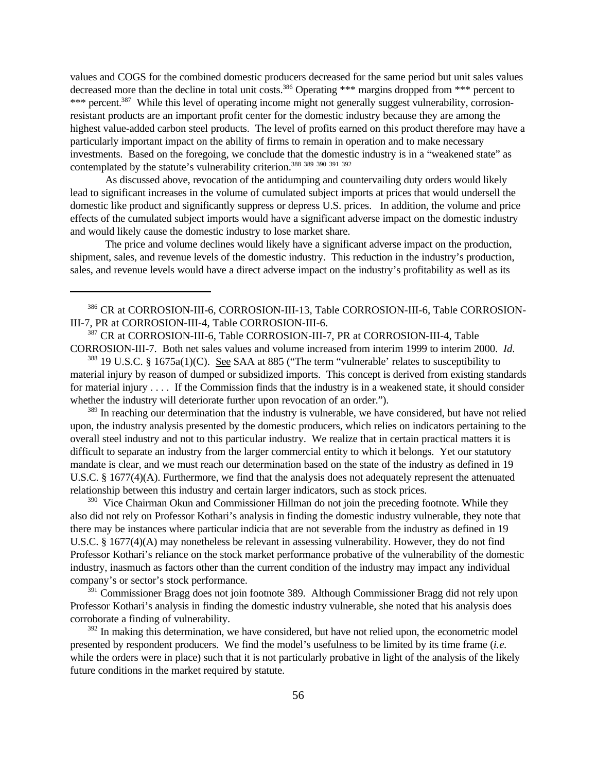values and COGS for the combined domestic producers decreased for the same period but unit sales values decreased more than the decline in total unit costs.<sup>386</sup> Operating \*\*\* margins dropped from \*\*\* percent to \*\*\* percent.<sup>387</sup> While this level of operating income might not generally suggest vulnerability, corrosionresistant products are an important profit center for the domestic industry because they are among the highest value-added carbon steel products. The level of profits earned on this product therefore may have a particularly important impact on the ability of firms to remain in operation and to make necessary investments. Based on the foregoing, we conclude that the domestic industry is in a "weakened state" as contemplated by the statute's vulnerability criterion.<sup>388 389 390 391 392</sup>

As discussed above, revocation of the antidumping and countervailing duty orders would likely lead to significant increases in the volume of cumulated subject imports at prices that would undersell the domestic like product and significantly suppress or depress U.S. prices. In addition, the volume and price effects of the cumulated subject imports would have a significant adverse impact on the domestic industry and would likely cause the domestic industry to lose market share.

The price and volume declines would likely have a significant adverse impact on the production, shipment, sales, and revenue levels of the domestic industry. This reduction in the industry's production, sales, and revenue levels would have a direct adverse impact on the industry's profitability as well as its

386 CR at CORROSION-III-6, CORROSION-III-13, Table CORROSION-III-6, Table CORROSION-III-7, PR at CORROSION-III-4, Table CORROSION-III-6.

<sup>387</sup> CR at CORROSION-III-6, Table CORROSION-III-7, PR at CORROSION-III-4, Table CORROSION-III-7. Both net sales values and volume increased from interim 1999 to interim 2000. *Id*.

<sup>388</sup> 19 U.S.C. § 1675a(1)(C). See SAA at 885 ("The term "vulnerable' relates to susceptibility to material injury by reason of dumped or subsidized imports. This concept is derived from existing standards for material injury . . . . If the Commission finds that the industry is in a weakened state, it should consider whether the industry will deteriorate further upon revocation of an order.").

<sup>389</sup> In reaching our determination that the industry is vulnerable, we have considered, but have not relied upon, the industry analysis presented by the domestic producers, which relies on indicators pertaining to the overall steel industry and not to this particular industry. We realize that in certain practical matters it is difficult to separate an industry from the larger commercial entity to which it belongs. Yet our statutory mandate is clear, and we must reach our determination based on the state of the industry as defined in 19 U.S.C. § 1677(4)(A). Furthermore, we find that the analysis does not adequately represent the attenuated relationship between this industry and certain larger indicators, such as stock prices.

 $390$  Vice Chairman Okun and Commissioner Hillman do not join the preceding footnote. While they also did not rely on Professor Kothari's analysis in finding the domestic industry vulnerable, they note that there may be instances where particular indicia that are not severable from the industry as defined in 19 U.S.C. § 1677(4)(A) may nonetheless be relevant in assessing vulnerability. However, they do not find Professor Kothari's reliance on the stock market performance probative of the vulnerability of the domestic industry, inasmuch as factors other than the current condition of the industry may impact any individual company's or sector's stock performance.

<sup>391</sup> Commissioner Bragg does not join footnote 389. Although Commissioner Bragg did not rely upon Professor Kothari's analysis in finding the domestic industry vulnerable, she noted that his analysis does corroborate a finding of vulnerability.

 $392$  In making this determination, we have considered, but have not relied upon, the econometric model presented by respondent producers. We find the model's usefulness to be limited by its time frame (*i.e.* while the orders were in place) such that it is not particularly probative in light of the analysis of the likely future conditions in the market required by statute.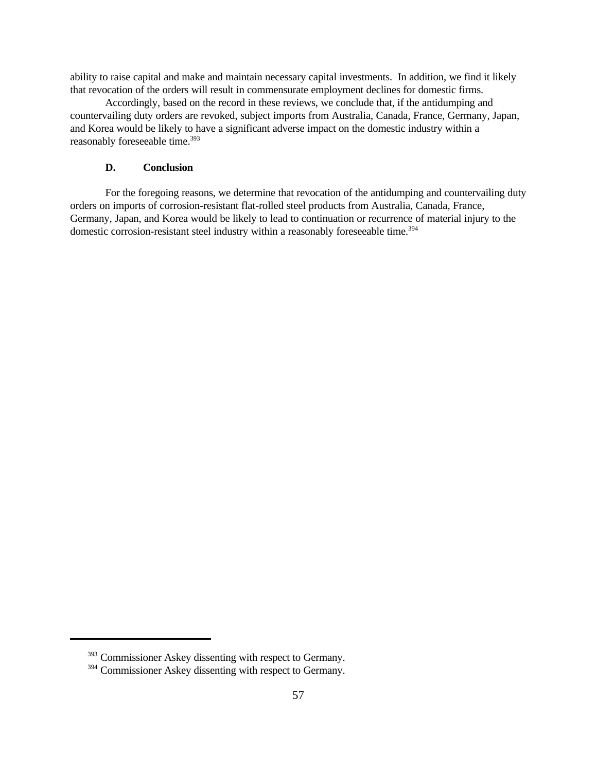ability to raise capital and make and maintain necessary capital investments. In addition, we find it likely that revocation of the orders will result in commensurate employment declines for domestic firms.

Accordingly, based on the record in these reviews, we conclude that, if the antidumping and countervailing duty orders are revoked, subject imports from Australia, Canada, France, Germany, Japan, and Korea would be likely to have a significant adverse impact on the domestic industry within a reasonably foreseeable time.<sup>393</sup>

# **D. Conclusion**

For the foregoing reasons, we determine that revocation of the antidumping and countervailing duty orders on imports of corrosion-resistant flat-rolled steel products from Australia, Canada, France, Germany, Japan, and Korea would be likely to lead to continuation or recurrence of material injury to the domestic corrosion-resistant steel industry within a reasonably foreseeable time.<sup>394</sup>

<sup>393</sup> Commissioner Askey dissenting with respect to Germany.

<sup>394</sup> Commissioner Askey dissenting with respect to Germany.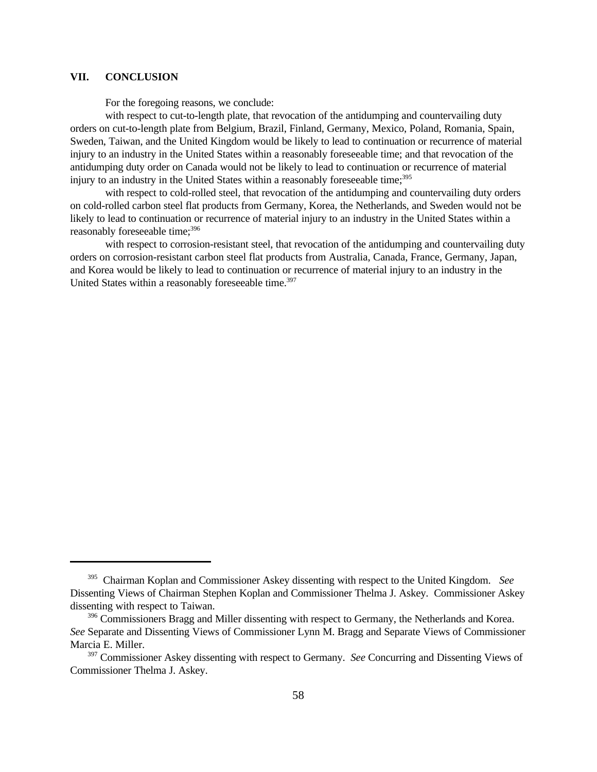## **VII. CONCLUSION**

For the foregoing reasons, we conclude:

with respect to cut-to-length plate, that revocation of the antidumping and countervailing duty orders on cut-to-length plate from Belgium, Brazil, Finland, Germany, Mexico, Poland, Romania, Spain, Sweden, Taiwan, and the United Kingdom would be likely to lead to continuation or recurrence of material injury to an industry in the United States within a reasonably foreseeable time; and that revocation of the antidumping duty order on Canada would not be likely to lead to continuation or recurrence of material injury to an industry in the United States within a reasonably foreseeable time;<sup>395</sup>

with respect to cold-rolled steel, that revocation of the antidumping and countervailing duty orders on cold-rolled carbon steel flat products from Germany, Korea, the Netherlands, and Sweden would not be likely to lead to continuation or recurrence of material injury to an industry in the United States within a reasonably foreseeable time;<sup>396</sup>

with respect to corrosion-resistant steel, that revocation of the antidumping and countervailing duty orders on corrosion-resistant carbon steel flat products from Australia, Canada, France, Germany, Japan, and Korea would be likely to lead to continuation or recurrence of material injury to an industry in the United States within a reasonably foreseeable time.<sup>397</sup>

<sup>395</sup> Chairman Koplan and Commissioner Askey dissenting with respect to the United Kingdom. *See* Dissenting Views of Chairman Stephen Koplan and Commissioner Thelma J. Askey. Commissioner Askey dissenting with respect to Taiwan.

<sup>&</sup>lt;sup>396</sup> Commissioners Bragg and Miller dissenting with respect to Germany, the Netherlands and Korea. *See* Separate and Dissenting Views of Commissioner Lynn M. Bragg and Separate Views of Commissioner Marcia E. Miller.

<sup>397</sup> Commissioner Askey dissenting with respect to Germany. *See* Concurring and Dissenting Views of Commissioner Thelma J. Askey.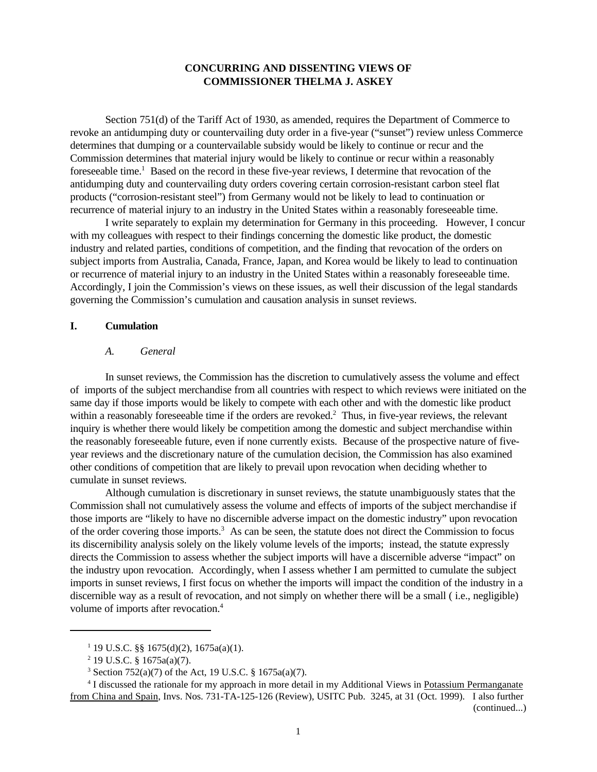### **CONCURRING AND DISSENTING VIEWS OF COMMISSIONER THELMA J. ASKEY**

Section 751(d) of the Tariff Act of 1930, as amended, requires the Department of Commerce to revoke an antidumping duty or countervailing duty order in a five-year ("sunset") review unless Commerce determines that dumping or a countervailable subsidy would be likely to continue or recur and the Commission determines that material injury would be likely to continue or recur within a reasonably foreseeable time.<sup>1</sup> Based on the record in these five-year reviews, I determine that revocation of the antidumping duty and countervailing duty orders covering certain corrosion-resistant carbon steel flat products ("corrosion-resistant steel") from Germany would not be likely to lead to continuation or recurrence of material injury to an industry in the United States within a reasonably foreseeable time.

I write separately to explain my determination for Germany in this proceeding. However, I concur with my colleagues with respect to their findings concerning the domestic like product, the domestic industry and related parties, conditions of competition, and the finding that revocation of the orders on subject imports from Australia, Canada, France, Japan, and Korea would be likely to lead to continuation or recurrence of material injury to an industry in the United States within a reasonably foreseeable time. Accordingly, I join the Commission's views on these issues, as well their discussion of the legal standards governing the Commission's cumulation and causation analysis in sunset reviews.

#### **I. Cumulation**

#### *A. General*

In sunset reviews, the Commission has the discretion to cumulatively assess the volume and effect of imports of the subject merchandise from all countries with respect to which reviews were initiated on the same day if those imports would be likely to compete with each other and with the domestic like product within a reasonably foreseeable time if the orders are revoked. $2$  Thus, in five-year reviews, the relevant inquiry is whether there would likely be competition among the domestic and subject merchandise within the reasonably foreseeable future, even if none currently exists. Because of the prospective nature of fiveyear reviews and the discretionary nature of the cumulation decision, the Commission has also examined other conditions of competition that are likely to prevail upon revocation when deciding whether to cumulate in sunset reviews.

Although cumulation is discretionary in sunset reviews, the statute unambiguously states that the Commission shall not cumulatively assess the volume and effects of imports of the subject merchandise if those imports are "likely to have no discernible adverse impact on the domestic industry" upon revocation of the order covering those imports.<sup>3</sup> As can be seen, the statute does not direct the Commission to focus its discernibility analysis solely on the likely volume levels of the imports; instead, the statute expressly directs the Commission to assess whether the subject imports will have a discernible adverse "impact" on the industry upon revocation. Accordingly, when I assess whether I am permitted to cumulate the subject imports in sunset reviews, I first focus on whether the imports will impact the condition of the industry in a discernible way as a result of revocation, and not simply on whether there will be a small ( i.e., negligible) volume of imports after revocation.<sup>4</sup>

<sup>1</sup> 19 U.S.C. §§ 1675(d)(2), 1675a(a)(1).

 $2^{2}$  19 U.S.C. § 1675a(a)(7).

<sup>3</sup> Section 752(a)(7) of the Act, 19 U.S.C. § 1675a(a)(7).

<sup>&</sup>lt;sup>4</sup> I discussed the rationale for my approach in more detail in my Additional Views in Potassium Permanganate from China and Spain, Invs. Nos. 731-TA-125-126 (Review), USITC Pub. 3245, at 31 (Oct. 1999). I also further (continued...)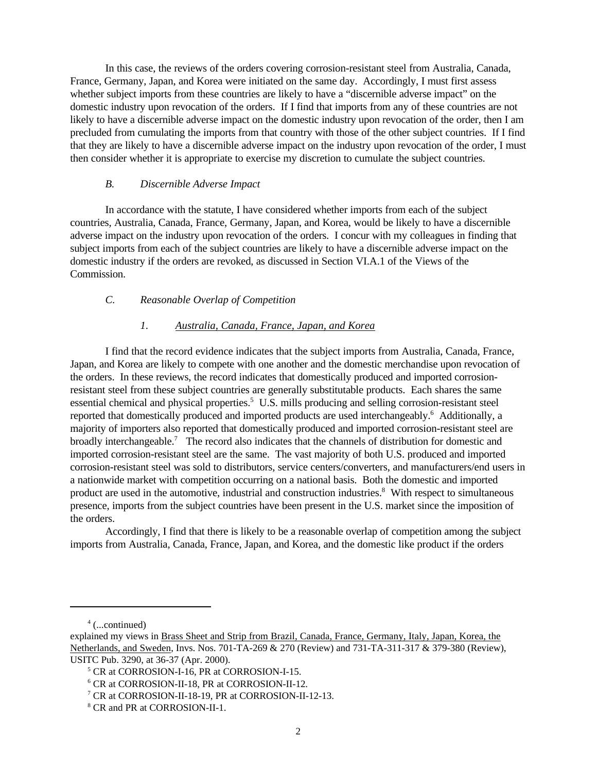In this case, the reviews of the orders covering corrosion-resistant steel from Australia, Canada, France, Germany, Japan, and Korea were initiated on the same day. Accordingly, I must first assess whether subject imports from these countries are likely to have a "discernible adverse impact" on the domestic industry upon revocation of the orders. If I find that imports from any of these countries are not likely to have a discernible adverse impact on the domestic industry upon revocation of the order, then I am precluded from cumulating the imports from that country with those of the other subject countries. If I find that they are likely to have a discernible adverse impact on the industry upon revocation of the order, I must then consider whether it is appropriate to exercise my discretion to cumulate the subject countries.

# *B. Discernible Adverse Impact*

In accordance with the statute, I have considered whether imports from each of the subject countries, Australia, Canada, France, Germany, Japan, and Korea, would be likely to have a discernible adverse impact on the industry upon revocation of the orders. I concur with my colleagues in finding that subject imports from each of the subject countries are likely to have a discernible adverse impact on the domestic industry if the orders are revoked, as discussed in Section VI.A.1 of the Views of the Commission.

# *C. Reasonable Overlap of Competition*

# *1. Australia, Canada, France, Japan, and Korea*

I find that the record evidence indicates that the subject imports from Australia, Canada, France, Japan, and Korea are likely to compete with one another and the domestic merchandise upon revocation of the orders. In these reviews, the record indicates that domestically produced and imported corrosionresistant steel from these subject countries are generally substitutable products. Each shares the same essential chemical and physical properties.<sup>5</sup> U.S. mills producing and selling corrosion-resistant steel reported that domestically produced and imported products are used interchangeably.<sup>6</sup> Additionally, a majority of importers also reported that domestically produced and imported corrosion-resistant steel are broadly interchangeable.<sup>7</sup> The record also indicates that the channels of distribution for domestic and imported corrosion-resistant steel are the same. The vast majority of both U.S. produced and imported corrosion-resistant steel was sold to distributors, service centers/converters, and manufacturers/end users in a nationwide market with competition occurring on a national basis. Both the domestic and imported product are used in the automotive, industrial and construction industries.<sup>8</sup> With respect to simultaneous presence, imports from the subject countries have been present in the U.S. market since the imposition of the orders.

Accordingly, I find that there is likely to be a reasonable overlap of competition among the subject imports from Australia, Canada, France, Japan, and Korea, and the domestic like product if the orders

<sup>4</sup> (...continued)

explained my views in Brass Sheet and Strip from Brazil, Canada, France, Germany, Italy, Japan, Korea, the Netherlands, and Sweden, Invs. Nos. 701-TA-269 & 270 (Review) and 731-TA-311-317 & 379-380 (Review), USITC Pub. 3290, at 36-37 (Apr. 2000).

<sup>5</sup> CR at CORROSION-I-16, PR at CORROSION-I-15.

<sup>6</sup> CR at CORROSION-II-18, PR at CORROSION-II-12.

<sup>7</sup> CR at CORROSION-II-18-19, PR at CORROSION-II-12-13.

<sup>8</sup> CR and PR at CORROSION-II-1.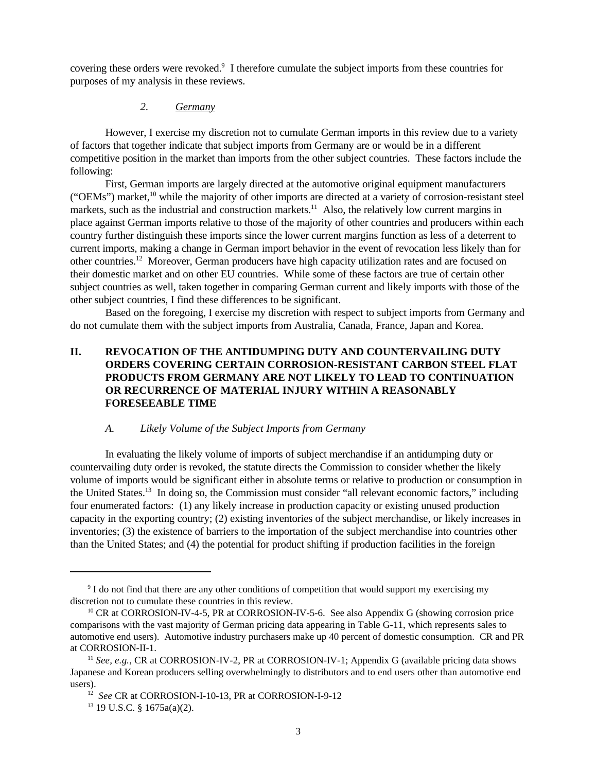covering these orders were revoked.<sup>9</sup> I therefore cumulate the subject imports from these countries for purposes of my analysis in these reviews.

# *2. Germany*

However, I exercise my discretion not to cumulate German imports in this review due to a variety of factors that together indicate that subject imports from Germany are or would be in a different competitive position in the market than imports from the other subject countries. These factors include the following:

First, German imports are largely directed at the automotive original equipment manufacturers ("OEMs") market,<sup>10</sup> while the majority of other imports are directed at a variety of corrosion-resistant steel markets, such as the industrial and construction markets.<sup>11</sup> Also, the relatively low current margins in place against German imports relative to those of the majority of other countries and producers within each country further distinguish these imports since the lower current margins function as less of a deterrent to current imports, making a change in German import behavior in the event of revocation less likely than for other countries.<sup>12</sup> Moreover, German producers have high capacity utilization rates and are focused on their domestic market and on other EU countries. While some of these factors are true of certain other subject countries as well, taken together in comparing German current and likely imports with those of the other subject countries, I find these differences to be significant.

Based on the foregoing, I exercise my discretion with respect to subject imports from Germany and do not cumulate them with the subject imports from Australia, Canada, France, Japan and Korea.

# **II. REVOCATION OF THE ANTIDUMPING DUTY AND COUNTERVAILING DUTY ORDERS COVERING CERTAIN CORROSION-RESISTANT CARBON STEEL FLAT PRODUCTS FROM GERMANY ARE NOT LIKELY TO LEAD TO CONTINUATION OR RECURRENCE OF MATERIAL INJURY WITHIN A REASONABLY FORESEEABLE TIME**

# *A. Likely Volume of the Subject Imports from Germany*

In evaluating the likely volume of imports of subject merchandise if an antidumping duty or countervailing duty order is revoked, the statute directs the Commission to consider whether the likely volume of imports would be significant either in absolute terms or relative to production or consumption in the United States.<sup>13</sup> In doing so, the Commission must consider "all relevant economic factors," including four enumerated factors: (1) any likely increase in production capacity or existing unused production capacity in the exporting country; (2) existing inventories of the subject merchandise, or likely increases in inventories; (3) the existence of barriers to the importation of the subject merchandise into countries other than the United States; and (4) the potential for product shifting if production facilities in the foreign

<sup>&</sup>lt;sup>9</sup> I do not find that there are any other conditions of competition that would support my exercising my discretion not to cumulate these countries in this review.

<sup>&</sup>lt;sup>10</sup> CR at CORROSION-IV-4-5, PR at CORROSION-IV-5-6. See also Appendix G (showing corrosion price comparisons with the vast majority of German pricing data appearing in Table G-11, which represents sales to automotive end users). Automotive industry purchasers make up 40 percent of domestic consumption. CR and PR at CORROSION-II-1.

<sup>&</sup>lt;sup>11</sup> See, e.g., CR at CORROSION-IV-2, PR at CORROSION-IV-1; Appendix G (available pricing data shows Japanese and Korean producers selling overwhelmingly to distributors and to end users other than automotive end users).

<sup>12</sup> *See* CR at CORROSION-I-10-13, PR at CORROSION-I-9-12

 $13$  19 U.S.C. § 1675a(a)(2).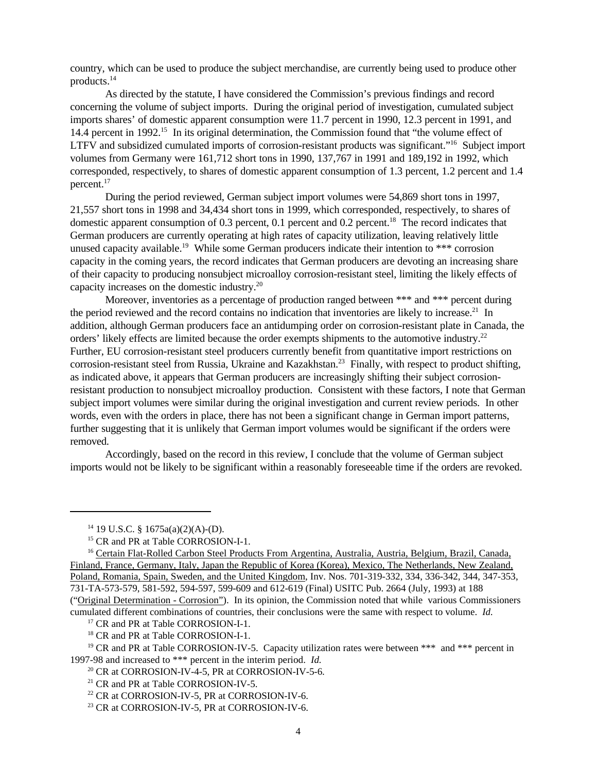country, which can be used to produce the subject merchandise, are currently being used to produce other products.<sup>14</sup>

As directed by the statute, I have considered the Commission's previous findings and record concerning the volume of subject imports. During the original period of investigation, cumulated subject imports shares' of domestic apparent consumption were 11.7 percent in 1990, 12.3 percent in 1991, and 14.4 percent in 1992.<sup>15</sup> In its original determination, the Commission found that "the volume effect of LTFV and subsidized cumulated imports of corrosion-resistant products was significant."<sup>16</sup> Subject import volumes from Germany were 161,712 short tons in 1990, 137,767 in 1991 and 189,192 in 1992, which corresponded, respectively, to shares of domestic apparent consumption of 1.3 percent, 1.2 percent and 1.4 percent.<sup>17</sup>

During the period reviewed, German subject import volumes were 54,869 short tons in 1997, 21,557 short tons in 1998 and 34,434 short tons in 1999, which corresponded, respectively, to shares of domestic apparent consumption of 0.3 percent, 0.1 percent and 0.2 percent.<sup>18</sup> The record indicates that German producers are currently operating at high rates of capacity utilization, leaving relatively little unused capacity available.<sup>19</sup> While some German producers indicate their intention to \*\*\* corrosion capacity in the coming years, the record indicates that German producers are devoting an increasing share of their capacity to producing nonsubject microalloy corrosion-resistant steel, limiting the likely effects of capacity increases on the domestic industry.<sup>20</sup>

Moreover, inventories as a percentage of production ranged between \*\*\* and \*\*\* percent during the period reviewed and the record contains no indication that inventories are likely to increase.<sup>21</sup> In addition, although German producers face an antidumping order on corrosion-resistant plate in Canada, the orders' likely effects are limited because the order exempts shipments to the automotive industry.<sup>22</sup> Further, EU corrosion-resistant steel producers currently benefit from quantitative import restrictions on corrosion-resistant steel from Russia, Ukraine and Kazakhstan.<sup>23</sup> Finally, with respect to product shifting, as indicated above, it appears that German producers are increasingly shifting their subject corrosionresistant production to nonsubject microalloy production. Consistent with these factors, I note that German subject import volumes were similar during the original investigation and current review periods. In other words, even with the orders in place, there has not been a significant change in German import patterns, further suggesting that it is unlikely that German import volumes would be significant if the orders were removed.

Accordingly, based on the record in this review, I conclude that the volume of German subject imports would not be likely to be significant within a reasonably foreseeable time if the orders are revoked.

 $14$  19 U.S.C. § 1675a(a)(2)(A)-(D).

<sup>&</sup>lt;sup>15</sup> CR and PR at Table CORROSION-I-1.

<sup>&</sup>lt;sup>16</sup> Certain Flat-Rolled Carbon Steel Products From Argentina, Australia, Austria, Belgium, Brazil, Canada, Finland, France, Germany, Italy, Japan the Republic of Korea (Korea), Mexico, The Netherlands, New Zealand, Poland, Romania, Spain, Sweden, and the United Kingdom, Inv. Nos. 701-319-332, 334, 336-342, 344, 347-353, 731-TA-573-579, 581-592, 594-597, 599-609 and 612-619 (Final) USITC Pub. 2664 (July, 1993) at 188 ("Original Determination - Corrosion"). In its opinion, the Commission noted that while various Commissioners cumulated different combinations of countries, their conclusions were the same with respect to volume. *Id.*

<sup>&</sup>lt;sup>17</sup> CR and PR at Table CORROSION-I-1.

<sup>18</sup> CR and PR at Table CORROSION-I-1.

<sup>&</sup>lt;sup>19</sup> CR and PR at Table CORROSION-IV-5. Capacity utilization rates were between \*\*\* and \*\*\* percent in 1997-98 and increased to \*\*\* percent in the interim period. *Id.* 

 $20$  CR at CORROSION-IV-4-5, PR at CORROSION-IV-5-6.

<sup>&</sup>lt;sup>21</sup> CR and PR at Table CORROSION-IV-5.

<sup>&</sup>lt;sup>22</sup> CR at CORROSION-IV-5, PR at CORROSION-IV-6.

<sup>&</sup>lt;sup>23</sup> CR at CORROSION-IV-5, PR at CORROSION-IV-6.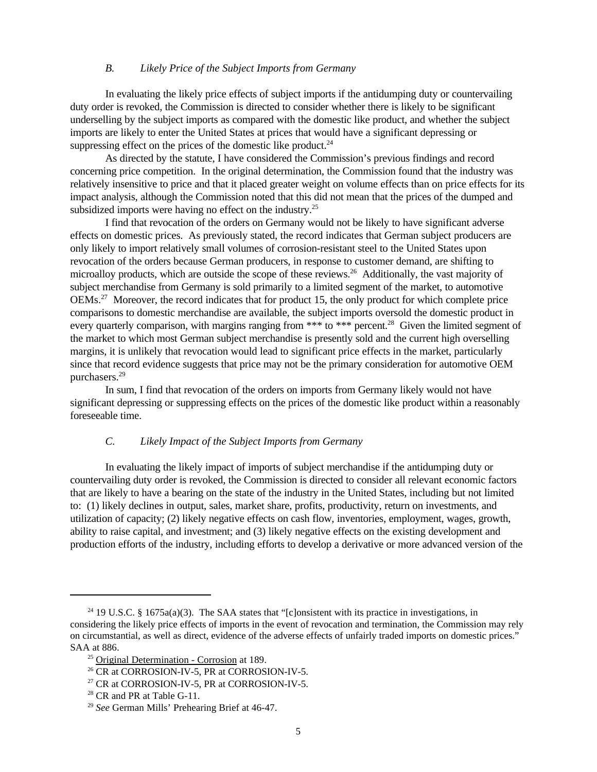#### *B. Likely Price of the Subject Imports from Germany*

In evaluating the likely price effects of subject imports if the antidumping duty or countervailing duty order is revoked, the Commission is directed to consider whether there is likely to be significant underselling by the subject imports as compared with the domestic like product, and whether the subject imports are likely to enter the United States at prices that would have a significant depressing or suppressing effect on the prices of the domestic like product. $^{24}$ 

As directed by the statute, I have considered the Commission's previous findings and record concerning price competition. In the original determination, the Commission found that the industry was relatively insensitive to price and that it placed greater weight on volume effects than on price effects for its impact analysis, although the Commission noted that this did not mean that the prices of the dumped and subsidized imports were having no effect on the industry.<sup>25</sup>

I find that revocation of the orders on Germany would not be likely to have significant adverse effects on domestic prices. As previously stated, the record indicates that German subject producers are only likely to import relatively small volumes of corrosion-resistant steel to the United States upon revocation of the orders because German producers, in response to customer demand, are shifting to microalloy products, which are outside the scope of these reviews.<sup>26</sup> Additionally, the vast majority of subject merchandise from Germany is sold primarily to a limited segment of the market, to automotive OEMs.<sup>27</sup> Moreover, the record indicates that for product 15, the only product for which complete price comparisons to domestic merchandise are available, the subject imports oversold the domestic product in every quarterly comparison, with margins ranging from \*\*\* to \*\*\* percent.<sup>28</sup> Given the limited segment of the market to which most German subject merchandise is presently sold and the current high overselling margins, it is unlikely that revocation would lead to significant price effects in the market, particularly since that record evidence suggests that price may not be the primary consideration for automotive OEM purchasers.<sup>29</sup>

In sum, I find that revocation of the orders on imports from Germany likely would not have significant depressing or suppressing effects on the prices of the domestic like product within a reasonably foreseeable time.

# *C. Likely Impact of the Subject Imports from Germany*

In evaluating the likely impact of imports of subject merchandise if the antidumping duty or countervailing duty order is revoked, the Commission is directed to consider all relevant economic factors that are likely to have a bearing on the state of the industry in the United States, including but not limited to: (1) likely declines in output, sales, market share, profits, productivity, return on investments, and utilization of capacity; (2) likely negative effects on cash flow, inventories, employment, wages, growth, ability to raise capital, and investment; and (3) likely negative effects on the existing development and production efforts of the industry, including efforts to develop a derivative or more advanced version of the

<sup>&</sup>lt;sup>24</sup> 19 U.S.C. § 1675a(a)(3). The SAA states that "[c]onsistent with its practice in investigations, in considering the likely price effects of imports in the event of revocation and termination, the Commission may rely on circumstantial, as well as direct, evidence of the adverse effects of unfairly traded imports on domestic prices." SAA at 886.

<sup>&</sup>lt;sup>25</sup> Original Determination - Corrosion at 189.

<sup>&</sup>lt;sup>26</sup> CR at CORROSION-IV-5, PR at CORROSION-IV-5.

 $^{27}$  CR at CORROSION-IV-5, PR at CORROSION-IV-5.

<sup>&</sup>lt;sup>28</sup> CR and PR at Table G-11.

<sup>29</sup> *See* German Mills' Prehearing Brief at 46-47.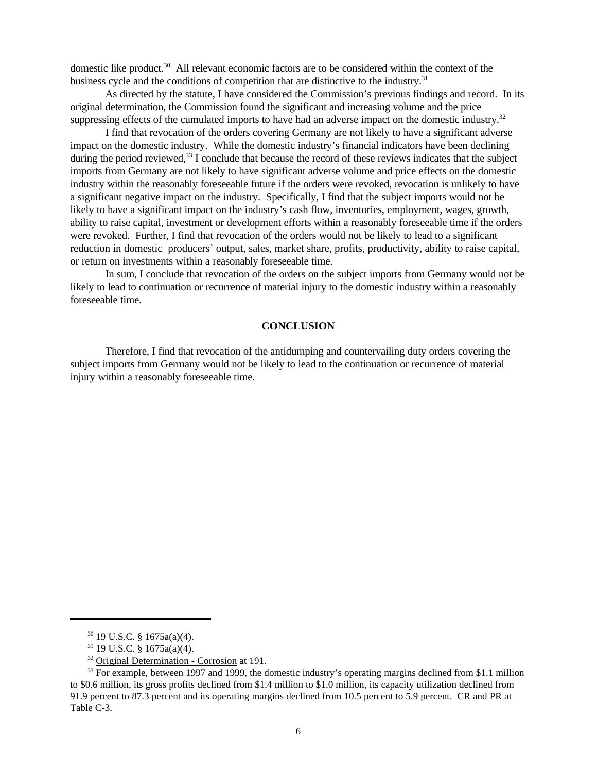domestic like product.<sup>30</sup> All relevant economic factors are to be considered within the context of the business cycle and the conditions of competition that are distinctive to the industry.<sup>31</sup>

As directed by the statute, I have considered the Commission's previous findings and record. In its original determination, the Commission found the significant and increasing volume and the price suppressing effects of the cumulated imports to have had an adverse impact on the domestic industry.<sup>32</sup>

I find that revocation of the orders covering Germany are not likely to have a significant adverse impact on the domestic industry. While the domestic industry's financial indicators have been declining during the period reviewed, $33$  I conclude that because the record of these reviews indicates that the subject imports from Germany are not likely to have significant adverse volume and price effects on the domestic industry within the reasonably foreseeable future if the orders were revoked, revocation is unlikely to have a significant negative impact on the industry. Specifically, I find that the subject imports would not be likely to have a significant impact on the industry's cash flow, inventories, employment, wages, growth, ability to raise capital, investment or development efforts within a reasonably foreseeable time if the orders were revoked. Further, I find that revocation of the orders would not be likely to lead to a significant reduction in domestic producers' output, sales, market share, profits, productivity, ability to raise capital, or return on investments within a reasonably foreseeable time.

In sum, I conclude that revocation of the orders on the subject imports from Germany would not be likely to lead to continuation or recurrence of material injury to the domestic industry within a reasonably foreseeable time.

#### **CONCLUSION**

Therefore, I find that revocation of the antidumping and countervailing duty orders covering the subject imports from Germany would not be likely to lead to the continuation or recurrence of material injury within a reasonably foreseeable time.

<sup>30</sup> 19 U.S.C. § 1675a(a)(4).

 $31$  19 U.S.C. § 1675a(a)(4).

<sup>&</sup>lt;sup>32</sup> Original Determination - Corrosion at 191.

 $33$  For example, between 1997 and 1999, the domestic industry's operating margins declined from \$1.1 million to \$0.6 million, its gross profits declined from \$1.4 million to \$1.0 million, its capacity utilization declined from 91.9 percent to 87.3 percent and its operating margins declined from 10.5 percent to 5.9 percent. CR and PR at Table C-3.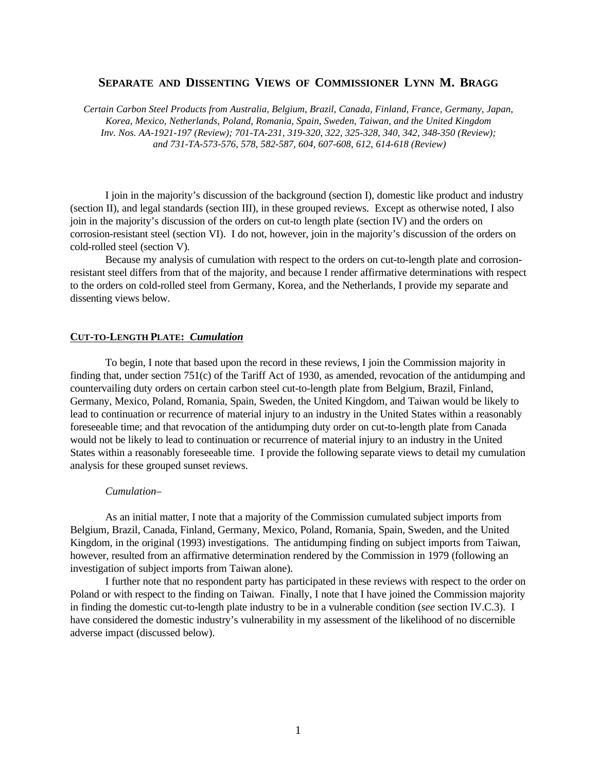# **SEPARATE AND DISSENTING VIEWS OF COMMISSIONER LYNN M. BRAGG**

*Certain Carbon Steel Products from Australia, Belgium, Brazil, Canada, Finland, France, Germany, Japan, Korea, Mexico, Netherlands, Poland, Romania, Spain, Sweden, Taiwan, and the United Kingdom Inv. Nos. AA-1921-197 (Review); 701-TA-231, 319-320, 322, 325-328, 340, 342, 348-350 (Review); and 731-TA-573-576, 578, 582-587, 604, 607-608, 612, 614-618 (Review)*

I join in the majority's discussion of the background (section I), domestic like product and industry (section II), and legal standards (section III), in these grouped reviews. Except as otherwise noted, I also join in the majority's discussion of the orders on cut-to length plate (section IV) and the orders on corrosion-resistant steel (section VI). I do not, however, join in the majority's discussion of the orders on cold-rolled steel (section V).

Because my analysis of cumulation with respect to the orders on cut-to-length plate and corrosionresistant steel differs from that of the majority, and because I render affirmative determinations with respect to the orders on cold-rolled steel from Germany, Korea, and the Netherlands, I provide my separate and dissenting views below.

# **CUT-TO-LENGTH PLATE:** *Cumulation*

To begin, I note that based upon the record in these reviews, I join the Commission majority in finding that, under section 751(c) of the Tariff Act of 1930, as amended, revocation of the antidumping and countervailing duty orders on certain carbon steel cut-to-length plate from Belgium, Brazil, Finland, Germany, Mexico, Poland, Romania, Spain, Sweden, the United Kingdom, and Taiwan would be likely to lead to continuation or recurrence of material injury to an industry in the United States within a reasonably foreseeable time; and that revocation of the antidumping duty order on cut-to-length plate from Canada would not be likely to lead to continuation or recurrence of material injury to an industry in the United States within a reasonably foreseeable time. I provide the following separate views to detail my cumulation analysis for these grouped sunset reviews.

#### *Cumulation–*

As an initial matter, I note that a majority of the Commission cumulated subject imports from Belgium, Brazil, Canada, Finland, Germany, Mexico, Poland, Romania, Spain, Sweden, and the United Kingdom, in the original (1993) investigations. The antidumping finding on subject imports from Taiwan, however, resulted from an affirmative determination rendered by the Commission in 1979 (following an investigation of subject imports from Taiwan alone).

I further note that no respondent party has participated in these reviews with respect to the order on Poland or with respect to the finding on Taiwan. Finally, I note that I have joined the Commission majority in finding the domestic cut-to-length plate industry to be in a vulnerable condition (*see* section IV.C.3). I have considered the domestic industry's vulnerability in my assessment of the likelihood of no discernible adverse impact (discussed below).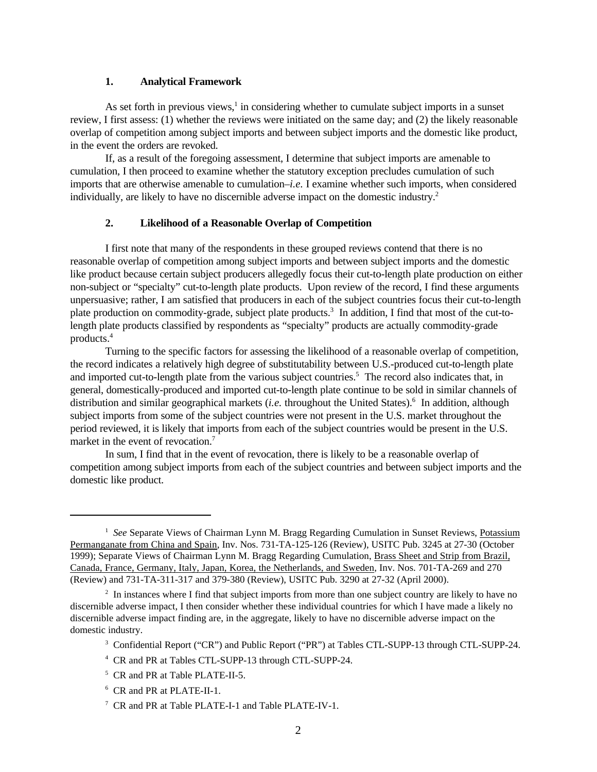# **1. Analytical Framework**

As set forth in previous views,<sup>1</sup> in considering whether to cumulate subject imports in a sunset review, I first assess: (1) whether the reviews were initiated on the same day; and (2) the likely reasonable overlap of competition among subject imports and between subject imports and the domestic like product, in the event the orders are revoked.

If, as a result of the foregoing assessment, I determine that subject imports are amenable to cumulation, I then proceed to examine whether the statutory exception precludes cumulation of such imports that are otherwise amenable to cumulation–*i.e.* I examine whether such imports, when considered individually, are likely to have no discernible adverse impact on the domestic industry.<sup>2</sup>

# **2. Likelihood of a Reasonable Overlap of Competition**

I first note that many of the respondents in these grouped reviews contend that there is no reasonable overlap of competition among subject imports and between subject imports and the domestic like product because certain subject producers allegedly focus their cut-to-length plate production on either non-subject or "specialty" cut-to-length plate products. Upon review of the record, I find these arguments unpersuasive; rather, I am satisfied that producers in each of the subject countries focus their cut-to-length plate production on commodity-grade, subject plate products.<sup>3</sup> In addition, I find that most of the cut-tolength plate products classified by respondents as "specialty" products are actually commodity-grade products.<sup>4</sup>

Turning to the specific factors for assessing the likelihood of a reasonable overlap of competition, the record indicates a relatively high degree of substitutability between U.S.-produced cut-to-length plate and imported cut-to-length plate from the various subject countries.<sup>5</sup> The record also indicates that, in general, domestically-produced and imported cut-to-length plate continue to be sold in similar channels of distribution and similar geographical markets (*i.e.* throughout the United States).<sup>6</sup> In addition, although subject imports from some of the subject countries were not present in the U.S. market throughout the period reviewed, it is likely that imports from each of the subject countries would be present in the U.S. market in the event of revocation.<sup>7</sup>

In sum, I find that in the event of revocation, there is likely to be a reasonable overlap of competition among subject imports from each of the subject countries and between subject imports and the domestic like product.

<sup>&</sup>lt;sup>1</sup> See Separate Views of Chairman Lynn M. Bragg Regarding Cumulation in Sunset Reviews, Potassium Permanganate from China and Spain, Inv. Nos. 731-TA-125-126 (Review), USITC Pub. 3245 at 27-30 (October 1999); Separate Views of Chairman Lynn M. Bragg Regarding Cumulation, Brass Sheet and Strip from Brazil, Canada, France, Germany, Italy, Japan, Korea, the Netherlands, and Sweden, Inv. Nos. 701-TA-269 and 270 (Review) and 731-TA-311-317 and 379-380 (Review), USITC Pub. 3290 at 27-32 (April 2000).

<sup>&</sup>lt;sup>2</sup> In instances where I find that subject imports from more than one subject country are likely to have no discernible adverse impact, I then consider whether these individual countries for which I have made a likely no discernible adverse impact finding are, in the aggregate, likely to have no discernible adverse impact on the domestic industry.

<sup>&</sup>lt;sup>3</sup> Confidential Report ("CR") and Public Report ("PR") at Tables CTL-SUPP-13 through CTL-SUPP-24.

<sup>4</sup> CR and PR at Tables CTL-SUPP-13 through CTL-SUPP-24.

<sup>&</sup>lt;sup>5</sup> CR and PR at Table PLATE-II-5.

<sup>6</sup> CR and PR at PLATE-II-1.

<sup>&</sup>lt;sup>7</sup> CR and PR at Table PLATE-I-1 and Table PLATE-IV-1.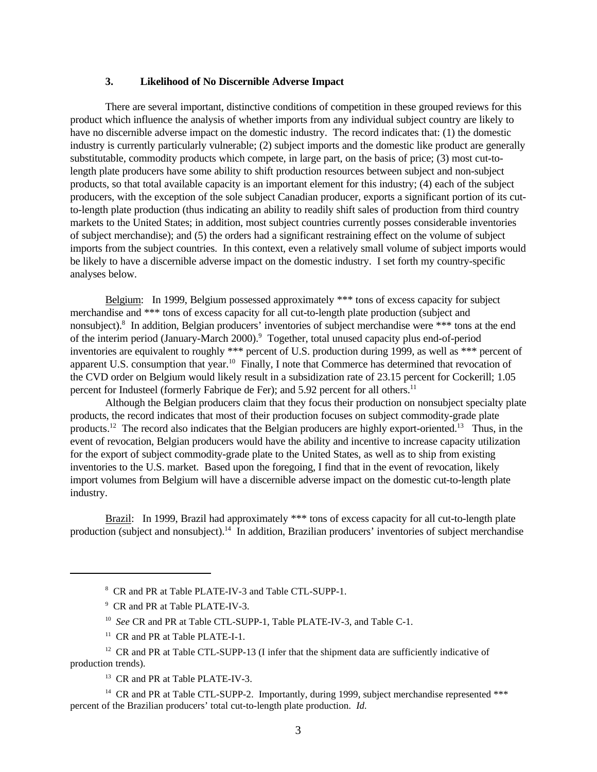## **3. Likelihood of No Discernible Adverse Impact**

There are several important, distinctive conditions of competition in these grouped reviews for this product which influence the analysis of whether imports from any individual subject country are likely to have no discernible adverse impact on the domestic industry. The record indicates that: (1) the domestic industry is currently particularly vulnerable; (2) subject imports and the domestic like product are generally substitutable, commodity products which compete, in large part, on the basis of price; (3) most cut-tolength plate producers have some ability to shift production resources between subject and non-subject products, so that total available capacity is an important element for this industry; (4) each of the subject producers, with the exception of the sole subject Canadian producer, exports a significant portion of its cutto-length plate production (thus indicating an ability to readily shift sales of production from third country markets to the United States; in addition, most subject countries currently posses considerable inventories of subject merchandise); and (5) the orders had a significant restraining effect on the volume of subject imports from the subject countries. In this context, even a relatively small volume of subject imports would be likely to have a discernible adverse impact on the domestic industry. I set forth my country-specific analyses below.

Belgium: In 1999, Belgium possessed approximately \*\*\* tons of excess capacity for subject merchandise and \*\*\* tons of excess capacity for all cut-to-length plate production (subject and nonsubject).<sup>8</sup> In addition, Belgian producers' inventories of subject merchandise were \*\*\* tons at the end of the interim period (January-March 2000).<sup>9</sup> Together, total unused capacity plus end-of-period inventories are equivalent to roughly \*\*\* percent of U.S. production during 1999, as well as \*\*\* percent of apparent U.S. consumption that year.<sup>10</sup> Finally, I note that Commerce has determined that revocation of the CVD order on Belgium would likely result in a subsidization rate of 23.15 percent for Cockerill; 1.05 percent for Industeel (formerly Fabrique de Fer); and 5.92 percent for all others.<sup>11</sup>

Although the Belgian producers claim that they focus their production on nonsubject specialty plate products, the record indicates that most of their production focuses on subject commodity-grade plate products.<sup>12</sup> The record also indicates that the Belgian producers are highly export-oriented.<sup>13</sup> Thus, in the event of revocation, Belgian producers would have the ability and incentive to increase capacity utilization for the export of subject commodity-grade plate to the United States, as well as to ship from existing inventories to the U.S. market. Based upon the foregoing, I find that in the event of revocation, likely import volumes from Belgium will have a discernible adverse impact on the domestic cut-to-length plate industry.

Brazil: In 1999, Brazil had approximately \*\*\* tons of excess capacity for all cut-to-length plate production (subject and nonsubject).14 In addition, Brazilian producers' inventories of subject merchandise

- 8 CR and PR at Table PLATE-IV-3 and Table CTL-SUPP-1.
- <sup>9</sup> CR and PR at Table PLATE-IV-3.
- 10 *See* CR and PR at Table CTL-SUPP-1, Table PLATE-IV-3, and Table C-1.
- <sup>11</sup> CR and PR at Table PLATE-I-1.

<sup>13</sup> CR and PR at Table PLATE-IV-3.

<sup>14</sup> CR and PR at Table CTL-SUPP-2. Importantly, during 1999, subject merchandise represented \*\*\* percent of the Brazilian producers' total cut-to-length plate production. *Id.*

 $12$  CR and PR at Table CTL-SUPP-13 (I infer that the shipment data are sufficiently indicative of production trends).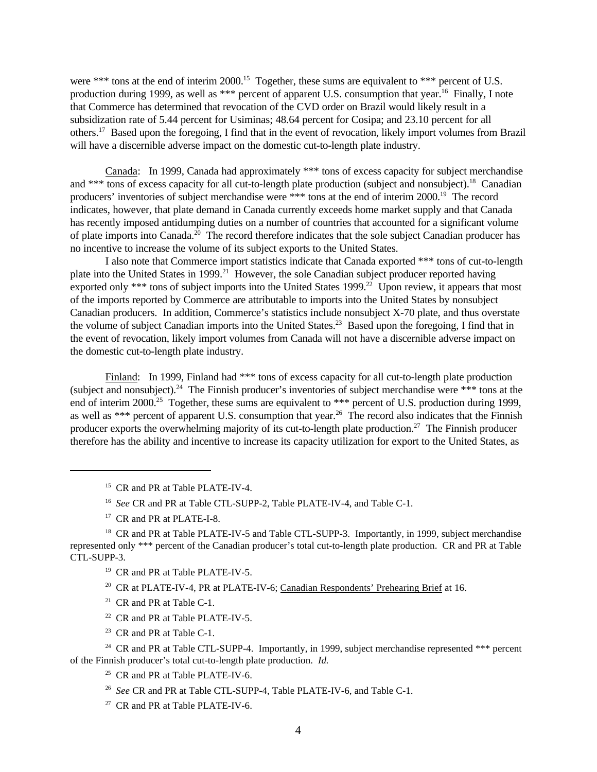were \*\*\* tons at the end of interim 2000.<sup>15</sup> Together, these sums are equivalent to \*\*\* percent of U.S. production during 1999, as well as \*\*\* percent of apparent U.S. consumption that year.<sup>16</sup> Finally, I note that Commerce has determined that revocation of the CVD order on Brazil would likely result in a subsidization rate of 5.44 percent for Usiminas; 48.64 percent for Cosipa; and 23.10 percent for all others.<sup>17</sup> Based upon the foregoing, I find that in the event of revocation, likely import volumes from Brazil will have a discernible adverse impact on the domestic cut-to-length plate industry.

Canada: In 1999, Canada had approximately \*\*\* tons of excess capacity for subject merchandise and \*\*\* tons of excess capacity for all cut-to-length plate production (subject and nonsubject).<sup>18</sup> Canadian producers' inventories of subject merchandise were \*\*\* tons at the end of interim 2000.<sup>19</sup> The record indicates, however, that plate demand in Canada currently exceeds home market supply and that Canada has recently imposed antidumping duties on a number of countries that accounted for a significant volume of plate imports into Canada.<sup>20</sup> The record therefore indicates that the sole subject Canadian producer has no incentive to increase the volume of its subject exports to the United States.

I also note that Commerce import statistics indicate that Canada exported \*\*\* tons of cut-to-length plate into the United States in 1999.<sup>21</sup> However, the sole Canadian subject producer reported having exported only \*\*\* tons of subject imports into the United States 1999.<sup>22</sup> Upon review, it appears that most of the imports reported by Commerce are attributable to imports into the United States by nonsubject Canadian producers. In addition, Commerce's statistics include nonsubject X-70 plate, and thus overstate the volume of subject Canadian imports into the United States.<sup>23</sup> Based upon the foregoing, I find that in the event of revocation, likely import volumes from Canada will not have a discernible adverse impact on the domestic cut-to-length plate industry.

Finland: In 1999, Finland had \*\*\* tons of excess capacity for all cut-to-length plate production (subject and nonsubject).<sup>24</sup> The Finnish producer's inventories of subject merchandise were \*\*\* tons at the end of interim 2000.<sup>25</sup> Together, these sums are equivalent to \*\*\* percent of U.S. production during 1999, as well as \*\*\* percent of apparent U.S. consumption that year.<sup>26</sup> The record also indicates that the Finnish producer exports the overwhelming majority of its cut-to-length plate production.<sup>27</sup> The Finnish producer therefore has the ability and incentive to increase its capacity utilization for export to the United States, as

<sup>15</sup> CR and PR at Table PLATE-IV-4.

<sup>16</sup> See CR and PR at Table CTL-SUPP-2, Table PLATE-IV-4, and Table C-1.

<sup>17</sup> CR and PR at PLATE-I-8.

<sup>18</sup> CR and PR at Table PLATE-IV-5 and Table CTL-SUPP-3. Importantly, in 1999, subject merchandise represented only \*\*\* percent of the Canadian producer's total cut-to-length plate production. CR and PR at Table CTL-SUPP-3.

<sup>19</sup> CR and PR at Table PLATE-IV-5.

<sup>20</sup> CR at PLATE-IV-4, PR at PLATE-IV-6; Canadian Respondents' Prehearing Brief at 16.

- <sup>21</sup> CR and PR at Table C-1.
- <sup>22</sup> CR and PR at Table PLATE-IV-5.
- <sup>23</sup> CR and PR at Table C-1.

<sup>24</sup> CR and PR at Table CTL-SUPP-4. Importantly, in 1999, subject merchandise represented \*\*\* percent of the Finnish producer's total cut-to-length plate production. *Id.*

<sup>25</sup> CR and PR at Table PLATE-IV-6.

26 *See* CR and PR at Table CTL-SUPP-4, Table PLATE-IV-6, and Table C-1.

<sup>27</sup> CR and PR at Table PLATE-IV-6.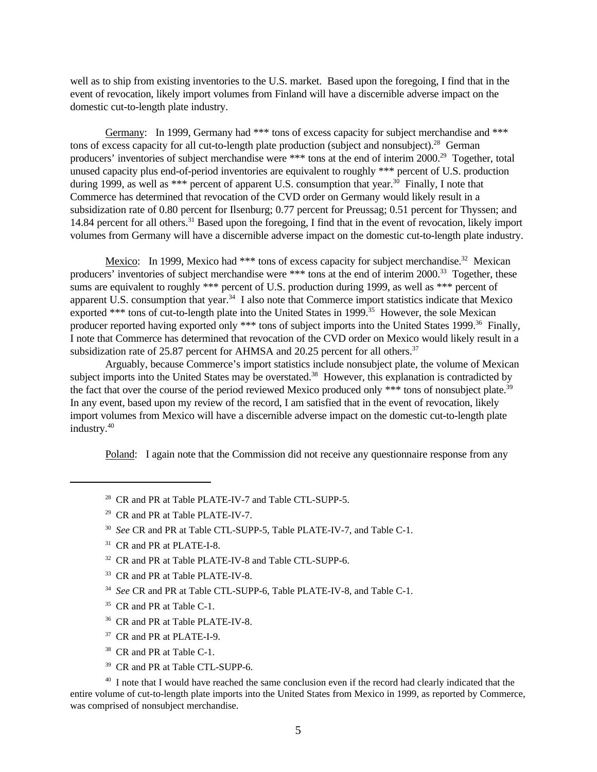well as to ship from existing inventories to the U.S. market. Based upon the foregoing, I find that in the event of revocation, likely import volumes from Finland will have a discernible adverse impact on the domestic cut-to-length plate industry.

Germany: In 1999, Germany had \*\*\* tons of excess capacity for subject merchandise and \*\*\* tons of excess capacity for all cut-to-length plate production (subject and nonsubject).<sup>28</sup> German producers' inventories of subject merchandise were \*\*\* tons at the end of interim 2000.<sup>29</sup> Together, total unused capacity plus end-of-period inventories are equivalent to roughly \*\*\* percent of U.S. production during 1999, as well as \*\*\* percent of apparent U.S. consumption that year.<sup>30</sup> Finally, I note that Commerce has determined that revocation of the CVD order on Germany would likely result in a subsidization rate of 0.80 percent for Ilsenburg; 0.77 percent for Preussag; 0.51 percent for Thyssen; and 14.84 percent for all others.<sup>31</sup> Based upon the foregoing, I find that in the event of revocation, likely import volumes from Germany will have a discernible adverse impact on the domestic cut-to-length plate industry.

Mexico: In 1999, Mexico had \*\*\* tons of excess capacity for subject merchandise.<sup>32</sup> Mexican producers' inventories of subject merchandise were \*\*\* tons at the end of interim 2000.<sup>33</sup> Together, these sums are equivalent to roughly \*\*\* percent of U.S. production during 1999, as well as \*\*\* percent of apparent U.S. consumption that year.<sup>34</sup> I also note that Commerce import statistics indicate that Mexico exported \*\*\* tons of cut-to-length plate into the United States in 1999.<sup>35</sup> However, the sole Mexican producer reported having exported only \*\*\* tons of subject imports into the United States 1999.<sup>36</sup> Finally, I note that Commerce has determined that revocation of the CVD order on Mexico would likely result in a subsidization rate of  $25.87$  percent for AHMSA and  $20.25$  percent for all others.<sup>37</sup>

Arguably, because Commerce's import statistics include nonsubject plate, the volume of Mexican subject imports into the United States may be overstated.<sup>38</sup> However, this explanation is contradicted by the fact that over the course of the period reviewed Mexico produced only \*\*\* tons of nonsubject plate.<sup>39</sup> In any event, based upon my review of the record, I am satisfied that in the event of revocation, likely import volumes from Mexico will have a discernible adverse impact on the domestic cut-to-length plate industry.<sup>40</sup>

Poland: I again note that the Commission did not receive any questionnaire response from any

- <sup>28</sup> CR and PR at Table PLATE-IV-7 and Table CTL-SUPP-5.
- <sup>29</sup> CR and PR at Table PLATE-IV-7.
- 30 *See* CR and PR at Table CTL-SUPP-5, Table PLATE-IV-7, and Table C-1.
- <sup>31</sup> CR and PR at PLATE-I-8.
- <sup>32</sup> CR and PR at Table PLATE-IV-8 and Table CTL-SUPP-6.
- <sup>33</sup> CR and PR at Table PLATE-IV-8.
- 34 *See* CR and PR at Table CTL-SUPP-6, Table PLATE-IV-8, and Table C-1.
- <sup>35</sup> CR and PR at Table C-1.
- <sup>36</sup> CR and PR at Table PLATE-IV-8.
- <sup>37</sup> CR and PR at PLATE-I-9.
- <sup>38</sup> CR and PR at Table C-1.
- <sup>39</sup> CR and PR at Table CTL-SUPP-6.

<sup>40</sup> I note that I would have reached the same conclusion even if the record had clearly indicated that the entire volume of cut-to-length plate imports into the United States from Mexico in 1999, as reported by Commerce, was comprised of nonsubject merchandise.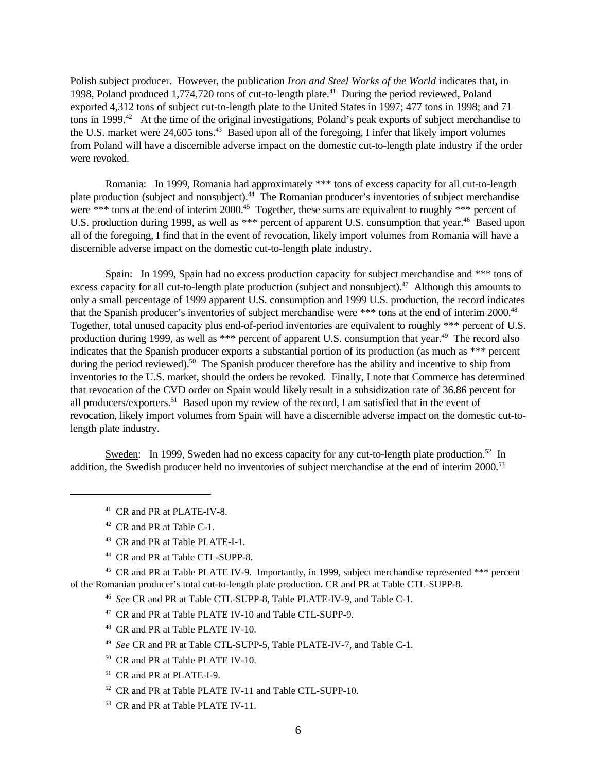Polish subject producer. However, the publication *Iron and Steel Works of the World* indicates that, in 1998, Poland produced 1,774,720 tons of cut-to-length plate.<sup>41</sup> During the period reviewed, Poland exported 4,312 tons of subject cut-to-length plate to the United States in 1997; 477 tons in 1998; and 71 tons in 1999.<sup>42</sup> At the time of the original investigations, Poland's peak exports of subject merchandise to the U.S. market were 24,605 tons.<sup>43</sup> Based upon all of the foregoing, I infer that likely import volumes from Poland will have a discernible adverse impact on the domestic cut-to-length plate industry if the order were revoked.

Romania: In 1999, Romania had approximately \*\*\* tons of excess capacity for all cut-to-length plate production (subject and nonsubject).<sup>44</sup> The Romanian producer's inventories of subject merchandise were \*\*\* tons at the end of interim 2000.<sup>45</sup> Together, these sums are equivalent to roughly \*\*\* percent of U.S. production during 1999, as well as \*\*\* percent of apparent U.S. consumption that year.<sup>46</sup> Based upon all of the foregoing, I find that in the event of revocation, likely import volumes from Romania will have a discernible adverse impact on the domestic cut-to-length plate industry.

Spain: In 1999, Spain had no excess production capacity for subject merchandise and \*\*\* tons of excess capacity for all cut-to-length plate production (subject and nonsubject).<sup>47</sup> Although this amounts to only a small percentage of 1999 apparent U.S. consumption and 1999 U.S. production, the record indicates that the Spanish producer's inventories of subject merchandise were \*\*\* tons at the end of interim 2000.<sup>48</sup> Together, total unused capacity plus end-of-period inventories are equivalent to roughly \*\*\* percent of U.S. production during 1999, as well as \*\*\* percent of apparent U.S. consumption that year.<sup>49</sup> The record also indicates that the Spanish producer exports a substantial portion of its production (as much as \*\*\* percent during the period reviewed).<sup>50</sup> The Spanish producer therefore has the ability and incentive to ship from inventories to the U.S. market, should the orders be revoked. Finally, I note that Commerce has determined that revocation of the CVD order on Spain would likely result in a subsidization rate of 36.86 percent for all producers/exporters.<sup>51</sup> Based upon my review of the record, I am satisfied that in the event of revocation, likely import volumes from Spain will have a discernible adverse impact on the domestic cut-tolength plate industry.

Sweden: In 1999, Sweden had no excess capacity for any cut-to-length plate production.<sup>52</sup> In addition, the Swedish producer held no inventories of subject merchandise at the end of interim 2000.<sup>53</sup>

- <sup>41</sup> CR and PR at PLATE-IV-8.
- <sup>42</sup> CR and PR at Table C-1.
- <sup>43</sup> CR and PR at Table PLATE-I-1.
- <sup>44</sup> CR and PR at Table CTL-SUPP-8.

<sup>45</sup> CR and PR at Table PLATE IV-9. Importantly, in 1999, subject merchandise represented \*\*\* percent of the Romanian producer's total cut-to-length plate production. CR and PR at Table CTL-SUPP-8.

46 *See* CR and PR at Table CTL-SUPP-8, Table PLATE-IV-9, and Table C-1.

- <sup>47</sup> CR and PR at Table PLATE IV-10 and Table CTL-SUPP-9.
- <sup>48</sup> CR and PR at Table PLATE IV-10.
- 49 *See* CR and PR at Table CTL-SUPP-5, Table PLATE-IV-7, and Table C-1.
- <sup>50</sup> CR and PR at Table PLATE IV-10.
- <sup>51</sup> CR and PR at PLATE-I-9.
- <sup>52</sup> CR and PR at Table PLATE IV-11 and Table CTL-SUPP-10.
- <sup>53</sup> CR and PR at Table PLATE IV-11.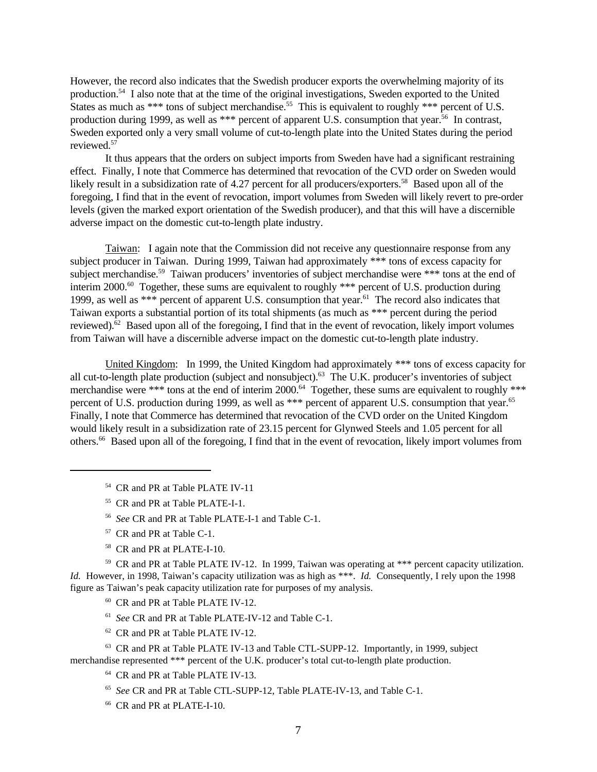However, the record also indicates that the Swedish producer exports the overwhelming majority of its production.<sup>54</sup> I also note that at the time of the original investigations, Sweden exported to the United States as much as \*\*\* tons of subject merchandise.<sup>55</sup> This is equivalent to roughly \*\*\* percent of U.S. production during 1999, as well as \*\*\* percent of apparent U.S. consumption that year.<sup>56</sup> In contrast, Sweden exported only a very small volume of cut-to-length plate into the United States during the period reviewed.<sup>57</sup>

It thus appears that the orders on subject imports from Sweden have had a significant restraining effect. Finally, I note that Commerce has determined that revocation of the CVD order on Sweden would likely result in a subsidization rate of 4.27 percent for all producers/exporters.<sup>58</sup> Based upon all of the foregoing, I find that in the event of revocation, import volumes from Sweden will likely revert to pre-order levels (given the marked export orientation of the Swedish producer), and that this will have a discernible adverse impact on the domestic cut-to-length plate industry.

Taiwan: I again note that the Commission did not receive any questionnaire response from any subject producer in Taiwan. During 1999, Taiwan had approximately \*\*\* tons of excess capacity for subject merchandise.<sup>59</sup> Taiwan producers' inventories of subject merchandise were \*\*\* tons at the end of interim 2000.<sup>60</sup> Together, these sums are equivalent to roughly \*\*\* percent of U.S. production during 1999, as well as \*\*\* percent of apparent U.S. consumption that year.<sup>61</sup> The record also indicates that Taiwan exports a substantial portion of its total shipments (as much as \*\*\* percent during the period reviewed). $62$  Based upon all of the foregoing, I find that in the event of revocation, likely import volumes from Taiwan will have a discernible adverse impact on the domestic cut-to-length plate industry.

United Kingdom: In 1999, the United Kingdom had approximately \*\*\* tons of excess capacity for all cut-to-length plate production (subject and nonsubject).<sup>63</sup> The U.K. producer's inventories of subject merchandise were \*\*\* tons at the end of interim 2000.<sup>64</sup> Together, these sums are equivalent to roughly \*\*\* percent of U.S. production during 1999, as well as \*\*\* percent of apparent U.S. consumption that year.<sup>65</sup> Finally, I note that Commerce has determined that revocation of the CVD order on the United Kingdom would likely result in a subsidization rate of 23.15 percent for Glynwed Steels and 1.05 percent for all others.66 Based upon all of the foregoing, I find that in the event of revocation, likely import volumes from

- <sup>54</sup> CR and PR at Table PLATE IV-11
- <sup>55</sup> CR and PR at Table PLATE-I-1.
- 56 *See* CR and PR at Table PLATE-I-1 and Table C-1.
- <sup>57</sup> CR and PR at Table C-1.
- <sup>58</sup> CR and PR at PLATE-I-10.

<sup>59</sup> CR and PR at Table PLATE IV-12. In 1999, Taiwan was operating at \*\*\* percent capacity utilization. *Id.* However, in 1998, Taiwan's capacity utilization was as high as \*\*\*. *Id.* Consequently, I rely upon the 1998 figure as Taiwan's peak capacity utilization rate for purposes of my analysis.

- <sup>60</sup> CR and PR at Table PLATE IV-12.
- 61 *See* CR and PR at Table PLATE-IV-12 and Table C-1.
- <sup>62</sup> CR and PR at Table PLATE IV-12.

<sup>63</sup> CR and PR at Table PLATE IV-13 and Table CTL-SUPP-12. Importantly, in 1999, subject merchandise represented \*\*\* percent of the U.K. producer's total cut-to-length plate production.

- <sup>64</sup> CR and PR at Table PLATE IV-13.
- 65 *See* CR and PR at Table CTL-SUPP-12, Table PLATE-IV-13, and Table C-1.
- <sup>66</sup> CR and PR at PLATE-I-10.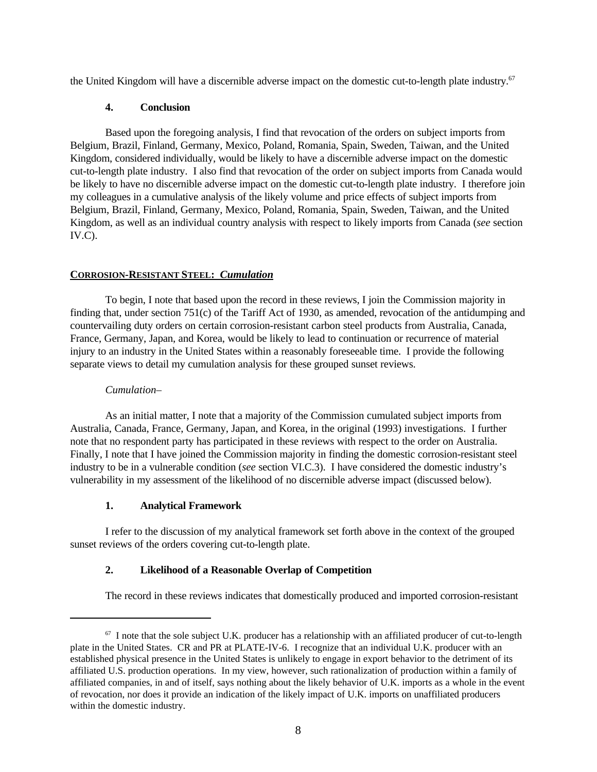the United Kingdom will have a discernible adverse impact on the domestic cut-to-length plate industry.<sup>67</sup>

## **4. Conclusion**

Based upon the foregoing analysis, I find that revocation of the orders on subject imports from Belgium, Brazil, Finland, Germany, Mexico, Poland, Romania, Spain, Sweden, Taiwan, and the United Kingdom, considered individually, would be likely to have a discernible adverse impact on the domestic cut-to-length plate industry. I also find that revocation of the order on subject imports from Canada would be likely to have no discernible adverse impact on the domestic cut-to-length plate industry. I therefore join my colleagues in a cumulative analysis of the likely volume and price effects of subject imports from Belgium, Brazil, Finland, Germany, Mexico, Poland, Romania, Spain, Sweden, Taiwan, and the United Kingdom, as well as an individual country analysis with respect to likely imports from Canada (*see* section IV.C).

## **CORROSION-RESISTANT STEEL:** *Cumulation*

To begin, I note that based upon the record in these reviews, I join the Commission majority in finding that, under section 751(c) of the Tariff Act of 1930, as amended, revocation of the antidumping and countervailing duty orders on certain corrosion-resistant carbon steel products from Australia, Canada, France, Germany, Japan, and Korea, would be likely to lead to continuation or recurrence of material injury to an industry in the United States within a reasonably foreseeable time. I provide the following separate views to detail my cumulation analysis for these grouped sunset reviews.

### *Cumulation–*

As an initial matter, I note that a majority of the Commission cumulated subject imports from Australia, Canada, France, Germany, Japan, and Korea, in the original (1993) investigations. I further note that no respondent party has participated in these reviews with respect to the order on Australia. Finally, I note that I have joined the Commission majority in finding the domestic corrosion-resistant steel industry to be in a vulnerable condition (*see* section VI.C.3). I have considered the domestic industry's vulnerability in my assessment of the likelihood of no discernible adverse impact (discussed below).

## **1. Analytical Framework**

I refer to the discussion of my analytical framework set forth above in the context of the grouped sunset reviews of the orders covering cut-to-length plate.

## **2. Likelihood of a Reasonable Overlap of Competition**

The record in these reviews indicates that domestically produced and imported corrosion-resistant

 $67$  I note that the sole subject U.K. producer has a relationship with an affiliated producer of cut-to-length plate in the United States. CR and PR at PLATE-IV-6. I recognize that an individual U.K. producer with an established physical presence in the United States is unlikely to engage in export behavior to the detriment of its affiliated U.S. production operations. In my view, however, such rationalization of production within a family of affiliated companies, in and of itself, says nothing about the likely behavior of U.K. imports as a whole in the event of revocation, nor does it provide an indication of the likely impact of U.K. imports on unaffiliated producers within the domestic industry.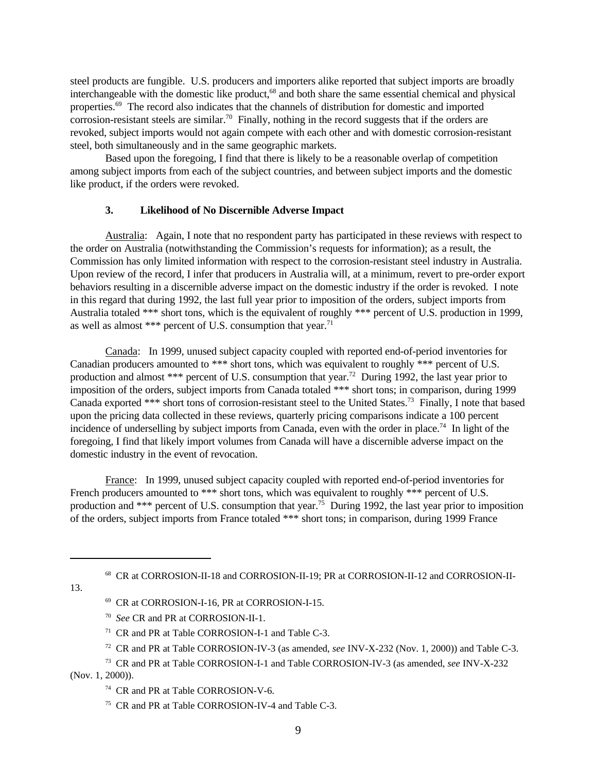steel products are fungible. U.S. producers and importers alike reported that subject imports are broadly interchangeable with the domestic like product,<sup>68</sup> and both share the same essential chemical and physical properties.<sup>69</sup> The record also indicates that the channels of distribution for domestic and imported corrosion-resistant steels are similar.<sup>70</sup> Finally, nothing in the record suggests that if the orders are revoked, subject imports would not again compete with each other and with domestic corrosion-resistant steel, both simultaneously and in the same geographic markets.

Based upon the foregoing, I find that there is likely to be a reasonable overlap of competition among subject imports from each of the subject countries, and between subject imports and the domestic like product, if the orders were revoked.

## **3. Likelihood of No Discernible Adverse Impact**

Australia: Again, I note that no respondent party has participated in these reviews with respect to the order on Australia (notwithstanding the Commission's requests for information); as a result, the Commission has only limited information with respect to the corrosion-resistant steel industry in Australia. Upon review of the record, I infer that producers in Australia will, at a minimum, revert to pre-order export behaviors resulting in a discernible adverse impact on the domestic industry if the order is revoked. I note in this regard that during 1992, the last full year prior to imposition of the orders, subject imports from Australia totaled \*\*\* short tons, which is the equivalent of roughly \*\*\* percent of U.S. production in 1999, as well as almost \*\*\* percent of U.S. consumption that year.<sup>71</sup>

Canada: In 1999, unused subject capacity coupled with reported end-of-period inventories for Canadian producers amounted to \*\*\* short tons, which was equivalent to roughly \*\*\* percent of U.S. production and almost \*\*\* percent of U.S. consumption that year.<sup>72</sup> During 1992, the last year prior to imposition of the orders, subject imports from Canada totaled \*\*\* short tons; in comparison, during 1999 Canada exported \*\*\* short tons of corrosion-resistant steel to the United States.<sup>73</sup> Finally, I note that based upon the pricing data collected in these reviews, quarterly pricing comparisons indicate a 100 percent incidence of underselling by subject imports from Canada, even with the order in place.<sup>74</sup> In light of the foregoing, I find that likely import volumes from Canada will have a discernible adverse impact on the domestic industry in the event of revocation.

France: In 1999, unused subject capacity coupled with reported end-of-period inventories for French producers amounted to \*\*\* short tons, which was equivalent to roughly \*\*\* percent of U.S. production and \*\*\* percent of U.S. consumption that year.<sup>75</sup> During 1992, the last year prior to imposition of the orders, subject imports from France totaled \*\*\* short tons; in comparison, during 1999 France

68 CR at CORROSION-II-18 and CORROSION-II-19; PR at CORROSION-II-12 and CORROSION-II-

13.

- <sup>69</sup> CR at CORROSION-I-16, PR at CORROSION-I-15.
- 70 *See* CR and PR at CORROSION-II-1.
- <sup>71</sup> CR and PR at Table CORROSION-I-1 and Table C-3.
- <sup>72</sup> CR and PR at Table CORROSION-IV-3 (as amended, *see* INV-X-232 (Nov. 1, 2000)) and Table C-3.
- <sup>73</sup> CR and PR at Table CORROSION-I-1 and Table CORROSION-IV-3 (as amended, *see* INV-X-232 (Nov. 1, 2000)).
	- <sup>74</sup> CR and PR at Table CORROSION-V-6.
	- <sup>75</sup> CR and PR at Table CORROSION-IV-4 and Table C-3.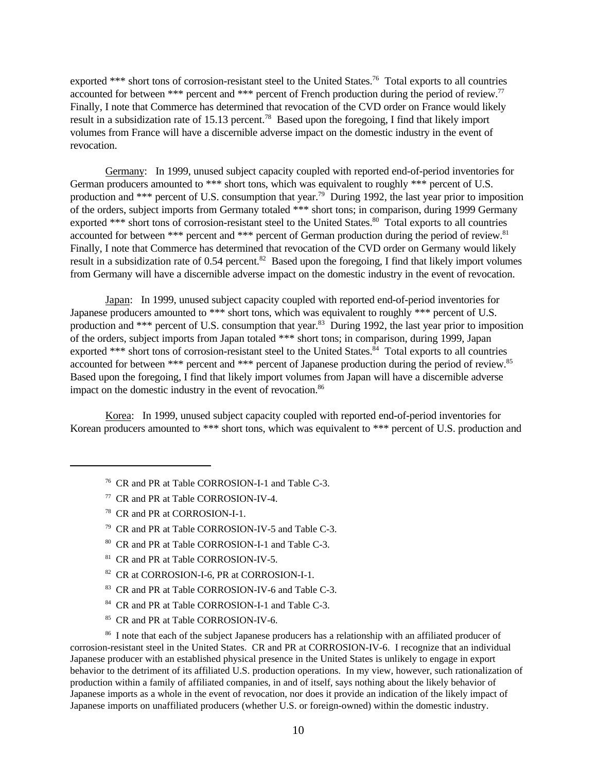exported \*\*\* short tons of corrosion-resistant steel to the United States.<sup>76</sup> Total exports to all countries accounted for between \*\*\* percent and \*\*\* percent of French production during the period of review.<sup>77</sup> Finally, I note that Commerce has determined that revocation of the CVD order on France would likely result in a subsidization rate of 15.13 percent.<sup>78</sup> Based upon the foregoing, I find that likely import volumes from France will have a discernible adverse impact on the domestic industry in the event of revocation.

Germany: In 1999, unused subject capacity coupled with reported end-of-period inventories for German producers amounted to \*\*\* short tons, which was equivalent to roughly \*\*\* percent of U.S. production and \*\*\* percent of U.S. consumption that year.<sup>79</sup> During 1992, the last year prior to imposition of the orders, subject imports from Germany totaled \*\*\* short tons; in comparison, during 1999 Germany exported \*\*\* short tons of corrosion-resistant steel to the United States.<sup>80</sup> Total exports to all countries accounted for between \*\*\* percent and \*\*\* percent of German production during the period of review.<sup>81</sup> Finally, I note that Commerce has determined that revocation of the CVD order on Germany would likely result in a subsidization rate of 0.54 percent.<sup>82</sup> Based upon the foregoing, I find that likely import volumes from Germany will have a discernible adverse impact on the domestic industry in the event of revocation.

Japan: In 1999, unused subject capacity coupled with reported end-of-period inventories for Japanese producers amounted to \*\*\* short tons, which was equivalent to roughly \*\*\* percent of U.S. production and \*\*\* percent of U.S. consumption that year.<sup>83</sup> During 1992, the last year prior to imposition of the orders, subject imports from Japan totaled \*\*\* short tons; in comparison, during 1999, Japan exported \*\*\* short tons of corrosion-resistant steel to the United States.<sup>84</sup> Total exports to all countries accounted for between \*\*\* percent and \*\*\* percent of Japanese production during the period of review.<sup>85</sup> Based upon the foregoing, I find that likely import volumes from Japan will have a discernible adverse impact on the domestic industry in the event of revocation.<sup>86</sup>

Korea: In 1999, unused subject capacity coupled with reported end-of-period inventories for Korean producers amounted to \*\*\* short tons, which was equivalent to \*\*\* percent of U.S. production and

- <sup>76</sup> CR and PR at Table CORROSION-I-1 and Table C-3.
- <sup>77</sup> CR and PR at Table CORROSION-IV-4.
- <sup>78</sup> CR and PR at CORROSION-I-1.
- <sup>79</sup> CR and PR at Table CORROSION-IV-5 and Table C-3.
- <sup>80</sup> CR and PR at Table CORROSION-I-1 and Table C-3.
- <sup>81</sup> CR and PR at Table CORROSION-IV-5.
- <sup>82</sup> CR at CORROSION-I-6, PR at CORROSION-I-1.
- <sup>83</sup> CR and PR at Table CORROSION-IV-6 and Table C-3.
- <sup>84</sup> CR and PR at Table CORROSION-I-1 and Table C-3.
- <sup>85</sup> CR and PR at Table CORROSION-IV-6.

<sup>86</sup> I note that each of the subject Japanese producers has a relationship with an affiliated producer of corrosion-resistant steel in the United States. CR and PR at CORROSION-IV-6. I recognize that an individual Japanese producer with an established physical presence in the United States is unlikely to engage in export behavior to the detriment of its affiliated U.S. production operations. In my view, however, such rationalization of production within a family of affiliated companies, in and of itself, says nothing about the likely behavior of Japanese imports as a whole in the event of revocation, nor does it provide an indication of the likely impact of Japanese imports on unaffiliated producers (whether U.S. or foreign-owned) within the domestic industry.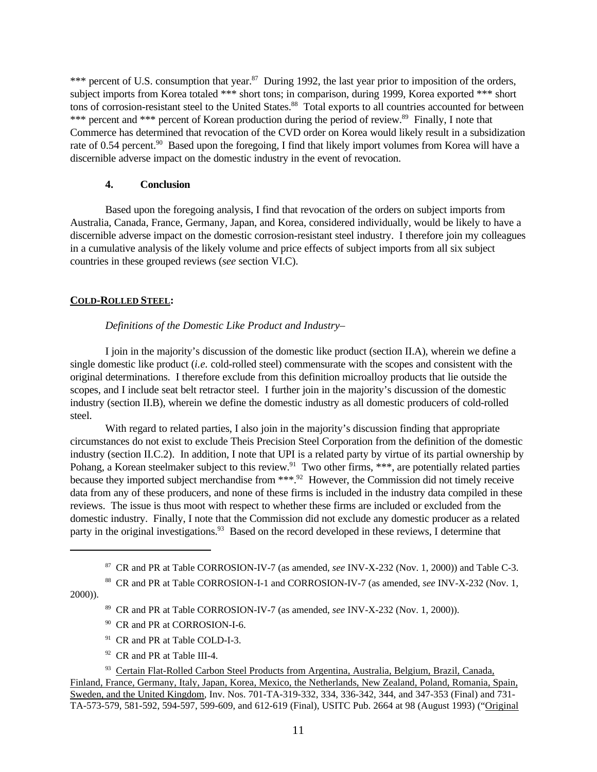\*\*\* percent of U.S. consumption that year.<sup>87</sup> During 1992, the last year prior to imposition of the orders, subject imports from Korea totaled \*\*\* short tons; in comparison, during 1999, Korea exported \*\*\* short tons of corrosion-resistant steel to the United States.<sup>88</sup> Total exports to all countries accounted for between \*\*\* percent and \*\*\* percent of Korean production during the period of review.<sup>89</sup> Finally, I note that Commerce has determined that revocation of the CVD order on Korea would likely result in a subsidization rate of 0.54 percent.<sup>90</sup> Based upon the foregoing, I find that likely import volumes from Korea will have a discernible adverse impact on the domestic industry in the event of revocation.

### **4. Conclusion**

Based upon the foregoing analysis, I find that revocation of the orders on subject imports from Australia, Canada, France, Germany, Japan, and Korea, considered individually, would be likely to have a discernible adverse impact on the domestic corrosion-resistant steel industry. I therefore join my colleagues in a cumulative analysis of the likely volume and price effects of subject imports from all six subject countries in these grouped reviews (*see* section VI.C).

## **COLD-ROLLED STEEL:**

## *Definitions of the Domestic Like Product and Industry–*

I join in the majority's discussion of the domestic like product (section II.A), wherein we define a single domestic like product (*i.e.* cold-rolled steel) commensurate with the scopes and consistent with the original determinations. I therefore exclude from this definition microalloy products that lie outside the scopes, and I include seat belt retractor steel. I further join in the majority's discussion of the domestic industry (section II.B), wherein we define the domestic industry as all domestic producers of cold-rolled steel.

With regard to related parties, I also join in the majority's discussion finding that appropriate circumstances do not exist to exclude Theis Precision Steel Corporation from the definition of the domestic industry (section II.C.2). In addition, I note that UPI is a related party by virtue of its partial ownership by Pohang, a Korean steelmaker subject to this review.<sup>91</sup> Two other firms, \*\*\*, are potentially related parties because they imported subject merchandise from \*\*\*.<sup>92</sup> However, the Commission did not timely receive data from any of these producers, and none of these firms is included in the industry data compiled in these reviews. The issue is thus moot with respect to whether these firms are included or excluded from the domestic industry. Finally, I note that the Commission did not exclude any domestic producer as a related party in the original investigations.<sup>93</sup> Based on the record developed in these reviews, I determine that

2000)).

- <sup>90</sup> CR and PR at CORROSION-I-6.
- <sup>91</sup> CR and PR at Table COLD-I-3.
- <sup>92</sup> CR and PR at Table III-4.

<sup>87</sup> CR and PR at Table CORROSION-IV-7 (as amended, *see* INV-X-232 (Nov. 1, 2000)) and Table C-3.

<sup>88</sup> CR and PR at Table CORROSION-I-1 and CORROSION-IV-7 (as amended, *see* INV-X-232 (Nov. 1,

<sup>89</sup> CR and PR at Table CORROSION-IV-7 (as amended, *see* INV-X-232 (Nov. 1, 2000)).

<sup>&</sup>lt;sup>93</sup> Certain Flat-Rolled Carbon Steel Products from Argentina, Australia, Belgium, Brazil, Canada, Finland, France, Germany, Italy, Japan, Korea, Mexico, the Netherlands, New Zealand, Poland, Romania, Spain, Sweden, and the United Kingdom, Inv. Nos. 701-TA-319-332, 334, 336-342, 344, and 347-353 (Final) and 731- TA-573-579, 581-592, 594-597, 599-609, and 612-619 (Final), USITC Pub. 2664 at 98 (August 1993) ("Original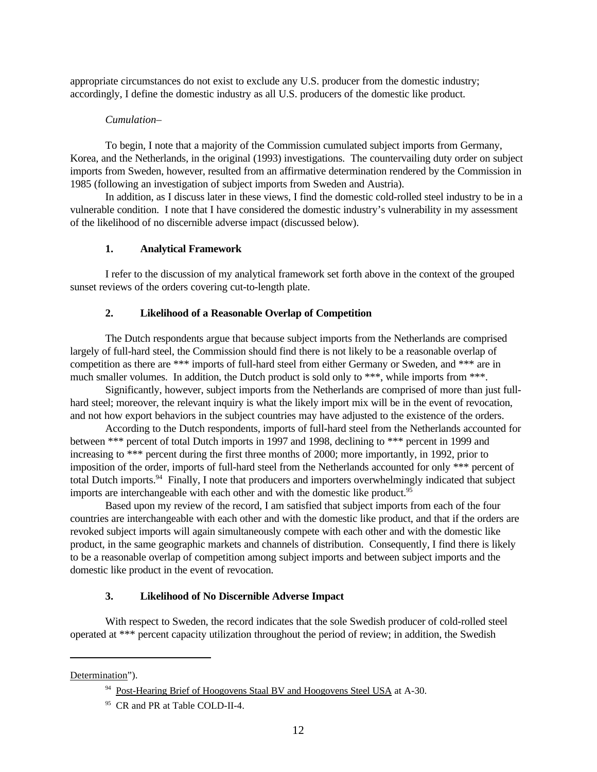appropriate circumstances do not exist to exclude any U.S. producer from the domestic industry; accordingly, I define the domestic industry as all U.S. producers of the domestic like product.

### *Cumulation–*

To begin, I note that a majority of the Commission cumulated subject imports from Germany, Korea, and the Netherlands, in the original (1993) investigations. The countervailing duty order on subject imports from Sweden, however, resulted from an affirmative determination rendered by the Commission in 1985 (following an investigation of subject imports from Sweden and Austria).

In addition, as I discuss later in these views, I find the domestic cold-rolled steel industry to be in a vulnerable condition. I note that I have considered the domestic industry's vulnerability in my assessment of the likelihood of no discernible adverse impact (discussed below).

### **1. Analytical Framework**

I refer to the discussion of my analytical framework set forth above in the context of the grouped sunset reviews of the orders covering cut-to-length plate.

## **2. Likelihood of a Reasonable Overlap of Competition**

The Dutch respondents argue that because subject imports from the Netherlands are comprised largely of full-hard steel, the Commission should find there is not likely to be a reasonable overlap of competition as there are \*\*\* imports of full-hard steel from either Germany or Sweden, and \*\*\* are in much smaller volumes. In addition, the Dutch product is sold only to \*\*\*, while imports from \*\*\*.

Significantly, however, subject imports from the Netherlands are comprised of more than just fullhard steel; moreover, the relevant inquiry is what the likely import mix will be in the event of revocation, and not how export behaviors in the subject countries may have adjusted to the existence of the orders.

According to the Dutch respondents, imports of full-hard steel from the Netherlands accounted for between \*\*\* percent of total Dutch imports in 1997 and 1998, declining to \*\*\* percent in 1999 and increasing to \*\*\* percent during the first three months of 2000; more importantly, in 1992, prior to imposition of the order, imports of full-hard steel from the Netherlands accounted for only \*\*\* percent of total Dutch imports.<sup>94</sup> Finally, I note that producers and importers overwhelmingly indicated that subject imports are interchangeable with each other and with the domestic like product.<sup>95</sup>

Based upon my review of the record, I am satisfied that subject imports from each of the four countries are interchangeable with each other and with the domestic like product, and that if the orders are revoked subject imports will again simultaneously compete with each other and with the domestic like product, in the same geographic markets and channels of distribution. Consequently, I find there is likely to be a reasonable overlap of competition among subject imports and between subject imports and the domestic like product in the event of revocation.

## **3. Likelihood of No Discernible Adverse Impact**

With respect to Sweden, the record indicates that the sole Swedish producer of cold-rolled steel operated at \*\*\* percent capacity utilization throughout the period of review; in addition, the Swedish

Determination").

<sup>&</sup>lt;sup>94</sup> Post-Hearing Brief of Hoogovens Staal BV and Hoogovens Steel USA at A-30.

<sup>&</sup>lt;sup>95</sup> CR and PR at Table COLD-II-4.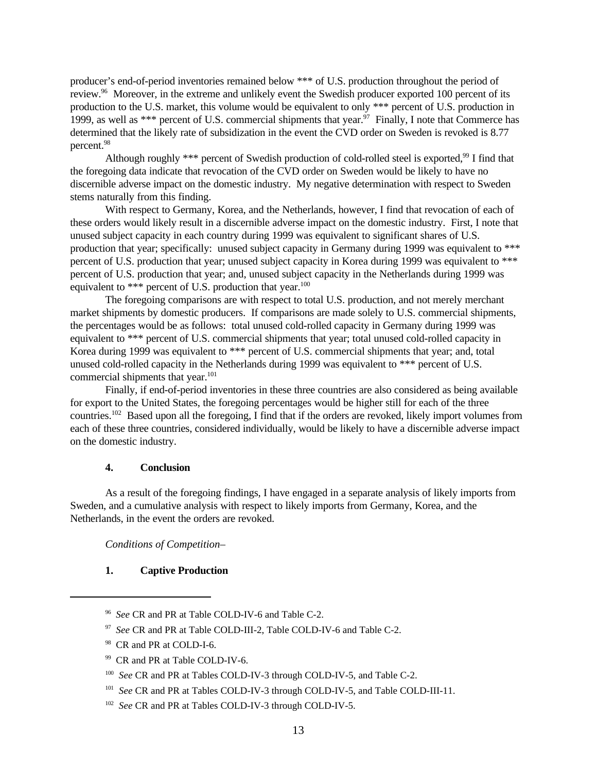producer's end-of-period inventories remained below \*\*\* of U.S. production throughout the period of review.<sup>96</sup> Moreover, in the extreme and unlikely event the Swedish producer exported 100 percent of its production to the U.S. market, this volume would be equivalent to only \*\*\* percent of U.S. production in 1999, as well as \*\*\* percent of U.S. commercial shipments that year.<sup>97</sup> Finally, I note that Commerce has determined that the likely rate of subsidization in the event the CVD order on Sweden is revoked is 8.77 percent.<sup>98</sup>

Although roughly \*\*\* percent of Swedish production of cold-rolled steel is exported,<sup>99</sup> I find that the foregoing data indicate that revocation of the CVD order on Sweden would be likely to have no discernible adverse impact on the domestic industry. My negative determination with respect to Sweden stems naturally from this finding.

With respect to Germany, Korea, and the Netherlands, however, I find that revocation of each of these orders would likely result in a discernible adverse impact on the domestic industry. First, I note that unused subject capacity in each country during 1999 was equivalent to significant shares of U.S. production that year; specifically: unused subject capacity in Germany during 1999 was equivalent to \*\*\* percent of U.S. production that year; unused subject capacity in Korea during 1999 was equivalent to \*\*\* percent of U.S. production that year; and, unused subject capacity in the Netherlands during 1999 was equivalent to \*\*\* percent of U.S. production that year.<sup>100</sup>

The foregoing comparisons are with respect to total U.S. production, and not merely merchant market shipments by domestic producers. If comparisons are made solely to U.S. commercial shipments, the percentages would be as follows: total unused cold-rolled capacity in Germany during 1999 was equivalent to \*\*\* percent of U.S. commercial shipments that year; total unused cold-rolled capacity in Korea during 1999 was equivalent to \*\*\* percent of U.S. commercial shipments that year; and, total unused cold-rolled capacity in the Netherlands during 1999 was equivalent to \*\*\* percent of U.S. commercial shipments that year.<sup>101</sup>

Finally, if end-of-period inventories in these three countries are also considered as being available for export to the United States, the foregoing percentages would be higher still for each of the three countries.<sup>102</sup> Based upon all the foregoing, I find that if the orders are revoked, likely import volumes from each of these three countries, considered individually, would be likely to have a discernible adverse impact on the domestic industry.

### **4. Conclusion**

As a result of the foregoing findings, I have engaged in a separate analysis of likely imports from Sweden, and a cumulative analysis with respect to likely imports from Germany, Korea, and the Netherlands, in the event the orders are revoked.

*Conditions of Competition–*

## **1. Captive Production**

<sup>96</sup> *See* CR and PR at Table COLD-IV-6 and Table C-2.

<sup>&</sup>lt;sup>97</sup> See CR and PR at Table COLD-III-2, Table COLD-IV-6 and Table C-2.

<sup>98</sup> CR and PR at COLD-I-6.

<sup>99</sup> CR and PR at Table COLD-IV-6.

<sup>&</sup>lt;sup>100</sup> See CR and PR at Tables COLD-IV-3 through COLD-IV-5, and Table C-2.

<sup>&</sup>lt;sup>101</sup> See CR and PR at Tables COLD-IV-3 through COLD-IV-5, and Table COLD-III-11.

<sup>&</sup>lt;sup>102</sup> See CR and PR at Tables COLD-IV-3 through COLD-IV-5.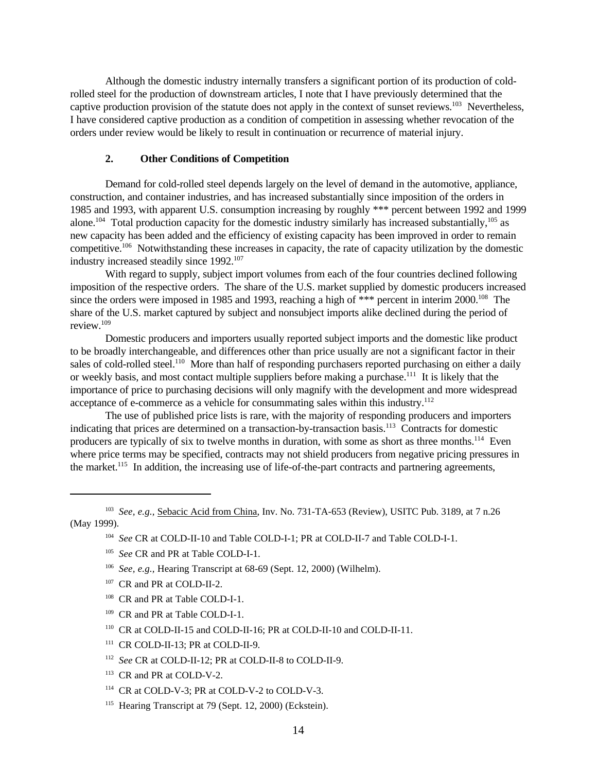Although the domestic industry internally transfers a significant portion of its production of coldrolled steel for the production of downstream articles, I note that I have previously determined that the captive production provision of the statute does not apply in the context of sunset reviews.<sup>103</sup> Nevertheless, I have considered captive production as a condition of competition in assessing whether revocation of the orders under review would be likely to result in continuation or recurrence of material injury.

### **2. Other Conditions of Competition**

Demand for cold-rolled steel depends largely on the level of demand in the automotive, appliance, construction, and container industries, and has increased substantially since imposition of the orders in 1985 and 1993, with apparent U.S. consumption increasing by roughly \*\*\* percent between 1992 and 1999 alone.<sup>104</sup> Total production capacity for the domestic industry similarly has increased substantially,  $^{105}$  as new capacity has been added and the efficiency of existing capacity has been improved in order to remain competitive.<sup>106</sup> Notwithstanding these increases in capacity, the rate of capacity utilization by the domestic industry increased steadily since 1992.<sup>107</sup>

With regard to supply, subject import volumes from each of the four countries declined following imposition of the respective orders. The share of the U.S. market supplied by domestic producers increased since the orders were imposed in 1985 and 1993, reaching a high of \*\*\* percent in interim 2000.<sup>108</sup> The share of the U.S. market captured by subject and nonsubject imports alike declined during the period of review.<sup>109</sup>

Domestic producers and importers usually reported subject imports and the domestic like product to be broadly interchangeable, and differences other than price usually are not a significant factor in their sales of cold-rolled steel.<sup>110</sup> More than half of responding purchasers reported purchasing on either a daily or weekly basis, and most contact multiple suppliers before making a purchase.<sup>111</sup> It is likely that the importance of price to purchasing decisions will only magnify with the development and more widespread acceptance of e-commerce as a vehicle for consummating sales within this industry.<sup>112</sup>

The use of published price lists is rare, with the majority of responding producers and importers indicating that prices are determined on a transaction-by-transaction basis.<sup>113</sup> Contracts for domestic producers are typically of six to twelve months in duration, with some as short as three months.<sup>114</sup> Even where price terms may be specified, contracts may not shield producers from negative pricing pressures in the market.<sup>115</sup> In addition, the increasing use of life-of-the-part contracts and partnering agreements,

103 *See, e.g.,* Sebacic Acid from China, Inv. No. 731-TA-653 (Review), USITC Pub. 3189, at 7 n.26 (May 1999).

- 106 *See, e.g.,* Hearing Transcript at 68-69 (Sept. 12, 2000) (Wilhelm).
- <sup>107</sup> CR and PR at COLD-II-2.
- <sup>108</sup> CR and PR at Table COLD-I-1.
- <sup>109</sup> CR and PR at Table COLD-I-1.
- <sup>110</sup> CR at COLD-II-15 and COLD-II-16; PR at COLD-II-10 and COLD-II-11.
- <sup>111</sup> CR COLD-II-13; PR at COLD-II-9.
- 112 *See* CR at COLD-II-12; PR at COLD-II-8 to COLD-II-9.
- <sup>113</sup> CR and PR at COLD-V-2.
- <sup>114</sup> CR at COLD-V-3; PR at COLD-V-2 to COLD-V-3.
- <sup>115</sup> Hearing Transcript at 79 (Sept. 12, 2000) (Eckstein).

<sup>104</sup> *See* CR at COLD-II-10 and Table COLD-I-1; PR at COLD-II-7 and Table COLD-I-1.

<sup>105</sup> *See* CR and PR at Table COLD-I-1.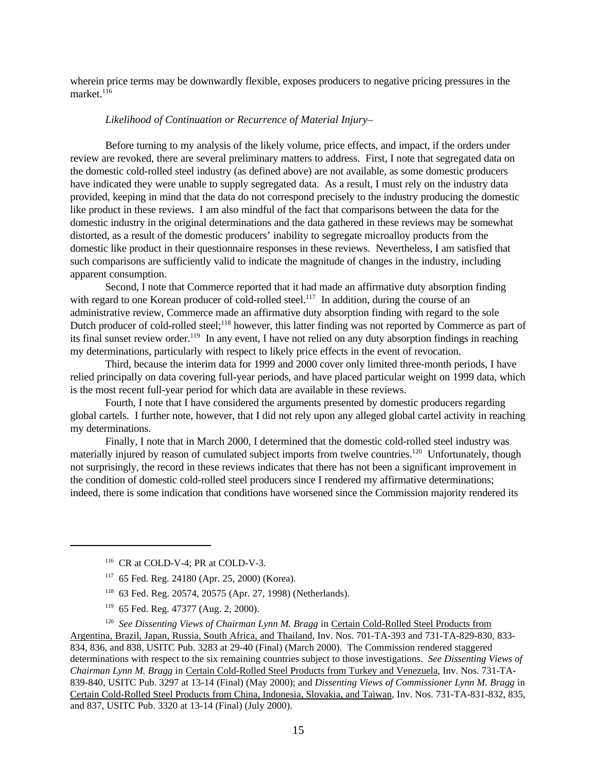wherein price terms may be downwardly flexible, exposes producers to negative pricing pressures in the market $116$ 

### *Likelihood of Continuation or Recurrence of Material Injury–*

Before turning to my analysis of the likely volume, price effects, and impact, if the orders under review are revoked, there are several preliminary matters to address. First, I note that segregated data on the domestic cold-rolled steel industry (as defined above) are not available, as some domestic producers have indicated they were unable to supply segregated data. As a result, I must rely on the industry data provided, keeping in mind that the data do not correspond precisely to the industry producing the domestic like product in these reviews. I am also mindful of the fact that comparisons between the data for the domestic industry in the original determinations and the data gathered in these reviews may be somewhat distorted, as a result of the domestic producers' inability to segregate microalloy products from the domestic like product in their questionnaire responses in these reviews. Nevertheless, I am satisfied that such comparisons are sufficiently valid to indicate the magnitude of changes in the industry, including apparent consumption.

Second, I note that Commerce reported that it had made an affirmative duty absorption finding with regard to one Korean producer of cold-rolled steel.<sup>117</sup> In addition, during the course of an administrative review, Commerce made an affirmative duty absorption finding with regard to the sole Dutch producer of cold-rolled steel;<sup>118</sup> however, this latter finding was not reported by Commerce as part of its final sunset review order.<sup>119</sup> In any event, I have not relied on any duty absorption findings in reaching my determinations, particularly with respect to likely price effects in the event of revocation.

Third, because the interim data for 1999 and 2000 cover only limited three-month periods, I have relied principally on data covering full-year periods, and have placed particular weight on 1999 data, which is the most recent full-year period for which data are available in these reviews.

Fourth, I note that I have considered the arguments presented by domestic producers regarding global cartels. I further note, however, that I did not rely upon any alleged global cartel activity in reaching my determinations.

Finally, I note that in March 2000, I determined that the domestic cold-rolled steel industry was materially injured by reason of cumulated subject imports from twelve countries.<sup>120</sup> Unfortunately, though not surprisingly, the record in these reviews indicates that there has not been a significant improvement in the condition of domestic cold-rolled steel producers since I rendered my affirmative determinations; indeed, there is some indication that conditions have worsened since the Commission majority rendered its

- <sup>118</sup> 63 Fed. Reg. 20574, 20575 (Apr. 27, 1998) (Netherlands).
- <sup>119</sup> 65 Fed. Reg. 47377 (Aug. 2, 2000).

<sup>120</sup> See Dissenting Views of Chairman Lynn M. Bragg in Certain Cold-Rolled Steel Products from Argentina, Brazil, Japan, Russia, South Africa, and Thailand, Inv. Nos. 701-TA-393 and 731-TA-829-830, 833- 834, 836, and 838, USITC Pub. 3283 at 29-40 (Final) (March 2000). The Commission rendered staggered determinations with respect to the six remaining countries subject to those investigations. *See Dissenting Views of Chairman Lynn M. Bragg* in Certain Cold-Rolled Steel Products from Turkey and Venezuela, Inv. Nos. 731-TA-839-840, USITC Pub. 3297 at 13-14 (Final) (May 2000); and *Dissenting Views of Commissioner Lynn M. Bragg* in Certain Cold-Rolled Steel Products from China, Indonesia, Slovakia, and Taiwan, Inv. Nos. 731-TA-831-832, 835, and 837, USITC Pub. 3320 at 13-14 (Final) (July 2000).

<sup>&</sup>lt;sup>116</sup> CR at COLD-V-4; PR at COLD-V-3.

<sup>117</sup> 65 Fed. Reg. 24180 (Apr. 25, 2000) (Korea).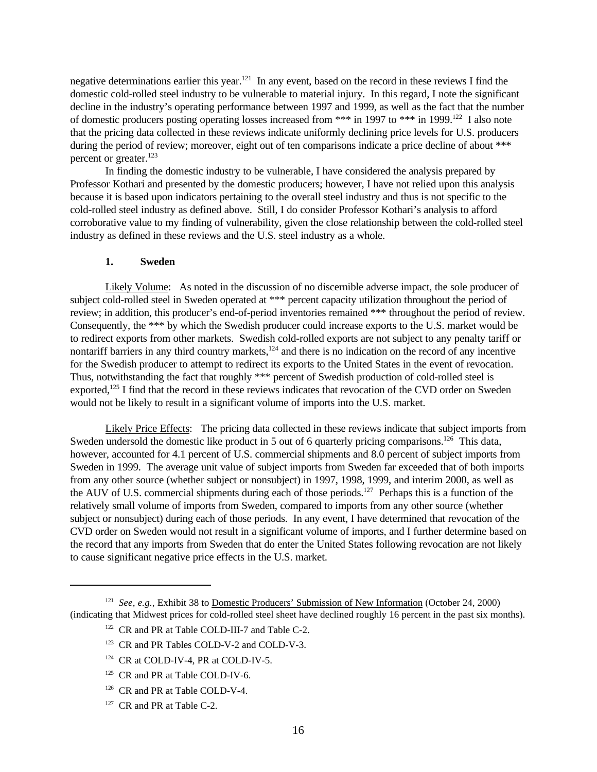negative determinations earlier this year.<sup>121</sup> In any event, based on the record in these reviews I find the domestic cold-rolled steel industry to be vulnerable to material injury. In this regard, I note the significant decline in the industry's operating performance between 1997 and 1999, as well as the fact that the number of domestic producers posting operating losses increased from \*\*\* in 1997 to \*\*\* in 1999.<sup>122</sup> I also note that the pricing data collected in these reviews indicate uniformly declining price levels for U.S. producers during the period of review; moreover, eight out of ten comparisons indicate a price decline of about \*\*\* percent or greater.<sup>123</sup>

In finding the domestic industry to be vulnerable, I have considered the analysis prepared by Professor Kothari and presented by the domestic producers; however, I have not relied upon this analysis because it is based upon indicators pertaining to the overall steel industry and thus is not specific to the cold-rolled steel industry as defined above. Still, I do consider Professor Kothari's analysis to afford corroborative value to my finding of vulnerability, given the close relationship between the cold-rolled steel industry as defined in these reviews and the U.S. steel industry as a whole.

#### **1. Sweden**

Likely Volume: As noted in the discussion of no discernible adverse impact, the sole producer of subject cold-rolled steel in Sweden operated at \*\*\* percent capacity utilization throughout the period of review; in addition, this producer's end-of-period inventories remained \*\*\* throughout the period of review. Consequently, the \*\*\* by which the Swedish producer could increase exports to the U.S. market would be to redirect exports from other markets. Swedish cold-rolled exports are not subject to any penalty tariff or nontariff barriers in any third country markets, $124$  and there is no indication on the record of any incentive for the Swedish producer to attempt to redirect its exports to the United States in the event of revocation. Thus, notwithstanding the fact that roughly \*\*\* percent of Swedish production of cold-rolled steel is exported,<sup>125</sup> I find that the record in these reviews indicates that revocation of the CVD order on Sweden would not be likely to result in a significant volume of imports into the U.S. market.

Likely Price Effects: The pricing data collected in these reviews indicate that subject imports from Sweden undersold the domestic like product in 5 out of 6 quarterly pricing comparisons.<sup>126</sup> This data, however, accounted for 4.1 percent of U.S. commercial shipments and 8.0 percent of subject imports from Sweden in 1999. The average unit value of subject imports from Sweden far exceeded that of both imports from any other source (whether subject or nonsubject) in 1997, 1998, 1999, and interim 2000, as well as the AUV of U.S. commercial shipments during each of those periods.<sup>127</sup> Perhaps this is a function of the relatively small volume of imports from Sweden, compared to imports from any other source (whether subject or nonsubject) during each of those periods. In any event, I have determined that revocation of the CVD order on Sweden would not result in a significant volume of imports, and I further determine based on the record that any imports from Sweden that do enter the United States following revocation are not likely to cause significant negative price effects in the U.S. market.

<sup>&</sup>lt;sup>121</sup> See, e.g., Exhibit 38 to Domestic Producers' Submission of New Information (October 24, 2000) (indicating that Midwest prices for cold-rolled steel sheet have declined roughly 16 percent in the past six months).

<sup>&</sup>lt;sup>122</sup> CR and PR at Table COLD-III-7 and Table C-2.

<sup>&</sup>lt;sup>123</sup> CR and PR Tables COLD-V-2 and COLD-V-3.

<sup>&</sup>lt;sup>124</sup> CR at COLD-IV-4, PR at COLD-IV-5.

<sup>&</sup>lt;sup>125</sup> CR and PR at Table COLD-IV-6.

<sup>&</sup>lt;sup>126</sup> CR and PR at Table COLD-V-4.

<sup>&</sup>lt;sup>127</sup> CR and PR at Table C-2.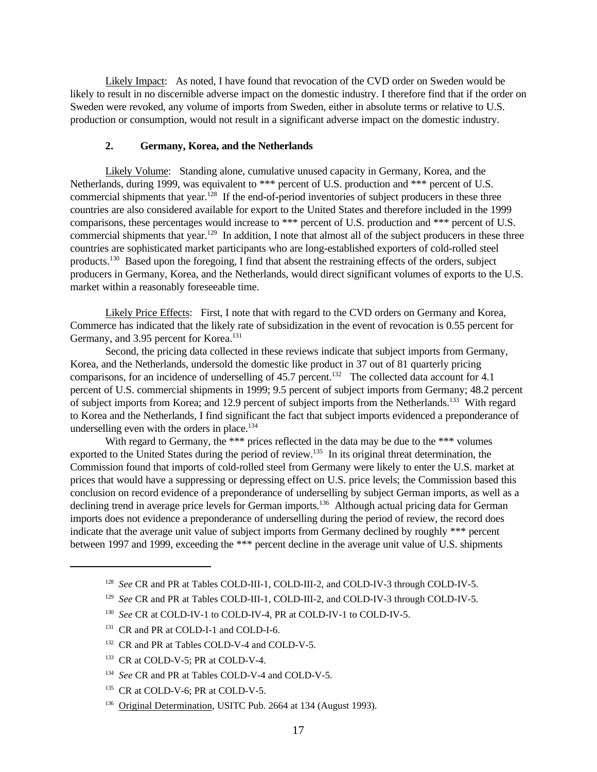Likely Impact: As noted, I have found that revocation of the CVD order on Sweden would be likely to result in no discernible adverse impact on the domestic industry. I therefore find that if the order on Sweden were revoked, any volume of imports from Sweden, either in absolute terms or relative to U.S. production or consumption, would not result in a significant adverse impact on the domestic industry.

### **2. Germany, Korea, and the Netherlands**

Likely Volume: Standing alone, cumulative unused capacity in Germany, Korea, and the Netherlands, during 1999, was equivalent to \*\*\* percent of U.S. production and \*\*\* percent of U.S. commercial shipments that year.<sup>128</sup> If the end-of-period inventories of subject producers in these three countries are also considered available for export to the United States and therefore included in the 1999 comparisons, these percentages would increase to \*\*\* percent of U.S. production and \*\*\* percent of U.S. commercial shipments that year.<sup>129</sup> In addition, I note that almost all of the subject producers in these three countries are sophisticated market participants who are long-established exporters of cold-rolled steel products.<sup>130</sup> Based upon the foregoing, I find that absent the restraining effects of the orders, subject producers in Germany, Korea, and the Netherlands, would direct significant volumes of exports to the U.S. market within a reasonably foreseeable time.

Likely Price Effects: First, I note that with regard to the CVD orders on Germany and Korea, Commerce has indicated that the likely rate of subsidization in the event of revocation is 0.55 percent for Germany, and 3.95 percent for Korea.<sup>131</sup>

Second, the pricing data collected in these reviews indicate that subject imports from Germany, Korea, and the Netherlands, undersold the domestic like product in 37 out of 81 quarterly pricing comparisons, for an incidence of underselling of 45.7 percent.<sup>132</sup> The collected data account for 4.1 percent of U.S. commercial shipments in 1999; 9.5 percent of subject imports from Germany; 48.2 percent of subject imports from Korea; and 12.9 percent of subject imports from the Netherlands.<sup>133</sup> With regard to Korea and the Netherlands, I find significant the fact that subject imports evidenced a preponderance of underselling even with the orders in place.<sup>134</sup>

With regard to Germany, the \*\*\* prices reflected in the data may be due to the \*\*\* volumes exported to the United States during the period of review.<sup>135</sup> In its original threat determination, the Commission found that imports of cold-rolled steel from Germany were likely to enter the U.S. market at prices that would have a suppressing or depressing effect on U.S. price levels; the Commission based this conclusion on record evidence of a preponderance of underselling by subject German imports, as well as a declining trend in average price levels for German imports.<sup>136</sup> Although actual pricing data for German imports does not evidence a preponderance of underselling during the period of review, the record does indicate that the average unit value of subject imports from Germany declined by roughly \*\*\* percent between 1997 and 1999, exceeding the \*\*\* percent decline in the average unit value of U.S. shipments

<sup>&</sup>lt;sup>128</sup> See CR and PR at Tables COLD-III-1, COLD-III-2, and COLD-IV-3 through COLD-IV-5.

<sup>&</sup>lt;sup>129</sup> See CR and PR at Tables COLD-III-1, COLD-III-2, and COLD-IV-3 through COLD-IV-5.

<sup>130</sup> *See* CR at COLD-IV-1 to COLD-IV-4, PR at COLD-IV-1 to COLD-IV-5.

<sup>&</sup>lt;sup>131</sup> CR and PR at COLD-I-1 and COLD-I-6.

<sup>&</sup>lt;sup>132</sup> CR and PR at Tables COLD-V-4 and COLD-V-5.

<sup>&</sup>lt;sup>133</sup> CR at COLD-V-5; PR at COLD-V-4.

<sup>&</sup>lt;sup>134</sup> See CR and PR at Tables COLD-V-4 and COLD-V-5.

<sup>&</sup>lt;sup>135</sup> CR at COLD-V-6; PR at COLD-V-5.

<sup>&</sup>lt;sup>136</sup> Original Determination, USITC Pub. 2664 at 134 (August 1993).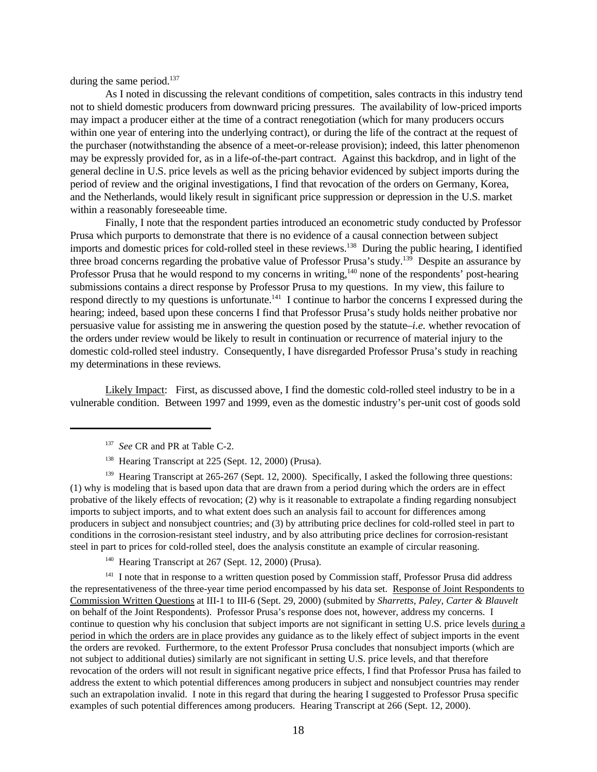during the same period. $137$ 

As I noted in discussing the relevant conditions of competition, sales contracts in this industry tend not to shield domestic producers from downward pricing pressures. The availability of low-priced imports may impact a producer either at the time of a contract renegotiation (which for many producers occurs within one year of entering into the underlying contract), or during the life of the contract at the request of the purchaser (notwithstanding the absence of a meet-or-release provision); indeed, this latter phenomenon may be expressly provided for, as in a life-of-the-part contract. Against this backdrop, and in light of the general decline in U.S. price levels as well as the pricing behavior evidenced by subject imports during the period of review and the original investigations, I find that revocation of the orders on Germany, Korea, and the Netherlands, would likely result in significant price suppression or depression in the U.S. market within a reasonably foreseeable time.

Finally, I note that the respondent parties introduced an econometric study conducted by Professor Prusa which purports to demonstrate that there is no evidence of a causal connection between subject imports and domestic prices for cold-rolled steel in these reviews.<sup>138</sup> During the public hearing, I identified three broad concerns regarding the probative value of Professor Prusa's study.<sup>139</sup> Despite an assurance by Professor Prusa that he would respond to my concerns in writing,<sup>140</sup> none of the respondents' post-hearing submissions contains a direct response by Professor Prusa to my questions. In my view, this failure to respond directly to my questions is unfortunate.<sup>141</sup> I continue to harbor the concerns I expressed during the hearing; indeed, based upon these concerns I find that Professor Prusa's study holds neither probative nor persuasive value for assisting me in answering the question posed by the statute–*i.e.* whether revocation of the orders under review would be likely to result in continuation or recurrence of material injury to the domestic cold-rolled steel industry. Consequently, I have disregarded Professor Prusa's study in reaching my determinations in these reviews.

Likely Impact: First, as discussed above, I find the domestic cold-rolled steel industry to be in a vulnerable condition. Between 1997 and 1999, even as the domestic industry's per-unit cost of goods sold

<sup>139</sup> Hearing Transcript at 265-267 (Sept. 12, 2000). Specifically, I asked the following three questions: (1) why is modeling that is based upon data that are drawn from a period during which the orders are in effect probative of the likely effects of revocation; (2) why is it reasonable to extrapolate a finding regarding nonsubject imports to subject imports, and to what extent does such an analysis fail to account for differences among producers in subject and nonsubject countries; and (3) by attributing price declines for cold-rolled steel in part to conditions in the corrosion-resistant steel industry, and by also attributing price declines for corrosion-resistant steel in part to prices for cold-rolled steel, does the analysis constitute an example of circular reasoning.

<sup>140</sup> Hearing Transcript at 267 (Sept. 12, 2000) (Prusa).

<sup>141</sup> I note that in response to a written question posed by Commission staff, Professor Prusa did address the representativeness of the three-year time period encompassed by his data set. Response of Joint Respondents to Commission Written Questions at III-1 to III-6 (Sept. 29, 2000) (submited by *Sharretts, Paley, Carter & Blauvelt* on behalf of the Joint Respondents). Professor Prusa's response does not, however, address my concerns. I continue to question why his conclusion that subject imports are not significant in setting U.S. price levels during a period in which the orders are in place provides any guidance as to the likely effect of subject imports in the event the orders are revoked. Furthermore, to the extent Professor Prusa concludes that nonsubject imports (which are not subject to additional duties) similarly are not significant in setting U.S. price levels, and that therefore revocation of the orders will not result in significant negative price effects, I find that Professor Prusa has failed to address the extent to which potential differences among producers in subject and nonsubject countries may render such an extrapolation invalid. I note in this regard that during the hearing I suggested to Professor Prusa specific examples of such potential differences among producers. Hearing Transcript at 266 (Sept. 12, 2000).

<sup>137</sup> *See* CR and PR at Table C-2.

<sup>&</sup>lt;sup>138</sup> Hearing Transcript at 225 (Sept. 12, 2000) (Prusa).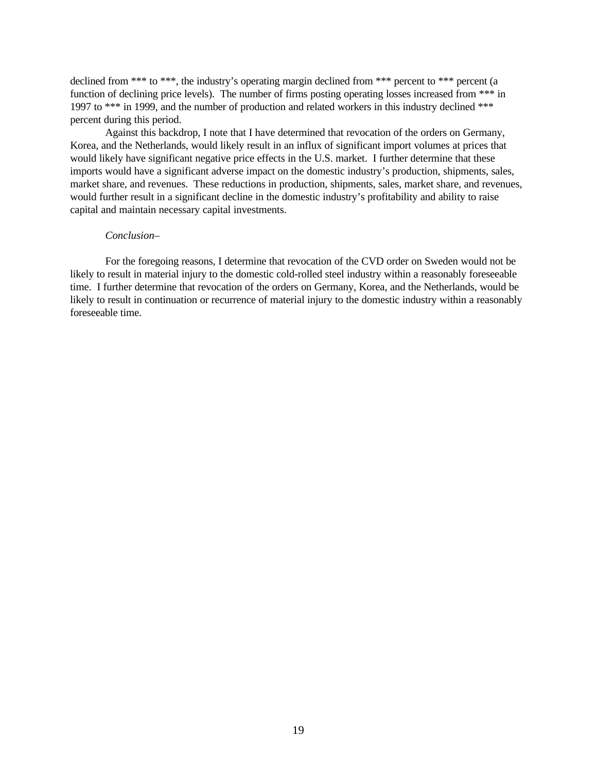declined from \*\*\* to \*\*\*, the industry's operating margin declined from \*\*\* percent to \*\*\* percent (a function of declining price levels). The number of firms posting operating losses increased from \*\*\* in 1997 to \*\*\* in 1999, and the number of production and related workers in this industry declined \*\*\* percent during this period.

Against this backdrop, I note that I have determined that revocation of the orders on Germany, Korea, and the Netherlands, would likely result in an influx of significant import volumes at prices that would likely have significant negative price effects in the U.S. market. I further determine that these imports would have a significant adverse impact on the domestic industry's production, shipments, sales, market share, and revenues. These reductions in production, shipments, sales, market share, and revenues, would further result in a significant decline in the domestic industry's profitability and ability to raise capital and maintain necessary capital investments.

### *Conclusion–*

For the foregoing reasons, I determine that revocation of the CVD order on Sweden would not be likely to result in material injury to the domestic cold-rolled steel industry within a reasonably foreseeable time. I further determine that revocation of the orders on Germany, Korea, and the Netherlands, would be likely to result in continuation or recurrence of material injury to the domestic industry within a reasonably foreseeable time.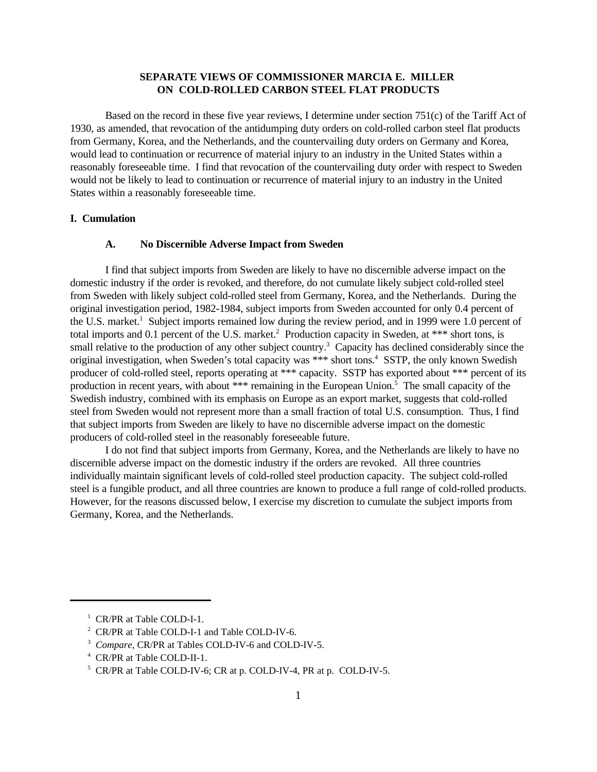## **SEPARATE VIEWS OF COMMISSIONER MARCIA E. MILLER ON COLD-ROLLED CARBON STEEL FLAT PRODUCTS**

Based on the record in these five year reviews, I determine under section 751(c) of the Tariff Act of 1930, as amended, that revocation of the antidumping duty orders on cold-rolled carbon steel flat products from Germany, Korea, and the Netherlands, and the countervailing duty orders on Germany and Korea, would lead to continuation or recurrence of material injury to an industry in the United States within a reasonably foreseeable time. I find that revocation of the countervailing duty order with respect to Sweden would not be likely to lead to continuation or recurrence of material injury to an industry in the United States within a reasonably foreseeable time.

#### **I. Cumulation**

#### **A. No Discernible Adverse Impact from Sweden**

I find that subject imports from Sweden are likely to have no discernible adverse impact on the domestic industry if the order is revoked, and therefore, do not cumulate likely subject cold-rolled steel from Sweden with likely subject cold-rolled steel from Germany, Korea, and the Netherlands. During the original investigation period, 1982-1984, subject imports from Sweden accounted for only 0.4 percent of the U.S. market.<sup>1</sup> Subject imports remained low during the review period, and in 1999 were 1.0 percent of total imports and 0.1 percent of the U.S. market.<sup>2</sup> Production capacity in Sweden, at \*\*\* short tons, is small relative to the production of any other subject country.<sup>3</sup> Capacity has declined considerably since the original investigation, when Sweden's total capacity was \*\*\* short tons.<sup>4</sup> SSTP, the only known Swedish producer of cold-rolled steel, reports operating at \*\*\* capacity. SSTP has exported about \*\*\* percent of its production in recent years, with about \*\*\* remaining in the European Union.<sup>5</sup> The small capacity of the Swedish industry, combined with its emphasis on Europe as an export market, suggests that cold-rolled steel from Sweden would not represent more than a small fraction of total U.S. consumption. Thus, I find that subject imports from Sweden are likely to have no discernible adverse impact on the domestic producers of cold-rolled steel in the reasonably foreseeable future.

I do not find that subject imports from Germany, Korea, and the Netherlands are likely to have no discernible adverse impact on the domestic industry if the orders are revoked. All three countries individually maintain significant levels of cold-rolled steel production capacity. The subject cold-rolled steel is a fungible product, and all three countries are known to produce a full range of cold-rolled products. However, for the reasons discussed below, I exercise my discretion to cumulate the subject imports from Germany, Korea, and the Netherlands.

<sup>&</sup>lt;sup>1</sup> CR/PR at Table COLD-I-1.

<sup>&</sup>lt;sup>2</sup> CR/PR at Table COLD-I-1 and Table COLD-IV-6.

<sup>&</sup>lt;sup>3</sup> Compare, CR/PR at Tables COLD-IV-6 and COLD-IV-5.

<sup>4</sup> CR/PR at Table COLD-II-1.

<sup>5</sup> CR/PR at Table COLD-IV-6; CR at p. COLD-IV-4, PR at p. COLD-IV-5.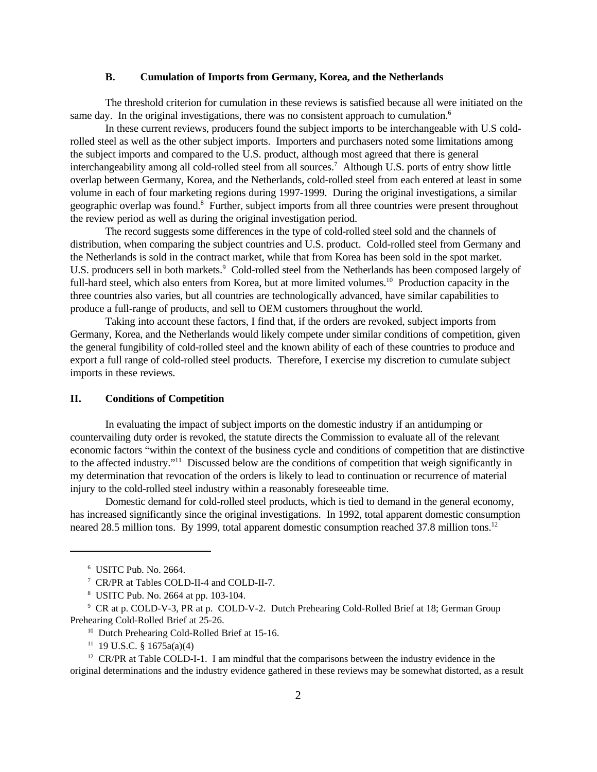### **B. Cumulation of Imports from Germany, Korea, and the Netherlands**

The threshold criterion for cumulation in these reviews is satisfied because all were initiated on the same day. In the original investigations, there was no consistent approach to cumulation.<sup>6</sup>

In these current reviews, producers found the subject imports to be interchangeable with U.S coldrolled steel as well as the other subject imports. Importers and purchasers noted some limitations among the subject imports and compared to the U.S. product, although most agreed that there is general interchangeability among all cold-rolled steel from all sources.<sup>7</sup> Although U.S. ports of entry show little overlap between Germany, Korea, and the Netherlands, cold-rolled steel from each entered at least in some volume in each of four marketing regions during 1997-1999. During the original investigations, a similar geographic overlap was found.<sup>8</sup> Further, subject imports from all three countries were present throughout the review period as well as during the original investigation period.

The record suggests some differences in the type of cold-rolled steel sold and the channels of distribution, when comparing the subject countries and U.S. product. Cold-rolled steel from Germany and the Netherlands is sold in the contract market, while that from Korea has been sold in the spot market. U.S. producers sell in both markets.<sup>9</sup> Cold-rolled steel from the Netherlands has been composed largely of full-hard steel, which also enters from Korea, but at more limited volumes.<sup>10</sup> Production capacity in the three countries also varies, but all countries are technologically advanced, have similar capabilities to produce a full-range of products, and sell to OEM customers throughout the world.

Taking into account these factors, I find that, if the orders are revoked, subject imports from Germany, Korea, and the Netherlands would likely compete under similar conditions of competition, given the general fungibility of cold-rolled steel and the known ability of each of these countries to produce and export a full range of cold-rolled steel products. Therefore, I exercise my discretion to cumulate subject imports in these reviews.

### **II. Conditions of Competition**

In evaluating the impact of subject imports on the domestic industry if an antidumping or countervailing duty order is revoked, the statute directs the Commission to evaluate all of the relevant economic factors "within the context of the business cycle and conditions of competition that are distinctive to the affected industry."<sup>11</sup> Discussed below are the conditions of competition that weigh significantly in my determination that revocation of the orders is likely to lead to continuation or recurrence of material injury to the cold-rolled steel industry within a reasonably foreseeable time.

Domestic demand for cold-rolled steel products, which is tied to demand in the general economy, has increased significantly since the original investigations. In 1992, total apparent domestic consumption neared 28.5 million tons. By 1999, total apparent domestic consumption reached 37.8 million tons.<sup>12</sup>

 $11$  19 U.S.C. § 1675a(a)(4)

 $12$  CR/PR at Table COLD-I-1. I am mindful that the comparisons between the industry evidence in the original determinations and the industry evidence gathered in these reviews may be somewhat distorted, as a result

<sup>6</sup> USITC Pub. No. 2664.

<sup>7</sup> CR/PR at Tables COLD-II-4 and COLD-II-7.

<sup>8</sup> USITC Pub. No. 2664 at pp. 103-104.

<sup>&</sup>lt;sup>9</sup> CR at p. COLD-V-3, PR at p. COLD-V-2. Dutch Prehearing Cold-Rolled Brief at 18; German Group Prehearing Cold-Rolled Brief at 25-26.

<sup>&</sup>lt;sup>10</sup> Dutch Prehearing Cold-Rolled Brief at 15-16.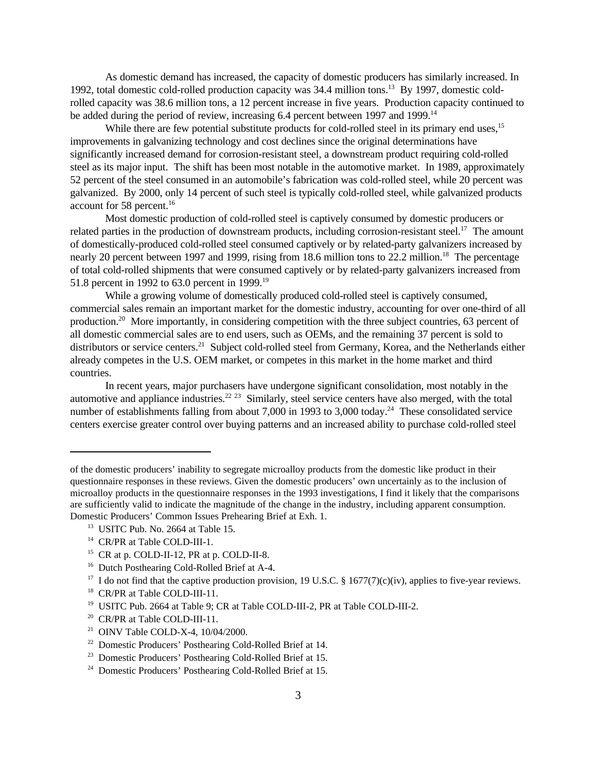As domestic demand has increased, the capacity of domestic producers has similarly increased. In 1992, total domestic cold-rolled production capacity was 34.4 million tons.13 By 1997, domestic coldrolled capacity was 38.6 million tons, a 12 percent increase in five years. Production capacity continued to be added during the period of review, increasing 6.4 percent between 1997 and 1999.<sup>14</sup>

While there are few potential substitute products for cold-rolled steel in its primary end uses,<sup>15</sup> improvements in galvanizing technology and cost declines since the original determinations have significantly increased demand for corrosion-resistant steel, a downstream product requiring cold-rolled steel as its major input. The shift has been most notable in the automotive market. In 1989, approximately 52 percent of the steel consumed in an automobile's fabrication was cold-rolled steel, while 20 percent was galvanized. By 2000, only 14 percent of such steel is typically cold-rolled steel, while galvanized products account for 58 percent.<sup>16</sup>

Most domestic production of cold-rolled steel is captively consumed by domestic producers or related parties in the production of downstream products, including corrosion-resistant steel.<sup>17</sup> The amount of domestically-produced cold-rolled steel consumed captively or by related-party galvanizers increased by nearly 20 percent between 1997 and 1999, rising from 18.6 million tons to 22.2 million.<sup>18</sup> The percentage of total cold-rolled shipments that were consumed captively or by related-party galvanizers increased from 51.8 percent in 1992 to 63.0 percent in 1999.<sup>19</sup>

While a growing volume of domestically produced cold-rolled steel is captively consumed, commercial sales remain an important market for the domestic industry, accounting for over one-third of all production.<sup>20</sup> More importantly, in considering competition with the three subject countries, 63 percent of all domestic commercial sales are to end users, such as OEMs, and the remaining 37 percent is sold to distributors or service centers.<sup>21</sup> Subject cold-rolled steel from Germany, Korea, and the Netherlands either already competes in the U.S. OEM market, or competes in this market in the home market and third countries.

In recent years, major purchasers have undergone significant consolidation, most notably in the automotive and appliance industries.<sup>22 23</sup> Similarly, steel service centers have also merged, with the total number of establishments falling from about 7,000 in 1993 to 3,000 today.<sup>24</sup> These consolidated service centers exercise greater control over buying patterns and an increased ability to purchase cold-rolled steel

<sup>20</sup> CR/PR at Table COLD-III-11.

of the domestic producers' inability to segregate microalloy products from the domestic like product in their questionnaire responses in these reviews. Given the domestic producers' own uncertainly as to the inclusion of microalloy products in the questionnaire responses in the 1993 investigations, I find it likely that the comparisons are sufficiently valid to indicate the magnitude of the change in the industry, including apparent consumption. Domestic Producers' Common Issues Prehearing Brief at Exh. 1.

<sup>13</sup> USITC Pub. No. 2664 at Table 15.

<sup>14</sup> CR/PR at Table COLD-III-1.

 $15$  CR at p. COLD-II-12, PR at p. COLD-II-8.

<sup>&</sup>lt;sup>16</sup> Dutch Posthearing Cold-Rolled Brief at A-4.

<sup>&</sup>lt;sup>17</sup> I do not find that the captive production provision, 19 U.S.C. § 1677(7)(c)(iv), applies to five-year reviews.

<sup>18</sup> CR/PR at Table COLD-III-11.

<sup>19</sup> USITC Pub. 2664 at Table 9; CR at Table COLD-III-2, PR at Table COLD-III-2.

<sup>21</sup> OINV Table COLD-X-4, 10/04/2000.

<sup>22</sup> Domestic Producers' Posthearing Cold-Rolled Brief at 14.

<sup>23</sup> Domestic Producers' Posthearing Cold-Rolled Brief at 15.

<sup>24</sup> Domestic Producers' Posthearing Cold-Rolled Brief at 15.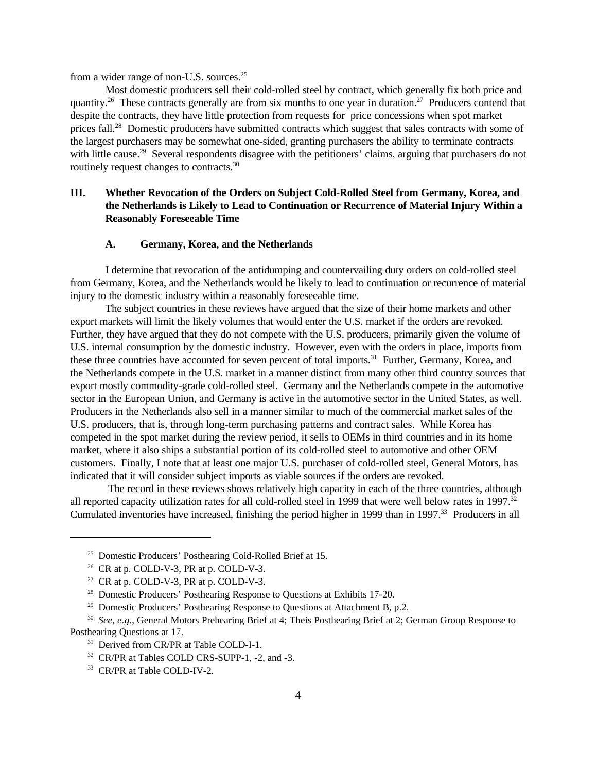from a wider range of non-U.S. sources.<sup>25</sup>

Most domestic producers sell their cold-rolled steel by contract, which generally fix both price and quantity.<sup>26</sup> These contracts generally are from six months to one year in duration.<sup>27</sup> Producers contend that despite the contracts, they have little protection from requests for price concessions when spot market prices fall.<sup>28</sup> Domestic producers have submitted contracts which suggest that sales contracts with some of the largest purchasers may be somewhat one-sided, granting purchasers the ability to terminate contracts with little cause.<sup>29</sup> Several respondents disagree with the petitioners' claims, arguing that purchasers do not routinely request changes to contracts.<sup>30</sup>

## **III. Whether Revocation of the Orders on Subject Cold-Rolled Steel from Germany, Korea, and the Netherlands is Likely to Lead to Continuation or Recurrence of Material Injury Within a Reasonably Foreseeable Time**

#### **A. Germany, Korea, and the Netherlands**

I determine that revocation of the antidumping and countervailing duty orders on cold-rolled steel from Germany, Korea, and the Netherlands would be likely to lead to continuation or recurrence of material injury to the domestic industry within a reasonably foreseeable time.

The subject countries in these reviews have argued that the size of their home markets and other export markets will limit the likely volumes that would enter the U.S. market if the orders are revoked. Further, they have argued that they do not compete with the U.S. producers, primarily given the volume of U.S. internal consumption by the domestic industry. However, even with the orders in place, imports from these three countries have accounted for seven percent of total imports.<sup>31</sup> Further, Germany, Korea, and the Netherlands compete in the U.S. market in a manner distinct from many other third country sources that export mostly commodity-grade cold-rolled steel. Germany and the Netherlands compete in the automotive sector in the European Union, and Germany is active in the automotive sector in the United States, as well. Producers in the Netherlands also sell in a manner similar to much of the commercial market sales of the U.S. producers, that is, through long-term purchasing patterns and contract sales. While Korea has competed in the spot market during the review period, it sells to OEMs in third countries and in its home market, where it also ships a substantial portion of its cold-rolled steel to automotive and other OEM customers. Finally, I note that at least one major U.S. purchaser of cold-rolled steel, General Motors, has indicated that it will consider subject imports as viable sources if the orders are revoked.

 The record in these reviews shows relatively high capacity in each of the three countries, although all reported capacity utilization rates for all cold-rolled steel in 1999 that were well below rates in 1997.<sup>32</sup> Cumulated inventories have increased, finishing the period higher in 1999 than in 1997.<sup>33</sup> Producers in all

<sup>25</sup> Domestic Producers' Posthearing Cold-Rolled Brief at 15.

 $26$  CR at p. COLD-V-3, PR at p. COLD-V-3.

<sup>&</sup>lt;sup>27</sup> CR at p. COLD-V-3, PR at p. COLD-V-3.

<sup>&</sup>lt;sup>28</sup> Domestic Producers' Posthearing Response to Questions at Exhibits 17-20.

<sup>&</sup>lt;sup>29</sup> Domestic Producers' Posthearing Response to Questions at Attachment B, p.2.

<sup>30</sup> *See, e.g.*, General Motors Prehearing Brief at 4; Theis Posthearing Brief at 2; German Group Response to Posthearing Questions at 17.

<sup>&</sup>lt;sup>31</sup> Derived from CR/PR at Table COLD-I-1.

<sup>32</sup> CR/PR at Tables COLD CRS-SUPP-1, -2, and -3.

<sup>33</sup> CR/PR at Table COLD-IV-2.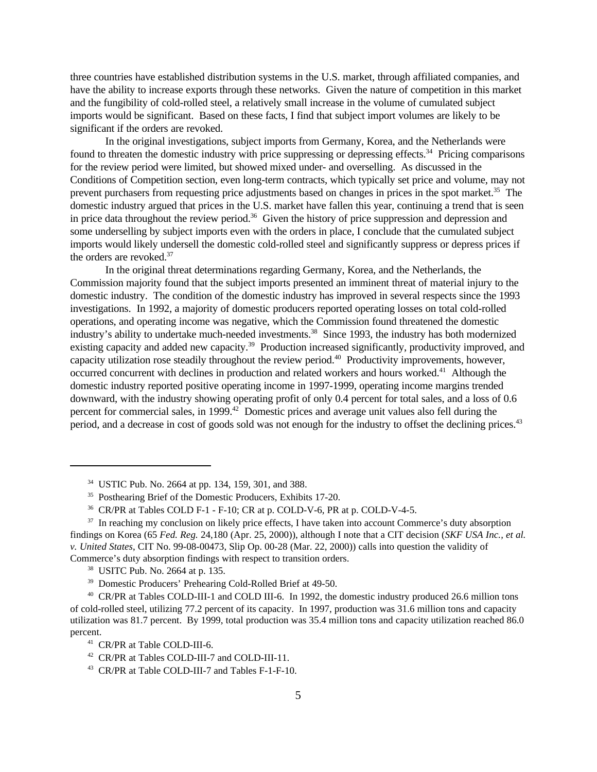three countries have established distribution systems in the U.S. market, through affiliated companies, and have the ability to increase exports through these networks. Given the nature of competition in this market and the fungibility of cold-rolled steel, a relatively small increase in the volume of cumulated subject imports would be significant. Based on these facts, I find that subject import volumes are likely to be significant if the orders are revoked.

In the original investigations, subject imports from Germany, Korea, and the Netherlands were found to threaten the domestic industry with price suppressing or depressing effects.<sup>34</sup> Pricing comparisons for the review period were limited, but showed mixed under- and overselling. As discussed in the Conditions of Competition section, even long-term contracts, which typically set price and volume, may not prevent purchasers from requesting price adjustments based on changes in prices in the spot market.<sup>35</sup> The domestic industry argued that prices in the U.S. market have fallen this year, continuing a trend that is seen in price data throughout the review period.<sup>36</sup> Given the history of price suppression and depression and some underselling by subject imports even with the orders in place, I conclude that the cumulated subject imports would likely undersell the domestic cold-rolled steel and significantly suppress or depress prices if the orders are revoked.<sup>37</sup>

In the original threat determinations regarding Germany, Korea, and the Netherlands, the Commission majority found that the subject imports presented an imminent threat of material injury to the domestic industry. The condition of the domestic industry has improved in several respects since the 1993 investigations. In 1992, a majority of domestic producers reported operating losses on total cold-rolled operations, and operating income was negative, which the Commission found threatened the domestic industry's ability to undertake much-needed investments.<sup>38</sup> Since 1993, the industry has both modernized existing capacity and added new capacity.<sup>39</sup> Production increased significantly, productivity improved, and capacity utilization rose steadily throughout the review period.<sup>40</sup> Productivity improvements, however, occurred concurrent with declines in production and related workers and hours worked.<sup>41</sup> Although the domestic industry reported positive operating income in 1997-1999, operating income margins trended downward, with the industry showing operating profit of only 0.4 percent for total sales, and a loss of 0.6 percent for commercial sales, in 1999.<sup>42</sup> Domestic prices and average unit values also fell during the period, and a decrease in cost of goods sold was not enough for the industry to offset the declining prices.<sup>43</sup>

<sup>34</sup> USTIC Pub. No. 2664 at pp. 134, 159, 301, and 388.

<sup>&</sup>lt;sup>35</sup> Posthearing Brief of the Domestic Producers, Exhibits 17-20.

<sup>36</sup> CR/PR at Tables COLD F-1 - F-10; CR at p. COLD-V-6, PR at p. COLD-V-4-5.

<sup>&</sup>lt;sup>37</sup> In reaching my conclusion on likely price effects, I have taken into account Commerce's duty absorption findings on Korea (65 *Fed. Reg.* 24,180 (Apr. 25, 2000)), although I note that a CIT decision (*SKF USA Inc., et al. v. United States*, CIT No. 99-08-00473, Slip Op. 00-28 (Mar. 22, 2000)) calls into question the validity of Commerce's duty absorption findings with respect to transition orders.

<sup>38</sup> USITC Pub. No. 2664 at p. 135.

<sup>39</sup> Domestic Producers' Prehearing Cold-Rolled Brief at 49-50.

<sup>40</sup> CR/PR at Tables COLD-III-1 and COLD III-6. In 1992, the domestic industry produced 26.6 million tons of cold-rolled steel, utilizing 77.2 percent of its capacity. In 1997, production was 31.6 million tons and capacity utilization was 81.7 percent. By 1999, total production was 35.4 million tons and capacity utilization reached 86.0 percent.

<sup>41</sup> CR/PR at Table COLD-III-6.

<sup>42</sup> CR/PR at Tables COLD-III-7 and COLD-III-11.

<sup>43</sup> CR/PR at Table COLD-III-7 and Tables F-1-F-10.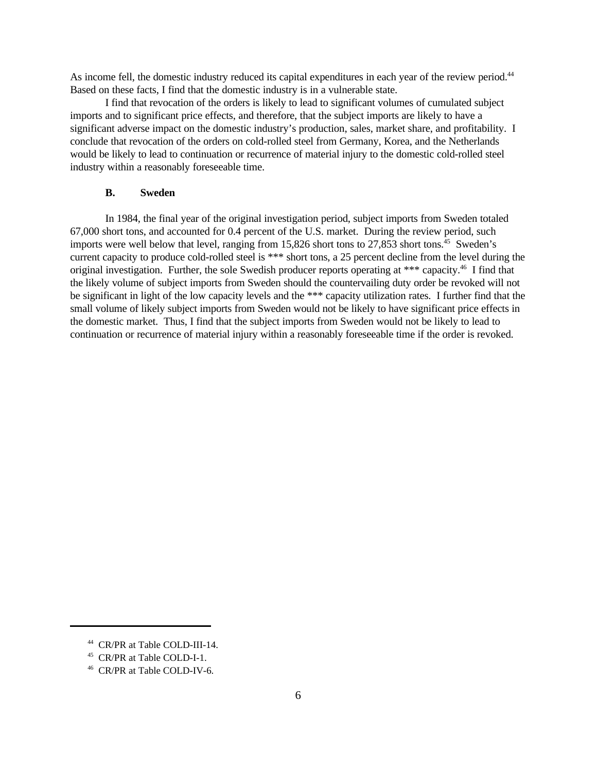As income fell, the domestic industry reduced its capital expenditures in each year of the review period.<sup>44</sup> Based on these facts, I find that the domestic industry is in a vulnerable state.

I find that revocation of the orders is likely to lead to significant volumes of cumulated subject imports and to significant price effects, and therefore, that the subject imports are likely to have a significant adverse impact on the domestic industry's production, sales, market share, and profitability. I conclude that revocation of the orders on cold-rolled steel from Germany, Korea, and the Netherlands would be likely to lead to continuation or recurrence of material injury to the domestic cold-rolled steel industry within a reasonably foreseeable time.

### **B. Sweden**

In 1984, the final year of the original investigation period, subject imports from Sweden totaled 67,000 short tons, and accounted for 0.4 percent of the U.S. market. During the review period, such imports were well below that level, ranging from 15,826 short tons to 27,853 short tons.<sup>45</sup> Sweden's current capacity to produce cold-rolled steel is \*\*\* short tons, a 25 percent decline from the level during the original investigation. Further, the sole Swedish producer reports operating at \*\*\* capacity.<sup>46</sup> I find that the likely volume of subject imports from Sweden should the countervailing duty order be revoked will not be significant in light of the low capacity levels and the \*\*\* capacity utilization rates. I further find that the small volume of likely subject imports from Sweden would not be likely to have significant price effects in the domestic market. Thus, I find that the subject imports from Sweden would not be likely to lead to continuation or recurrence of material injury within a reasonably foreseeable time if the order is revoked.

<sup>44</sup> CR/PR at Table COLD-III-14.

<sup>45</sup> CR/PR at Table COLD-I-1.

<sup>46</sup> CR/PR at Table COLD-IV-6.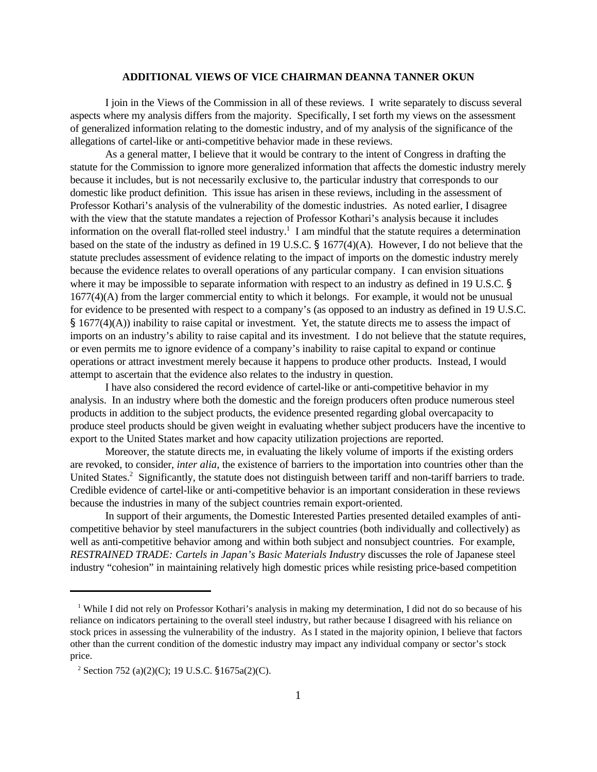#### **ADDITIONAL VIEWS OF VICE CHAIRMAN DEANNA TANNER OKUN**

I join in the Views of the Commission in all of these reviews. I write separately to discuss several aspects where my analysis differs from the majority. Specifically, I set forth my views on the assessment of generalized information relating to the domestic industry, and of my analysis of the significance of the allegations of cartel-like or anti-competitive behavior made in these reviews.

As a general matter, I believe that it would be contrary to the intent of Congress in drafting the statute for the Commission to ignore more generalized information that affects the domestic industry merely because it includes, but is not necessarily exclusive to, the particular industry that corresponds to our domestic like product definition. This issue has arisen in these reviews, including in the assessment of Professor Kothari's analysis of the vulnerability of the domestic industries. As noted earlier, I disagree with the view that the statute mandates a rejection of Professor Kothari's analysis because it includes information on the overall flat-rolled steel industry.<sup>1</sup> I am mindful that the statute requires a determination based on the state of the industry as defined in 19 U.S.C. § 1677(4)(A). However, I do not believe that the statute precludes assessment of evidence relating to the impact of imports on the domestic industry merely because the evidence relates to overall operations of any particular company. I can envision situations where it may be impossible to separate information with respect to an industry as defined in 19 U.S.C. § 1677(4)(A) from the larger commercial entity to which it belongs. For example, it would not be unusual for evidence to be presented with respect to a company's (as opposed to an industry as defined in 19 U.S.C. § 1677(4)(A)) inability to raise capital or investment. Yet, the statute directs me to assess the impact of imports on an industry's ability to raise capital and its investment. I do not believe that the statute requires, or even permits me to ignore evidence of a company's inability to raise capital to expand or continue operations or attract investment merely because it happens to produce other products. Instead, I would attempt to ascertain that the evidence also relates to the industry in question.

I have also considered the record evidence of cartel-like or anti-competitive behavior in my analysis. In an industry where both the domestic and the foreign producers often produce numerous steel products in addition to the subject products, the evidence presented regarding global overcapacity to produce steel products should be given weight in evaluating whether subject producers have the incentive to export to the United States market and how capacity utilization projections are reported.

Moreover, the statute directs me, in evaluating the likely volume of imports if the existing orders are revoked, to consider, *inter alia*, the existence of barriers to the importation into countries other than the United States.<sup>2</sup> Significantly, the statute does not distinguish between tariff and non-tariff barriers to trade. Credible evidence of cartel-like or anti-competitive behavior is an important consideration in these reviews because the industries in many of the subject countries remain export-oriented.

In support of their arguments, the Domestic Interested Parties presented detailed examples of anticompetitive behavior by steel manufacturers in the subject countries (both individually and collectively) as well as anti-competitive behavior among and within both subject and nonsubject countries. For example, *RESTRAINED TRADE: Cartels in Japan's Basic Materials Industry* discusses the role of Japanese steel industry "cohesion" in maintaining relatively high domestic prices while resisting price-based competition

<sup>&</sup>lt;sup>1</sup> While I did not rely on Professor Kothari's analysis in making my determination, I did not do so because of his reliance on indicators pertaining to the overall steel industry, but rather because I disagreed with his reliance on stock prices in assessing the vulnerability of the industry. As I stated in the majority opinion, I believe that factors other than the current condition of the domestic industry may impact any individual company or sector's stock price.

<sup>&</sup>lt;sup>2</sup> Section 752 (a)(2)(C); 19 U.S.C. §1675a(2)(C).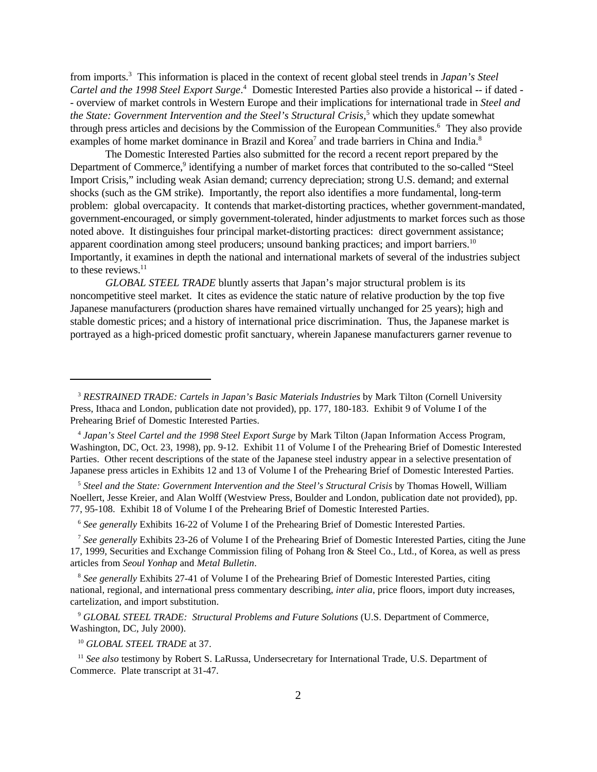from imports.<sup>3</sup> This information is placed in the context of recent global steel trends in *Japan's Steel Cartel and the 1998 Steel Export Surge*. 4 Domestic Interested Parties also provide a historical -- if dated - - overview of market controls in Western Europe and their implications for international trade in *Steel and the State: Government Intervention and the Steel's Structural Crisis*, 5 which they update somewhat through press articles and decisions by the Commission of the European Communities.<sup>6</sup> They also provide examples of home market dominance in Brazil and Korea<sup>7</sup> and trade barriers in China and India.<sup>8</sup>

The Domestic Interested Parties also submitted for the record a recent report prepared by the Department of Commerce,<sup>9</sup> identifying a number of market forces that contributed to the so-called "Steel Import Crisis," including weak Asian demand; currency depreciation; strong U.S. demand; and external shocks (such as the GM strike). Importantly, the report also identifies a more fundamental, long-term problem: global overcapacity. It contends that market-distorting practices, whether government-mandated, government-encouraged, or simply government-tolerated, hinder adjustments to market forces such as those noted above. It distinguishes four principal market-distorting practices: direct government assistance; apparent coordination among steel producers; unsound banking practices; and import barriers.<sup>10</sup> Importantly, it examines in depth the national and international markets of several of the industries subject to these reviews. $11$ 

*GLOBAL STEEL TRADE* bluntly asserts that Japan's major structural problem is its noncompetitive steel market. It cites as evidence the static nature of relative production by the top five Japanese manufacturers (production shares have remained virtually unchanged for 25 years); high and stable domestic prices; and a history of international price discrimination. Thus, the Japanese market is portrayed as a high-priced domestic profit sanctuary, wherein Japanese manufacturers garner revenue to

5 *Steel and the State: Government Intervention and the Steel's Structural Crisis* by Thomas Howell, William Noellert, Jesse Kreier, and Alan Wolff (Westview Press, Boulder and London, publication date not provided), pp. 77, 95-108. Exhibit 18 of Volume I of the Prehearing Brief of Domestic Interested Parties.

<sup>6</sup> See generally Exhibits 16-22 of Volume I of the Prehearing Brief of Domestic Interested Parties.

7 *See generally* Exhibits 23-26 of Volume I of the Prehearing Brief of Domestic Interested Parties, citing the June 17, 1999, Securities and Exchange Commission filing of Pohang Iron & Steel Co., Ltd., of Korea, as well as press articles from *Seoul Yonhap* and *Metal Bulletin*.

<sup>8</sup> See generally Exhibits 27-41 of Volume I of the Prehearing Brief of Domestic Interested Parties, citing national, regional, and international press commentary describing, *inter alia*, price floors, import duty increases, cartelization, and import substitution.

<sup>9</sup> *GLOBAL STEEL TRADE: Structural Problems and Future Solutions* (U.S. Department of Commerce, Washington, DC, July 2000).

<sup>10</sup> *GLOBAL STEEL TRADE* at 37.

<sup>11</sup> See also testimony by Robert S. LaRussa, Undersecretary for International Trade, U.S. Department of Commerce. Plate transcript at 31-47.

<sup>&</sup>lt;sup>3</sup> RESTRAINED TRADE: Cartels in Japan's Basic Materials Industries by Mark Tilton (Cornell University Press, Ithaca and London, publication date not provided), pp. 177, 180-183. Exhibit 9 of Volume I of the Prehearing Brief of Domestic Interested Parties.

<sup>4</sup> *Japan's Steel Cartel and the 1998 Steel Export Surge* by Mark Tilton (Japan Information Access Program, Washington, DC, Oct. 23, 1998), pp. 9-12. Exhibit 11 of Volume I of the Prehearing Brief of Domestic Interested Parties. Other recent descriptions of the state of the Japanese steel industry appear in a selective presentation of Japanese press articles in Exhibits 12 and 13 of Volume I of the Prehearing Brief of Domestic Interested Parties.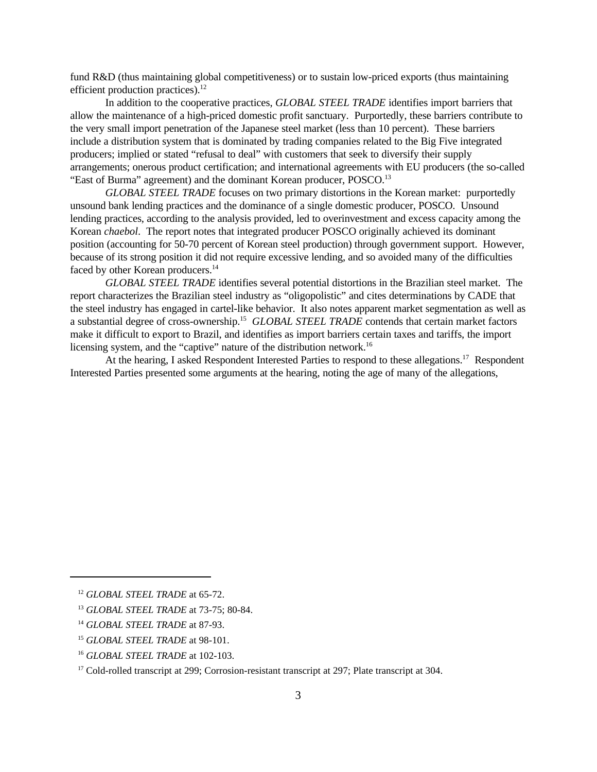fund R&D (thus maintaining global competitiveness) or to sustain low-priced exports (thus maintaining efficient production practices). $^{12}$ 

In addition to the cooperative practices, *GLOBAL STEEL TRADE* identifies import barriers that allow the maintenance of a high-priced domestic profit sanctuary. Purportedly, these barriers contribute to the very small import penetration of the Japanese steel market (less than 10 percent). These barriers include a distribution system that is dominated by trading companies related to the Big Five integrated producers; implied or stated "refusal to deal" with customers that seek to diversify their supply arrangements; onerous product certification; and international agreements with EU producers (the so-called "East of Burma" agreement) and the dominant Korean producer, POSCO.<sup>13</sup>

*GLOBAL STEEL TRADE* focuses on two primary distortions in the Korean market: purportedly unsound bank lending practices and the dominance of a single domestic producer, POSCO. Unsound lending practices, according to the analysis provided, led to overinvestment and excess capacity among the Korean *chaebol*. The report notes that integrated producer POSCO originally achieved its dominant position (accounting for 50-70 percent of Korean steel production) through government support. However, because of its strong position it did not require excessive lending, and so avoided many of the difficulties faced by other Korean producers.<sup>14</sup>

*GLOBAL STEEL TRADE* identifies several potential distortions in the Brazilian steel market. The report characterizes the Brazilian steel industry as "oligopolistic" and cites determinations by CADE that the steel industry has engaged in cartel-like behavior. It also notes apparent market segmentation as well as a substantial degree of cross-ownership.<sup>15</sup> GLOBAL STEEL TRADE contends that certain market factors make it difficult to export to Brazil, and identifies as import barriers certain taxes and tariffs, the import licensing system, and the "captive" nature of the distribution network.<sup>16</sup>

At the hearing, I asked Respondent Interested Parties to respond to these allegations.<sup>17</sup> Respondent Interested Parties presented some arguments at the hearing, noting the age of many of the allegations,

<sup>12</sup> *GLOBAL STEEL TRADE* at 65-72.

<sup>13</sup> *GLOBAL STEEL TRADE* at 73-75; 80-84.

<sup>14</sup> *GLOBAL STEEL TRADE* at 87-93.

<sup>15</sup> *GLOBAL STEEL TRADE* at 98-101.

<sup>16</sup> *GLOBAL STEEL TRADE* at 102-103.

<sup>&</sup>lt;sup>17</sup> Cold-rolled transcript at 299; Corrosion-resistant transcript at 297; Plate transcript at 304.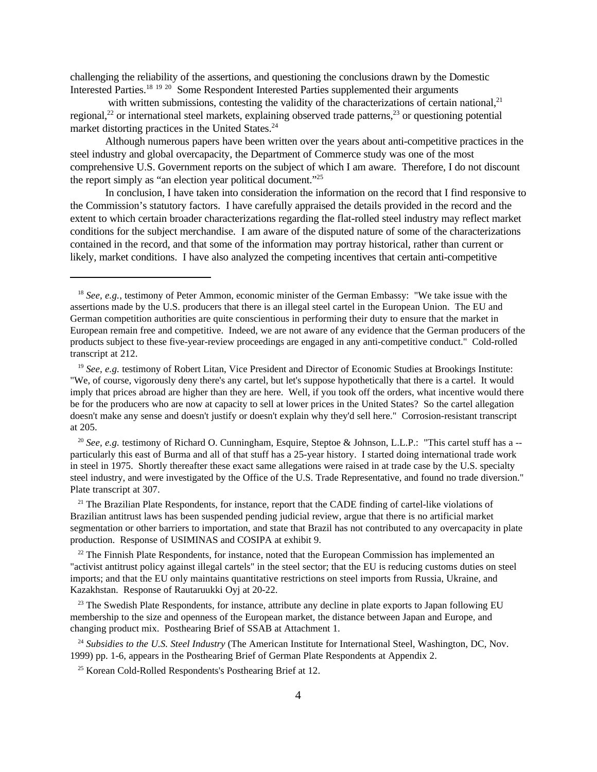challenging the reliability of the assertions, and questioning the conclusions drawn by the Domestic Interested Parties.<sup>18</sup> <sup>19</sup> <sup>20</sup> Some Respondent Interested Parties supplemented their arguments

with written submissions, contesting the validity of the characterizations of certain national, $2<sup>1</sup>$ regional,<sup>22</sup> or international steel markets, explaining observed trade patterns,<sup>23</sup> or questioning potential market distorting practices in the United States.<sup>24</sup>

Although numerous papers have been written over the years about anti-competitive practices in the steel industry and global overcapacity, the Department of Commerce study was one of the most comprehensive U.S. Government reports on the subject of which I am aware. Therefore, I do not discount the report simply as "an election year political document."<sup>25</sup>

In conclusion, I have taken into consideration the information on the record that I find responsive to the Commission's statutory factors. I have carefully appraised the details provided in the record and the extent to which certain broader characterizations regarding the flat-rolled steel industry may reflect market conditions for the subject merchandise. I am aware of the disputed nature of some of the characterizations contained in the record, and that some of the information may portray historical, rather than current or likely, market conditions. I have also analyzed the competing incentives that certain anti-competitive

<sup>20</sup> *See, e.g.* testimony of Richard O. Cunningham, Esquire, Steptoe & Johnson, L.L.P.: "This cartel stuff has a -particularly this east of Burma and all of that stuff has a 25-year history. I started doing international trade work in steel in 1975. Shortly thereafter these exact same allegations were raised in at trade case by the U.S. specialty steel industry, and were investigated by the Office of the U.S. Trade Representative, and found no trade diversion." Plate transcript at 307.

<sup>21</sup> The Brazilian Plate Respondents, for instance, report that the CADE finding of cartel-like violations of Brazilian antitrust laws has been suspended pending judicial review, argue that there is no artificial market segmentation or other barriers to importation, and state that Brazil has not contributed to any overcapacity in plate production. Response of USIMINAS and COSIPA at exhibit 9.

 $22$  The Finnish Plate Respondents, for instance, noted that the European Commission has implemented an "activist antitrust policy against illegal cartels" in the steel sector; that the EU is reducing customs duties on steel imports; and that the EU only maintains quantitative restrictions on steel imports from Russia, Ukraine, and Kazakhstan. Response of Rautaruukki Oyj at 20-22.

 $^{23}$  The Swedish Plate Respondents, for instance, attribute any decline in plate exports to Japan following EU membership to the size and openness of the European market, the distance between Japan and Europe, and changing product mix. Posthearing Brief of SSAB at Attachment 1.

<sup>24</sup> Subsidies to the U.S. Steel Industry (The American Institute for International Steel, Washington, DC, Nov. 1999) pp. 1-6, appears in the Posthearing Brief of German Plate Respondents at Appendix 2.

<sup>25</sup> Korean Cold-Rolled Respondents's Posthearing Brief at 12.

<sup>&</sup>lt;sup>18</sup> *See, e.g.*, testimony of Peter Ammon, economic minister of the German Embassy: "We take issue with the assertions made by the U.S. producers that there is an illegal steel cartel in the European Union. The EU and German competition authorities are quite conscientious in performing their duty to ensure that the market in European remain free and competitive. Indeed, we are not aware of any evidence that the German producers of the products subject to these five-year-review proceedings are engaged in any anti-competitive conduct." Cold-rolled transcript at 212.

<sup>&</sup>lt;sup>19</sup> *See, e.g.* testimony of Robert Litan, Vice President and Director of Economic Studies at Brookings Institute: "We, of course, vigorously deny there's any cartel, but let's suppose hypothetically that there is a cartel. It would imply that prices abroad are higher than they are here. Well, if you took off the orders, what incentive would there be for the producers who are now at capacity to sell at lower prices in the United States? So the cartel allegation doesn't make any sense and doesn't justify or doesn't explain why they'd sell here." Corrosion-resistant transcript at 205.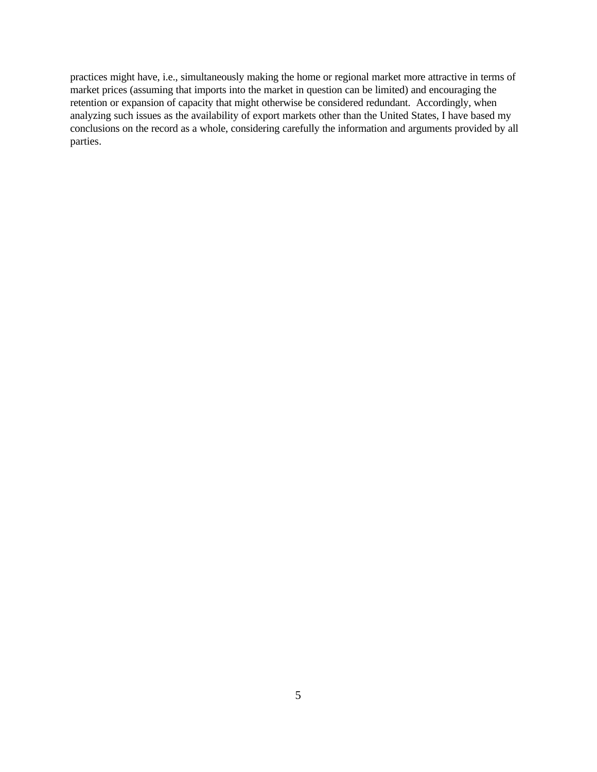practices might have, i.e., simultaneously making the home or regional market more attractive in terms of market prices (assuming that imports into the market in question can be limited) and encouraging the retention or expansion of capacity that might otherwise be considered redundant. Accordingly, when analyzing such issues as the availability of export markets other than the United States, I have based my conclusions on the record as a whole, considering carefully the information and arguments provided by all parties.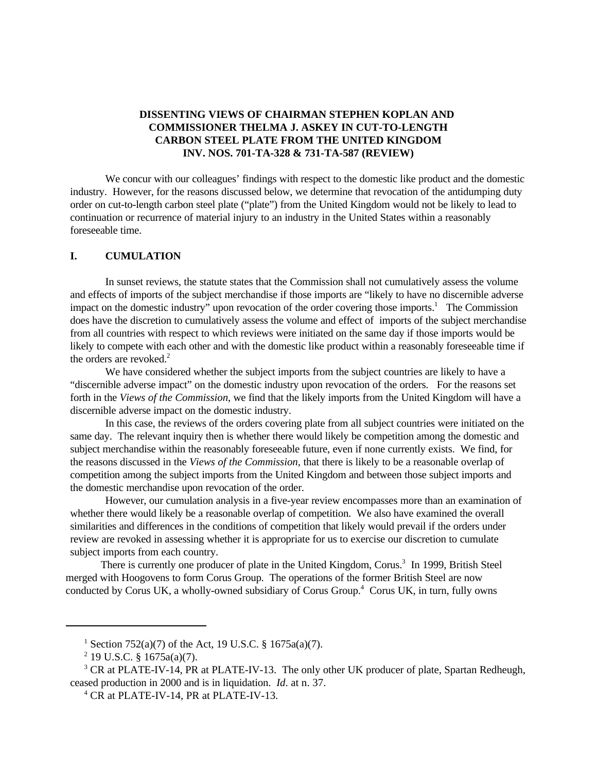# **DISSENTING VIEWS OF CHAIRMAN STEPHEN KOPLAN AND COMMISSIONER THELMA J. ASKEY IN CUT-TO-LENGTH CARBON STEEL PLATE FROM THE UNITED KINGDOM INV. NOS. 701-TA-328 & 731-TA-587 (REVIEW)**

We concur with our colleagues' findings with respect to the domestic like product and the domestic industry. However, for the reasons discussed below, we determine that revocation of the antidumping duty order on cut-to-length carbon steel plate ("plate") from the United Kingdom would not be likely to lead to continuation or recurrence of material injury to an industry in the United States within a reasonably foreseeable time.

#### **I. CUMULATION**

In sunset reviews, the statute states that the Commission shall not cumulatively assess the volume and effects of imports of the subject merchandise if those imports are "likely to have no discernible adverse impact on the domestic industry" upon revocation of the order covering those imports.<sup>1</sup> The Commission does have the discretion to cumulatively assess the volume and effect of imports of the subject merchandise from all countries with respect to which reviews were initiated on the same day if those imports would be likely to compete with each other and with the domestic like product within a reasonably foreseeable time if the orders are revoked.<sup>2</sup>

We have considered whether the subject imports from the subject countries are likely to have a "discernible adverse impact" on the domestic industry upon revocation of the orders. For the reasons set forth in the *Views of the Commission*, we find that the likely imports from the United Kingdom will have a discernible adverse impact on the domestic industry.

In this case, the reviews of the orders covering plate from all subject countries were initiated on the same day. The relevant inquiry then is whether there would likely be competition among the domestic and subject merchandise within the reasonably foreseeable future, even if none currently exists. We find, for the reasons discussed in the *Views of the Commission,* that there is likely to be a reasonable overlap of competition among the subject imports from the United Kingdom and between those subject imports and the domestic merchandise upon revocation of the order.

However, our cumulation analysis in a five-year review encompasses more than an examination of whether there would likely be a reasonable overlap of competition. We also have examined the overall similarities and differences in the conditions of competition that likely would prevail if the orders under review are revoked in assessing whether it is appropriate for us to exercise our discretion to cumulate subject imports from each country.

There is currently one producer of plate in the United Kingdom, Corus.<sup>3</sup> In 1999, British Steel merged with Hoogovens to form Corus Group. The operations of the former British Steel are now conducted by Corus UK, a wholly-owned subsidiary of Corus Group.<sup>4</sup> Corus UK, in turn, fully owns

<sup>&</sup>lt;sup>1</sup> Section 752(a)(7) of the Act, 19 U.S.C. § 1675a(a)(7).

 $2$  19 U.S.C. § 1675a(a)(7).

<sup>&</sup>lt;sup>3</sup> CR at PLATE-IV-14, PR at PLATE-IV-13. The only other UK producer of plate, Spartan Redheugh, ceased production in 2000 and is in liquidation. *Id*. at n. 37.

<sup>4</sup> CR at PLATE-IV-14, PR at PLATE-IV-13.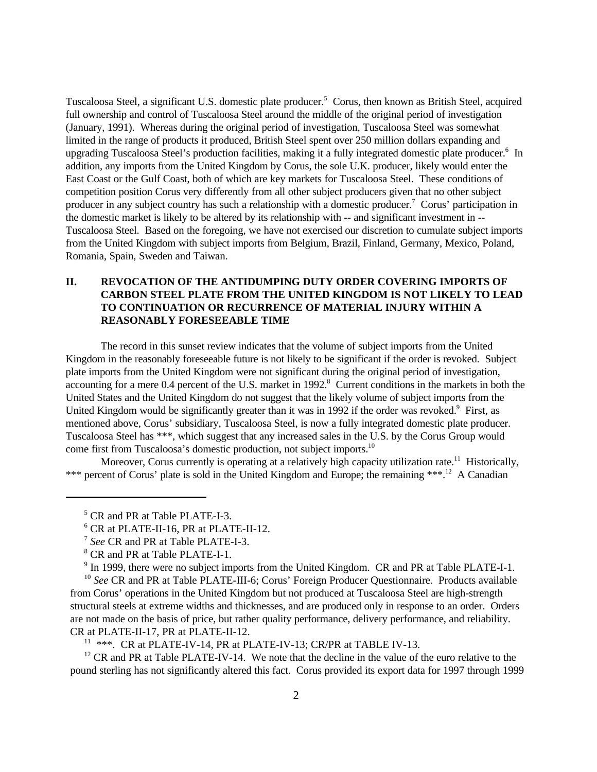Tuscaloosa Steel, a significant U.S. domestic plate producer.<sup>5</sup> Corus, then known as British Steel, acquired full ownership and control of Tuscaloosa Steel around the middle of the original period of investigation (January, 1991). Whereas during the original period of investigation, Tuscaloosa Steel was somewhat limited in the range of products it produced, British Steel spent over 250 million dollars expanding and upgrading Tuscaloosa Steel's production facilities, making it a fully integrated domestic plate producer.<sup>6</sup> In addition, any imports from the United Kingdom by Corus, the sole U.K. producer, likely would enter the East Coast or the Gulf Coast, both of which are key markets for Tuscaloosa Steel. These conditions of competition position Corus very differently from all other subject producers given that no other subject producer in any subject country has such a relationship with a domestic producer.<sup>7</sup> Corus' participation in the domestic market is likely to be altered by its relationship with -- and significant investment in -- Tuscaloosa Steel. Based on the foregoing, we have not exercised our discretion to cumulate subject imports from the United Kingdom with subject imports from Belgium, Brazil, Finland, Germany, Mexico, Poland, Romania, Spain, Sweden and Taiwan.

# **II. REVOCATION OF THE ANTIDUMPING DUTY ORDER COVERING IMPORTS OF CARBON STEEL PLATE FROM THE UNITED KINGDOM IS NOT LIKELY TO LEAD TO CONTINUATION OR RECURRENCE OF MATERIAL INJURY WITHIN A REASONABLY FORESEEABLE TIME**

The record in this sunset review indicates that the volume of subject imports from the United Kingdom in the reasonably foreseeable future is not likely to be significant if the order is revoked. Subject plate imports from the United Kingdom were not significant during the original period of investigation, accounting for a mere 0.4 percent of the U.S. market in 1992.<sup>8</sup> Current conditions in the markets in both the United States and the United Kingdom do not suggest that the likely volume of subject imports from the United Kingdom would be significantly greater than it was in 1992 if the order was revoked.<sup>9</sup> First, as mentioned above, Corus' subsidiary, Tuscaloosa Steel, is now a fully integrated domestic plate producer. Tuscaloosa Steel has \*\*\*, which suggest that any increased sales in the U.S. by the Corus Group would come first from Tuscaloosa's domestic production, not subject imports.<sup>10</sup>

Moreover, Corus currently is operating at a relatively high capacity utilization rate.<sup>11</sup> Historically, \*\*\* percent of Corus' plate is sold in the United Kingdom and Europe; the remaining \*\*\*.<sup>12</sup> A Canadian

<sup>10</sup> *See* CR and PR at Table PLATE-III-6; Corus' Foreign Producer Questionnaire. Products available from Corus' operations in the United Kingdom but not produced at Tuscaloosa Steel are high-strength structural steels at extreme widths and thicknesses, and are produced only in response to an order. Orders are not made on the basis of price, but rather quality performance, delivery performance, and reliability. CR at PLATE-II-17, PR at PLATE-II-12.

 $11$  \*\*\*. CR at PLATE-IV-14, PR at PLATE-IV-13; CR/PR at TABLE IV-13.

 $12$  CR and PR at Table PLATE-IV-14. We note that the decline in the value of the euro relative to the pound sterling has not significantly altered this fact. Corus provided its export data for 1997 through 1999

<sup>&</sup>lt;sup>5</sup> CR and PR at Table PLATE-I-3.

<sup>6</sup> CR at PLATE-II-16, PR at PLATE-II-12.

<sup>7</sup> *See* CR and PR at Table PLATE-I-3.

<sup>&</sup>lt;sup>8</sup> CR and PR at Table PLATE-I-1.

<sup>&</sup>lt;sup>9</sup> In 1999, there were no subject imports from the United Kingdom. CR and PR at Table PLATE-I-1.